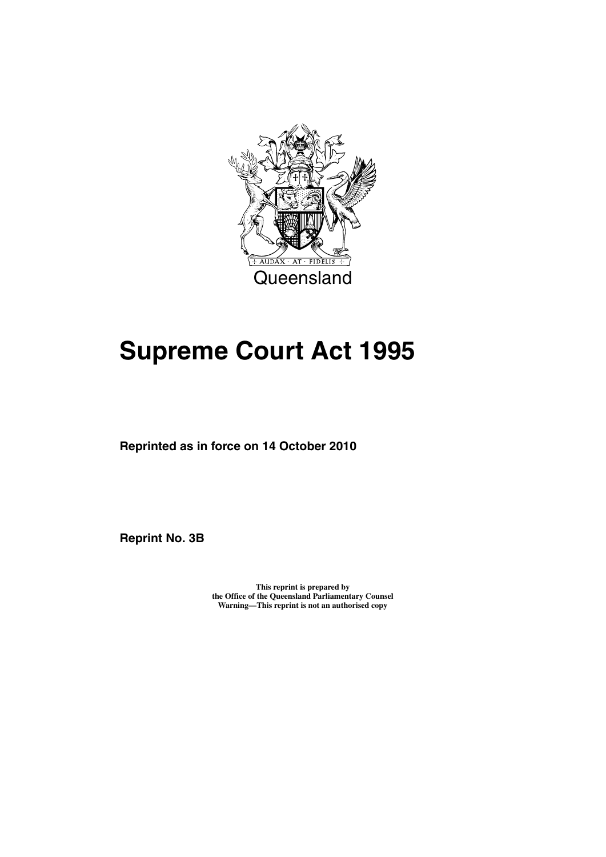

# **Supreme Court Act 1995**

**Reprinted as in force on 14 October 2010**

**Reprint No. 3B** 

**This reprint is prepared by the Office of the Queensland Parliamentary Counsel Warning—This reprint is not an authorised copy**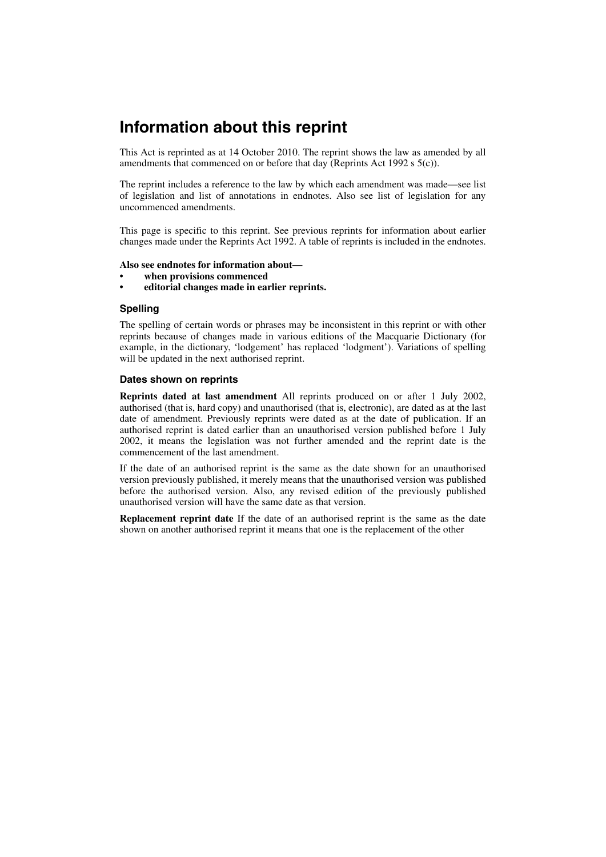## **Information about this reprint**

This Act is reprinted as at 14 October 2010. The reprint shows the law as amended by all amendments that commenced on or before that day (Reprints Act 1992 s 5(c)).

The reprint includes a reference to the law by which each amendment was made—see list of legislation and list of annotations in endnotes. Also see list of legislation for any uncommenced amendments.

This page is specific to this reprint. See previous reprints for information about earlier changes made under the Reprints Act 1992. A table of reprints is included in the endnotes.

#### **Also see endnotes for information about—**

- **when provisions commenced**
- **editorial changes made in earlier reprints.**

#### **Spelling**

The spelling of certain words or phrases may be inconsistent in this reprint or with other reprints because of changes made in various editions of the Macquarie Dictionary (for example, in the dictionary, 'lodgement' has replaced 'lodgment'). Variations of spelling will be updated in the next authorised reprint.

#### **Dates shown on reprints**

**Reprints dated at last amendment** All reprints produced on or after 1 July 2002, authorised (that is, hard copy) and unauthorised (that is, electronic), are dated as at the last date of amendment. Previously reprints were dated as at the date of publication. If an authorised reprint is dated earlier than an unauthorised version published before 1 July 2002, it means the legislation was not further amended and the reprint date is the commencement of the last amendment.

If the date of an authorised reprint is the same as the date shown for an unauthorised version previously published, it merely means that the unauthorised version was published before the authorised version. Also, any revised edition of the previously published unauthorised version will have the same date as that version.

**Replacement reprint date** If the date of an authorised reprint is the same as the date shown on another authorised reprint it means that one is the replacement of the other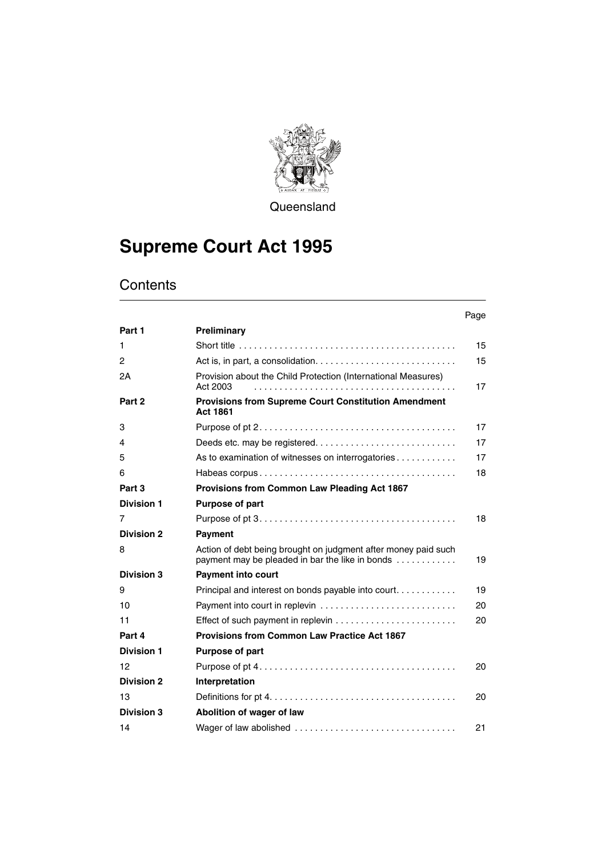

**Queensland** 

# **Supreme Court Act 1995**

|                   |                                                                                                                   | Page |
|-------------------|-------------------------------------------------------------------------------------------------------------------|------|
| Part 1            | Preliminary                                                                                                       |      |
| 1                 |                                                                                                                   | 15   |
| $\overline{c}$    |                                                                                                                   | 15   |
| 2Α                | Provision about the Child Protection (International Measures)<br>Act 2003                                         | 17   |
| Part 2            | <b>Provisions from Supreme Court Constitution Amendment</b><br><b>Act 1861</b>                                    |      |
| 3                 |                                                                                                                   | 17   |
| 4                 |                                                                                                                   | 17   |
| 5                 | As to examination of witnesses on interrogatories                                                                 | 17   |
| 6                 |                                                                                                                   | 18   |
| Part 3            | Provisions from Common Law Pleading Act 1867                                                                      |      |
| <b>Division 1</b> | <b>Purpose of part</b>                                                                                            |      |
| 7                 |                                                                                                                   | 18   |
| <b>Division 2</b> | <b>Payment</b>                                                                                                    |      |
| 8                 | Action of debt being brought on judgment after money paid such<br>payment may be pleaded in bar the like in bonds | 19   |
| <b>Division 3</b> | <b>Payment into court</b>                                                                                         |      |
| 9                 | Principal and interest on bonds payable into court                                                                | 19   |
| 10                |                                                                                                                   | 20   |
| 11                |                                                                                                                   | 20   |
| Part 4            | <b>Provisions from Common Law Practice Act 1867</b>                                                               |      |
| <b>Division 1</b> | <b>Purpose of part</b>                                                                                            |      |
| 12                |                                                                                                                   | 20   |
| <b>Division 2</b> | Interpretation                                                                                                    |      |
| 13                |                                                                                                                   | 20   |
| Division 3        | Abolition of wager of law                                                                                         |      |
| 14                |                                                                                                                   | 21   |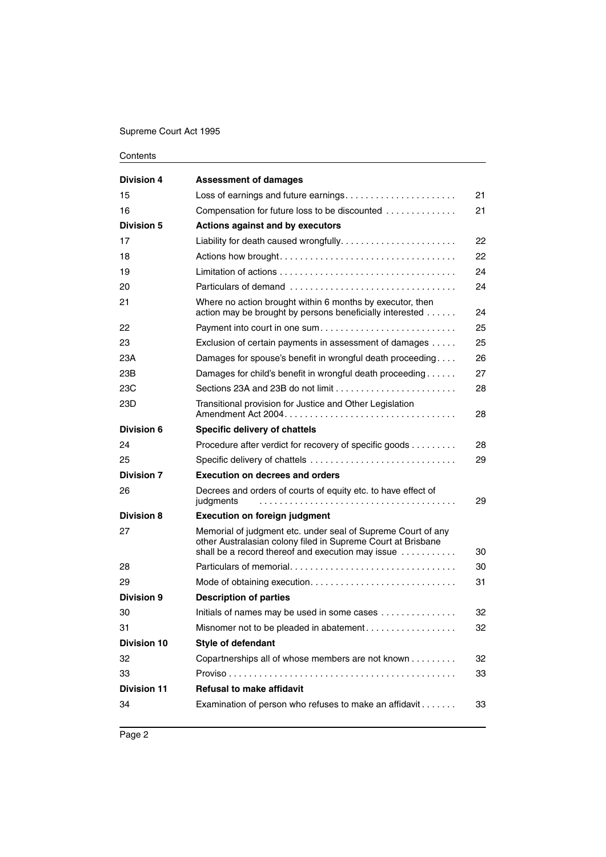| <b>Division 4</b>  | <b>Assessment of damages</b>                                                                                                                                                                             |    |
|--------------------|----------------------------------------------------------------------------------------------------------------------------------------------------------------------------------------------------------|----|
| 15                 | Loss of earnings and future earnings                                                                                                                                                                     | 21 |
| 16                 | Compensation for future loss to be discounted                                                                                                                                                            | 21 |
| <b>Division 5</b>  | Actions against and by executors                                                                                                                                                                         |    |
| 17                 |                                                                                                                                                                                                          | 22 |
| 18                 |                                                                                                                                                                                                          | 22 |
| 19                 |                                                                                                                                                                                                          | 24 |
| 20                 | Particulars of demand                                                                                                                                                                                    | 24 |
| 21                 | Where no action brought within 6 months by executor, then<br>action may be brought by persons beneficially interested                                                                                    | 24 |
| 22                 | Payment into court in one sum                                                                                                                                                                            | 25 |
| 23                 | Exclusion of certain payments in assessment of damages                                                                                                                                                   | 25 |
| 23A                | Damages for spouse's benefit in wrongful death proceeding                                                                                                                                                | 26 |
| 23B                | Damages for child's benefit in wrongful death proceeding                                                                                                                                                 | 27 |
| 23C                |                                                                                                                                                                                                          | 28 |
| 23D                | Transitional provision for Justice and Other Legislation                                                                                                                                                 | 28 |
| Division 6         | Specific delivery of chattels                                                                                                                                                                            |    |
| 24                 | Procedure after verdict for recovery of specific goods                                                                                                                                                   | 28 |
| 25                 | Specific delivery of chattels                                                                                                                                                                            | 29 |
| <b>Division 7</b>  | <b>Execution on decrees and orders</b>                                                                                                                                                                   |    |
| 26                 | Decrees and orders of courts of equity etc. to have effect of<br>judgments                                                                                                                               | 29 |
| <b>Division 8</b>  | <b>Execution on foreign judgment</b>                                                                                                                                                                     |    |
| 27                 | Memorial of judgment etc. under seal of Supreme Court of any<br>other Australasian colony filed in Supreme Court at Brisbane<br>shall be a record thereof and execution may issue $\ldots \ldots \ldots$ | 30 |
| 28                 |                                                                                                                                                                                                          | 30 |
| 29                 |                                                                                                                                                                                                          | 31 |
| Division 9         | <b>Description of parties</b>                                                                                                                                                                            |    |
| 30                 | Initials of names may be used in some cases                                                                                                                                                              | 32 |
| 31                 | Misnomer not to be pleaded in abatement                                                                                                                                                                  | 32 |
| <b>Division 10</b> | Style of defendant                                                                                                                                                                                       |    |
| 32                 | Copartnerships all of whose members are not known                                                                                                                                                        | 32 |
| 33                 |                                                                                                                                                                                                          | 33 |
| <b>Division 11</b> | <b>Refusal to make affidavit</b>                                                                                                                                                                         |    |
| 34                 | Examination of person who refuses to make an affidavit                                                                                                                                                   | 33 |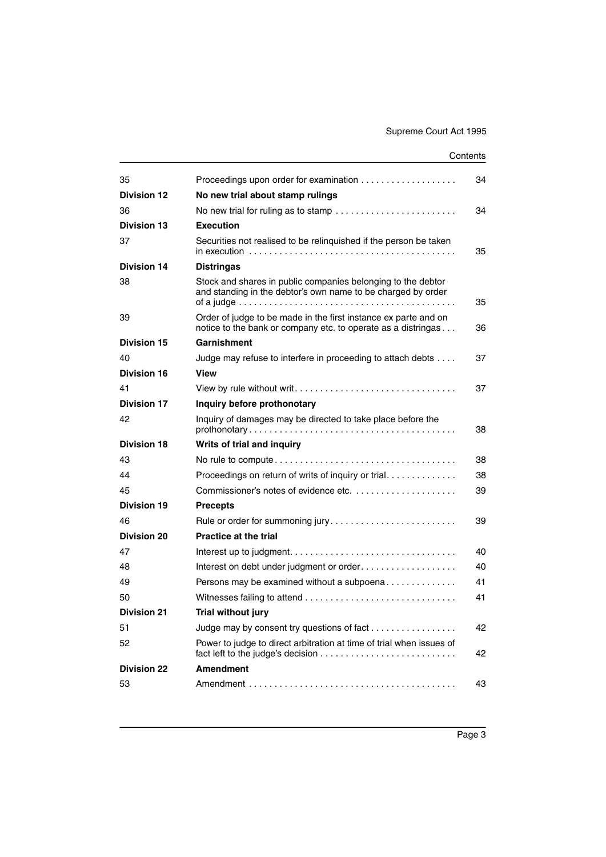|                                                                                                                                                                         | 34 |
|-------------------------------------------------------------------------------------------------------------------------------------------------------------------------|----|
| No new trial about stamp rulings                                                                                                                                        |    |
|                                                                                                                                                                         | 34 |
| <b>Execution</b>                                                                                                                                                        |    |
| Securities not realised to be relinquished if the person be taken<br>in execution $\ldots \ldots \ldots \ldots \ldots \ldots \ldots \ldots \ldots \ldots \ldots \ldots$ | 35 |
| <b>Distringas</b>                                                                                                                                                       |    |
| Stock and shares in public companies belonging to the debtor<br>and standing in the debtor's own name to be charged by order                                            | 35 |
| Order of judge to be made in the first instance ex parte and on<br>notice to the bank or company etc. to operate as a distringas                                        | 36 |
| Garnishment                                                                                                                                                             |    |
| Judge may refuse to interfere in proceeding to attach debts                                                                                                             | 37 |
| <b>View</b>                                                                                                                                                             |    |
|                                                                                                                                                                         | 37 |
| Inquiry before prothonotary                                                                                                                                             |    |
| Inquiry of damages may be directed to take place before the                                                                                                             | 38 |
| Writs of trial and inquiry                                                                                                                                              |    |
|                                                                                                                                                                         | 38 |
| Proceedings on return of writs of inquiry or trial                                                                                                                      | 38 |
|                                                                                                                                                                         | 39 |
| <b>Precepts</b>                                                                                                                                                         |    |
| Rule or order for summoning jury                                                                                                                                        | 39 |
| <b>Practice at the trial</b>                                                                                                                                            |    |
|                                                                                                                                                                         | 40 |
| Interest on debt under judgment or order                                                                                                                                | 40 |
| Persons may be examined without a subpoena                                                                                                                              | 41 |
|                                                                                                                                                                         | 41 |
| Trial without jury                                                                                                                                                      |    |
| Judge may by consent try questions of fact                                                                                                                              | 42 |
| Power to judge to direct arbitration at time of trial when issues of<br>fact left to the judge's decision $\ldots \ldots \ldots \ldots \ldots \ldots \ldots \ldots$     | 42 |
| <b>Amendment</b>                                                                                                                                                        |    |
|                                                                                                                                                                         | 43 |
|                                                                                                                                                                         |    |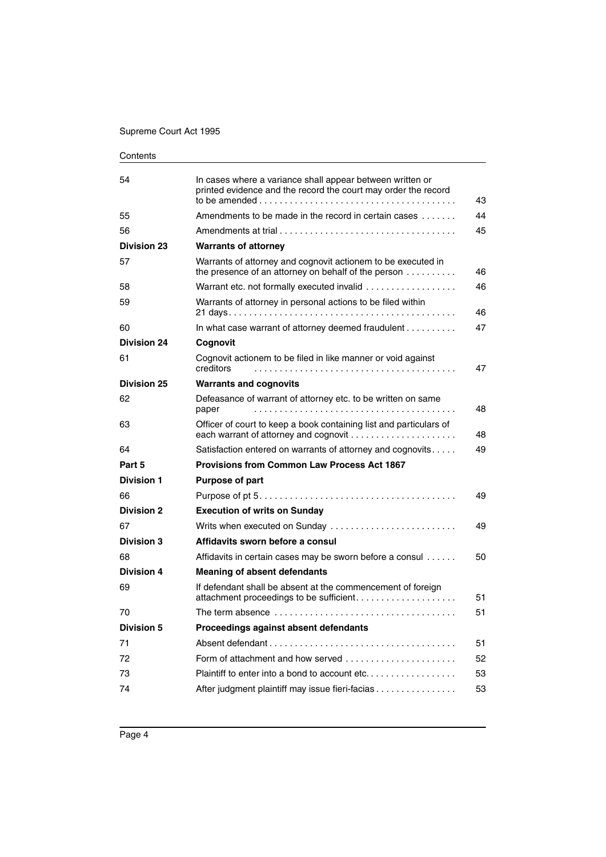| Contents |
|----------|
|----------|

| 54                 | In cases where a variance shall appear between written or<br>printed evidence and the record the court may order the record<br>to be amended $\ldots$ $\ldots$ $\ldots$ $\ldots$ $\ldots$ $\ldots$ $\ldots$ $\ldots$ $\ldots$ $\ldots$ $\ldots$ | 43 |
|--------------------|-------------------------------------------------------------------------------------------------------------------------------------------------------------------------------------------------------------------------------------------------|----|
| 55                 | Amendments to be made in the record in certain cases                                                                                                                                                                                            | 44 |
| 56                 |                                                                                                                                                                                                                                                 | 45 |
| <b>Division 23</b> | <b>Warrants of attorney</b>                                                                                                                                                                                                                     |    |
| 57                 | Warrants of attorney and cognovit actionem to be executed in<br>the presence of an attorney on behalf of the person                                                                                                                             | 46 |
| 58                 | Warrant etc. not formally executed invalid                                                                                                                                                                                                      | 46 |
| 59                 | Warrants of attorney in personal actions to be filed within                                                                                                                                                                                     | 46 |
| 60                 | In what case warrant of attorney deemed fraudulent $\ldots \ldots \ldots$                                                                                                                                                                       | 47 |
| <b>Division 24</b> | Cognovit                                                                                                                                                                                                                                        |    |
| 61                 | Cognovit actionem to be filed in like manner or void against<br>creditors                                                                                                                                                                       | 47 |
| <b>Division 25</b> | <b>Warrants and cognovits</b>                                                                                                                                                                                                                   |    |
| 62                 | Defeasance of warrant of attorney etc. to be written on same<br>paper                                                                                                                                                                           | 48 |
| 63                 | Officer of court to keep a book containing list and particulars of<br>each warrant of attorney and cognovit                                                                                                                                     | 48 |
| 64                 | Satisfaction entered on warrants of attorney and cognovits                                                                                                                                                                                      | 49 |
| Part 5             | <b>Provisions from Common Law Process Act 1867</b>                                                                                                                                                                                              |    |
| <b>Division 1</b>  | <b>Purpose of part</b>                                                                                                                                                                                                                          |    |
| 66                 |                                                                                                                                                                                                                                                 | 49 |
| <b>Division 2</b>  | <b>Execution of writs on Sunday</b>                                                                                                                                                                                                             |    |
| 67                 | Writs when executed on Sunday                                                                                                                                                                                                                   | 49 |
| <b>Division 3</b>  | Affidavits sworn before a consul                                                                                                                                                                                                                |    |
| 68                 | Affidavits in certain cases may be sworn before a consul                                                                                                                                                                                        | 50 |
| <b>Division 4</b>  | <b>Meaning of absent defendants</b>                                                                                                                                                                                                             |    |
| 69                 | If defendant shall be absent at the commencement of foreign                                                                                                                                                                                     | 51 |
| 70                 |                                                                                                                                                                                                                                                 | 51 |
| Division 5         | Proceedings against absent defendants                                                                                                                                                                                                           |    |
| 71                 |                                                                                                                                                                                                                                                 | 51 |
| 72                 | Form of attachment and how served $\ldots, \ldots, \ldots, \ldots, \ldots, \ldots$                                                                                                                                                              | 52 |
| 73                 | Plaintiff to enter into a bond to account etc                                                                                                                                                                                                   | 53 |
| 74                 | After judgment plaintiff may issue fieri-facias                                                                                                                                                                                                 | 53 |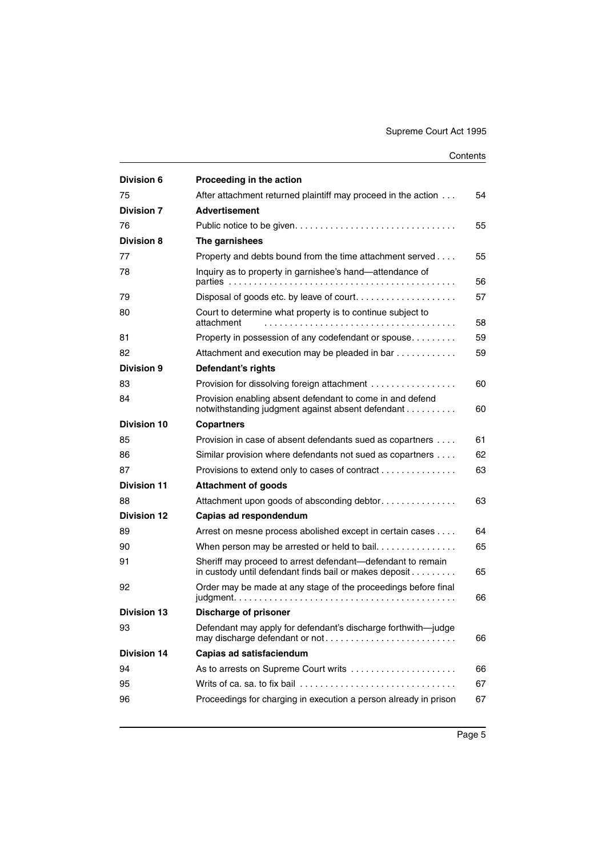| <b>Division 6</b>  | Proceeding in the action                                                                                              |    |
|--------------------|-----------------------------------------------------------------------------------------------------------------------|----|
| 75                 | After attachment returned plaintiff may proceed in the action                                                         | 54 |
| <b>Division 7</b>  | <b>Advertisement</b>                                                                                                  |    |
| 76                 |                                                                                                                       | 55 |
| <b>Division 8</b>  | The garnishees                                                                                                        |    |
| 77                 | Property and debts bound from the time attachment served                                                              | 55 |
| 78                 | Inquiry as to property in garnishee's hand-attendance of                                                              | 56 |
| 79                 |                                                                                                                       | 57 |
| 80                 | Court to determine what property is to continue subject to<br>attachment                                              | 58 |
| 81                 | Property in possession of any codefendant or spouse                                                                   | 59 |
| 82                 | Attachment and execution may be pleaded in bar                                                                        | 59 |
| Division 9         | Defendant's rights                                                                                                    |    |
| 83                 | Provision for dissolving foreign attachment                                                                           | 60 |
| 84                 | Provision enabling absent defendant to come in and defend<br>notwithstanding judgment against absent defendant        | 60 |
| <b>Division 10</b> | <b>Copartners</b>                                                                                                     |    |
| 85                 | Provision in case of absent defendants sued as copartners                                                             | 61 |
| 86                 | Similar provision where defendants not sued as copartners                                                             | 62 |
| 87                 | Provisions to extend only to cases of contract                                                                        | 63 |
| <b>Division 11</b> | <b>Attachment of goods</b>                                                                                            |    |
| 88                 | Attachment upon goods of absconding debtor                                                                            | 63 |
| <b>Division 12</b> | Capias ad respondendum                                                                                                |    |
| 89                 | Arrest on mesne process abolished except in certain cases                                                             | 64 |
| 90                 | When person may be arrested or held to bail                                                                           | 65 |
| 91                 | Sheriff may proceed to arrest defendant—defendant to remain<br>in custody until defendant finds bail or makes deposit | 65 |
| 92                 | Order may be made at any stage of the proceedings before final                                                        | 66 |
| <b>Division 13</b> | <b>Discharge of prisoner</b>                                                                                          |    |
| 93                 | Defendant may apply for defendant's discharge forthwith-judge<br>may discharge defendant or not                       | 66 |
| <b>Division 14</b> | Capias ad satisfaciendum                                                                                              |    |
| 94                 | As to arrests on Supreme Court writs                                                                                  | 66 |
| 95                 | Writs of ca. sa. to fix bail                                                                                          | 67 |
| 96                 | Proceedings for charging in execution a person already in prison                                                      | 67 |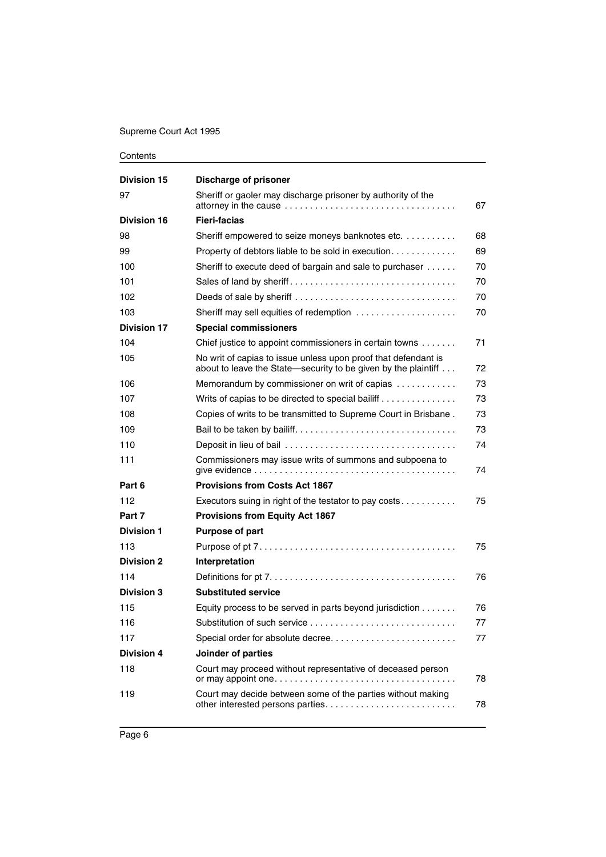| <b>Division 15</b> | <b>Discharge of prisoner</b>                                                                                                     |    |
|--------------------|----------------------------------------------------------------------------------------------------------------------------------|----|
| 97                 | Sheriff or gaoler may discharge prisoner by authority of the                                                                     | 67 |
| <b>Division 16</b> | <b>Fieri-facias</b>                                                                                                              |    |
| 98                 | Sheriff empowered to seize moneys banknotes etc.                                                                                 | 68 |
| 99                 | Property of debtors liable to be sold in execution                                                                               | 69 |
| 100                | Sheriff to execute deed of bargain and sale to purchaser                                                                         | 70 |
| 101                |                                                                                                                                  | 70 |
| 102                | Deeds of sale by sheriff                                                                                                         | 70 |
| 103                | Sheriff may sell equities of redemption                                                                                          | 70 |
| <b>Division 17</b> | <b>Special commissioners</b>                                                                                                     |    |
| 104                | Chief justice to appoint commissioners in certain towns                                                                          | 71 |
| 105                | No writ of capias to issue unless upon proof that defendant is<br>about to leave the State-security to be given by the plaintiff | 72 |
| 106                | Memorandum by commissioner on writ of capias                                                                                     | 73 |
| 107                | Writs of capias to be directed to special bailiff                                                                                | 73 |
| 108                | Copies of writs to be transmitted to Supreme Court in Brisbane.                                                                  | 73 |
| 109                |                                                                                                                                  | 73 |
| 110                |                                                                                                                                  | 74 |
| 111                | Commissioners may issue writs of summons and subpoena to                                                                         | 74 |
| Part 6             | <b>Provisions from Costs Act 1867</b>                                                                                            |    |
| 112                | Executors suing in right of the testator to pay costs                                                                            | 75 |
| Part 7             | <b>Provisions from Equity Act 1867</b>                                                                                           |    |
| <b>Division 1</b>  | Purpose of part                                                                                                                  |    |
| 113                |                                                                                                                                  | 75 |
| <b>Division 2</b>  | Interpretation                                                                                                                   |    |
| 114                |                                                                                                                                  | 76 |
| <b>Division 3</b>  | <b>Substituted service</b>                                                                                                       |    |
| 115                | Equity process to be served in parts beyond jurisdiction                                                                         | 76 |
| 116                |                                                                                                                                  | 77 |
| 117                | Special order for absolute decree                                                                                                | 77 |
| <b>Division 4</b>  | Joinder of parties                                                                                                               |    |
| 118                | Court may proceed without representative of deceased person                                                                      | 78 |
| 119                | Court may decide between some of the parties without making                                                                      | 78 |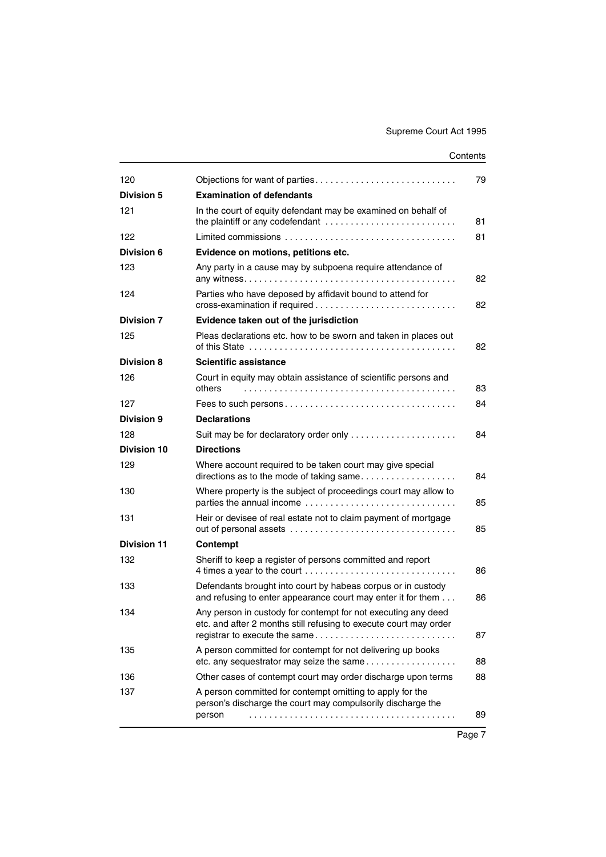| 120                | Objections for want of parties                                                                                                                                      | 79 |
|--------------------|---------------------------------------------------------------------------------------------------------------------------------------------------------------------|----|
| <b>Division 5</b>  | <b>Examination of defendants</b>                                                                                                                                    |    |
| 121                | In the court of equity defendant may be examined on behalf of<br>the plaintiff or any codefendant                                                                   | 81 |
| 122                |                                                                                                                                                                     | 81 |
| Division 6         | Evidence on motions, petitions etc.                                                                                                                                 |    |
| 123                | Any party in a cause may by subpoena require attendance of                                                                                                          | 82 |
| 124                | Parties who have deposed by affidavit bound to attend for                                                                                                           | 82 |
| <b>Division 7</b>  | Evidence taken out of the jurisdiction                                                                                                                              |    |
| 125                | Pleas declarations etc. how to be sworn and taken in places out                                                                                                     | 82 |
| <b>Division 8</b>  | <b>Scientific assistance</b>                                                                                                                                        |    |
| 126                | Court in equity may obtain assistance of scientific persons and<br>others                                                                                           | 83 |
| 127                |                                                                                                                                                                     | 84 |
| <b>Division 9</b>  | <b>Declarations</b>                                                                                                                                                 |    |
| 128                | Suit may be for declaratory order only                                                                                                                              | 84 |
| <b>Division 10</b> | <b>Directions</b>                                                                                                                                                   |    |
| 129                | Where account required to be taken court may give special<br>directions as to the mode of taking same                                                               | 84 |
| 130                | Where property is the subject of proceedings court may allow to                                                                                                     | 85 |
| 131                | Heir or devisee of real estate not to claim payment of mortgage                                                                                                     | 85 |
| <b>Division 11</b> | Contempt                                                                                                                                                            |    |
| 132                | Sheriff to keep a register of persons committed and report<br>4 times a year to the court                                                                           | 86 |
| 133                | Defendants brought into court by habeas corpus or in custody<br>and refusing to enter appearance court may enter it for them                                        | 86 |
| 134                | Any person in custody for contempt for not executing any deed<br>etc. and after 2 months still refusing to execute court may order<br>registrar to execute the same | 87 |
| 135                | A person committed for contempt for not delivering up books<br>etc. any sequestrator may seize the same                                                             | 88 |
| 136                | Other cases of contempt court may order discharge upon terms                                                                                                        | 88 |
| 137                | A person committed for contempt omitting to apply for the<br>person's discharge the court may compulsorily discharge the<br>person                                  | 89 |
|                    |                                                                                                                                                                     |    |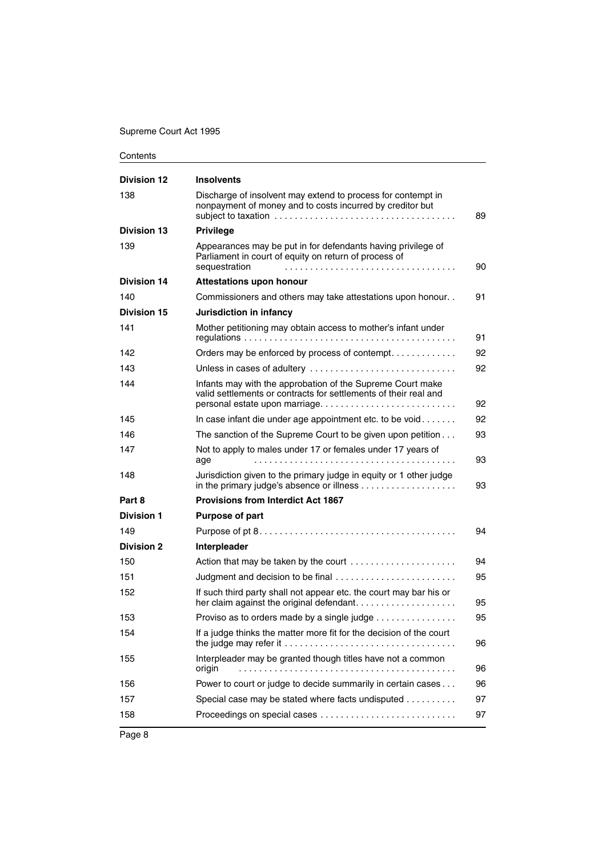| <b>Division 12</b> | <b>Insolvents</b>                                                                                                                      |    |
|--------------------|----------------------------------------------------------------------------------------------------------------------------------------|----|
| 138                | Discharge of insolvent may extend to process for contempt in<br>nonpayment of money and to costs incurred by creditor but              | 89 |
| <b>Division 13</b> | <b>Privilege</b>                                                                                                                       |    |
| 139                | Appearances may be put in for defendants having privilege of<br>Parliament in court of equity on return of process of<br>sequestration | 90 |
| <b>Division 14</b> | <b>Attestations upon honour</b>                                                                                                        |    |
| 140                | Commissioners and others may take attestations upon honour                                                                             | 91 |
| <b>Division 15</b> | Jurisdiction in infancy                                                                                                                |    |
| 141                | Mother petitioning may obtain access to mother's infant under                                                                          | 91 |
| 142                | Orders may be enforced by process of contempt                                                                                          | 92 |
| 143                | Unless in cases of adultery                                                                                                            | 92 |
| 144                | Infants may with the approbation of the Supreme Court make<br>valid settlements or contracts for settlements of their real and         | 92 |
| 145                | In case infant die under age appointment etc. to be void                                                                               | 92 |
| 146                | The sanction of the Supreme Court to be given upon petition                                                                            | 93 |
| 147                | Not to apply to males under 17 or females under 17 years of<br>age                                                                     | 93 |
| 148                | Jurisdiction given to the primary judge in equity or 1 other judge                                                                     | 93 |
| Part 8             | <b>Provisions from Interdict Act 1867</b>                                                                                              |    |
| <b>Division 1</b>  | <b>Purpose of part</b>                                                                                                                 |    |
| 149                |                                                                                                                                        | 94 |
| <b>Division 2</b>  | Interpleader                                                                                                                           |    |
| 150                | Action that may be taken by the court                                                                                                  | 94 |
| 151                | Judgment and decision to be final                                                                                                      | 95 |
| 152                | If such third party shall not appear etc. the court may bar his or                                                                     | 95 |
| 153                | Proviso as to orders made by a single judge                                                                                            | 95 |
| 154                | If a judge thinks the matter more fit for the decision of the court                                                                    | 96 |
| 155                | Interpleader may be granted though titles have not a common<br>origin                                                                  | 96 |
| 156                | Power to court or judge to decide summarily in certain cases                                                                           | 96 |
| 157                | Special case may be stated where facts undisputed                                                                                      | 97 |
| 158                |                                                                                                                                        | 97 |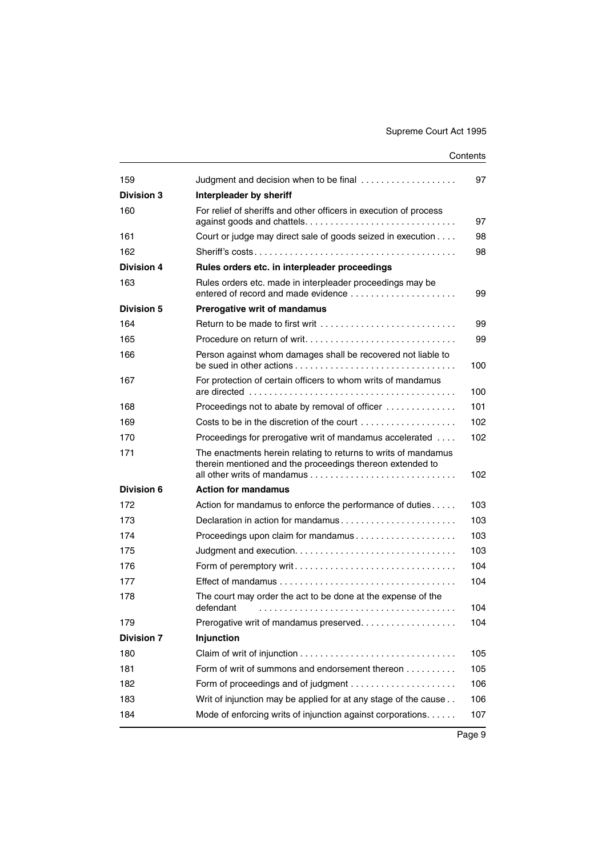| Judgment and decision when to be final                                                                                      | 97  |
|-----------------------------------------------------------------------------------------------------------------------------|-----|
| Interpleader by sheriff                                                                                                     |     |
| For relief of sheriffs and other officers in execution of process                                                           | 97  |
| Court or judge may direct sale of goods seized in execution                                                                 | 98  |
|                                                                                                                             | 98  |
| Rules orders etc. in interpleader proceedings                                                                               |     |
| Rules orders etc. made in interpleader proceedings may be<br>entered of record and made evidence                            | 99  |
| Prerogative writ of mandamus                                                                                                |     |
| Return to be made to first writ $\ldots, \ldots, \ldots, \ldots, \ldots, \ldots, \ldots$                                    | 99  |
|                                                                                                                             | 99  |
| Person against whom damages shall be recovered not liable to                                                                | 100 |
| For protection of certain officers to whom writs of mandamus                                                                | 100 |
| Proceedings not to abate by removal of officer                                                                              | 101 |
|                                                                                                                             | 102 |
| Proceedings for prerogative writ of mandamus accelerated                                                                    | 102 |
| The enactments herein relating to returns to writs of mandamus<br>therein mentioned and the proceedings thereon extended to | 102 |
| <b>Action for mandamus</b>                                                                                                  |     |
| Action for mandamus to enforce the performance of duties                                                                    | 103 |
|                                                                                                                             | 103 |
| Proceedings upon claim for mandamus                                                                                         | 103 |
|                                                                                                                             | 103 |
| Form of peremptory writ                                                                                                     | 104 |
| Effect of mandamus $\ldots \ldots \ldots \ldots \ldots \ldots \ldots \ldots \ldots \ldots \ldots \ldots$                    | 104 |
| The court may order the act to be done at the expense of the<br>defendant                                                   | 104 |
| Prerogative writ of mandamus preserved                                                                                      | 104 |
| Injunction                                                                                                                  |     |
|                                                                                                                             | 105 |
| Form of writ of summons and endorsement thereon                                                                             | 105 |
|                                                                                                                             | 106 |
| Writ of injunction may be applied for at any stage of the cause                                                             | 106 |
| Mode of enforcing writs of injunction against corporations.                                                                 | 107 |
|                                                                                                                             |     |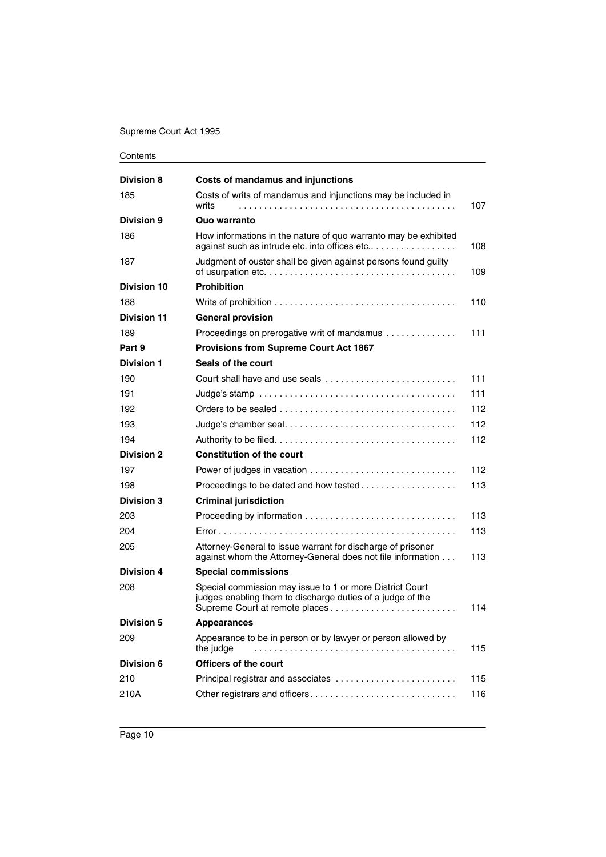| Contents |
|----------|
|----------|

| <b>Division 8</b>  | Costs of mandamus and injunctions                                                                                                                                  |     |
|--------------------|--------------------------------------------------------------------------------------------------------------------------------------------------------------------|-----|
| 185                | Costs of writs of mandamus and injunctions may be included in<br>writs                                                                                             | 107 |
| <b>Division 9</b>  | Quo warranto                                                                                                                                                       |     |
| 186                | How informations in the nature of quo warranto may be exhibited<br>against such as intrude etc. into offices etc                                                   | 108 |
| 187                | Judgment of ouster shall be given against persons found guilty<br>of usurpation etc. $\dots\dots\dots\dots\dots\dots\dots\dots\dots\dots\dots\dots\dots\dots\dots$ | 109 |
| <b>Division 10</b> | <b>Prohibition</b>                                                                                                                                                 |     |
| 188                |                                                                                                                                                                    | 110 |
| <b>Division 11</b> | <b>General provision</b>                                                                                                                                           |     |
| 189                | Proceedings on prerogative writ of mandamus                                                                                                                        | 111 |
| Part 9             | <b>Provisions from Supreme Court Act 1867</b>                                                                                                                      |     |
| <b>Division 1</b>  | Seals of the court                                                                                                                                                 |     |
| 190                |                                                                                                                                                                    | 111 |
| 191                | Judge's stamp $\ldots \ldots \ldots \ldots \ldots \ldots \ldots \ldots \ldots \ldots \ldots \ldots$                                                                | 111 |
| 192                |                                                                                                                                                                    | 112 |
| 193                |                                                                                                                                                                    | 112 |
| 194                |                                                                                                                                                                    | 112 |
| <b>Division 2</b>  | <b>Constitution of the court</b>                                                                                                                                   |     |
| 197                |                                                                                                                                                                    | 112 |
| 198                | Proceedings to be dated and how tested                                                                                                                             | 113 |
| <b>Division 3</b>  | <b>Criminal jurisdiction</b>                                                                                                                                       |     |
| 203                |                                                                                                                                                                    | 113 |
| 204                |                                                                                                                                                                    | 113 |
| 205                | Attorney-General to issue warrant for discharge of prisoner<br>against whom the Attorney-General does not file information                                         | 113 |
| <b>Division 4</b>  | <b>Special commissions</b>                                                                                                                                         |     |
| 208                | Special commission may issue to 1 or more District Court<br>judges enabling them to discharge duties of a judge of the                                             | 114 |
| <b>Division 5</b>  | <b>Appearances</b>                                                                                                                                                 |     |
| 209                | Appearance to be in person or by lawyer or person allowed by<br>the judge                                                                                          | 115 |
| <b>Division 6</b>  | <b>Officers of the court</b>                                                                                                                                       |     |
| 210                | Principal registrar and associates                                                                                                                                 | 115 |
| 210A               | Other registrars and officers                                                                                                                                      | 116 |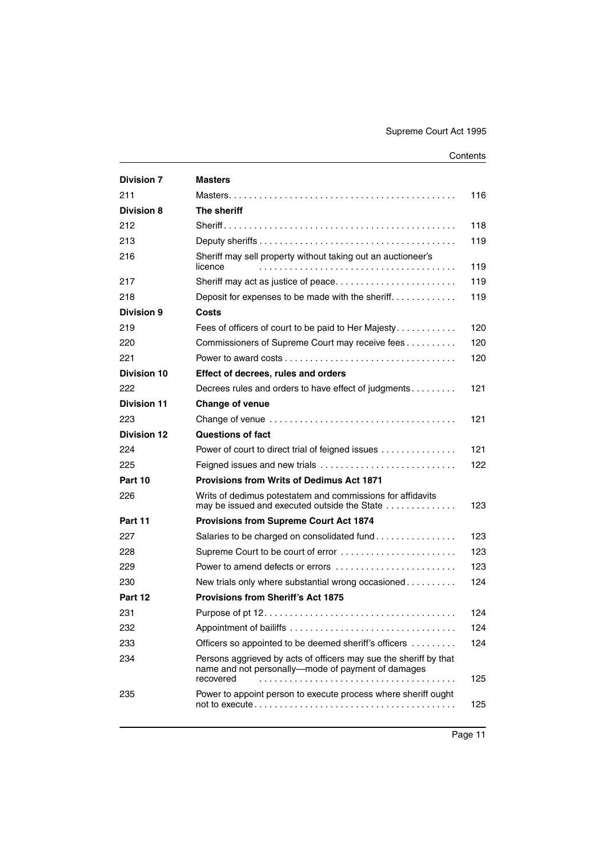| <b>Division 7</b>  | <b>Masters</b>                                                                                                                       |     |
|--------------------|--------------------------------------------------------------------------------------------------------------------------------------|-----|
| 211                |                                                                                                                                      | 116 |
| <b>Division 8</b>  | The sheriff                                                                                                                          |     |
| 212                |                                                                                                                                      | 118 |
| 213                |                                                                                                                                      | 119 |
| 216                | Sheriff may sell property without taking out an auctioneer's<br>licence                                                              | 119 |
| 217                | Sheriff may act as justice of peace                                                                                                  | 119 |
| 218                | Deposit for expenses to be made with the sheriff                                                                                     | 119 |
| Division 9         | Costs                                                                                                                                |     |
| 219                | Fees of officers of court to be paid to Her Majesty                                                                                  | 120 |
| 220                | Commissioners of Supreme Court may receive fees                                                                                      | 120 |
| 221                |                                                                                                                                      | 120 |
| Division 10        | Effect of decrees, rules and orders                                                                                                  |     |
| 222                | Decrees rules and orders to have effect of judgments                                                                                 | 121 |
| <b>Division 11</b> | <b>Change of venue</b>                                                                                                               |     |
| 223                |                                                                                                                                      | 121 |
| <b>Division 12</b> | <b>Questions of fact</b>                                                                                                             |     |
| 224                | Power of court to direct trial of feigned issues                                                                                     | 121 |
| 225                |                                                                                                                                      | 122 |
| Part 10            | <b>Provisions from Writs of Dedimus Act 1871</b>                                                                                     |     |
| 226                | Writs of dedimus potestatem and commissions for affidavits<br>may be issued and executed outside the State                           | 123 |
| Part 11            | <b>Provisions from Supreme Court Act 1874</b>                                                                                        |     |
| 227                | Salaries to be charged on consolidated fund                                                                                          | 123 |
| 228                | Supreme Court to be court of error                                                                                                   | 123 |
| 229                | Power to amend defects or errors                                                                                                     | 123 |
| 230                | New trials only where substantial wrong occasioned                                                                                   | 124 |
| Part 12            | <b>Provisions from Sheriff's Act 1875</b>                                                                                            |     |
| 231                |                                                                                                                                      | 124 |
| 232                | Appointment of bailiffs                                                                                                              | 124 |
| 233                | Officers so appointed to be deemed sheriff's officers                                                                                | 124 |
| 234                | Persons aggrieved by acts of officers may sue the sheriff by that<br>name and not personally-mode of payment of damages<br>recovered | 125 |
| 235                | Power to appoint person to execute process where sheriff ought                                                                       | 125 |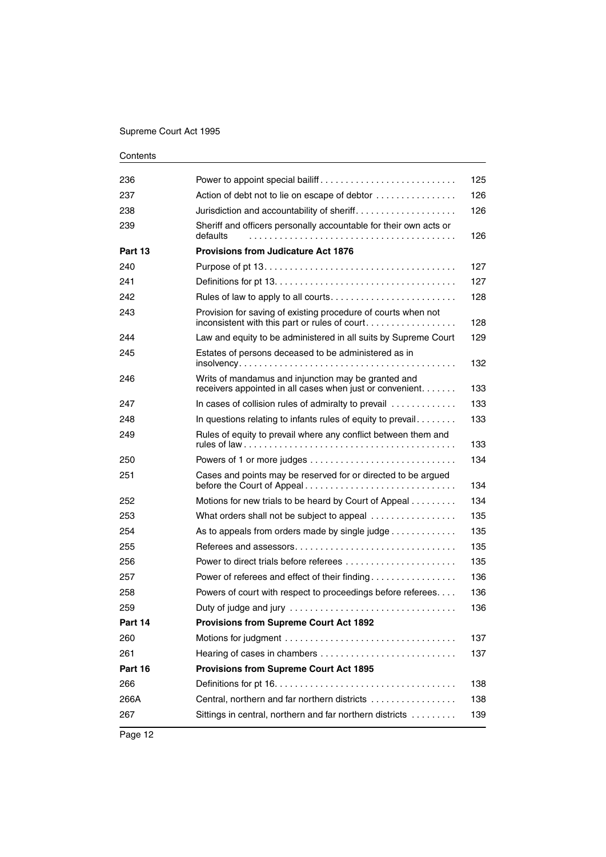| 236     | Power to appoint special bailiff                                                                                 | 125 |
|---------|------------------------------------------------------------------------------------------------------------------|-----|
| 237     | Action of debt not to lie on escape of debtor                                                                    | 126 |
| 238     | Jurisdiction and accountability of sheriff                                                                       | 126 |
| 239     | Sheriff and officers personally accountable for their own acts or<br>defaults                                    | 126 |
| Part 13 | <b>Provisions from Judicature Act 1876</b>                                                                       |     |
| 240     |                                                                                                                  | 127 |
| 241     |                                                                                                                  | 127 |
| 242     |                                                                                                                  | 128 |
| 243     | Provision for saving of existing procedure of courts when not<br>inconsistent with this part or rules of court   | 128 |
| 244     | Law and equity to be administered in all suits by Supreme Court                                                  | 129 |
| 245     | Estates of persons deceased to be administered as in                                                             | 132 |
| 246     | Writs of mandamus and injunction may be granted and<br>receivers appointed in all cases when just or convenient. | 133 |
| 247     | In cases of collision rules of admiralty to prevail                                                              | 133 |
| 248     | In questions relating to infants rules of equity to prevail                                                      | 133 |
| 249     | Rules of equity to prevail where any conflict between them and                                                   | 133 |
| 250     |                                                                                                                  | 134 |
| 251     | Cases and points may be reserved for or directed to be argued<br>before the Court of Appeal                      | 134 |
| 252     | Motions for new trials to be heard by Court of Appeal                                                            | 134 |
| 253     | What orders shall not be subject to appeal                                                                       | 135 |
| 254     | As to appeals from orders made by single judge                                                                   | 135 |
| 255     |                                                                                                                  | 135 |
| 256     | Power to direct trials before referees                                                                           | 135 |
| 257     | Power of referees and effect of their finding                                                                    | 136 |
| 258     | Powers of court with respect to proceedings before referees                                                      | 136 |
| 259     |                                                                                                                  | 136 |
| Part 14 | <b>Provisions from Supreme Court Act 1892</b>                                                                    |     |
| 260     |                                                                                                                  | 137 |
| 261     |                                                                                                                  | 137 |
| Part 16 | <b>Provisions from Supreme Court Act 1895</b>                                                                    |     |
| 266     |                                                                                                                  | 138 |
| 266A    | Central, northern and far northern districts                                                                     | 138 |
| 267     | Sittings in central, northern and far northern districts                                                         | 139 |
|         |                                                                                                                  |     |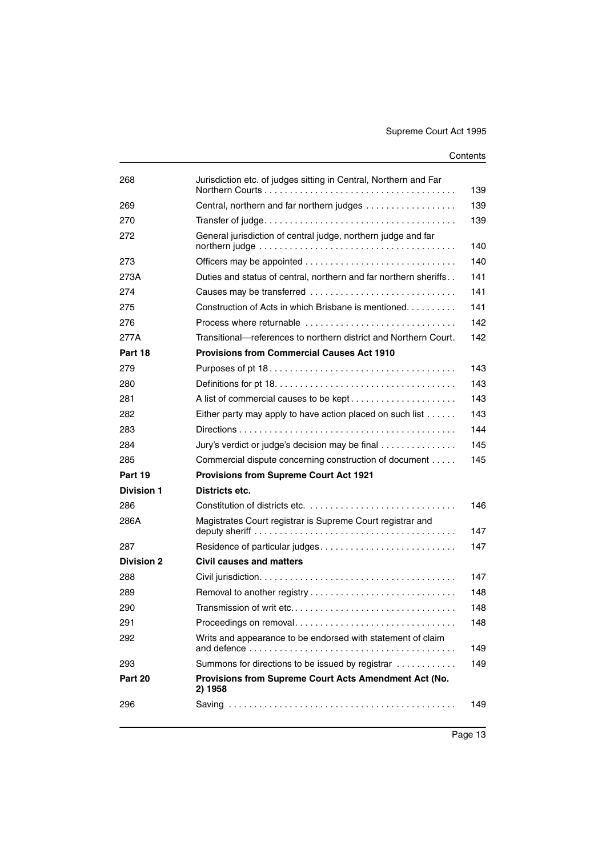| Jurisdiction etc. of judges sitting in Central, Northern and Far                                                                                               | 139                    |
|----------------------------------------------------------------------------------------------------------------------------------------------------------------|------------------------|
| Central, northern and far northern judges                                                                                                                      | 139                    |
|                                                                                                                                                                | 139                    |
| General jurisdiction of central judge, northern judge and far<br>northern judge $\ldots \ldots \ldots \ldots \ldots \ldots \ldots \ldots \ldots \ldots \ldots$ | 140                    |
|                                                                                                                                                                | 140                    |
| Duties and status of central, northern and far northern sheriffs                                                                                               | 141                    |
| Causes may be transferred                                                                                                                                      | 141                    |
| Construction of Acts in which Brisbane is mentioned                                                                                                            | 141                    |
| Process where returnable                                                                                                                                       | 142                    |
| Transitional—references to northern district and Northern Court.                                                                                               | 142                    |
| <b>Provisions from Commercial Causes Act 1910</b>                                                                                                              |                        |
|                                                                                                                                                                | 143                    |
|                                                                                                                                                                | 143                    |
| A list of commercial causes to be kept                                                                                                                         | 143                    |
| Either party may apply to have action placed on such list                                                                                                      | 143                    |
|                                                                                                                                                                | 144                    |
| Jury's verdict or judge's decision may be final                                                                                                                | 145                    |
| Commercial dispute concerning construction of document                                                                                                         | 145                    |
| <b>Provisions from Supreme Court Act 1921</b>                                                                                                                  |                        |
| Districts etc.                                                                                                                                                 |                        |
|                                                                                                                                                                | 146                    |
| Magistrates Court registrar is Supreme Court registrar and                                                                                                     | 147                    |
|                                                                                                                                                                | 147                    |
| <b>Civil causes and matters</b>                                                                                                                                |                        |
|                                                                                                                                                                | 147                    |
|                                                                                                                                                                | 148                    |
|                                                                                                                                                                | 148                    |
|                                                                                                                                                                | 148                    |
| Writs and appearance to be endorsed with statement of claim                                                                                                    | 149                    |
| Summons for directions to be issued by registrar                                                                                                               | 149                    |
| Provisions from Supreme Court Acts Amendment Act (No.<br>2) 1958                                                                                               |                        |
|                                                                                                                                                                | 149                    |
|                                                                                                                                                                | Proceedings on removal |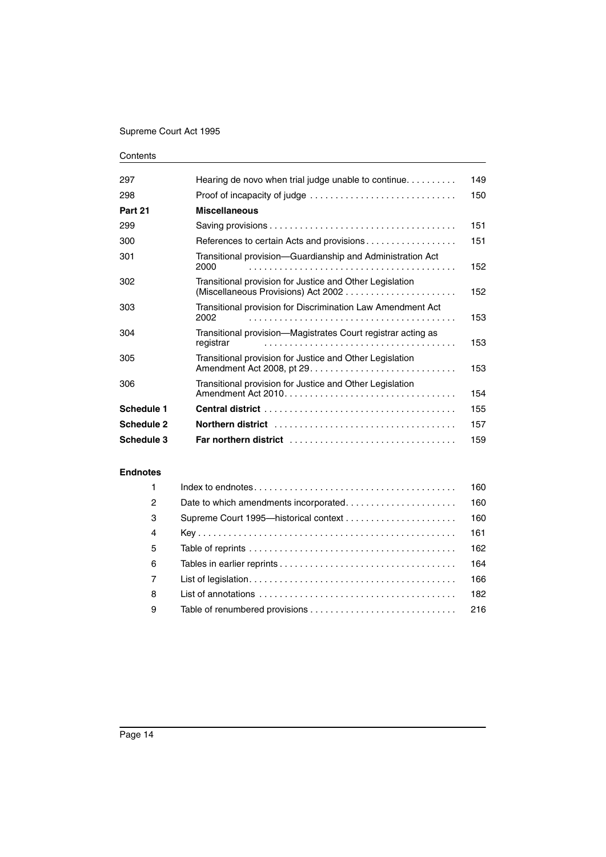| 297        | Hearing de novo when trial judge unable to continue                       | 149 |
|------------|---------------------------------------------------------------------------|-----|
| 298        | Proof of incapacity of judge                                              | 150 |
| Part 21    | <b>Miscellaneous</b>                                                      |     |
| 299        |                                                                           | 151 |
| 300        |                                                                           | 151 |
| 301        | Transitional provision-Guardianship and Administration Act<br>2000        | 152 |
| 302        | Transitional provision for Justice and Other Legislation                  | 152 |
| 303        | Transitional provision for Discrimination Law Amendment Act<br>2002       | 153 |
| 304        | Transitional provision—Magistrates Court registrar acting as<br>registrar | 153 |
| 305        | Transitional provision for Justice and Other Legislation                  | 153 |
| 306        | Transitional provision for Justice and Other Legislation                  | 154 |
| Schedule 1 |                                                                           | 155 |
| Schedule 2 |                                                                           | 157 |
| Schedule 3 |                                                                           | 159 |

#### **[Endnotes](#page-161-0)**

| $\mathbf{1}$   |                                                                                                           | 160 |
|----------------|-----------------------------------------------------------------------------------------------------------|-----|
| $\overline{2}$ |                                                                                                           | 160 |
| -3             |                                                                                                           | 160 |
| $\overline{4}$ |                                                                                                           | 161 |
| -5             |                                                                                                           | 162 |
| 6              |                                                                                                           | 164 |
| 7              |                                                                                                           | 166 |
| 8              | List of annotations $\ldots \ldots \ldots \ldots \ldots \ldots \ldots \ldots \ldots \ldots \ldots \ldots$ | 182 |
| -9             |                                                                                                           | 216 |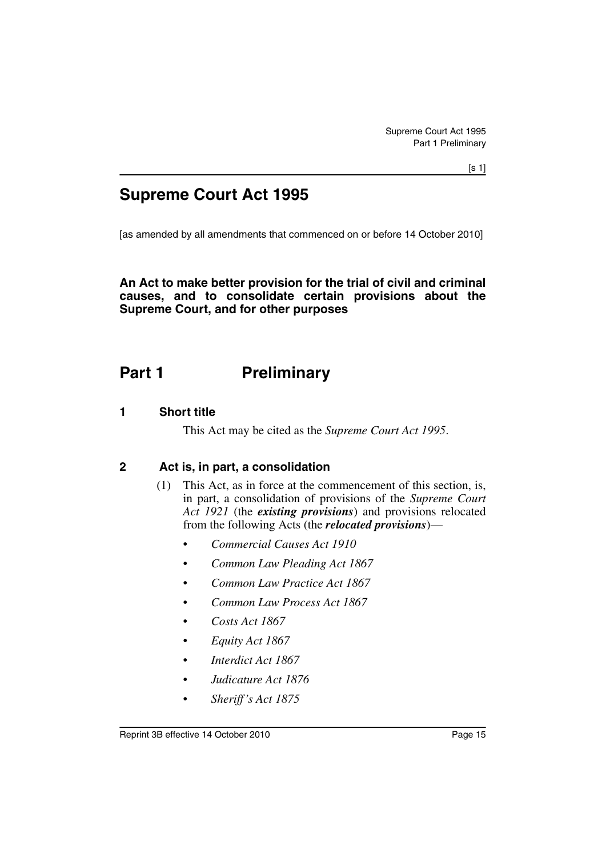## **Supreme Court Act 1995**

[as amended by all amendments that commenced on or before 14 October 2010]

**An Act to make better provision for the trial of civil and criminal causes, and to consolidate certain provisions about the Supreme Court, and for other purposes**

## <span id="page-16-0"></span>**Part 1** Preliminary

### <span id="page-16-1"></span>**1 Short title**

This Act may be cited as the *Supreme Court Act 1995*.

### <span id="page-16-2"></span>**2 Act is, in part, a consolidation**

- (1) This Act, as in force at the commencement of this section, is, in part, a consolidation of provisions of the *Supreme Court Act 1921* (the *existing provisions*) and provisions relocated from the following Acts (the *relocated provisions*)—
	- *Commercial Causes Act 1910*
	- *Common Law Pleading Act 1867*
	- *Common Law Practice Act 1867*
	- *Common Law Process Act 1867*
	- *Costs Act 1867*
	- *Equity Act 1867*
	- *Interdict Act 1867*
	- *Judicature Act 1876*
	- *Sheriff's Act 1875*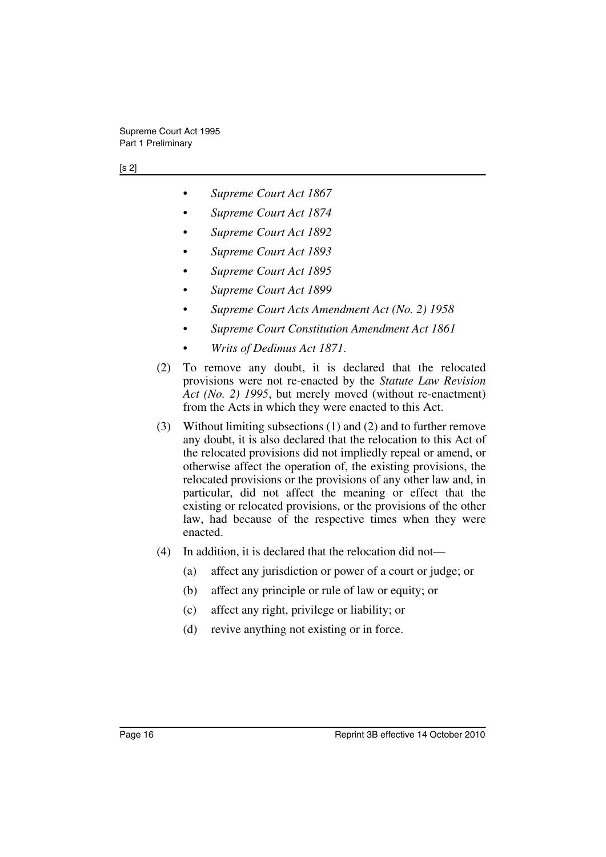#### [s 2]

- *Supreme Court Act 1867*
- *Supreme Court Act 1874*
- *Supreme Court Act 1892*
- *Supreme Court Act 1893*
- *Supreme Court Act 1895*
- *Supreme Court Act 1899*
- *Supreme Court Acts Amendment Act (No. 2) 1958*
- *Supreme Court Constitution Amendment Act 1861*
- *Writs of Dedimus Act 1871*.
- (2) To remove any doubt, it is declared that the relocated provisions were not re-enacted by the *Statute Law Revision Act (No. 2) 1995*, but merely moved (without re-enactment) from the Acts in which they were enacted to this Act.
- (3) Without limiting subsections (1) and (2) and to further remove any doubt, it is also declared that the relocation to this Act of the relocated provisions did not impliedly repeal or amend, or otherwise affect the operation of, the existing provisions, the relocated provisions or the provisions of any other law and, in particular, did not affect the meaning or effect that the existing or relocated provisions, or the provisions of the other law, had because of the respective times when they were enacted.
- (4) In addition, it is declared that the relocation did not—
	- (a) affect any jurisdiction or power of a court or judge; or
	- (b) affect any principle or rule of law or equity; or
	- (c) affect any right, privilege or liability; or
	- (d) revive anything not existing or in force.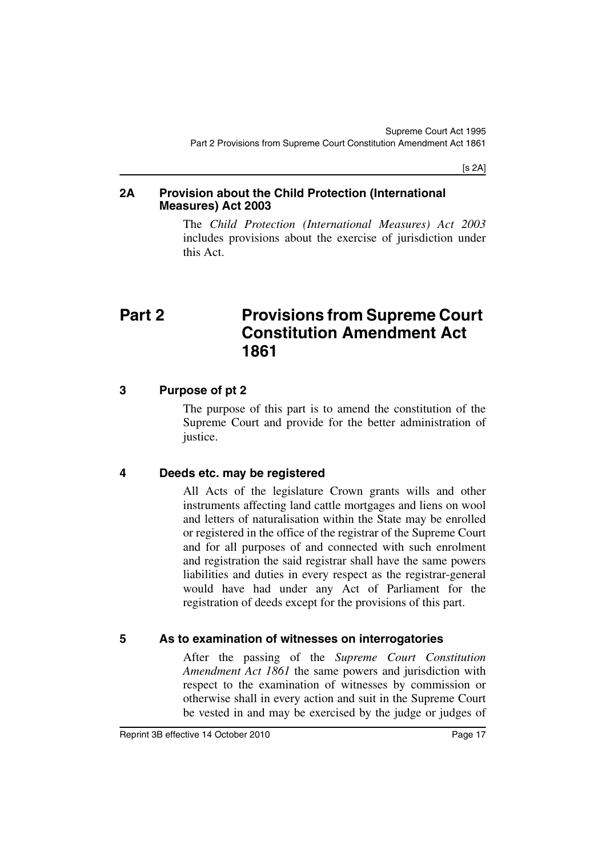[s 2A]

### <span id="page-18-0"></span>**2A Provision about the Child Protection (International Measures) Act 2003**

The *Child Protection (International Measures) Act 2003* includes provisions about the exercise of jurisdiction under this Act.

## <span id="page-18-1"></span>**Part 2** Provisions from Supreme Court **Constitution Amendment Act 1861**

### <span id="page-18-2"></span>**3 Purpose of pt 2**

The purpose of this part is to amend the constitution of the Supreme Court and provide for the better administration of justice.

## <span id="page-18-3"></span>**4 Deeds etc. may be registered**

All Acts of the legislature Crown grants wills and other instruments affecting land cattle mortgages and liens on wool and letters of naturalisation within the State may be enrolled or registered in the office of the registrar of the Supreme Court and for all purposes of and connected with such enrolment and registration the said registrar shall have the same powers liabilities and duties in every respect as the registrar-general would have had under any Act of Parliament for the registration of deeds except for the provisions of this part.

## <span id="page-18-4"></span>**5 As to examination of witnesses on interrogatories**

After the passing of the *Supreme Court Constitution Amendment Act 1861* the same powers and jurisdiction with respect to the examination of witnesses by commission or otherwise shall in every action and suit in the Supreme Court be vested in and may be exercised by the judge or judges of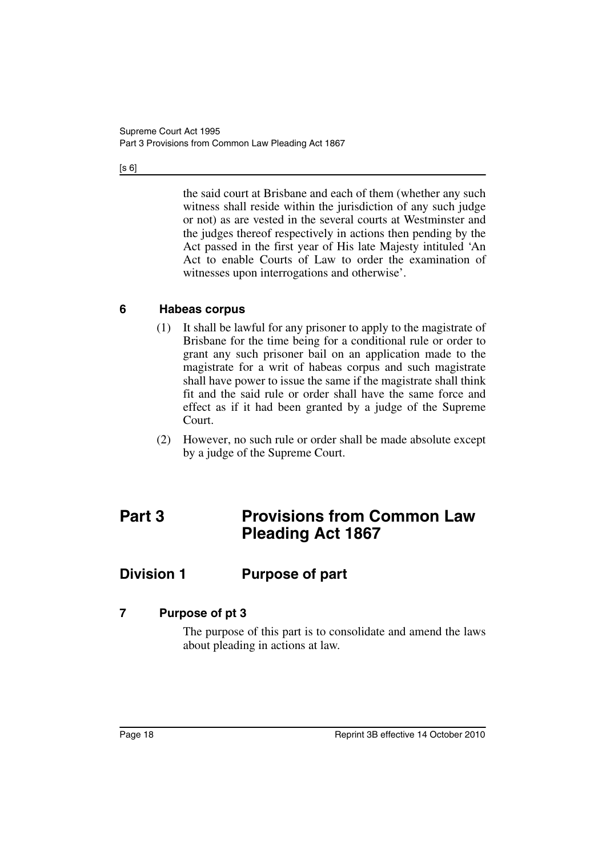$[s 6]$ 

the said court at Brisbane and each of them (whether any such witness shall reside within the jurisdiction of any such judge or not) as are vested in the several courts at Westminster and the judges thereof respectively in actions then pending by the Act passed in the first year of His late Majesty intituled 'An Act to enable Courts of Law to order the examination of witnesses upon interrogations and otherwise'.

### <span id="page-19-0"></span>**6 Habeas corpus**

- (1) It shall be lawful for any prisoner to apply to the magistrate of Brisbane for the time being for a conditional rule or order to grant any such prisoner bail on an application made to the magistrate for a writ of habeas corpus and such magistrate shall have power to issue the same if the magistrate shall think fit and the said rule or order shall have the same force and effect as if it had been granted by a judge of the Supreme Court.
- (2) However, no such rule or order shall be made absolute except by a judge of the Supreme Court.

## <span id="page-19-1"></span>**Part 3 Provisions from Common Law Pleading Act 1867**

## <span id="page-19-2"></span>**Division 1 Purpose of part**

### <span id="page-19-3"></span>**7 Purpose of pt 3**

The purpose of this part is to consolidate and amend the laws about pleading in actions at law.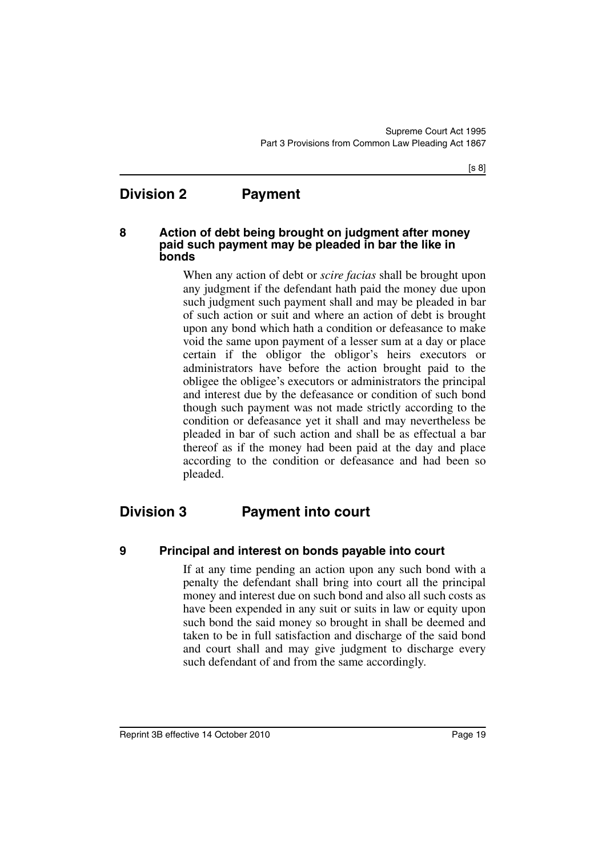## <span id="page-20-0"></span>**Division 2 Payment**

### <span id="page-20-1"></span>**8 Action of debt being brought on judgment after money paid such payment may be pleaded in bar the like in bonds**

When any action of debt or *scire facias* shall be brought upon any judgment if the defendant hath paid the money due upon such judgment such payment shall and may be pleaded in bar of such action or suit and where an action of debt is brought upon any bond which hath a condition or defeasance to make void the same upon payment of a lesser sum at a day or place certain if the obligor the obligor's heirs executors or administrators have before the action brought paid to the obligee the obligee's executors or administrators the principal and interest due by the defeasance or condition of such bond though such payment was not made strictly according to the condition or defeasance yet it shall and may nevertheless be pleaded in bar of such action and shall be as effectual a bar thereof as if the money had been paid at the day and place according to the condition or defeasance and had been so pleaded.

## <span id="page-20-2"></span>**Division 3 Payment into court**

<span id="page-20-3"></span>

### **9 Principal and interest on bonds payable into court**

If at any time pending an action upon any such bond with a penalty the defendant shall bring into court all the principal money and interest due on such bond and also all such costs as have been expended in any suit or suits in law or equity upon such bond the said money so brought in shall be deemed and taken to be in full satisfaction and discharge of the said bond and court shall and may give judgment to discharge every such defendant of and from the same accordingly.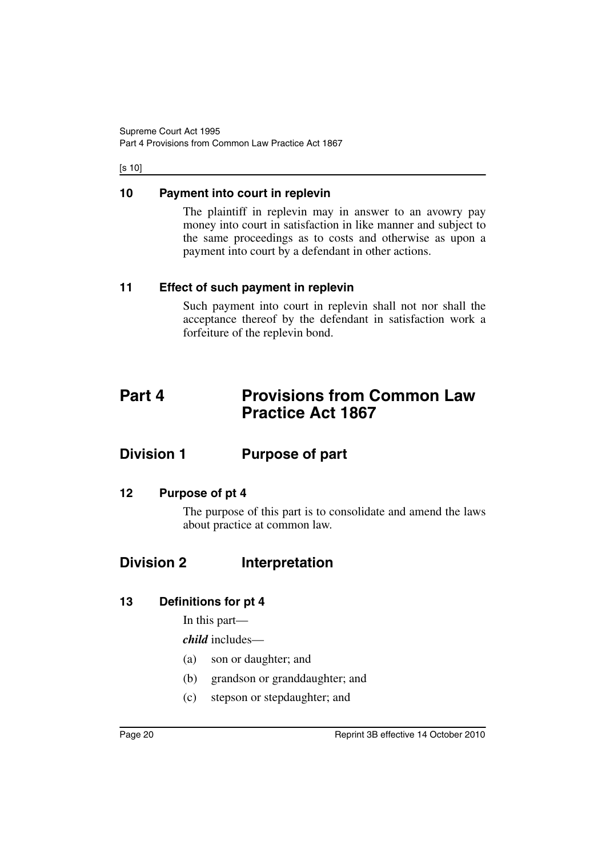#### [s 10]

### <span id="page-21-0"></span>**10 Payment into court in replevin**

The plaintiff in replevin may in answer to an avowry pay money into court in satisfaction in like manner and subject to the same proceedings as to costs and otherwise as upon a payment into court by a defendant in other actions.

### <span id="page-21-1"></span>**11 Effect of such payment in replevin**

Such payment into court in replevin shall not nor shall the acceptance thereof by the defendant in satisfaction work a forfeiture of the replevin bond.

## <span id="page-21-2"></span>**Part 4 Provisions from Common Law Practice Act 1867**

## <span id="page-21-3"></span>**Division 1 Purpose of part**

### <span id="page-21-4"></span>**12 Purpose of pt 4**

The purpose of this part is to consolidate and amend the laws about practice at common law.

## <span id="page-21-5"></span>**Division 2 Interpretation**

### <span id="page-21-6"></span>**13 Definitions for pt 4**

In this part—

*child* includes—

- (a) son or daughter; and
- (b) grandson or granddaughter; and
- (c) stepson or stepdaughter; and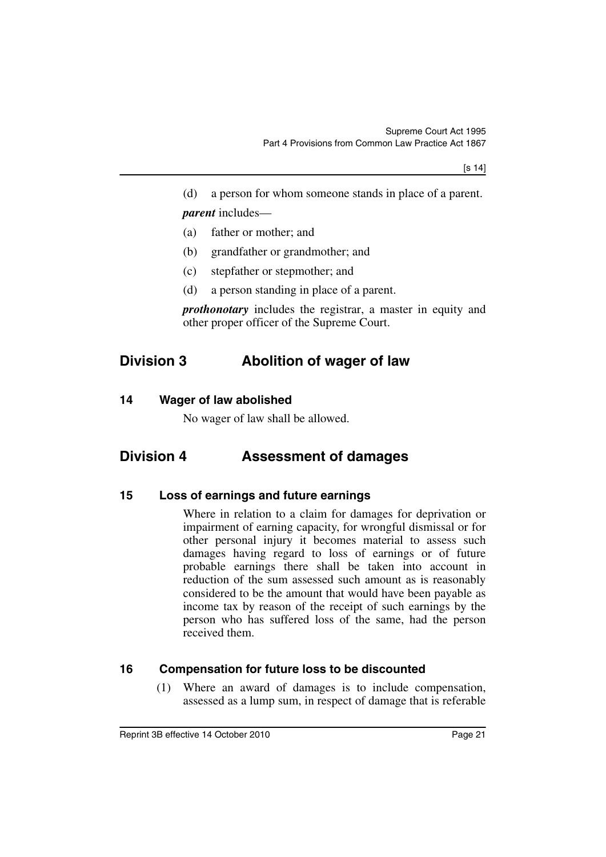(d) a person for whom someone stands in place of a parent. *parent* includes—

- (a) father or mother; and
- (b) grandfather or grandmother; and
- (c) stepfather or stepmother; and
- (d) a person standing in place of a parent.

*prothonotary* includes the registrar, a master in equity and other proper officer of the Supreme Court.

## <span id="page-22-0"></span>**Division 3 Abolition of wager of law**

### <span id="page-22-1"></span>**14 Wager of law abolished**

No wager of law shall be allowed.

## <span id="page-22-2"></span>**Division 4 Assessment of damages**

### <span id="page-22-3"></span>**15 Loss of earnings and future earnings**

Where in relation to a claim for damages for deprivation or impairment of earning capacity, for wrongful dismissal or for other personal injury it becomes material to assess such damages having regard to loss of earnings or of future probable earnings there shall be taken into account in reduction of the sum assessed such amount as is reasonably considered to be the amount that would have been payable as income tax by reason of the receipt of such earnings by the person who has suffered loss of the same, had the person received them.

### <span id="page-22-4"></span>**16 Compensation for future loss to be discounted**

(1) Where an award of damages is to include compensation, assessed as a lump sum, in respect of damage that is referable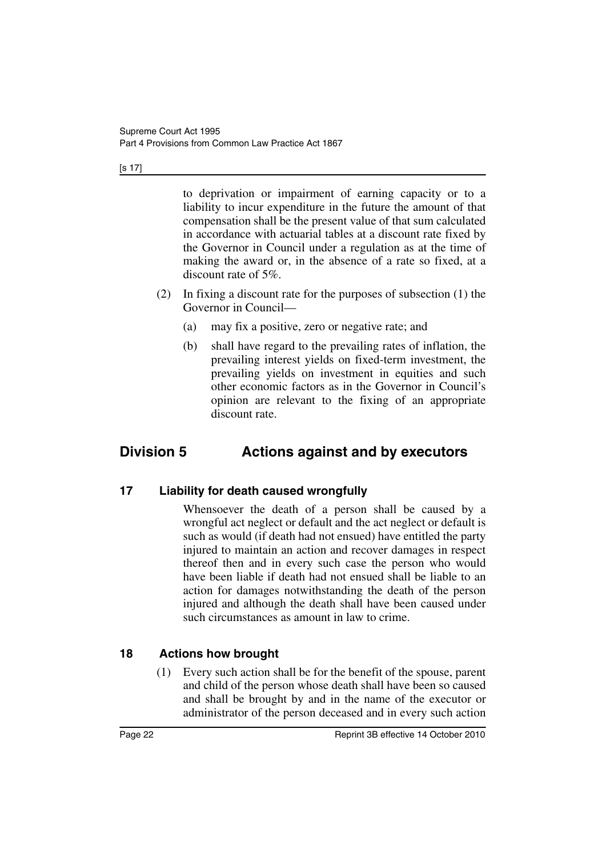#### [s 17]

to deprivation or impairment of earning capacity or to a liability to incur expenditure in the future the amount of that compensation shall be the present value of that sum calculated in accordance with actuarial tables at a discount rate fixed by the Governor in Council under a regulation as at the time of making the award or, in the absence of a rate so fixed, at a discount rate of 5%.

- (2) In fixing a discount rate for the purposes of subsection (1) the Governor in Council—
	- (a) may fix a positive, zero or negative rate; and
	- (b) shall have regard to the prevailing rates of inflation, the prevailing interest yields on fixed-term investment, the prevailing yields on investment in equities and such other economic factors as in the Governor in Council's opinion are relevant to the fixing of an appropriate discount rate.

## <span id="page-23-0"></span>**Division 5 Actions against and by executors**

### <span id="page-23-1"></span>**17 Liability for death caused wrongfully**

Whensoever the death of a person shall be caused by a wrongful act neglect or default and the act neglect or default is such as would (if death had not ensued) have entitled the party injured to maintain an action and recover damages in respect thereof then and in every such case the person who would have been liable if death had not ensued shall be liable to an action for damages notwithstanding the death of the person injured and although the death shall have been caused under such circumstances as amount in law to crime.

## <span id="page-23-2"></span>**18 Actions how brought**

(1) Every such action shall be for the benefit of the spouse, parent and child of the person whose death shall have been so caused and shall be brought by and in the name of the executor or administrator of the person deceased and in every such action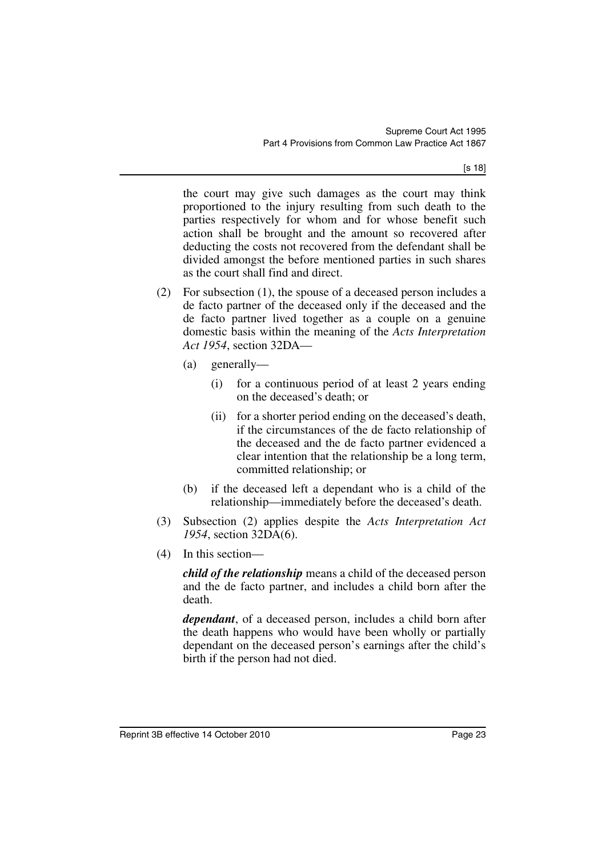[s 18]

the court may give such damages as the court may think proportioned to the injury resulting from such death to the parties respectively for whom and for whose benefit such action shall be brought and the amount so recovered after deducting the costs not recovered from the defendant shall be divided amongst the before mentioned parties in such shares as the court shall find and direct.

- (2) For subsection (1), the spouse of a deceased person includes a de facto partner of the deceased only if the deceased and the de facto partner lived together as a couple on a genuine domestic basis within the meaning of the *Acts Interpretation Act 1954*, section 32DA—
	- (a) generally—
		- (i) for a continuous period of at least 2 years ending on the deceased's death; or
		- (ii) for a shorter period ending on the deceased's death, if the circumstances of the de facto relationship of the deceased and the de facto partner evidenced a clear intention that the relationship be a long term, committed relationship; or
	- (b) if the deceased left a dependant who is a child of the relationship—immediately before the deceased's death.
- (3) Subsection (2) applies despite the *Acts Interpretation Act 1954*, section 32DA(6).
- (4) In this section—

*child of the relationship* means a child of the deceased person and the de facto partner, and includes a child born after the death.

*dependant*, of a deceased person, includes a child born after the death happens who would have been wholly or partially dependant on the deceased person's earnings after the child's birth if the person had not died.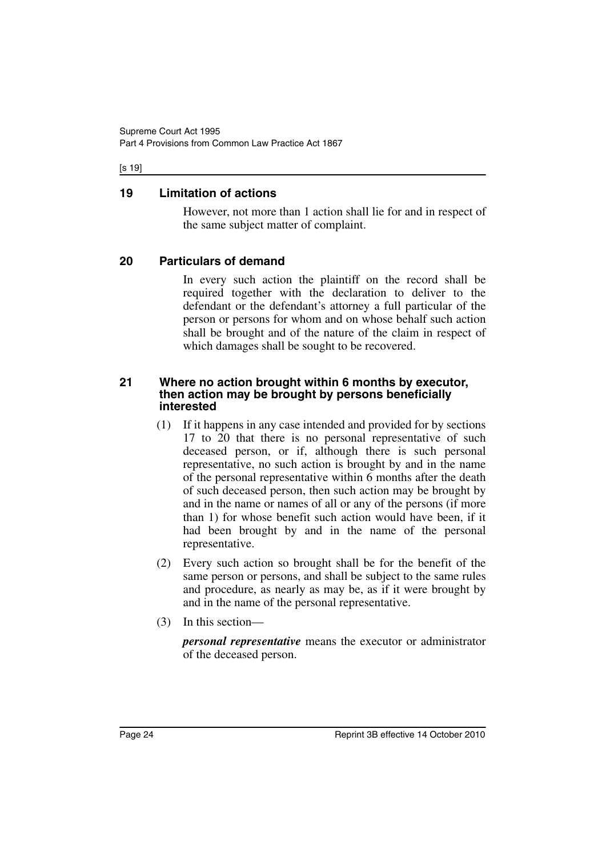#### [s 19]

### <span id="page-25-0"></span>**19 Limitation of actions**

However, not more than 1 action shall lie for and in respect of the same subject matter of complaint.

### <span id="page-25-1"></span>**20 Particulars of demand**

In every such action the plaintiff on the record shall be required together with the declaration to deliver to the defendant or the defendant's attorney a full particular of the person or persons for whom and on whose behalf such action shall be brought and of the nature of the claim in respect of which damages shall be sought to be recovered.

### <span id="page-25-2"></span>**21 Where no action brought within 6 months by executor, then action may be brought by persons beneficially interested**

- (1) If it happens in any case intended and provided for by sections 17 to 20 that there is no personal representative of such deceased person, or if, although there is such personal representative, no such action is brought by and in the name of the personal representative within 6 months after the death of such deceased person, then such action may be brought by and in the name or names of all or any of the persons (if more than 1) for whose benefit such action would have been, if it had been brought by and in the name of the personal representative.
- (2) Every such action so brought shall be for the benefit of the same person or persons, and shall be subject to the same rules and procedure, as nearly as may be, as if it were brought by and in the name of the personal representative.
- (3) In this section—

*personal representative* means the executor or administrator of the deceased person.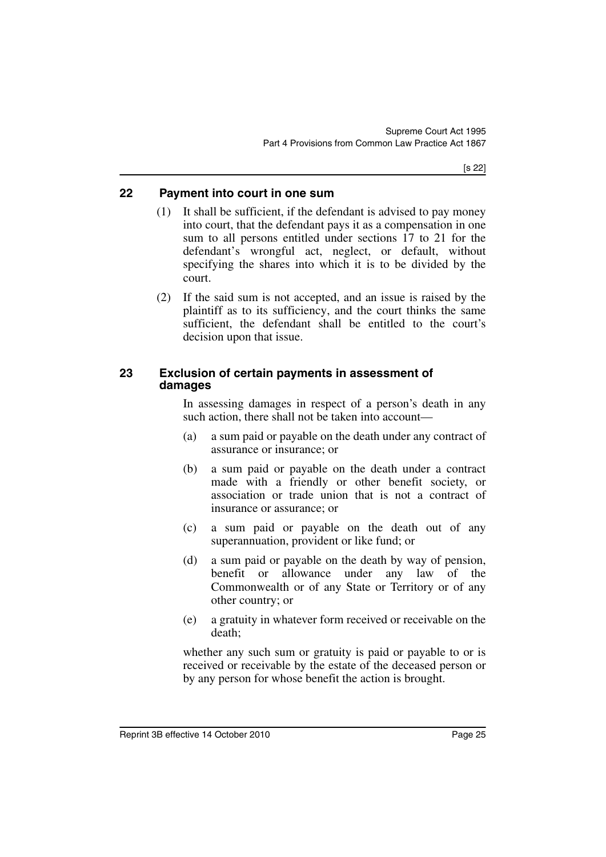### <span id="page-26-0"></span>**22 Payment into court in one sum**

- (1) It shall be sufficient, if the defendant is advised to pay money into court, that the defendant pays it as a compensation in one sum to all persons entitled under sections 17 to 21 for the defendant's wrongful act, neglect, or default, without specifying the shares into which it is to be divided by the court.
- (2) If the said sum is not accepted, and an issue is raised by the plaintiff as to its sufficiency, and the court thinks the same sufficient, the defendant shall be entitled to the court's decision upon that issue.

### <span id="page-26-1"></span>**23 Exclusion of certain payments in assessment of damages**

In assessing damages in respect of a person's death in any such action, there shall not be taken into account—

- (a) a sum paid or payable on the death under any contract of assurance or insurance; or
- (b) a sum paid or payable on the death under a contract made with a friendly or other benefit society, or association or trade union that is not a contract of insurance or assurance; or
- (c) a sum paid or payable on the death out of any superannuation, provident or like fund; or
- (d) a sum paid or payable on the death by way of pension, benefit or allowance under any law of the Commonwealth or of any State or Territory or of any other country; or
- (e) a gratuity in whatever form received or receivable on the death;

whether any such sum or gratuity is paid or payable to or is received or receivable by the estate of the deceased person or by any person for whose benefit the action is brought.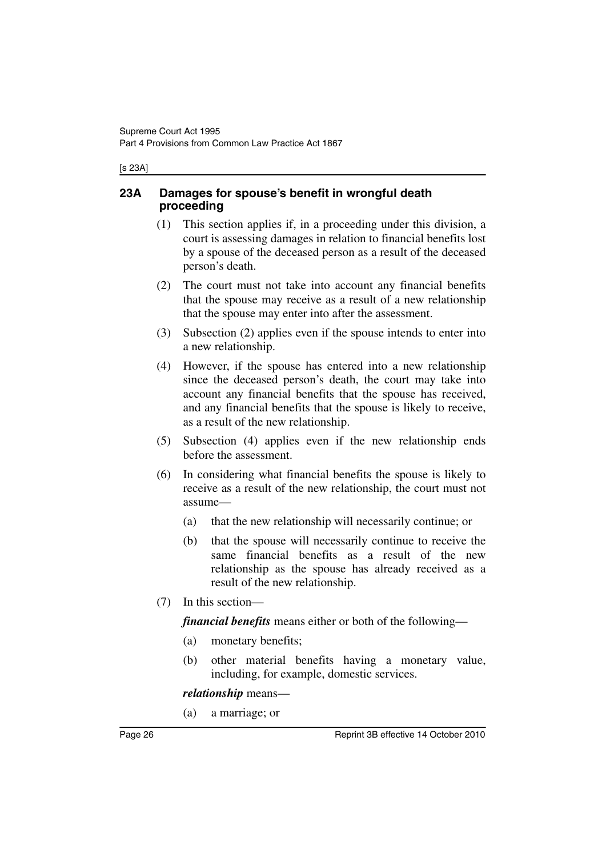#### [s 23A]

### <span id="page-27-0"></span>**23A Damages for spouse's benefit in wrongful death proceeding**

- (1) This section applies if, in a proceeding under this division, a court is assessing damages in relation to financial benefits lost by a spouse of the deceased person as a result of the deceased person's death.
- (2) The court must not take into account any financial benefits that the spouse may receive as a result of a new relationship that the spouse may enter into after the assessment.
- (3) Subsection (2) applies even if the spouse intends to enter into a new relationship.
- (4) However, if the spouse has entered into a new relationship since the deceased person's death, the court may take into account any financial benefits that the spouse has received, and any financial benefits that the spouse is likely to receive, as a result of the new relationship.
- (5) Subsection (4) applies even if the new relationship ends before the assessment.
- (6) In considering what financial benefits the spouse is likely to receive as a result of the new relationship, the court must not assume—
	- (a) that the new relationship will necessarily continue; or
	- (b) that the spouse will necessarily continue to receive the same financial benefits as a result of the new relationship as the spouse has already received as a result of the new relationship.
- (7) In this section—

*financial benefits* means either or both of the following—

- (a) monetary benefits;
- (b) other material benefits having a monetary value, including, for example, domestic services.

*relationship* means—

(a) a marriage; or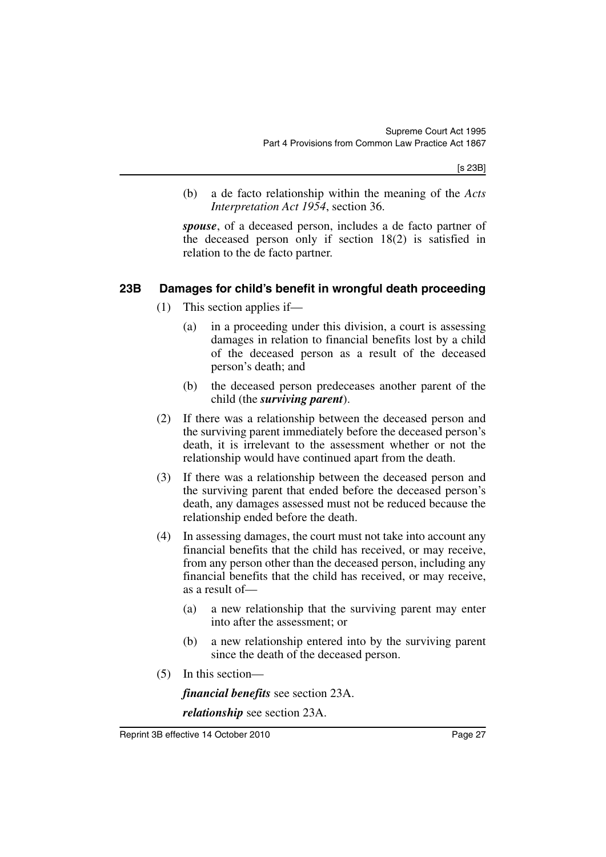[s 23B]

(b) a de facto relationship within the meaning of the *Acts Interpretation Act 1954*, section 36.

*spouse*, of a deceased person, includes a de facto partner of the deceased person only if section 18(2) is satisfied in relation to the de facto partner.

### <span id="page-28-0"></span>**23B Damages for child's benefit in wrongful death proceeding**

- (1) This section applies if—
	- (a) in a proceeding under this division, a court is assessing damages in relation to financial benefits lost by a child of the deceased person as a result of the deceased person's death; and
	- (b) the deceased person predeceases another parent of the child (the *surviving parent*).
- (2) If there was a relationship between the deceased person and the surviving parent immediately before the deceased person's death, it is irrelevant to the assessment whether or not the relationship would have continued apart from the death.
- (3) If there was a relationship between the deceased person and the surviving parent that ended before the deceased person's death, any damages assessed must not be reduced because the relationship ended before the death.
- (4) In assessing damages, the court must not take into account any financial benefits that the child has received, or may receive, from any person other than the deceased person, including any financial benefits that the child has received, or may receive, as a result of—
	- (a) a new relationship that the surviving parent may enter into after the assessment; or
	- (b) a new relationship entered into by the surviving parent since the death of the deceased person.
- (5) In this section—

*financial benefits* see section 23A.

*relationship* see section 23A.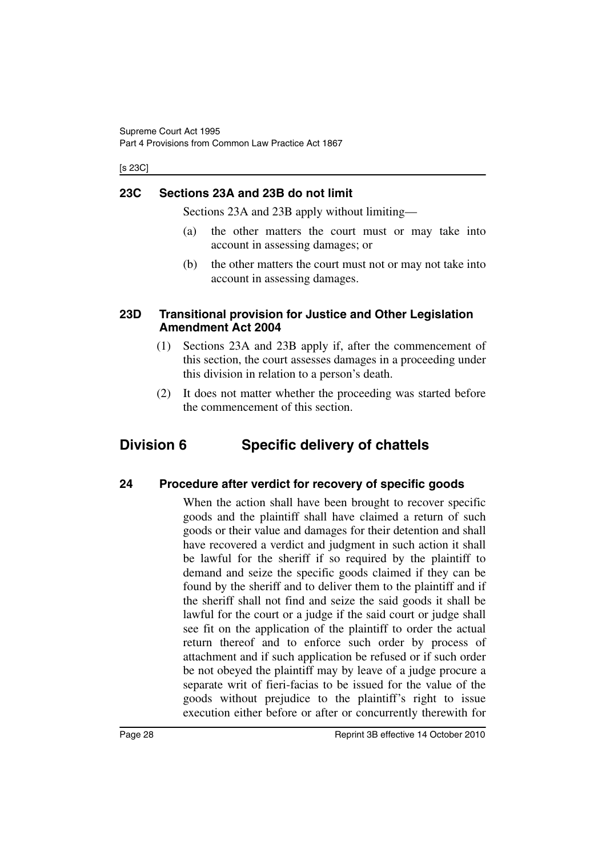[s 23C]

### <span id="page-29-0"></span>**23C Sections 23A and 23B do not limit**

Sections 23A and 23B apply without limiting—

- (a) the other matters the court must or may take into account in assessing damages; or
- (b) the other matters the court must not or may not take into account in assessing damages.

### <span id="page-29-1"></span>**23D Transitional provision for Justice and Other Legislation Amendment Act 2004**

- (1) Sections 23A and 23B apply if, after the commencement of this section, the court assesses damages in a proceeding under this division in relation to a person's death.
- (2) It does not matter whether the proceeding was started before the commencement of this section.

## <span id="page-29-2"></span>**Division 6 Specific delivery of chattels**

### <span id="page-29-3"></span>**24 Procedure after verdict for recovery of specific goods**

When the action shall have been brought to recover specific goods and the plaintiff shall have claimed a return of such goods or their value and damages for their detention and shall have recovered a verdict and judgment in such action it shall be lawful for the sheriff if so required by the plaintiff to demand and seize the specific goods claimed if they can be found by the sheriff and to deliver them to the plaintiff and if the sheriff shall not find and seize the said goods it shall be lawful for the court or a judge if the said court or judge shall see fit on the application of the plaintiff to order the actual return thereof and to enforce such order by process of attachment and if such application be refused or if such order be not obeyed the plaintiff may by leave of a judge procure a separate writ of fieri-facias to be issued for the value of the goods without prejudice to the plaintiff's right to issue execution either before or after or concurrently therewith for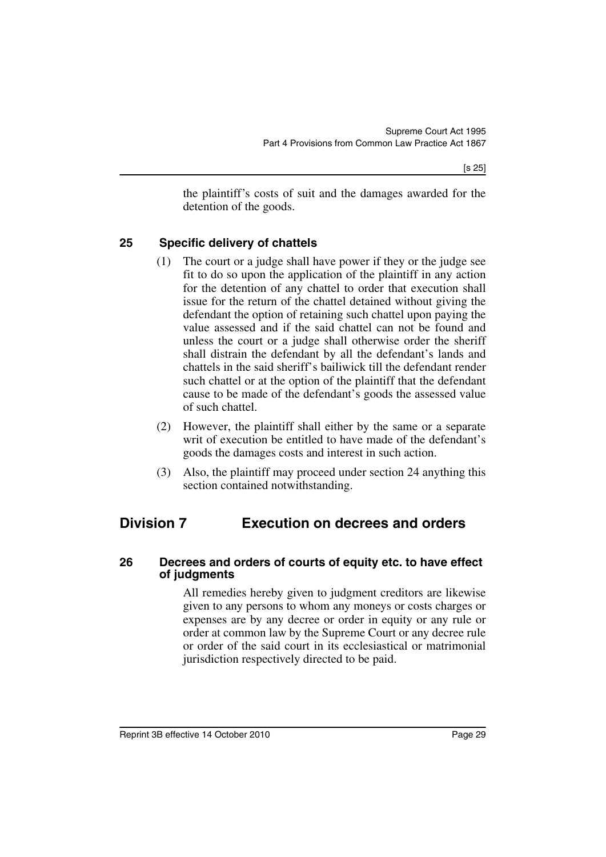the plaintiff's costs of suit and the damages awarded for the detention of the goods.

### <span id="page-30-0"></span>**25 Specific delivery of chattels**

- (1) The court or a judge shall have power if they or the judge see fit to do so upon the application of the plaintiff in any action for the detention of any chattel to order that execution shall issue for the return of the chattel detained without giving the defendant the option of retaining such chattel upon paying the value assessed and if the said chattel can not be found and unless the court or a judge shall otherwise order the sheriff shall distrain the defendant by all the defendant's lands and chattels in the said sheriff's bailiwick till the defendant render such chattel or at the option of the plaintiff that the defendant cause to be made of the defendant's goods the assessed value of such chattel.
- (2) However, the plaintiff shall either by the same or a separate writ of execution be entitled to have made of the defendant's goods the damages costs and interest in such action.
- (3) Also, the plaintiff may proceed under section 24 anything this section contained notwithstanding.

## <span id="page-30-1"></span>**Division 7 Execution on decrees and orders**

### <span id="page-30-2"></span>**26 Decrees and orders of courts of equity etc. to have effect of judgments**

All remedies hereby given to judgment creditors are likewise given to any persons to whom any moneys or costs charges or expenses are by any decree or order in equity or any rule or order at common law by the Supreme Court or any decree rule or order of the said court in its ecclesiastical or matrimonial jurisdiction respectively directed to be paid.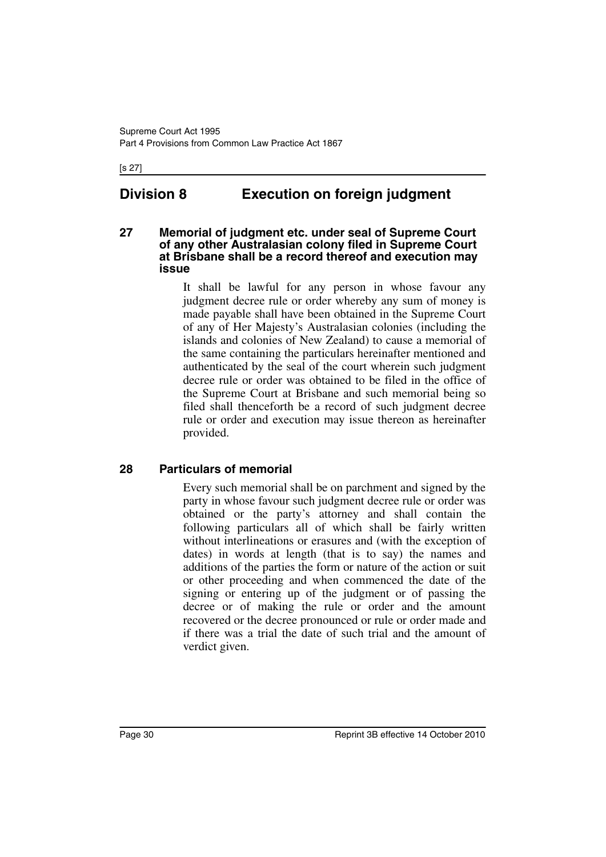#### [s 27]

## <span id="page-31-0"></span>**Division 8 Execution on foreign judgment**

### <span id="page-31-1"></span>**27 Memorial of judgment etc. under seal of Supreme Court of any other Australasian colony filed in Supreme Court at Brisbane shall be a record thereof and execution may issue**

It shall be lawful for any person in whose favour any judgment decree rule or order whereby any sum of money is made payable shall have been obtained in the Supreme Court of any of Her Majesty's Australasian colonies (including the islands and colonies of New Zealand) to cause a memorial of the same containing the particulars hereinafter mentioned and authenticated by the seal of the court wherein such judgment decree rule or order was obtained to be filed in the office of the Supreme Court at Brisbane and such memorial being so filed shall thenceforth be a record of such judgment decree rule or order and execution may issue thereon as hereinafter provided.

### <span id="page-31-2"></span>**28 Particulars of memorial**

Every such memorial shall be on parchment and signed by the party in whose favour such judgment decree rule or order was obtained or the party's attorney and shall contain the following particulars all of which shall be fairly written without interlineations or erasures and (with the exception of dates) in words at length (that is to say) the names and additions of the parties the form or nature of the action or suit or other proceeding and when commenced the date of the signing or entering up of the judgment or of passing the decree or of making the rule or order and the amount recovered or the decree pronounced or rule or order made and if there was a trial the date of such trial and the amount of verdict given.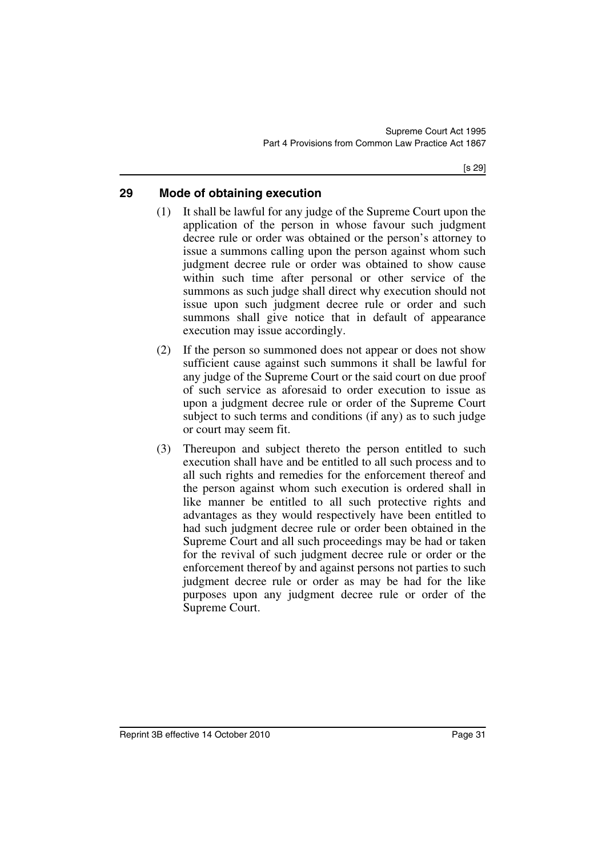### <span id="page-32-0"></span>**29 Mode of obtaining execution**

- (1) It shall be lawful for any judge of the Supreme Court upon the application of the person in whose favour such judgment decree rule or order was obtained or the person's attorney to issue a summons calling upon the person against whom such judgment decree rule or order was obtained to show cause within such time after personal or other service of the summons as such judge shall direct why execution should not issue upon such judgment decree rule or order and such summons shall give notice that in default of appearance execution may issue accordingly.
- (2) If the person so summoned does not appear or does not show sufficient cause against such summons it shall be lawful for any judge of the Supreme Court or the said court on due proof of such service as aforesaid to order execution to issue as upon a judgment decree rule or order of the Supreme Court subject to such terms and conditions (if any) as to such judge or court may seem fit.
- (3) Thereupon and subject thereto the person entitled to such execution shall have and be entitled to all such process and to all such rights and remedies for the enforcement thereof and the person against whom such execution is ordered shall in like manner be entitled to all such protective rights and advantages as they would respectively have been entitled to had such judgment decree rule or order been obtained in the Supreme Court and all such proceedings may be had or taken for the revival of such judgment decree rule or order or the enforcement thereof by and against persons not parties to such judgment decree rule or order as may be had for the like purposes upon any judgment decree rule or order of the Supreme Court.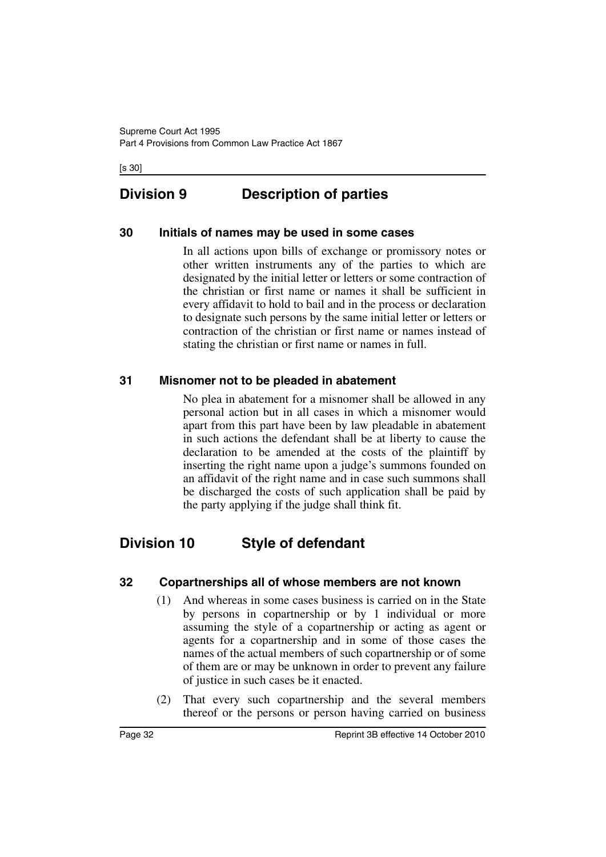[s 30]

## <span id="page-33-0"></span>**Division 9 Description of parties**

### <span id="page-33-1"></span>**30 Initials of names may be used in some cases**

In all actions upon bills of exchange or promissory notes or other written instruments any of the parties to which are designated by the initial letter or letters or some contraction of the christian or first name or names it shall be sufficient in every affidavit to hold to bail and in the process or declaration to designate such persons by the same initial letter or letters or contraction of the christian or first name or names instead of stating the christian or first name or names in full.

### <span id="page-33-2"></span>**31 Misnomer not to be pleaded in abatement**

No plea in abatement for a misnomer shall be allowed in any personal action but in all cases in which a misnomer would apart from this part have been by law pleadable in abatement in such actions the defendant shall be at liberty to cause the declaration to be amended at the costs of the plaintiff by inserting the right name upon a judge's summons founded on an affidavit of the right name and in case such summons shall be discharged the costs of such application shall be paid by the party applying if the judge shall think fit.

## <span id="page-33-3"></span>**Division 10 Style of defendant**

### <span id="page-33-4"></span>**32 Copartnerships all of whose members are not known**

- (1) And whereas in some cases business is carried on in the State by persons in copartnership or by 1 individual or more assuming the style of a copartnership or acting as agent or agents for a copartnership and in some of those cases the names of the actual members of such copartnership or of some of them are or may be unknown in order to prevent any failure of justice in such cases be it enacted.
- (2) That every such copartnership and the several members thereof or the persons or person having carried on business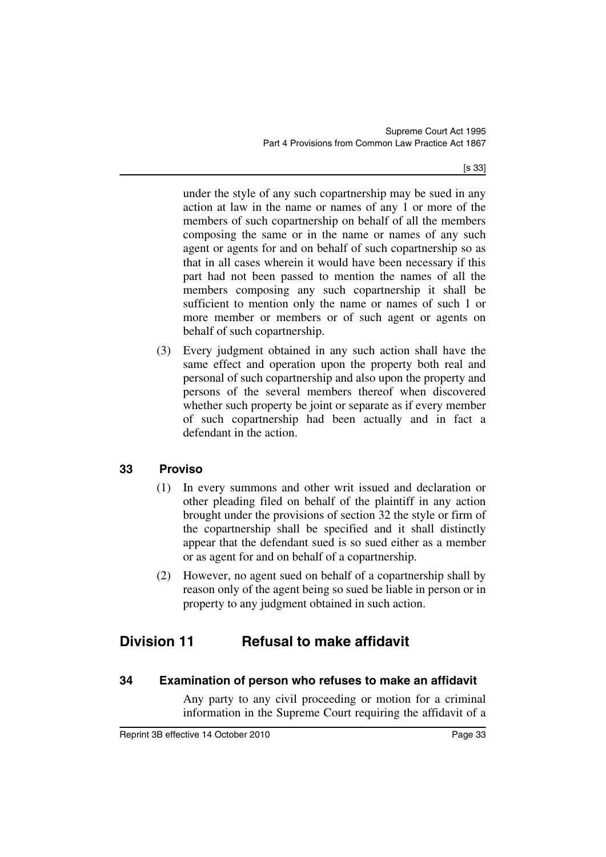[s 33]

under the style of any such copartnership may be sued in any action at law in the name or names of any 1 or more of the members of such copartnership on behalf of all the members composing the same or in the name or names of any such agent or agents for and on behalf of such copartnership so as that in all cases wherein it would have been necessary if this part had not been passed to mention the names of all the members composing any such copartnership it shall be sufficient to mention only the name or names of such 1 or more member or members or of such agent or agents on behalf of such copartnership.

(3) Every judgment obtained in any such action shall have the same effect and operation upon the property both real and personal of such copartnership and also upon the property and persons of the several members thereof when discovered whether such property be joint or separate as if every member of such copartnership had been actually and in fact a defendant in the action.

## <span id="page-34-0"></span>**33 Proviso**

- (1) In every summons and other writ issued and declaration or other pleading filed on behalf of the plaintiff in any action brought under the provisions of section 32 the style or firm of the copartnership shall be specified and it shall distinctly appear that the defendant sued is so sued either as a member or as agent for and on behalf of a copartnership.
- (2) However, no agent sued on behalf of a copartnership shall by reason only of the agent being so sued be liable in person or in property to any judgment obtained in such action.

## <span id="page-34-1"></span>**Division 11 Refusal to make affidavit**

## <span id="page-34-2"></span>**34 Examination of person who refuses to make an affidavit**

Any party to any civil proceeding or motion for a criminal information in the Supreme Court requiring the affidavit of a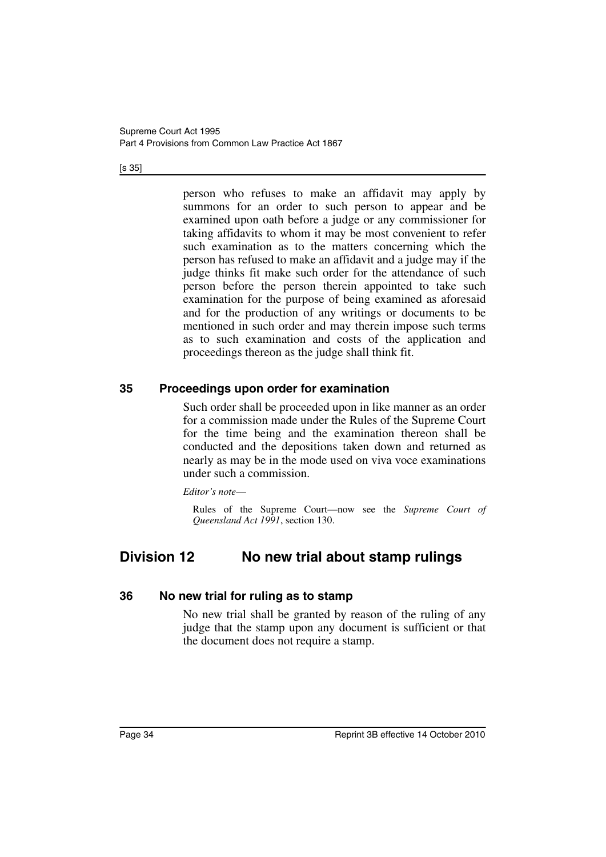#### [s 35]

person who refuses to make an affidavit may apply by summons for an order to such person to appear and be examined upon oath before a judge or any commissioner for taking affidavits to whom it may be most convenient to refer such examination as to the matters concerning which the person has refused to make an affidavit and a judge may if the judge thinks fit make such order for the attendance of such person before the person therein appointed to take such examination for the purpose of being examined as aforesaid and for the production of any writings or documents to be mentioned in such order and may therein impose such terms as to such examination and costs of the application and proceedings thereon as the judge shall think fit.

### <span id="page-35-0"></span>**35 Proceedings upon order for examination**

Such order shall be proceeded upon in like manner as an order for a commission made under the Rules of the Supreme Court for the time being and the examination thereon shall be conducted and the depositions taken down and returned as nearly as may be in the mode used on viva voce examinations under such a commission.

*Editor's note*—

Rules of the Supreme Court—now see the *Supreme Court of Queensland Act 1991*, section 130.

## <span id="page-35-1"></span>**Division 12 No new trial about stamp rulings**

### <span id="page-35-2"></span>**36 No new trial for ruling as to stamp**

No new trial shall be granted by reason of the ruling of any judge that the stamp upon any document is sufficient or that the document does not require a stamp.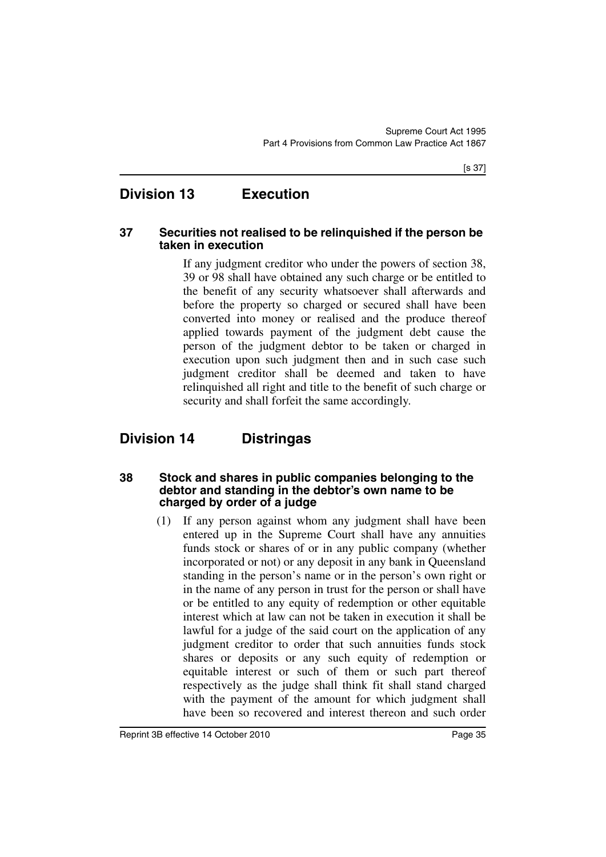## **Division 13 Execution**

#### **37 Securities not realised to be relinquished if the person be taken in execution**

If any judgment creditor who under the powers of section 38, 39 or 98 shall have obtained any such charge or be entitled to the benefit of any security whatsoever shall afterwards and before the property so charged or secured shall have been converted into money or realised and the produce thereof applied towards payment of the judgment debt cause the person of the judgment debtor to be taken or charged in execution upon such judgment then and in such case such judgment creditor shall be deemed and taken to have relinquished all right and title to the benefit of such charge or security and shall forfeit the same accordingly.

# **Division 14 Distringas**

#### **38 Stock and shares in public companies belonging to the debtor and standing in the debtor's own name to be charged by order of a judge**

(1) If any person against whom any judgment shall have been entered up in the Supreme Court shall have any annuities funds stock or shares of or in any public company (whether incorporated or not) or any deposit in any bank in Queensland standing in the person's name or in the person's own right or in the name of any person in trust for the person or shall have or be entitled to any equity of redemption or other equitable interest which at law can not be taken in execution it shall be lawful for a judge of the said court on the application of any judgment creditor to order that such annuities funds stock shares or deposits or any such equity of redemption or equitable interest or such of them or such part thereof respectively as the judge shall think fit shall stand charged with the payment of the amount for which judgment shall have been so recovered and interest thereon and such order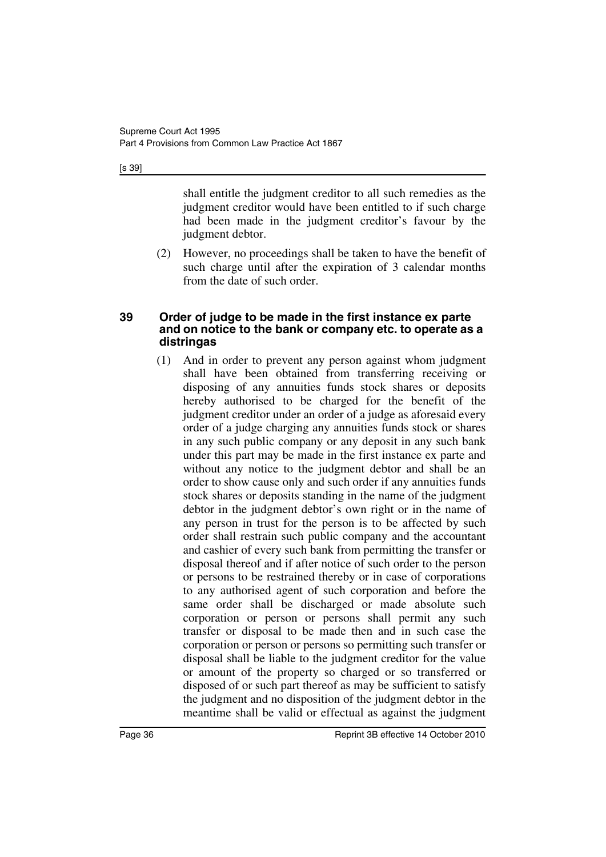[s 39]

shall entitle the judgment creditor to all such remedies as the judgment creditor would have been entitled to if such charge had been made in the judgment creditor's favour by the judgment debtor.

(2) However, no proceedings shall be taken to have the benefit of such charge until after the expiration of 3 calendar months from the date of such order.

#### **39 Order of judge to be made in the first instance ex parte and on notice to the bank or company etc. to operate as a distringas**

(1) And in order to prevent any person against whom judgment shall have been obtained from transferring receiving or disposing of any annuities funds stock shares or deposits hereby authorised to be charged for the benefit of the judgment creditor under an order of a judge as aforesaid every order of a judge charging any annuities funds stock or shares in any such public company or any deposit in any such bank under this part may be made in the first instance ex parte and without any notice to the judgment debtor and shall be an order to show cause only and such order if any annuities funds stock shares or deposits standing in the name of the judgment debtor in the judgment debtor's own right or in the name of any person in trust for the person is to be affected by such order shall restrain such public company and the accountant and cashier of every such bank from permitting the transfer or disposal thereof and if after notice of such order to the person or persons to be restrained thereby or in case of corporations to any authorised agent of such corporation and before the same order shall be discharged or made absolute such corporation or person or persons shall permit any such transfer or disposal to be made then and in such case the corporation or person or persons so permitting such transfer or disposal shall be liable to the judgment creditor for the value or amount of the property so charged or so transferred or disposed of or such part thereof as may be sufficient to satisfy the judgment and no disposition of the judgment debtor in the meantime shall be valid or effectual as against the judgment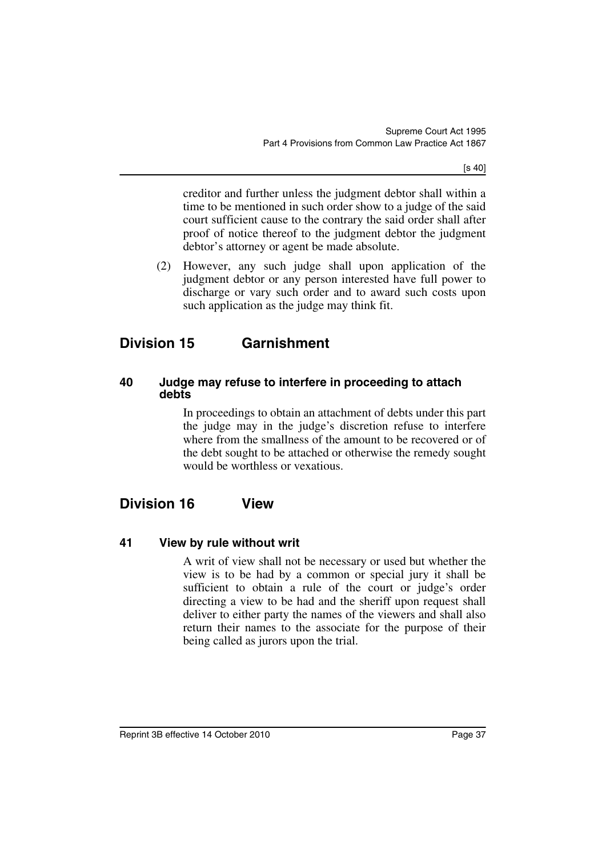[s 40]

creditor and further unless the judgment debtor shall within a time to be mentioned in such order show to a judge of the said court sufficient cause to the contrary the said order shall after proof of notice thereof to the judgment debtor the judgment debtor's attorney or agent be made absolute.

(2) However, any such judge shall upon application of the judgment debtor or any person interested have full power to discharge or vary such order and to award such costs upon such application as the judge may think fit.

# **Division 15 Garnishment**

### **40 Judge may refuse to interfere in proceeding to attach debts**

In proceedings to obtain an attachment of debts under this part the judge may in the judge's discretion refuse to interfere where from the smallness of the amount to be recovered or of the debt sought to be attached or otherwise the remedy sought would be worthless or vexatious.

## **Division 16 View**

### **41 View by rule without writ**

A writ of view shall not be necessary or used but whether the view is to be had by a common or special jury it shall be sufficient to obtain a rule of the court or judge's order directing a view to be had and the sheriff upon request shall deliver to either party the names of the viewers and shall also return their names to the associate for the purpose of their being called as jurors upon the trial.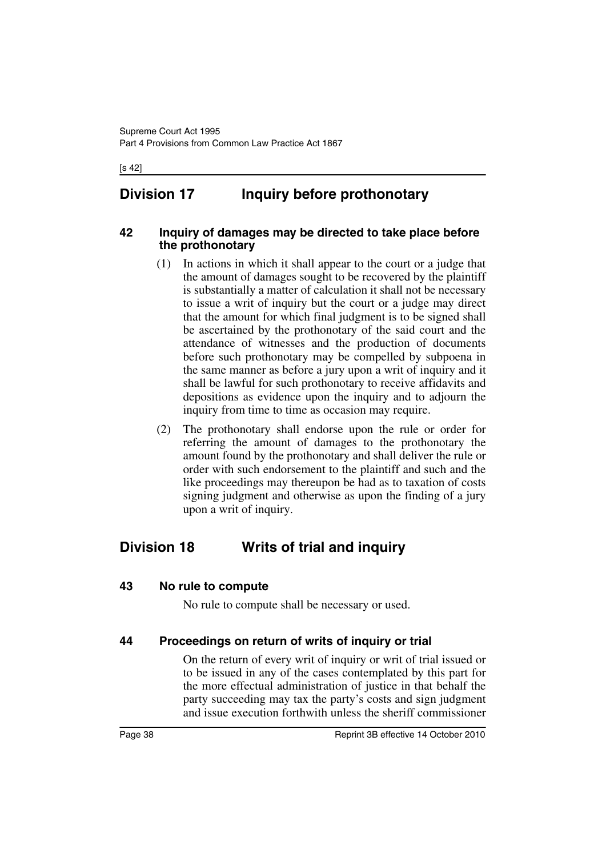#### [s 42]

# **Division 17 Inquiry before prothonotary**

#### **42 Inquiry of damages may be directed to take place before the prothonotary**

- (1) In actions in which it shall appear to the court or a judge that the amount of damages sought to be recovered by the plaintiff is substantially a matter of calculation it shall not be necessary to issue a writ of inquiry but the court or a judge may direct that the amount for which final judgment is to be signed shall be ascertained by the prothonotary of the said court and the attendance of witnesses and the production of documents before such prothonotary may be compelled by subpoena in the same manner as before a jury upon a writ of inquiry and it shall be lawful for such prothonotary to receive affidavits and depositions as evidence upon the inquiry and to adjourn the inquiry from time to time as occasion may require.
- (2) The prothonotary shall endorse upon the rule or order for referring the amount of damages to the prothonotary the amount found by the prothonotary and shall deliver the rule or order with such endorsement to the plaintiff and such and the like proceedings may thereupon be had as to taxation of costs signing judgment and otherwise as upon the finding of a jury upon a writ of inquiry.

## **Division 18 Writs of trial and inquiry**

#### **43 No rule to compute**

No rule to compute shall be necessary or used.

### **44 Proceedings on return of writs of inquiry or trial**

On the return of every writ of inquiry or writ of trial issued or to be issued in any of the cases contemplated by this part for the more effectual administration of justice in that behalf the party succeeding may tax the party's costs and sign judgment and issue execution forthwith unless the sheriff commissioner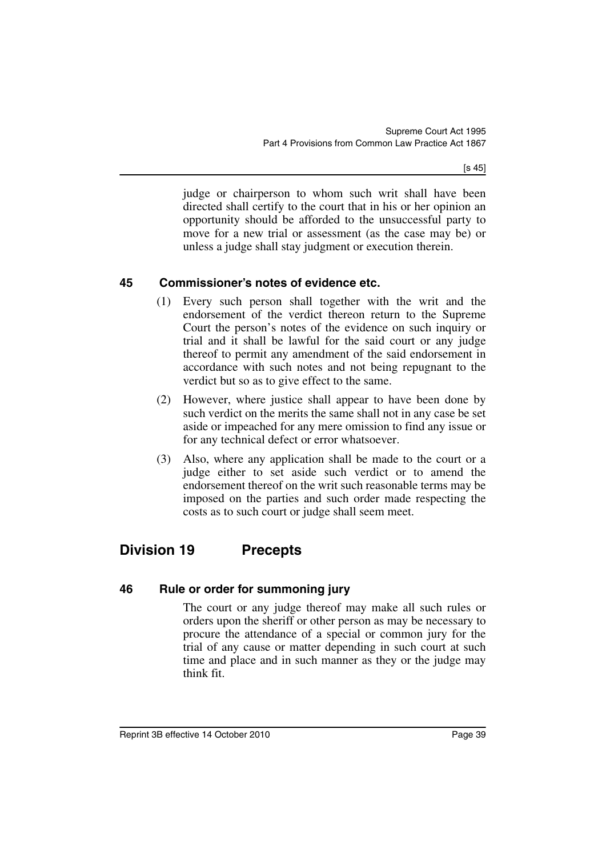[s 45]

judge or chairperson to whom such writ shall have been directed shall certify to the court that in his or her opinion an opportunity should be afforded to the unsuccessful party to move for a new trial or assessment (as the case may be) or unless a judge shall stay judgment or execution therein.

## **45 Commissioner's notes of evidence etc.**

- (1) Every such person shall together with the writ and the endorsement of the verdict thereon return to the Supreme Court the person's notes of the evidence on such inquiry or trial and it shall be lawful for the said court or any judge thereof to permit any amendment of the said endorsement in accordance with such notes and not being repugnant to the verdict but so as to give effect to the same.
- (2) However, where justice shall appear to have been done by such verdict on the merits the same shall not in any case be set aside or impeached for any mere omission to find any issue or for any technical defect or error whatsoever.
- (3) Also, where any application shall be made to the court or a judge either to set aside such verdict or to amend the endorsement thereof on the writ such reasonable terms may be imposed on the parties and such order made respecting the costs as to such court or judge shall seem meet.

# **Division 19 Precepts**

## **46 Rule or order for summoning jury**

The court or any judge thereof may make all such rules or orders upon the sheriff or other person as may be necessary to procure the attendance of a special or common jury for the trial of any cause or matter depending in such court at such time and place and in such manner as they or the judge may think fit.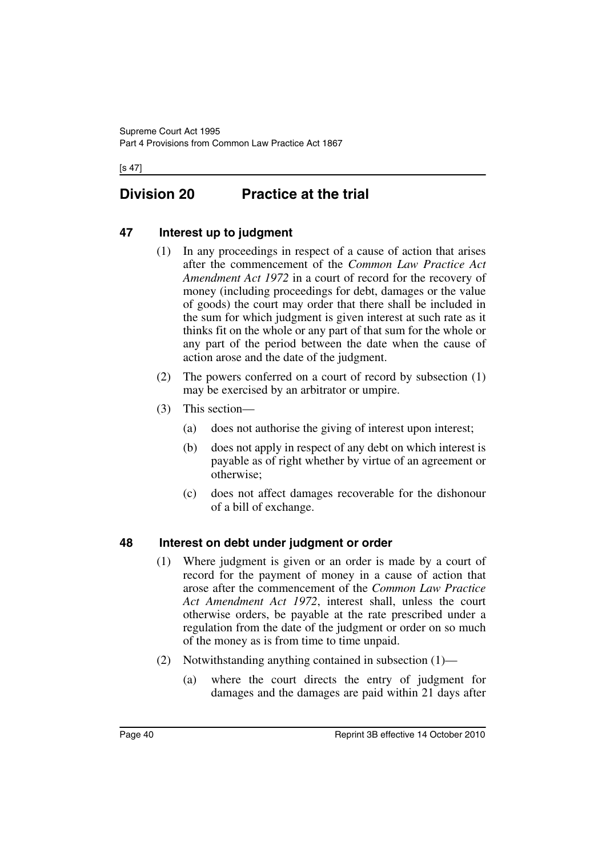[s 47]

# **Division 20 Practice at the trial**

## **47 Interest up to judgment**

- (1) In any proceedings in respect of a cause of action that arises after the commencement of the *Common Law Practice Act Amendment Act 1972* in a court of record for the recovery of money (including proceedings for debt, damages or the value of goods) the court may order that there shall be included in the sum for which judgment is given interest at such rate as it thinks fit on the whole or any part of that sum for the whole or any part of the period between the date when the cause of action arose and the date of the judgment.
- (2) The powers conferred on a court of record by subsection (1) may be exercised by an arbitrator or umpire.
- (3) This section—
	- (a) does not authorise the giving of interest upon interest;
	- (b) does not apply in respect of any debt on which interest is payable as of right whether by virtue of an agreement or otherwise;
	- (c) does not affect damages recoverable for the dishonour of a bill of exchange.

### **48 Interest on debt under judgment or order**

- (1) Where judgment is given or an order is made by a court of record for the payment of money in a cause of action that arose after the commencement of the *Common Law Practice Act Amendment Act 1972*, interest shall, unless the court otherwise orders, be payable at the rate prescribed under a regulation from the date of the judgment or order on so much of the money as is from time to time unpaid.
- (2) Notwithstanding anything contained in subsection (1)—
	- (a) where the court directs the entry of judgment for damages and the damages are paid within 21 days after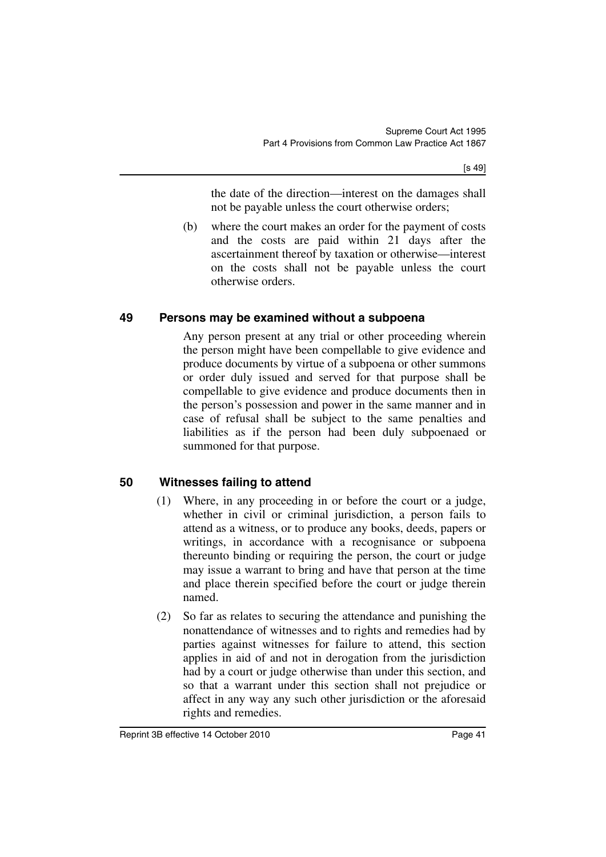the date of the direction—interest on the damages shall not be payable unless the court otherwise orders;

(b) where the court makes an order for the payment of costs and the costs are paid within 21 days after the ascertainment thereof by taxation or otherwise—interest on the costs shall not be payable unless the court otherwise orders.

### **49 Persons may be examined without a subpoena**

Any person present at any trial or other proceeding wherein the person might have been compellable to give evidence and produce documents by virtue of a subpoena or other summons or order duly issued and served for that purpose shall be compellable to give evidence and produce documents then in the person's possession and power in the same manner and in case of refusal shall be subject to the same penalties and liabilities as if the person had been duly subpoenaed or summoned for that purpose.

## **50 Witnesses failing to attend**

- (1) Where, in any proceeding in or before the court or a judge, whether in civil or criminal jurisdiction, a person fails to attend as a witness, or to produce any books, deeds, papers or writings, in accordance with a recognisance or subpoena thereunto binding or requiring the person, the court or judge may issue a warrant to bring and have that person at the time and place therein specified before the court or judge therein named.
- (2) So far as relates to securing the attendance and punishing the nonattendance of witnesses and to rights and remedies had by parties against witnesses for failure to attend, this section applies in aid of and not in derogation from the jurisdiction had by a court or judge otherwise than under this section, and so that a warrant under this section shall not prejudice or affect in any way any such other jurisdiction or the aforesaid rights and remedies.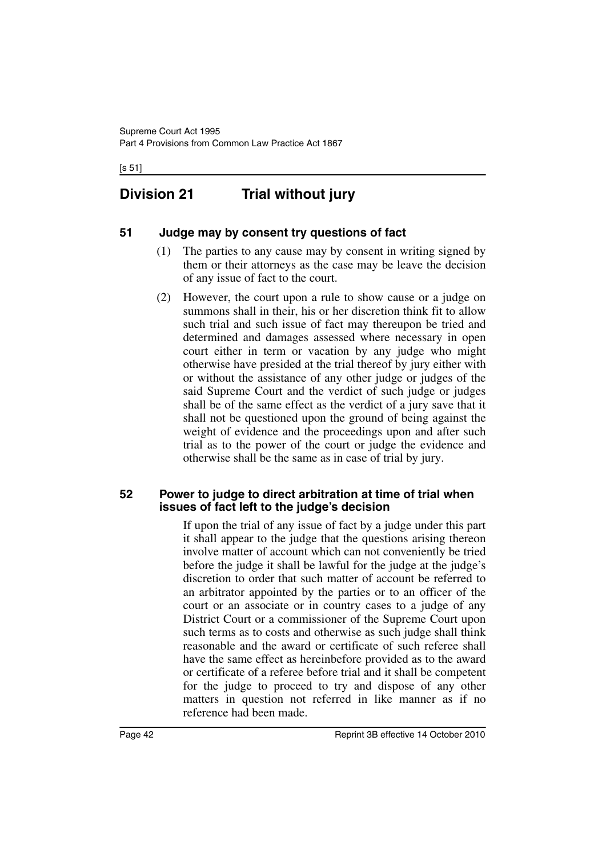[s 51]

# **Division 21 Trial without jury**

### **51 Judge may by consent try questions of fact**

- (1) The parties to any cause may by consent in writing signed by them or their attorneys as the case may be leave the decision of any issue of fact to the court.
- (2) However, the court upon a rule to show cause or a judge on summons shall in their, his or her discretion think fit to allow such trial and such issue of fact may thereupon be tried and determined and damages assessed where necessary in open court either in term or vacation by any judge who might otherwise have presided at the trial thereof by jury either with or without the assistance of any other judge or judges of the said Supreme Court and the verdict of such judge or judges shall be of the same effect as the verdict of a jury save that it shall not be questioned upon the ground of being against the weight of evidence and the proceedings upon and after such trial as to the power of the court or judge the evidence and otherwise shall be the same as in case of trial by jury.

#### **52 Power to judge to direct arbitration at time of trial when issues of fact left to the judge's decision**

If upon the trial of any issue of fact by a judge under this part it shall appear to the judge that the questions arising thereon involve matter of account which can not conveniently be tried before the judge it shall be lawful for the judge at the judge's discretion to order that such matter of account be referred to an arbitrator appointed by the parties or to an officer of the court or an associate or in country cases to a judge of any District Court or a commissioner of the Supreme Court upon such terms as to costs and otherwise as such judge shall think reasonable and the award or certificate of such referee shall have the same effect as hereinbefore provided as to the award or certificate of a referee before trial and it shall be competent for the judge to proceed to try and dispose of any other matters in question not referred in like manner as if no reference had been made.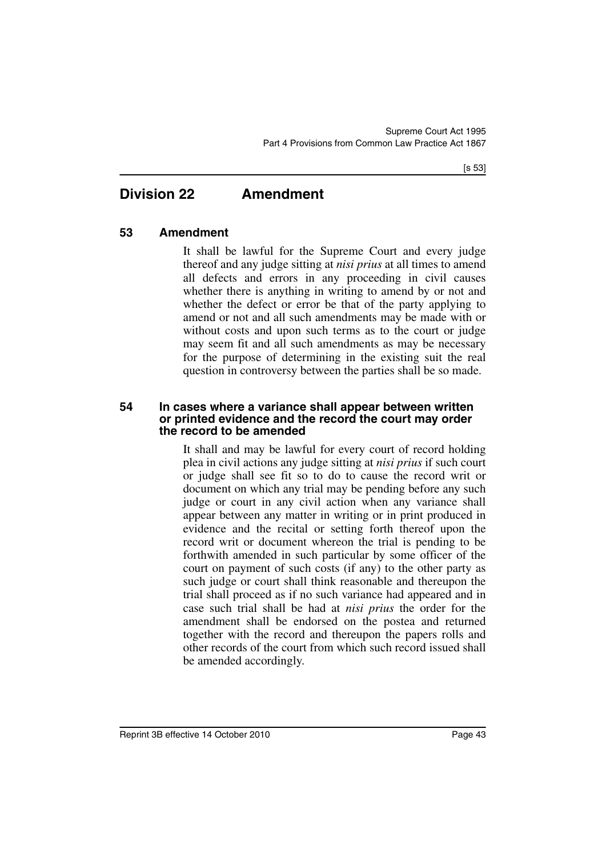## **Division 22 Amendment**

### **53 Amendment**

It shall be lawful for the Supreme Court and every judge thereof and any judge sitting at *nisi prius* at all times to amend all defects and errors in any proceeding in civil causes whether there is anything in writing to amend by or not and whether the defect or error be that of the party applying to amend or not and all such amendments may be made with or without costs and upon such terms as to the court or judge may seem fit and all such amendments as may be necessary for the purpose of determining in the existing suit the real question in controversy between the parties shall be so made.

#### **54 In cases where a variance shall appear between written or printed evidence and the record the court may order the record to be amended**

It shall and may be lawful for every court of record holding plea in civil actions any judge sitting at *nisi prius* if such court or judge shall see fit so to do to cause the record writ or document on which any trial may be pending before any such judge or court in any civil action when any variance shall appear between any matter in writing or in print produced in evidence and the recital or setting forth thereof upon the record writ or document whereon the trial is pending to be forthwith amended in such particular by some officer of the court on payment of such costs (if any) to the other party as such judge or court shall think reasonable and thereupon the trial shall proceed as if no such variance had appeared and in case such trial shall be had at *nisi prius* the order for the amendment shall be endorsed on the postea and returned together with the record and thereupon the papers rolls and other records of the court from which such record issued shall be amended accordingly.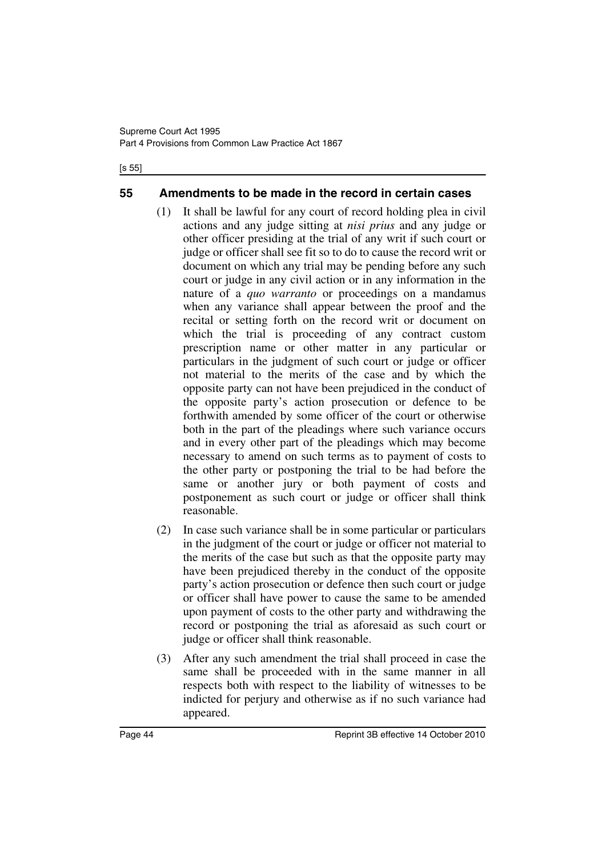#### [s 55]

### **55 Amendments to be made in the record in certain cases**

- (1) It shall be lawful for any court of record holding plea in civil actions and any judge sitting at *nisi prius* and any judge or other officer presiding at the trial of any writ if such court or judge or officer shall see fit so to do to cause the record writ or document on which any trial may be pending before any such court or judge in any civil action or in any information in the nature of a *quo warranto* or proceedings on a mandamus when any variance shall appear between the proof and the recital or setting forth on the record writ or document on which the trial is proceeding of any contract custom prescription name or other matter in any particular or particulars in the judgment of such court or judge or officer not material to the merits of the case and by which the opposite party can not have been prejudiced in the conduct of the opposite party's action prosecution or defence to be forthwith amended by some officer of the court or otherwise both in the part of the pleadings where such variance occurs and in every other part of the pleadings which may become necessary to amend on such terms as to payment of costs to the other party or postponing the trial to be had before the same or another jury or both payment of costs and postponement as such court or judge or officer shall think reasonable.
- (2) In case such variance shall be in some particular or particulars in the judgment of the court or judge or officer not material to the merits of the case but such as that the opposite party may have been prejudiced thereby in the conduct of the opposite party's action prosecution or defence then such court or judge or officer shall have power to cause the same to be amended upon payment of costs to the other party and withdrawing the record or postponing the trial as aforesaid as such court or judge or officer shall think reasonable.
- (3) After any such amendment the trial shall proceed in case the same shall be proceeded with in the same manner in all respects both with respect to the liability of witnesses to be indicted for perjury and otherwise as if no such variance had appeared.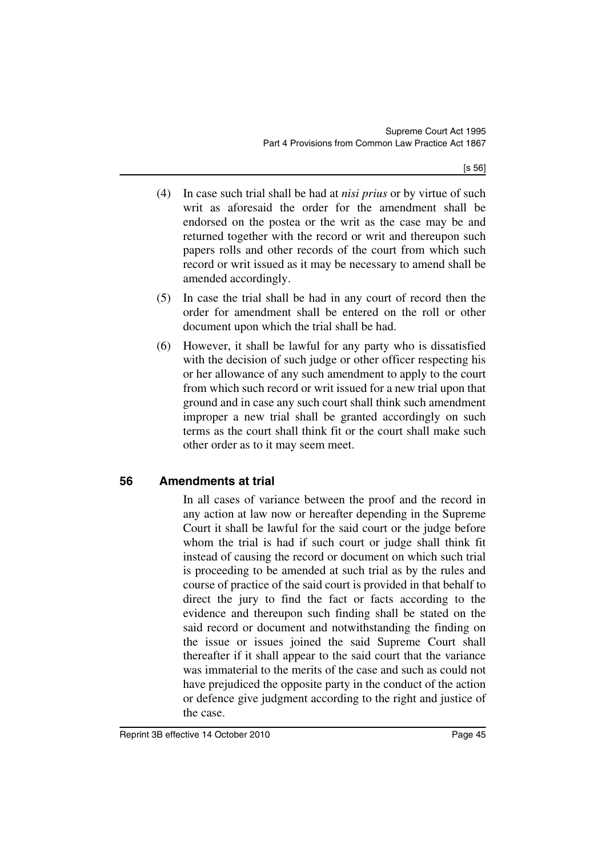[s 56]

- (4) In case such trial shall be had at *nisi prius* or by virtue of such writ as aforesaid the order for the amendment shall be endorsed on the postea or the writ as the case may be and returned together with the record or writ and thereupon such papers rolls and other records of the court from which such record or writ issued as it may be necessary to amend shall be amended accordingly.
- (5) In case the trial shall be had in any court of record then the order for amendment shall be entered on the roll or other document upon which the trial shall be had.
- (6) However, it shall be lawful for any party who is dissatisfied with the decision of such judge or other officer respecting his or her allowance of any such amendment to apply to the court from which such record or writ issued for a new trial upon that ground and in case any such court shall think such amendment improper a new trial shall be granted accordingly on such terms as the court shall think fit or the court shall make such other order as to it may seem meet.

## **56 Amendments at trial**

In all cases of variance between the proof and the record in any action at law now or hereafter depending in the Supreme Court it shall be lawful for the said court or the judge before whom the trial is had if such court or judge shall think fit instead of causing the record or document on which such trial is proceeding to be amended at such trial as by the rules and course of practice of the said court is provided in that behalf to direct the jury to find the fact or facts according to the evidence and thereupon such finding shall be stated on the said record or document and notwithstanding the finding on the issue or issues joined the said Supreme Court shall thereafter if it shall appear to the said court that the variance was immaterial to the merits of the case and such as could not have prejudiced the opposite party in the conduct of the action or defence give judgment according to the right and justice of the case.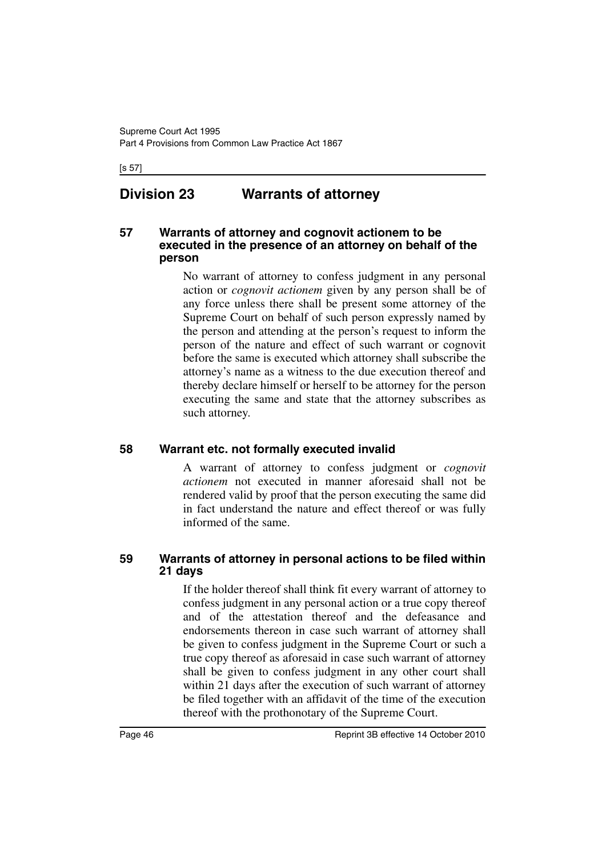#### [s 57]

## **Division 23 Warrants of attorney**

#### **57 Warrants of attorney and cognovit actionem to be executed in the presence of an attorney on behalf of the person**

No warrant of attorney to confess judgment in any personal action or *cognovit actionem* given by any person shall be of any force unless there shall be present some attorney of the Supreme Court on behalf of such person expressly named by the person and attending at the person's request to inform the person of the nature and effect of such warrant or cognovit before the same is executed which attorney shall subscribe the attorney's name as a witness to the due execution thereof and thereby declare himself or herself to be attorney for the person executing the same and state that the attorney subscribes as such attorney.

#### **58 Warrant etc. not formally executed invalid**

A warrant of attorney to confess judgment or *cognovit actionem* not executed in manner aforesaid shall not be rendered valid by proof that the person executing the same did in fact understand the nature and effect thereof or was fully informed of the same.

#### **59 Warrants of attorney in personal actions to be filed within 21 days**

If the holder thereof shall think fit every warrant of attorney to confess judgment in any personal action or a true copy thereof and of the attestation thereof and the defeasance and endorsements thereon in case such warrant of attorney shall be given to confess judgment in the Supreme Court or such a true copy thereof as aforesaid in case such warrant of attorney shall be given to confess judgment in any other court shall within 21 days after the execution of such warrant of attorney be filed together with an affidavit of the time of the execution thereof with the prothonotary of the Supreme Court.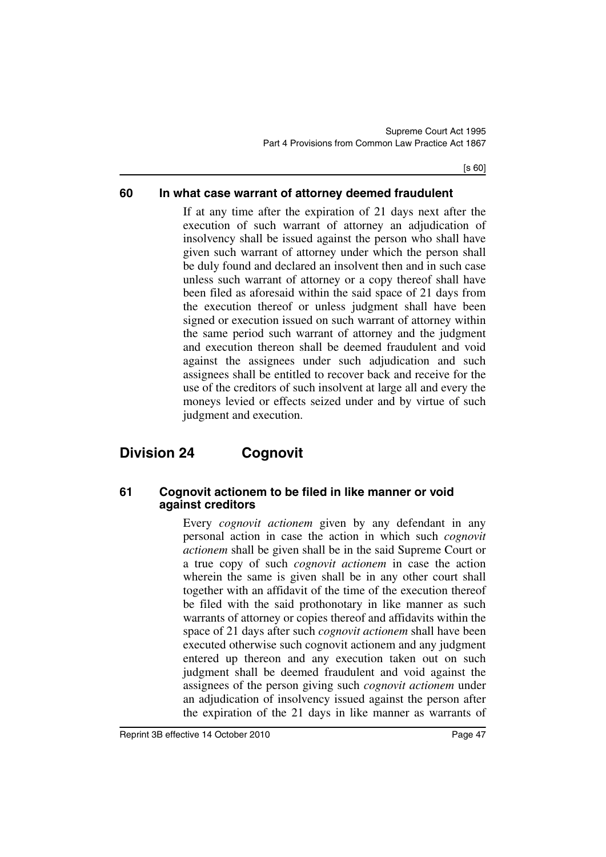[s 60]

### **60 In what case warrant of attorney deemed fraudulent**

If at any time after the expiration of 21 days next after the execution of such warrant of attorney an adjudication of insolvency shall be issued against the person who shall have given such warrant of attorney under which the person shall be duly found and declared an insolvent then and in such case unless such warrant of attorney or a copy thereof shall have been filed as aforesaid within the said space of 21 days from the execution thereof or unless judgment shall have been signed or execution issued on such warrant of attorney within the same period such warrant of attorney and the judgment and execution thereon shall be deemed fraudulent and void against the assignees under such adjudication and such assignees shall be entitled to recover back and receive for the use of the creditors of such insolvent at large all and every the moneys levied or effects seized under and by virtue of such judgment and execution.

# **Division 24 Cognovit**

#### **61 Cognovit actionem to be filed in like manner or void against creditors**

Every *cognovit actionem* given by any defendant in any personal action in case the action in which such *cognovit actionem* shall be given shall be in the said Supreme Court or a true copy of such *cognovit actionem* in case the action wherein the same is given shall be in any other court shall together with an affidavit of the time of the execution thereof be filed with the said prothonotary in like manner as such warrants of attorney or copies thereof and affidavits within the space of 21 days after such *cognovit actionem* shall have been executed otherwise such cognovit actionem and any judgment entered up thereon and any execution taken out on such judgment shall be deemed fraudulent and void against the assignees of the person giving such *cognovit actionem* under an adjudication of insolvency issued against the person after the expiration of the 21 days in like manner as warrants of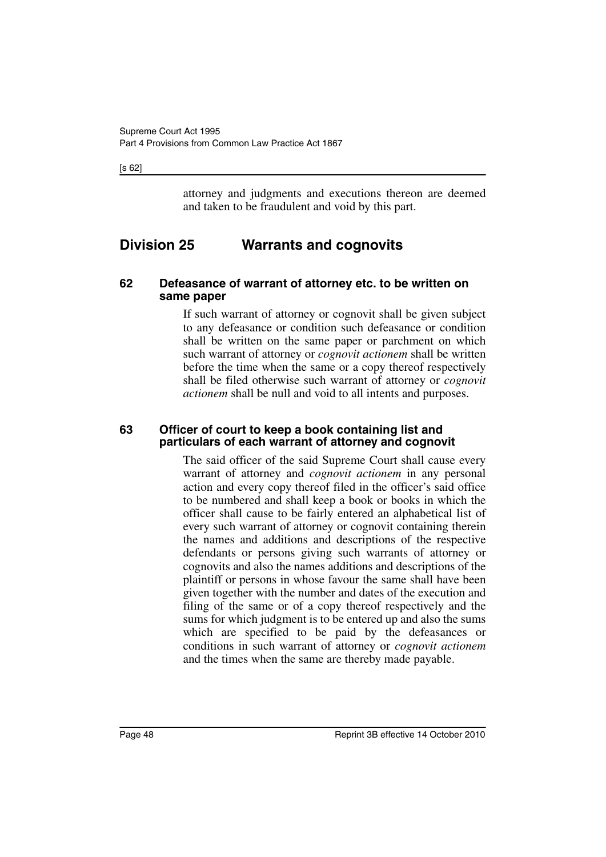#### [s 62]

attorney and judgments and executions thereon are deemed and taken to be fraudulent and void by this part.

## **Division 25 Warrants and cognovits**

#### **62 Defeasance of warrant of attorney etc. to be written on same paper**

If such warrant of attorney or cognovit shall be given subject to any defeasance or condition such defeasance or condition shall be written on the same paper or parchment on which such warrant of attorney or *cognovit actionem* shall be written before the time when the same or a copy thereof respectively shall be filed otherwise such warrant of attorney or *cognovit actionem* shall be null and void to all intents and purposes.

#### **63 Officer of court to keep a book containing list and particulars of each warrant of attorney and cognovit**

The said officer of the said Supreme Court shall cause every warrant of attorney and *cognovit actionem* in any personal action and every copy thereof filed in the officer's said office to be numbered and shall keep a book or books in which the officer shall cause to be fairly entered an alphabetical list of every such warrant of attorney or cognovit containing therein the names and additions and descriptions of the respective defendants or persons giving such warrants of attorney or cognovits and also the names additions and descriptions of the plaintiff or persons in whose favour the same shall have been given together with the number and dates of the execution and filing of the same or of a copy thereof respectively and the sums for which judgment is to be entered up and also the sums which are specified to be paid by the defeasances or conditions in such warrant of attorney or *cognovit actionem* and the times when the same are thereby made payable.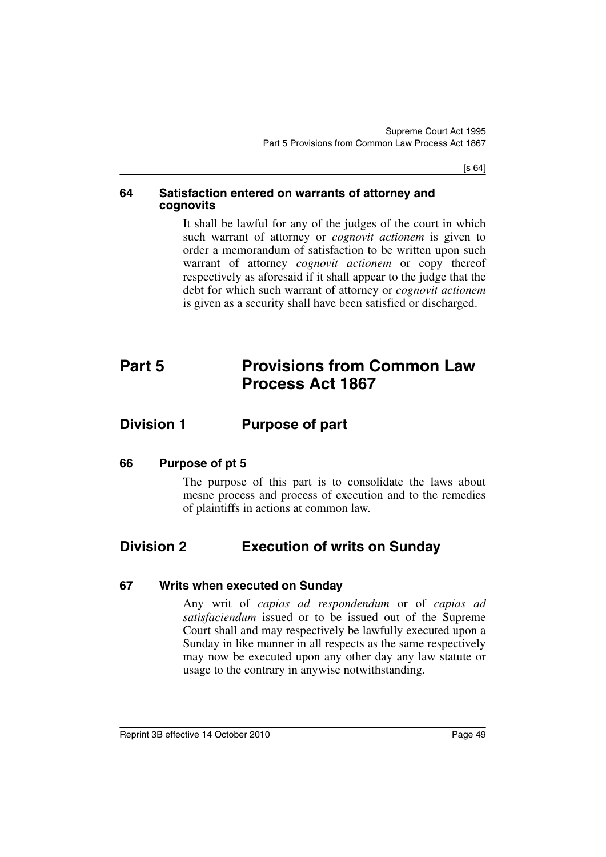[s 64]

#### **64 Satisfaction entered on warrants of attorney and cognovits**

It shall be lawful for any of the judges of the court in which such warrant of attorney or *cognovit actionem* is given to order a memorandum of satisfaction to be written upon such warrant of attorney *cognovit actionem* or copy thereof respectively as aforesaid if it shall appear to the judge that the debt for which such warrant of attorney or *cognovit actionem* is given as a security shall have been satisfied or discharged.

# **Part 5 Provisions from Common Law Process Act 1867**

## **Division 1 Purpose of part**

#### **66 Purpose of pt 5**

The purpose of this part is to consolidate the laws about mesne process and process of execution and to the remedies of plaintiffs in actions at common law.

## **Division 2 Execution of writs on Sunday**

#### **67 Writs when executed on Sunday**

Any writ of *capias ad respondendum* or of *capias ad satisfaciendum* issued or to be issued out of the Supreme Court shall and may respectively be lawfully executed upon a Sunday in like manner in all respects as the same respectively may now be executed upon any other day any law statute or usage to the contrary in anywise notwithstanding.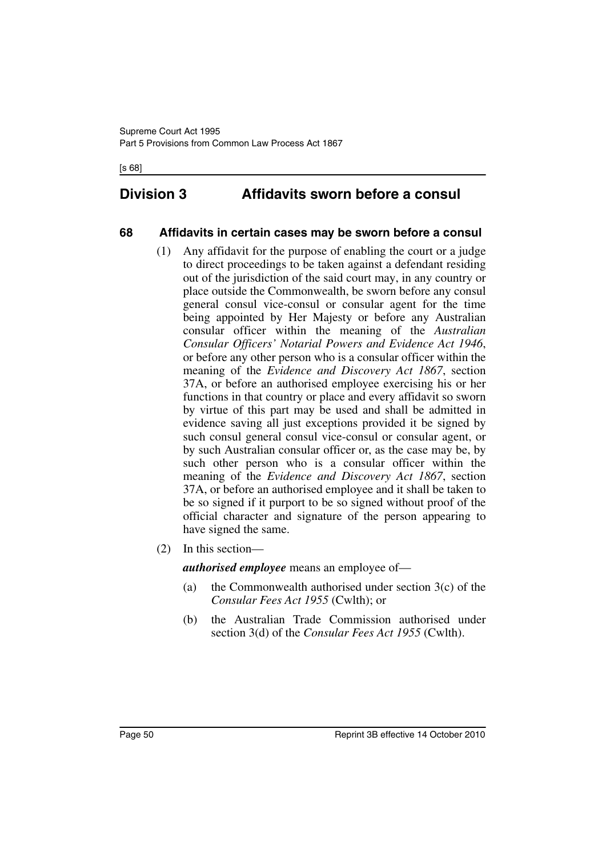[s 68]

## **Division 3 Affidavits sworn before a consul**

### **68 Affidavits in certain cases may be sworn before a consul**

- (1) Any affidavit for the purpose of enabling the court or a judge to direct proceedings to be taken against a defendant residing out of the jurisdiction of the said court may, in any country or place outside the Commonwealth, be sworn before any consul general consul vice-consul or consular agent for the time being appointed by Her Majesty or before any Australian consular officer within the meaning of the *Australian Consular Officers' Notarial Powers and Evidence Act 1946*, or before any other person who is a consular officer within the meaning of the *Evidence and Discovery Act 1867*, section 37A, or before an authorised employee exercising his or her functions in that country or place and every affidavit so sworn by virtue of this part may be used and shall be admitted in evidence saving all just exceptions provided it be signed by such consul general consul vice-consul or consular agent, or by such Australian consular officer or, as the case may be, by such other person who is a consular officer within the meaning of the *Evidence and Discovery Act 1867*, section 37A, or before an authorised employee and it shall be taken to be so signed if it purport to be so signed without proof of the official character and signature of the person appearing to have signed the same.
- (2) In this section—

*authorised employee* means an employee of—

- (a) the Commonwealth authorised under section  $3(c)$  of the *Consular Fees Act 1955* (Cwlth); or
- (b) the Australian Trade Commission authorised under section 3(d) of the *Consular Fees Act 1955* (Cwlth).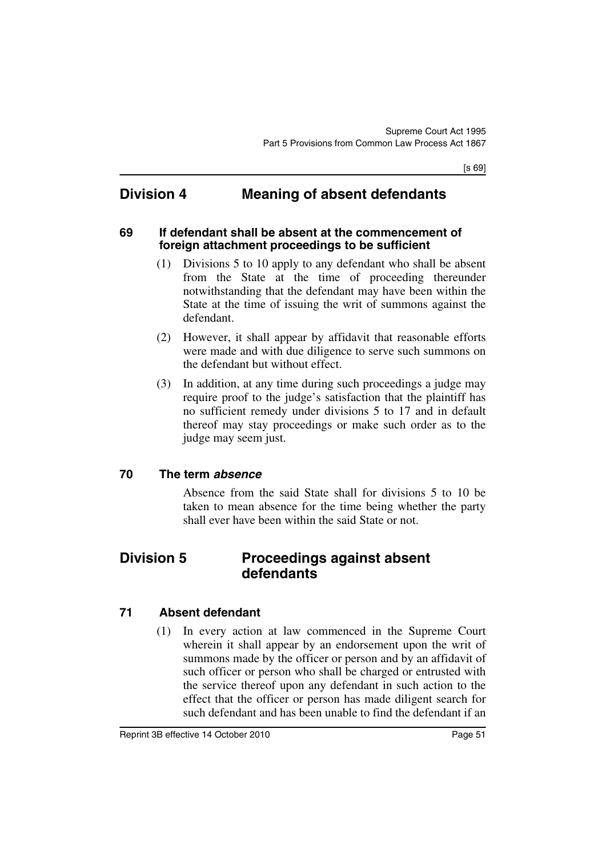## **Division 4 Meaning of absent defendants**

#### **69 If defendant shall be absent at the commencement of foreign attachment proceedings to be sufficient**

- (1) Divisions 5 to 10 apply to any defendant who shall be absent from the State at the time of proceeding thereunder notwithstanding that the defendant may have been within the State at the time of issuing the writ of summons against the defendant.
- (2) However, it shall appear by affidavit that reasonable efforts were made and with due diligence to serve such summons on the defendant but without effect.
- (3) In addition, at any time during such proceedings a judge may require proof to the judge's satisfaction that the plaintiff has no sufficient remedy under divisions 5 to 17 and in default thereof may stay proceedings or make such order as to the judge may seem just.

#### **70 The term** *absence*

Absence from the said State shall for divisions 5 to 10 be taken to mean absence for the time being whether the party shall ever have been within the said State or not.

## **Division 5 Proceedings against absent defendants**

### **71 Absent defendant**

(1) In every action at law commenced in the Supreme Court wherein it shall appear by an endorsement upon the writ of summons made by the officer or person and by an affidavit of such officer or person who shall be charged or entrusted with the service thereof upon any defendant in such action to the effect that the officer or person has made diligent search for such defendant and has been unable to find the defendant if an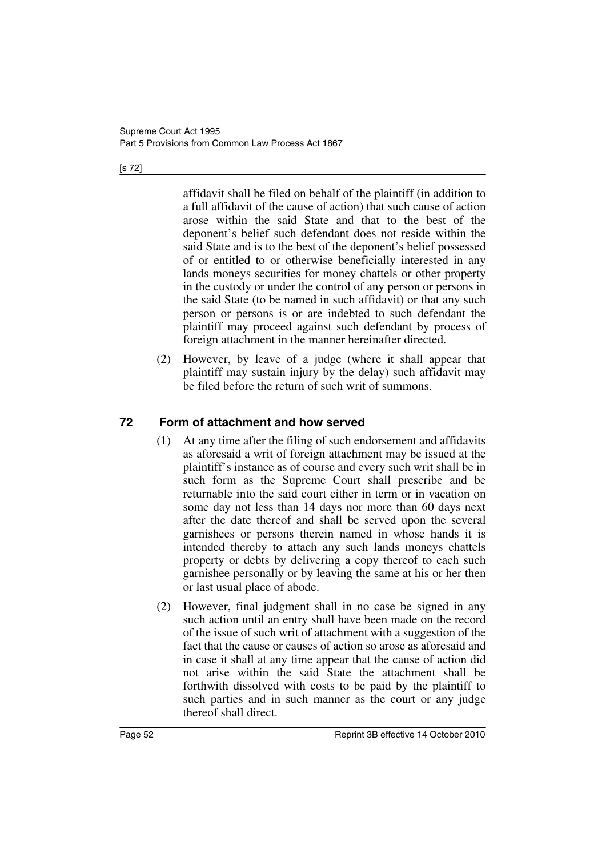#### [s 72]

affidavit shall be filed on behalf of the plaintiff (in addition to a full affidavit of the cause of action) that such cause of action arose within the said State and that to the best of the deponent's belief such defendant does not reside within the said State and is to the best of the deponent's belief possessed of or entitled to or otherwise beneficially interested in any lands moneys securities for money chattels or other property in the custody or under the control of any person or persons in the said State (to be named in such affidavit) or that any such person or persons is or are indebted to such defendant the plaintiff may proceed against such defendant by process of foreign attachment in the manner hereinafter directed.

(2) However, by leave of a judge (where it shall appear that plaintiff may sustain injury by the delay) such affidavit may be filed before the return of such writ of summons.

## **72 Form of attachment and how served**

- (1) At any time after the filing of such endorsement and affidavits as aforesaid a writ of foreign attachment may be issued at the plaintiff's instance as of course and every such writ shall be in such form as the Supreme Court shall prescribe and be returnable into the said court either in term or in vacation on some day not less than 14 days nor more than 60 days next after the date thereof and shall be served upon the several garnishees or persons therein named in whose hands it is intended thereby to attach any such lands moneys chattels property or debts by delivering a copy thereof to each such garnishee personally or by leaving the same at his or her then or last usual place of abode.
- (2) However, final judgment shall in no case be signed in any such action until an entry shall have been made on the record of the issue of such writ of attachment with a suggestion of the fact that the cause or causes of action so arose as aforesaid and in case it shall at any time appear that the cause of action did not arise within the said State the attachment shall be forthwith dissolved with costs to be paid by the plaintiff to such parties and in such manner as the court or any judge thereof shall direct.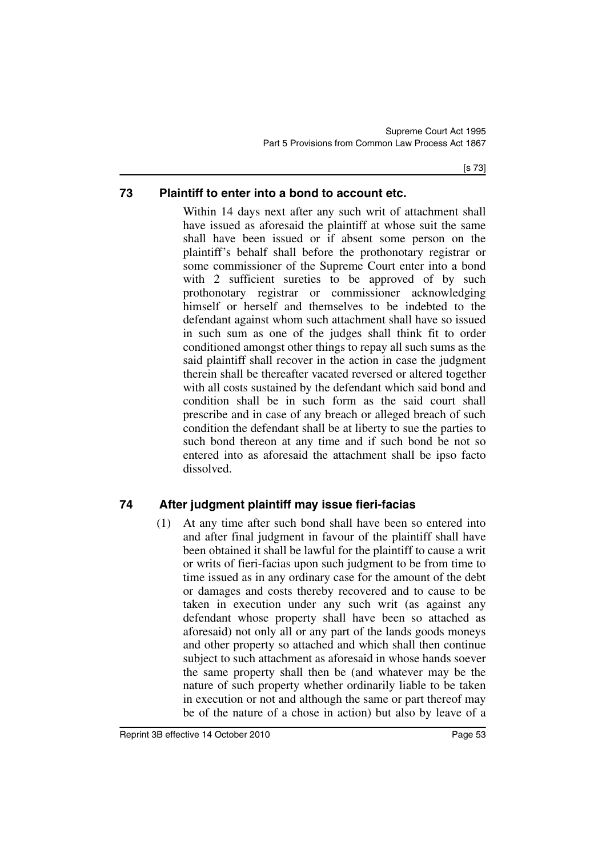## **73 Plaintiff to enter into a bond to account etc.**

Within 14 days next after any such writ of attachment shall have issued as aforesaid the plaintiff at whose suit the same shall have been issued or if absent some person on the plaintiff's behalf shall before the prothonotary registrar or some commissioner of the Supreme Court enter into a bond with 2 sufficient sureties to be approved of by such prothonotary registrar or commissioner acknowledging himself or herself and themselves to be indebted to the defendant against whom such attachment shall have so issued in such sum as one of the judges shall think fit to order conditioned amongst other things to repay all such sums as the said plaintiff shall recover in the action in case the judgment therein shall be thereafter vacated reversed or altered together with all costs sustained by the defendant which said bond and condition shall be in such form as the said court shall prescribe and in case of any breach or alleged breach of such condition the defendant shall be at liberty to sue the parties to such bond thereon at any time and if such bond be not so entered into as aforesaid the attachment shall be ipso facto dissolved.

## **74 After judgment plaintiff may issue fieri-facias**

(1) At any time after such bond shall have been so entered into and after final judgment in favour of the plaintiff shall have been obtained it shall be lawful for the plaintiff to cause a writ or writs of fieri-facias upon such judgment to be from time to time issued as in any ordinary case for the amount of the debt or damages and costs thereby recovered and to cause to be taken in execution under any such writ (as against any defendant whose property shall have been so attached as aforesaid) not only all or any part of the lands goods moneys and other property so attached and which shall then continue subject to such attachment as aforesaid in whose hands soever the same property shall then be (and whatever may be the nature of such property whether ordinarily liable to be taken in execution or not and although the same or part thereof may be of the nature of a chose in action) but also by leave of a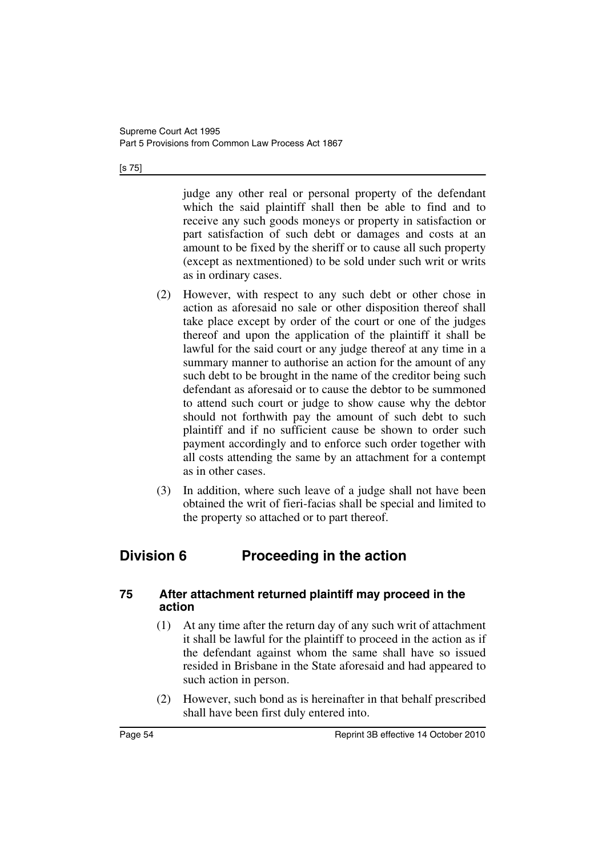[s 75]

judge any other real or personal property of the defendant which the said plaintiff shall then be able to find and to receive any such goods moneys or property in satisfaction or part satisfaction of such debt or damages and costs at an amount to be fixed by the sheriff or to cause all such property (except as nextmentioned) to be sold under such writ or writs as in ordinary cases.

- (2) However, with respect to any such debt or other chose in action as aforesaid no sale or other disposition thereof shall take place except by order of the court or one of the judges thereof and upon the application of the plaintiff it shall be lawful for the said court or any judge thereof at any time in a summary manner to authorise an action for the amount of any such debt to be brought in the name of the creditor being such defendant as aforesaid or to cause the debtor to be summoned to attend such court or judge to show cause why the debtor should not forthwith pay the amount of such debt to such plaintiff and if no sufficient cause be shown to order such payment accordingly and to enforce such order together with all costs attending the same by an attachment for a contempt as in other cases.
- (3) In addition, where such leave of a judge shall not have been obtained the writ of fieri-facias shall be special and limited to the property so attached or to part thereof.

# **Division 6 Proceeding in the action**

### **75 After attachment returned plaintiff may proceed in the action**

- (1) At any time after the return day of any such writ of attachment it shall be lawful for the plaintiff to proceed in the action as if the defendant against whom the same shall have so issued resided in Brisbane in the State aforesaid and had appeared to such action in person.
- (2) However, such bond as is hereinafter in that behalf prescribed shall have been first duly entered into.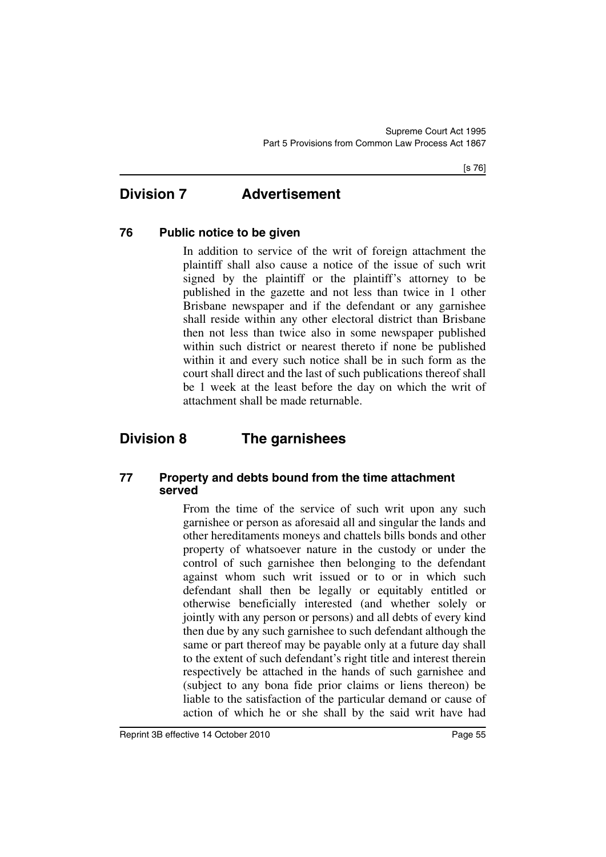## **Division 7 Advertisement**

### **76 Public notice to be given**

In addition to service of the writ of foreign attachment the plaintiff shall also cause a notice of the issue of such writ signed by the plaintiff or the plaintiff's attorney to be published in the gazette and not less than twice in 1 other Brisbane newspaper and if the defendant or any garnishee shall reside within any other electoral district than Brisbane then not less than twice also in some newspaper published within such district or nearest thereto if none be published within it and every such notice shall be in such form as the court shall direct and the last of such publications thereof shall be 1 week at the least before the day on which the writ of attachment shall be made returnable.

# **Division 8 The garnishees**

### **77 Property and debts bound from the time attachment served**

From the time of the service of such writ upon any such garnishee or person as aforesaid all and singular the lands and other hereditaments moneys and chattels bills bonds and other property of whatsoever nature in the custody or under the control of such garnishee then belonging to the defendant against whom such writ issued or to or in which such defendant shall then be legally or equitably entitled or otherwise beneficially interested (and whether solely or jointly with any person or persons) and all debts of every kind then due by any such garnishee to such defendant although the same or part thereof may be payable only at a future day shall to the extent of such defendant's right title and interest therein respectively be attached in the hands of such garnishee and (subject to any bona fide prior claims or liens thereon) be liable to the satisfaction of the particular demand or cause of action of which he or she shall by the said writ have had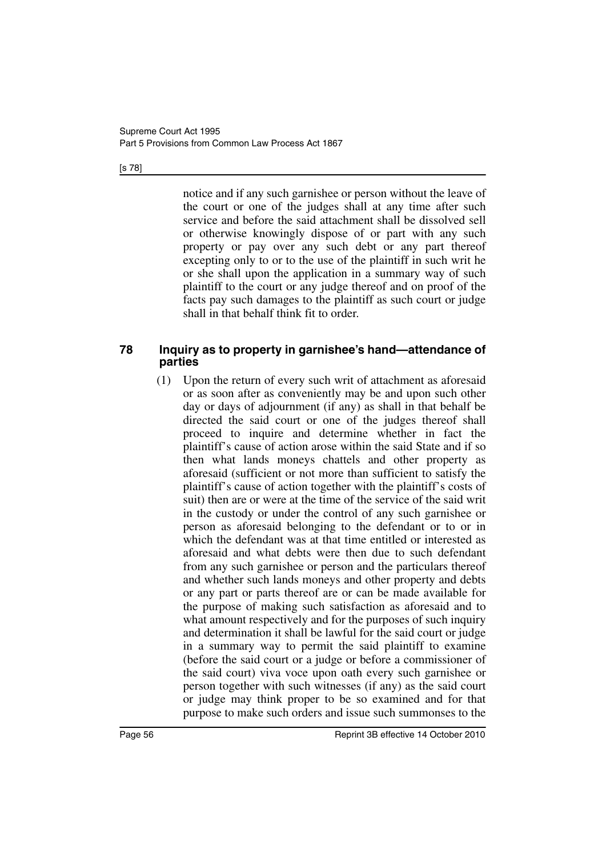#### [s 78]

notice and if any such garnishee or person without the leave of the court or one of the judges shall at any time after such service and before the said attachment shall be dissolved sell or otherwise knowingly dispose of or part with any such property or pay over any such debt or any part thereof excepting only to or to the use of the plaintiff in such writ he or she shall upon the application in a summary way of such plaintiff to the court or any judge thereof and on proof of the facts pay such damages to the plaintiff as such court or judge shall in that behalf think fit to order.

#### **78 Inquiry as to property in garnishee's hand—attendance of parties**

(1) Upon the return of every such writ of attachment as aforesaid or as soon after as conveniently may be and upon such other day or days of adjournment (if any) as shall in that behalf be directed the said court or one of the judges thereof shall proceed to inquire and determine whether in fact the plaintiff's cause of action arose within the said State and if so then what lands moneys chattels and other property as aforesaid (sufficient or not more than sufficient to satisfy the plaintiff's cause of action together with the plaintiff's costs of suit) then are or were at the time of the service of the said writ in the custody or under the control of any such garnishee or person as aforesaid belonging to the defendant or to or in which the defendant was at that time entitled or interested as aforesaid and what debts were then due to such defendant from any such garnishee or person and the particulars thereof and whether such lands moneys and other property and debts or any part or parts thereof are or can be made available for the purpose of making such satisfaction as aforesaid and to what amount respectively and for the purposes of such inquiry and determination it shall be lawful for the said court or judge in a summary way to permit the said plaintiff to examine (before the said court or a judge or before a commissioner of the said court) viva voce upon oath every such garnishee or person together with such witnesses (if any) as the said court or judge may think proper to be so examined and for that purpose to make such orders and issue such summonses to the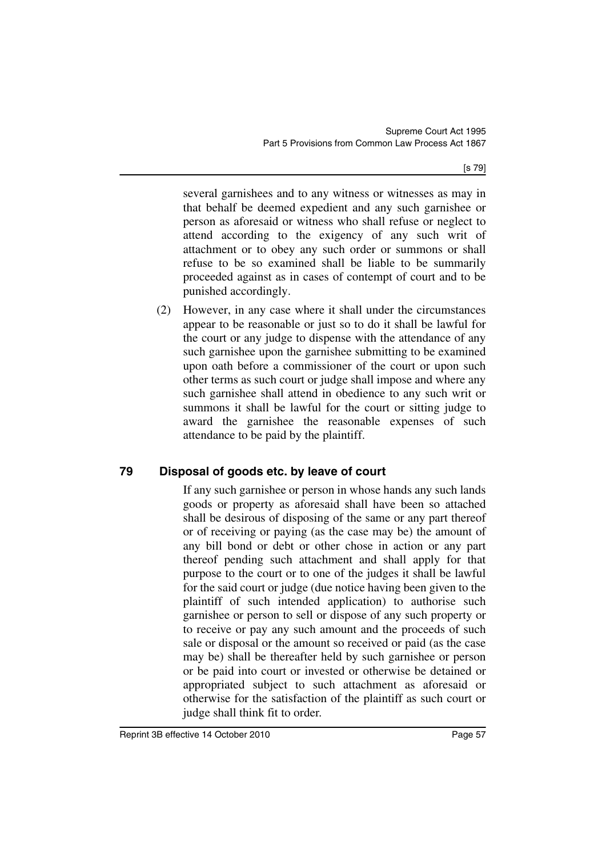[s 79]

several garnishees and to any witness or witnesses as may in that behalf be deemed expedient and any such garnishee or person as aforesaid or witness who shall refuse or neglect to attend according to the exigency of any such writ of attachment or to obey any such order or summons or shall refuse to be so examined shall be liable to be summarily proceeded against as in cases of contempt of court and to be punished accordingly.

(2) However, in any case where it shall under the circumstances appear to be reasonable or just so to do it shall be lawful for the court or any judge to dispense with the attendance of any such garnishee upon the garnishee submitting to be examined upon oath before a commissioner of the court or upon such other terms as such court or judge shall impose and where any such garnishee shall attend in obedience to any such writ or summons it shall be lawful for the court or sitting judge to award the garnishee the reasonable expenses of such attendance to be paid by the plaintiff.

## **79 Disposal of goods etc. by leave of court**

If any such garnishee or person in whose hands any such lands goods or property as aforesaid shall have been so attached shall be desirous of disposing of the same or any part thereof or of receiving or paying (as the case may be) the amount of any bill bond or debt or other chose in action or any part thereof pending such attachment and shall apply for that purpose to the court or to one of the judges it shall be lawful for the said court or judge (due notice having been given to the plaintiff of such intended application) to authorise such garnishee or person to sell or dispose of any such property or to receive or pay any such amount and the proceeds of such sale or disposal or the amount so received or paid (as the case may be) shall be thereafter held by such garnishee or person or be paid into court or invested or otherwise be detained or appropriated subject to such attachment as aforesaid or otherwise for the satisfaction of the plaintiff as such court or judge shall think fit to order.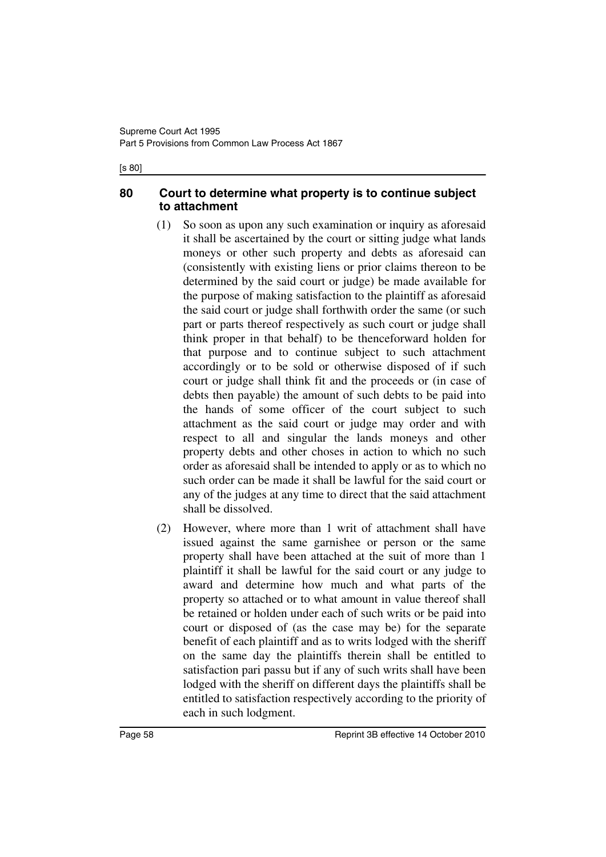#### [s 80]

### **80 Court to determine what property is to continue subject to attachment**

- (1) So soon as upon any such examination or inquiry as aforesaid it shall be ascertained by the court or sitting judge what lands moneys or other such property and debts as aforesaid can (consistently with existing liens or prior claims thereon to be determined by the said court or judge) be made available for the purpose of making satisfaction to the plaintiff as aforesaid the said court or judge shall forthwith order the same (or such part or parts thereof respectively as such court or judge shall think proper in that behalf) to be thenceforward holden for that purpose and to continue subject to such attachment accordingly or to be sold or otherwise disposed of if such court or judge shall think fit and the proceeds or (in case of debts then payable) the amount of such debts to be paid into the hands of some officer of the court subject to such attachment as the said court or judge may order and with respect to all and singular the lands moneys and other property debts and other choses in action to which no such order as aforesaid shall be intended to apply or as to which no such order can be made it shall be lawful for the said court or any of the judges at any time to direct that the said attachment shall be dissolved.
- (2) However, where more than 1 writ of attachment shall have issued against the same garnishee or person or the same property shall have been attached at the suit of more than 1 plaintiff it shall be lawful for the said court or any judge to award and determine how much and what parts of the property so attached or to what amount in value thereof shall be retained or holden under each of such writs or be paid into court or disposed of (as the case may be) for the separate benefit of each plaintiff and as to writs lodged with the sheriff on the same day the plaintiffs therein shall be entitled to satisfaction pari passu but if any of such writs shall have been lodged with the sheriff on different days the plaintiffs shall be entitled to satisfaction respectively according to the priority of each in such lodgment.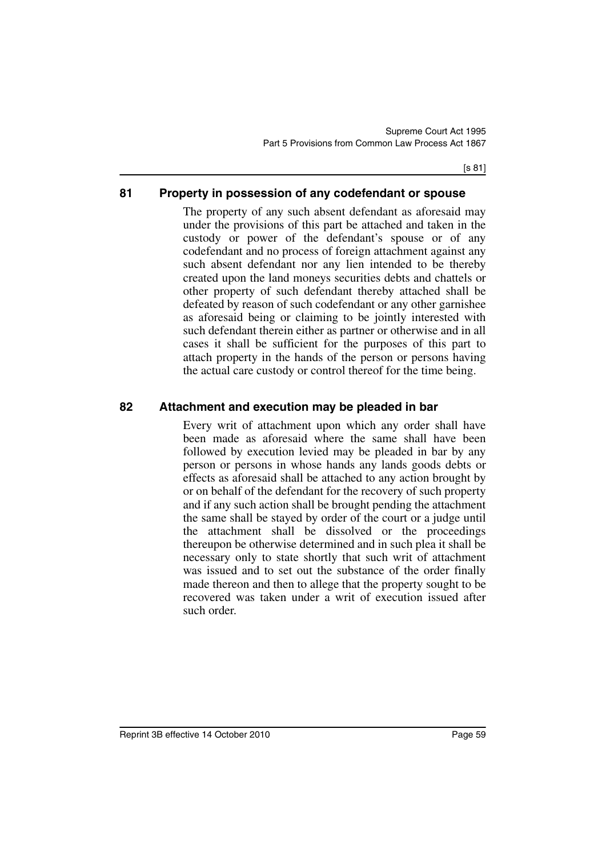### **81 Property in possession of any codefendant or spouse**

The property of any such absent defendant as aforesaid may under the provisions of this part be attached and taken in the custody or power of the defendant's spouse or of any codefendant and no process of foreign attachment against any such absent defendant nor any lien intended to be thereby created upon the land moneys securities debts and chattels or other property of such defendant thereby attached shall be defeated by reason of such codefendant or any other garnishee as aforesaid being or claiming to be jointly interested with such defendant therein either as partner or otherwise and in all cases it shall be sufficient for the purposes of this part to attach property in the hands of the person or persons having the actual care custody or control thereof for the time being.

### **82 Attachment and execution may be pleaded in bar**

Every writ of attachment upon which any order shall have been made as aforesaid where the same shall have been followed by execution levied may be pleaded in bar by any person or persons in whose hands any lands goods debts or effects as aforesaid shall be attached to any action brought by or on behalf of the defendant for the recovery of such property and if any such action shall be brought pending the attachment the same shall be stayed by order of the court or a judge until the attachment shall be dissolved or the proceedings thereupon be otherwise determined and in such plea it shall be necessary only to state shortly that such writ of attachment was issued and to set out the substance of the order finally made thereon and then to allege that the property sought to be recovered was taken under a writ of execution issued after such order.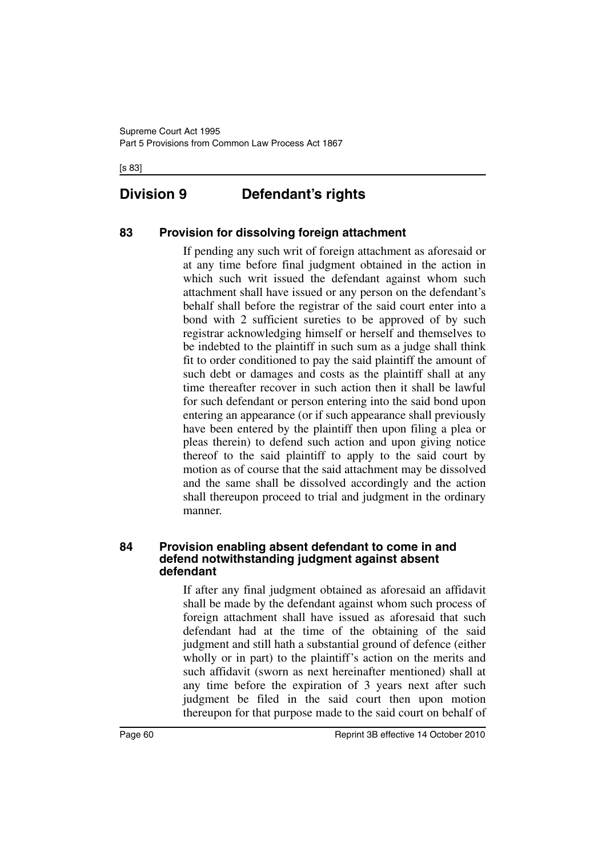[s 83]

# **Division 9 Defendant's rights**

## **83 Provision for dissolving foreign attachment**

If pending any such writ of foreign attachment as aforesaid or at any time before final judgment obtained in the action in which such writ issued the defendant against whom such attachment shall have issued or any person on the defendant's behalf shall before the registrar of the said court enter into a bond with 2 sufficient sureties to be approved of by such registrar acknowledging himself or herself and themselves to be indebted to the plaintiff in such sum as a judge shall think fit to order conditioned to pay the said plaintiff the amount of such debt or damages and costs as the plaintiff shall at any time thereafter recover in such action then it shall be lawful for such defendant or person entering into the said bond upon entering an appearance (or if such appearance shall previously have been entered by the plaintiff then upon filing a plea or pleas therein) to defend such action and upon giving notice thereof to the said plaintiff to apply to the said court by motion as of course that the said attachment may be dissolved and the same shall be dissolved accordingly and the action shall thereupon proceed to trial and judgment in the ordinary manner.

#### **84 Provision enabling absent defendant to come in and defend notwithstanding judgment against absent defendant**

If after any final judgment obtained as aforesaid an affidavit shall be made by the defendant against whom such process of foreign attachment shall have issued as aforesaid that such defendant had at the time of the obtaining of the said judgment and still hath a substantial ground of defence (either wholly or in part) to the plaintiff's action on the merits and such affidavit (sworn as next hereinafter mentioned) shall at any time before the expiration of 3 years next after such judgment be filed in the said court then upon motion thereupon for that purpose made to the said court on behalf of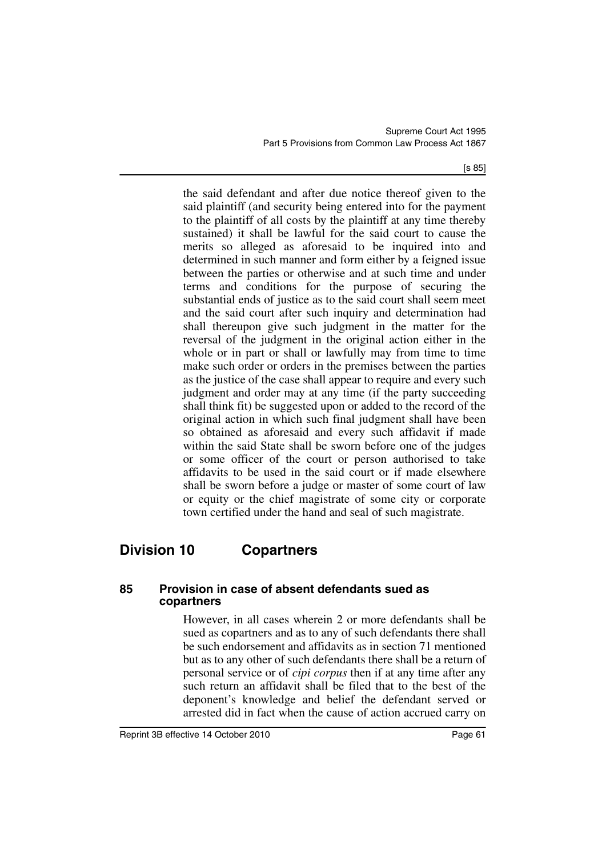[s 85]

the said defendant and after due notice thereof given to the said plaintiff (and security being entered into for the payment to the plaintiff of all costs by the plaintiff at any time thereby sustained) it shall be lawful for the said court to cause the merits so alleged as aforesaid to be inquired into and determined in such manner and form either by a feigned issue between the parties or otherwise and at such time and under terms and conditions for the purpose of securing the substantial ends of justice as to the said court shall seem meet and the said court after such inquiry and determination had shall thereupon give such judgment in the matter for the reversal of the judgment in the original action either in the whole or in part or shall or lawfully may from time to time make such order or orders in the premises between the parties as the justice of the case shall appear to require and every such judgment and order may at any time (if the party succeeding shall think fit) be suggested upon or added to the record of the original action in which such final judgment shall have been so obtained as aforesaid and every such affidavit if made within the said State shall be sworn before one of the judges or some officer of the court or person authorised to take affidavits to be used in the said court or if made elsewhere shall be sworn before a judge or master of some court of law or equity or the chief magistrate of some city or corporate town certified under the hand and seal of such magistrate.

# **Division 10 Copartners**

#### **85 Provision in case of absent defendants sued as copartners**

However, in all cases wherein 2 or more defendants shall be sued as copartners and as to any of such defendants there shall be such endorsement and affidavits as in section 71 mentioned but as to any other of such defendants there shall be a return of personal service or of *cipi corpus* then if at any time after any such return an affidavit shall be filed that to the best of the deponent's knowledge and belief the defendant served or arrested did in fact when the cause of action accrued carry on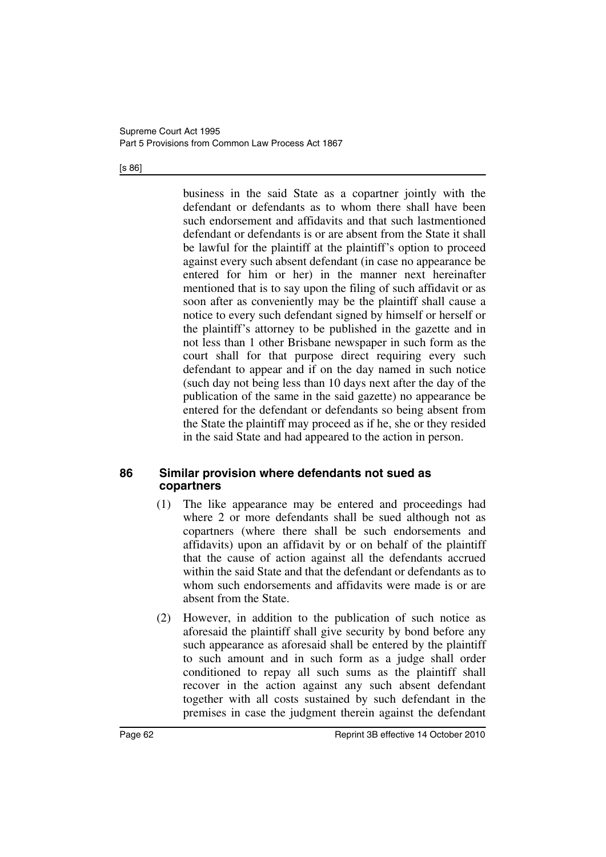#### [s 86]

business in the said State as a copartner jointly with the defendant or defendants as to whom there shall have been such endorsement and affidavits and that such lastmentioned defendant or defendants is or are absent from the State it shall be lawful for the plaintiff at the plaintiff's option to proceed against every such absent defendant (in case no appearance be entered for him or her) in the manner next hereinafter mentioned that is to say upon the filing of such affidavit or as soon after as conveniently may be the plaintiff shall cause a notice to every such defendant signed by himself or herself or the plaintiff's attorney to be published in the gazette and in not less than 1 other Brisbane newspaper in such form as the court shall for that purpose direct requiring every such defendant to appear and if on the day named in such notice (such day not being less than 10 days next after the day of the publication of the same in the said gazette) no appearance be entered for the defendant or defendants so being absent from the State the plaintiff may proceed as if he, she or they resided in the said State and had appeared to the action in person.

#### **86 Similar provision where defendants not sued as copartners**

- (1) The like appearance may be entered and proceedings had where 2 or more defendants shall be sued although not as copartners (where there shall be such endorsements and affidavits) upon an affidavit by or on behalf of the plaintiff that the cause of action against all the defendants accrued within the said State and that the defendant or defendants as to whom such endorsements and affidavits were made is or are absent from the State.
- (2) However, in addition to the publication of such notice as aforesaid the plaintiff shall give security by bond before any such appearance as aforesaid shall be entered by the plaintiff to such amount and in such form as a judge shall order conditioned to repay all such sums as the plaintiff shall recover in the action against any such absent defendant together with all costs sustained by such defendant in the premises in case the judgment therein against the defendant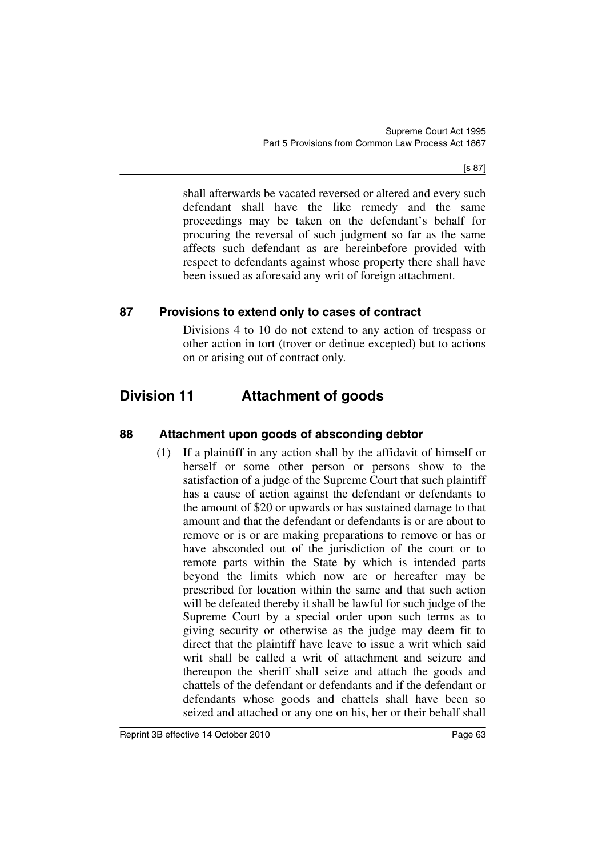[s 87]

shall afterwards be vacated reversed or altered and every such defendant shall have the like remedy and the same proceedings may be taken on the defendant's behalf for procuring the reversal of such judgment so far as the same affects such defendant as are hereinbefore provided with respect to defendants against whose property there shall have been issued as aforesaid any writ of foreign attachment.

## **87 Provisions to extend only to cases of contract**

Divisions 4 to 10 do not extend to any action of trespass or other action in tort (trover or detinue excepted) but to actions on or arising out of contract only.

# **Division 11 Attachment of goods**

## **88 Attachment upon goods of absconding debtor**

(1) If a plaintiff in any action shall by the affidavit of himself or herself or some other person or persons show to the satisfaction of a judge of the Supreme Court that such plaintiff has a cause of action against the defendant or defendants to the amount of \$20 or upwards or has sustained damage to that amount and that the defendant or defendants is or are about to remove or is or are making preparations to remove or has or have absconded out of the jurisdiction of the court or to remote parts within the State by which is intended parts beyond the limits which now are or hereafter may be prescribed for location within the same and that such action will be defeated thereby it shall be lawful for such judge of the Supreme Court by a special order upon such terms as to giving security or otherwise as the judge may deem fit to direct that the plaintiff have leave to issue a writ which said writ shall be called a writ of attachment and seizure and thereupon the sheriff shall seize and attach the goods and chattels of the defendant or defendants and if the defendant or defendants whose goods and chattels shall have been so seized and attached or any one on his, her or their behalf shall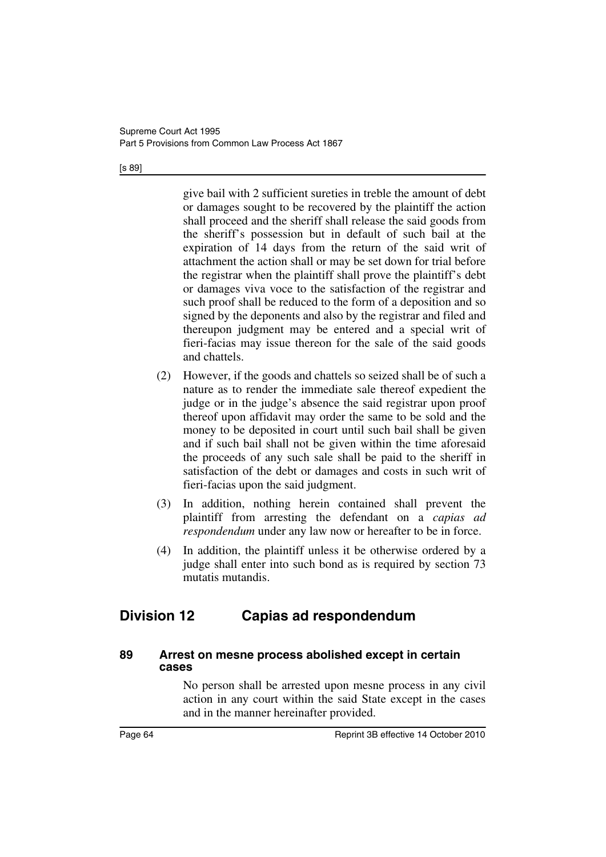#### [s 89]

give bail with 2 sufficient sureties in treble the amount of debt or damages sought to be recovered by the plaintiff the action shall proceed and the sheriff shall release the said goods from the sheriff's possession but in default of such bail at the expiration of 14 days from the return of the said writ of attachment the action shall or may be set down for trial before the registrar when the plaintiff shall prove the plaintiff's debt or damages viva voce to the satisfaction of the registrar and such proof shall be reduced to the form of a deposition and so signed by the deponents and also by the registrar and filed and thereupon judgment may be entered and a special writ of fieri-facias may issue thereon for the sale of the said goods and chattels.

- (2) However, if the goods and chattels so seized shall be of such a nature as to render the immediate sale thereof expedient the judge or in the judge's absence the said registrar upon proof thereof upon affidavit may order the same to be sold and the money to be deposited in court until such bail shall be given and if such bail shall not be given within the time aforesaid the proceeds of any such sale shall be paid to the sheriff in satisfaction of the debt or damages and costs in such writ of fieri-facias upon the said judgment.
- (3) In addition, nothing herein contained shall prevent the plaintiff from arresting the defendant on a *capias ad respondendum* under any law now or hereafter to be in force.
- (4) In addition, the plaintiff unless it be otherwise ordered by a judge shall enter into such bond as is required by section 73 mutatis mutandis.

## **Division 12 Capias ad respondendum**

#### **89 Arrest on mesne process abolished except in certain cases**

No person shall be arrested upon mesne process in any civil action in any court within the said State except in the cases and in the manner hereinafter provided.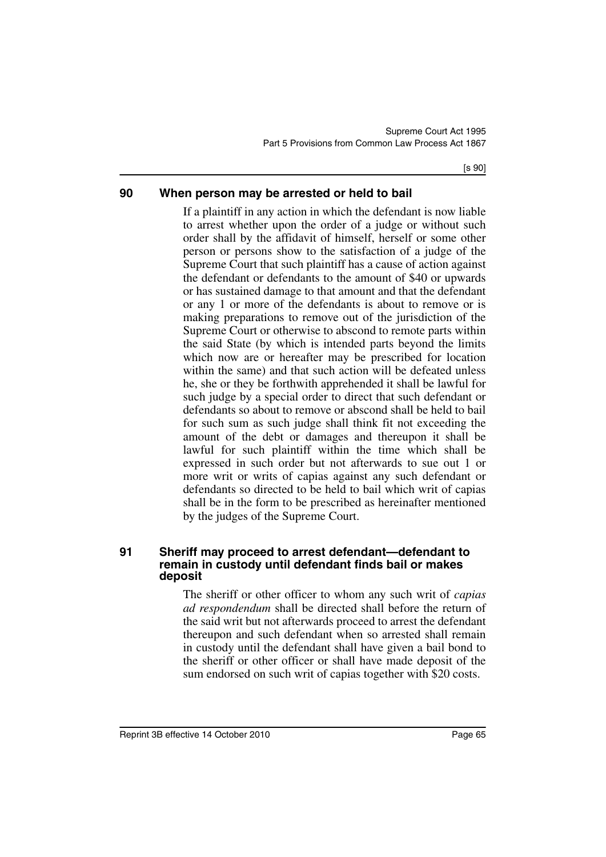[s 90]

### **90 When person may be arrested or held to bail**

If a plaintiff in any action in which the defendant is now liable to arrest whether upon the order of a judge or without such order shall by the affidavit of himself, herself or some other person or persons show to the satisfaction of a judge of the Supreme Court that such plaintiff has a cause of action against the defendant or defendants to the amount of \$40 or upwards or has sustained damage to that amount and that the defendant or any 1 or more of the defendants is about to remove or is making preparations to remove out of the jurisdiction of the Supreme Court or otherwise to abscond to remote parts within the said State (by which is intended parts beyond the limits which now are or hereafter may be prescribed for location within the same) and that such action will be defeated unless he, she or they be forthwith apprehended it shall be lawful for such judge by a special order to direct that such defendant or defendants so about to remove or abscond shall be held to bail for such sum as such judge shall think fit not exceeding the amount of the debt or damages and thereupon it shall be lawful for such plaintiff within the time which shall be expressed in such order but not afterwards to sue out 1 or more writ or writs of capias against any such defendant or defendants so directed to be held to bail which writ of capias shall be in the form to be prescribed as hereinafter mentioned by the judges of the Supreme Court.

#### **91 Sheriff may proceed to arrest defendant—defendant to remain in custody until defendant finds bail or makes deposit**

The sheriff or other officer to whom any such writ of *capias ad respondendum* shall be directed shall before the return of the said writ but not afterwards proceed to arrest the defendant thereupon and such defendant when so arrested shall remain in custody until the defendant shall have given a bail bond to the sheriff or other officer or shall have made deposit of the sum endorsed on such writ of capias together with \$20 costs.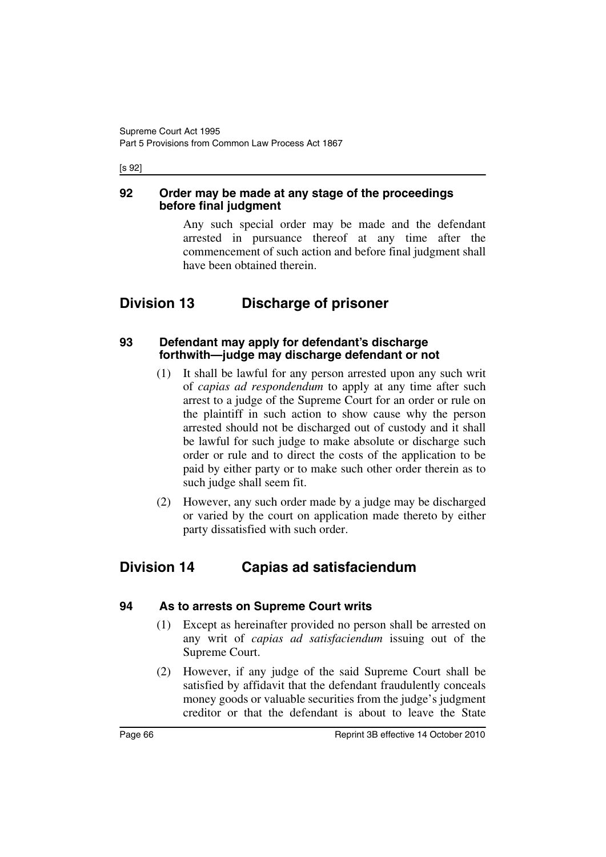[s 92]

### **92 Order may be made at any stage of the proceedings before final judgment**

Any such special order may be made and the defendant arrested in pursuance thereof at any time after the commencement of such action and before final judgment shall have been obtained therein.

# **Division 13 Discharge of prisoner**

#### **93 Defendant may apply for defendant's discharge forthwith—judge may discharge defendant or not**

- (1) It shall be lawful for any person arrested upon any such writ of *capias ad respondendum* to apply at any time after such arrest to a judge of the Supreme Court for an order or rule on the plaintiff in such action to show cause why the person arrested should not be discharged out of custody and it shall be lawful for such judge to make absolute or discharge such order or rule and to direct the costs of the application to be paid by either party or to make such other order therein as to such judge shall seem fit.
- (2) However, any such order made by a judge may be discharged or varied by the court on application made thereto by either party dissatisfied with such order.

# **Division 14 Capias ad satisfaciendum**

### **94 As to arrests on Supreme Court writs**

- (1) Except as hereinafter provided no person shall be arrested on any writ of *capias ad satisfaciendum* issuing out of the Supreme Court.
- (2) However, if any judge of the said Supreme Court shall be satisfied by affidavit that the defendant fraudulently conceals money goods or valuable securities from the judge's judgment creditor or that the defendant is about to leave the State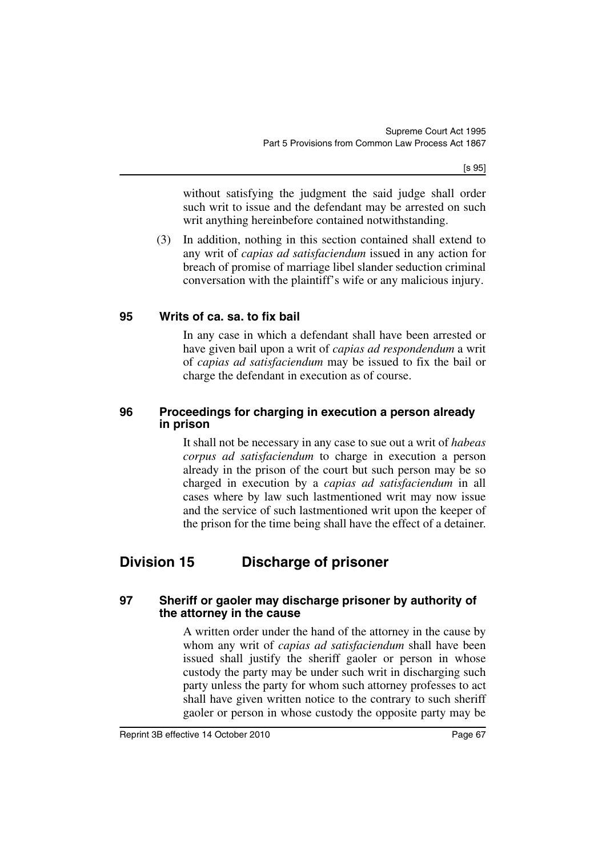[s 95]

without satisfying the judgment the said judge shall order such writ to issue and the defendant may be arrested on such writ anything hereinbefore contained notwithstanding.

(3) In addition, nothing in this section contained shall extend to any writ of *capias ad satisfaciendum* issued in any action for breach of promise of marriage libel slander seduction criminal conversation with the plaintiff's wife or any malicious injury.

### **95 Writs of ca. sa. to fix bail**

In any case in which a defendant shall have been arrested or have given bail upon a writ of *capias ad respondendum* a writ of *capias ad satisfaciendum* may be issued to fix the bail or charge the defendant in execution as of course.

### **96 Proceedings for charging in execution a person already in prison**

It shall not be necessary in any case to sue out a writ of *habeas corpus ad satisfaciendum* to charge in execution a person already in the prison of the court but such person may be so charged in execution by a *capias ad satisfaciendum* in all cases where by law such lastmentioned writ may now issue and the service of such lastmentioned writ upon the keeper of the prison for the time being shall have the effect of a detainer.

# **Division 15 Discharge of prisoner**

#### **97 Sheriff or gaoler may discharge prisoner by authority of the attorney in the cause**

A written order under the hand of the attorney in the cause by whom any writ of *capias ad satisfaciendum* shall have been issued shall justify the sheriff gaoler or person in whose custody the party may be under such writ in discharging such party unless the party for whom such attorney professes to act shall have given written notice to the contrary to such sheriff gaoler or person in whose custody the opposite party may be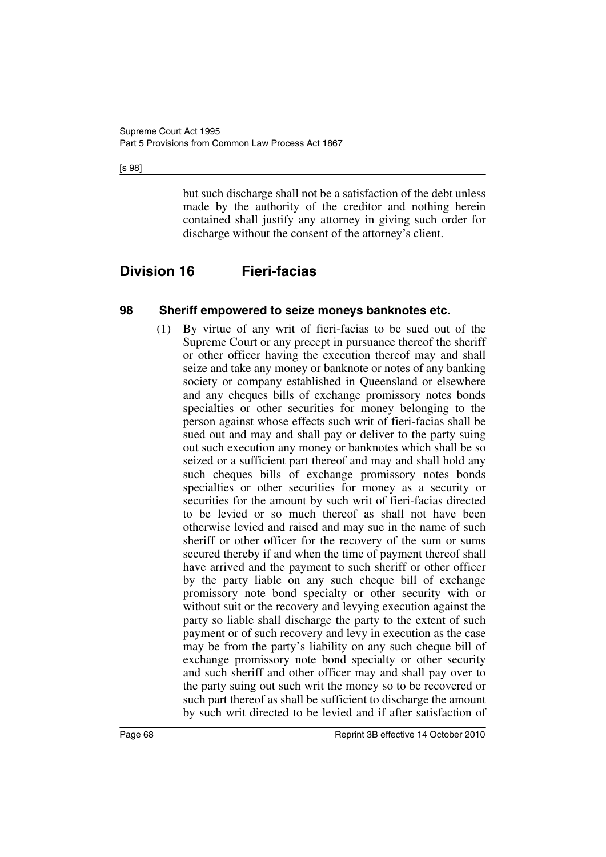#### [s 98]

but such discharge shall not be a satisfaction of the debt unless made by the authority of the creditor and nothing herein contained shall justify any attorney in giving such order for discharge without the consent of the attorney's client.

# **Division 16 Fieri-facias**

### **98 Sheriff empowered to seize moneys banknotes etc.**

(1) By virtue of any writ of fieri-facias to be sued out of the Supreme Court or any precept in pursuance thereof the sheriff or other officer having the execution thereof may and shall seize and take any money or banknote or notes of any banking society or company established in Queensland or elsewhere and any cheques bills of exchange promissory notes bonds specialties or other securities for money belonging to the person against whose effects such writ of fieri-facias shall be sued out and may and shall pay or deliver to the party suing out such execution any money or banknotes which shall be so seized or a sufficient part thereof and may and shall hold any such cheques bills of exchange promissory notes bonds specialties or other securities for money as a security or securities for the amount by such writ of fieri-facias directed to be levied or so much thereof as shall not have been otherwise levied and raised and may sue in the name of such sheriff or other officer for the recovery of the sum or sums secured thereby if and when the time of payment thereof shall have arrived and the payment to such sheriff or other officer by the party liable on any such cheque bill of exchange promissory note bond specialty or other security with or without suit or the recovery and levying execution against the party so liable shall discharge the party to the extent of such payment or of such recovery and levy in execution as the case may be from the party's liability on any such cheque bill of exchange promissory note bond specialty or other security and such sheriff and other officer may and shall pay over to the party suing out such writ the money so to be recovered or such part thereof as shall be sufficient to discharge the amount by such writ directed to be levied and if after satisfaction of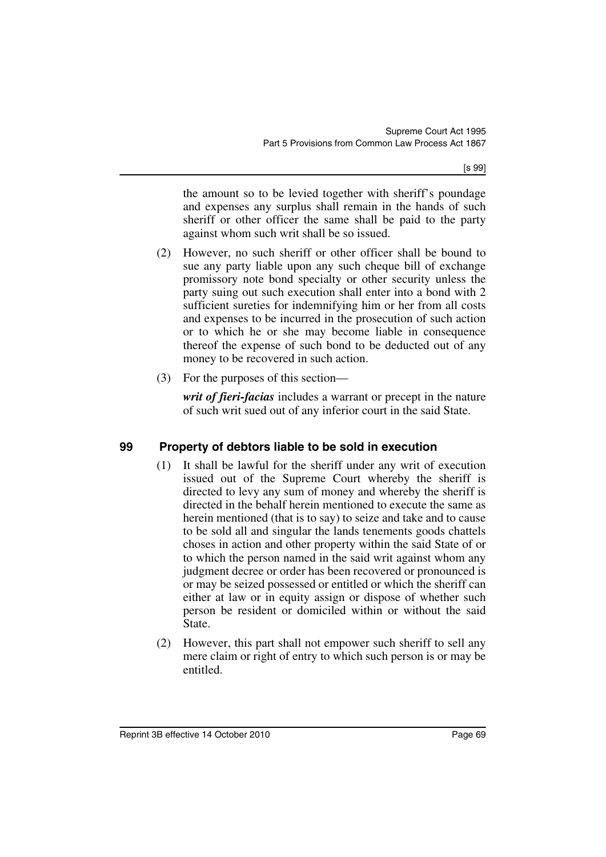the amount so to be levied together with sheriff's poundage and expenses any surplus shall remain in the hands of such sheriff or other officer the same shall be paid to the party against whom such writ shall be so issued.

- (2) However, no such sheriff or other officer shall be bound to sue any party liable upon any such cheque bill of exchange promissory note bond specialty or other security unless the party suing out such execution shall enter into a bond with 2 sufficient sureties for indemnifying him or her from all costs and expenses to be incurred in the prosecution of such action or to which he or she may become liable in consequence thereof the expense of such bond to be deducted out of any money to be recovered in such action.
- (3) For the purposes of this section—

*writ of fieri-facias* includes a warrant or precept in the nature of such writ sued out of any inferior court in the said State.

## **99 Property of debtors liable to be sold in execution**

- (1) It shall be lawful for the sheriff under any writ of execution issued out of the Supreme Court whereby the sheriff is directed to levy any sum of money and whereby the sheriff is directed in the behalf herein mentioned to execute the same as herein mentioned (that is to say) to seize and take and to cause to be sold all and singular the lands tenements goods chattels choses in action and other property within the said State of or to which the person named in the said writ against whom any judgment decree or order has been recovered or pronounced is or may be seized possessed or entitled or which the sheriff can either at law or in equity assign or dispose of whether such person be resident or domiciled within or without the said State.
- (2) However, this part shall not empower such sheriff to sell any mere claim or right of entry to which such person is or may be entitled.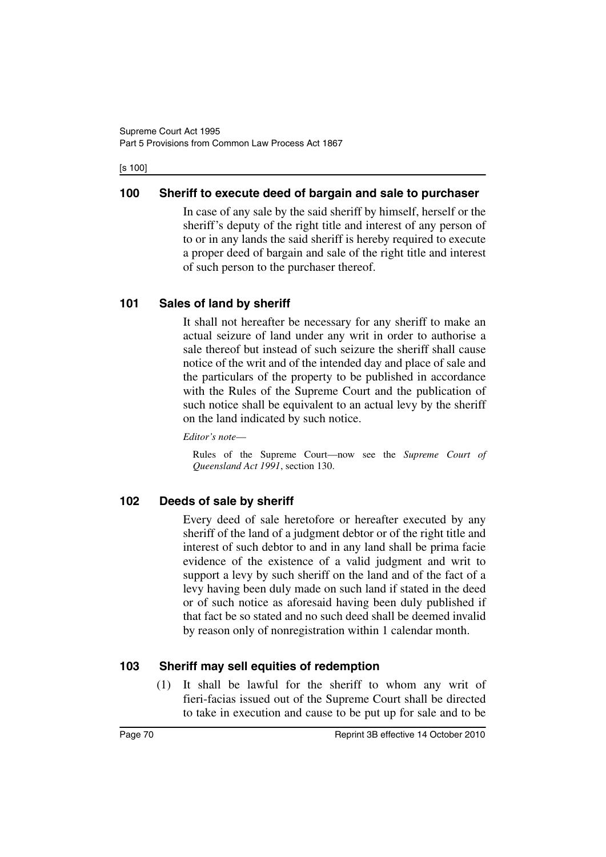#### [s 100]

## **100 Sheriff to execute deed of bargain and sale to purchaser**

In case of any sale by the said sheriff by himself, herself or the sheriff's deputy of the right title and interest of any person of to or in any lands the said sheriff is hereby required to execute a proper deed of bargain and sale of the right title and interest of such person to the purchaser thereof.

## **101 Sales of land by sheriff**

It shall not hereafter be necessary for any sheriff to make an actual seizure of land under any writ in order to authorise a sale thereof but instead of such seizure the sheriff shall cause notice of the writ and of the intended day and place of sale and the particulars of the property to be published in accordance with the Rules of the Supreme Court and the publication of such notice shall be equivalent to an actual levy by the sheriff on the land indicated by such notice.

*Editor's note*—

Rules of the Supreme Court—now see the *Supreme Court of Queensland Act 1991*, section 130.

## **102 Deeds of sale by sheriff**

Every deed of sale heretofore or hereafter executed by any sheriff of the land of a judgment debtor or of the right title and interest of such debtor to and in any land shall be prima facie evidence of the existence of a valid judgment and writ to support a levy by such sheriff on the land and of the fact of a levy having been duly made on such land if stated in the deed or of such notice as aforesaid having been duly published if that fact be so stated and no such deed shall be deemed invalid by reason only of nonregistration within 1 calendar month.

### **103 Sheriff may sell equities of redemption**

(1) It shall be lawful for the sheriff to whom any writ of fieri-facias issued out of the Supreme Court shall be directed to take in execution and cause to be put up for sale and to be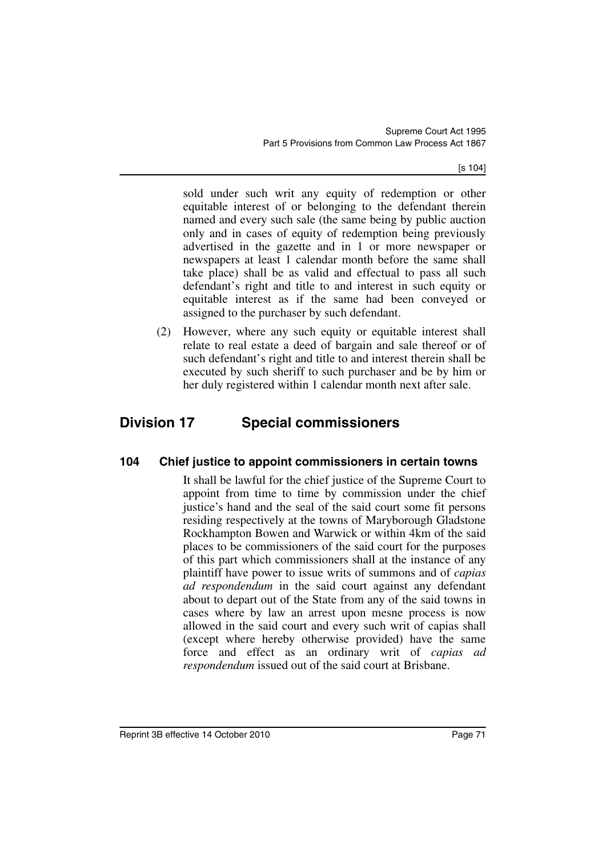[s 104]

sold under such writ any equity of redemption or other equitable interest of or belonging to the defendant therein named and every such sale (the same being by public auction only and in cases of equity of redemption being previously advertised in the gazette and in 1 or more newspaper or newspapers at least 1 calendar month before the same shall take place) shall be as valid and effectual to pass all such defendant's right and title to and interest in such equity or equitable interest as if the same had been conveyed or assigned to the purchaser by such defendant.

(2) However, where any such equity or equitable interest shall relate to real estate a deed of bargain and sale thereof or of such defendant's right and title to and interest therein shall be executed by such sheriff to such purchaser and be by him or her duly registered within 1 calendar month next after sale.

# **Division 17 Special commissioners**

## **104 Chief justice to appoint commissioners in certain towns**

It shall be lawful for the chief justice of the Supreme Court to appoint from time to time by commission under the chief justice's hand and the seal of the said court some fit persons residing respectively at the towns of Maryborough Gladstone Rockhampton Bowen and Warwick or within 4km of the said places to be commissioners of the said court for the purposes of this part which commissioners shall at the instance of any plaintiff have power to issue writs of summons and of *capias ad respondendum* in the said court against any defendant about to depart out of the State from any of the said towns in cases where by law an arrest upon mesne process is now allowed in the said court and every such writ of capias shall (except where hereby otherwise provided) have the same force and effect as an ordinary writ of *capias ad respondendum* issued out of the said court at Brisbane.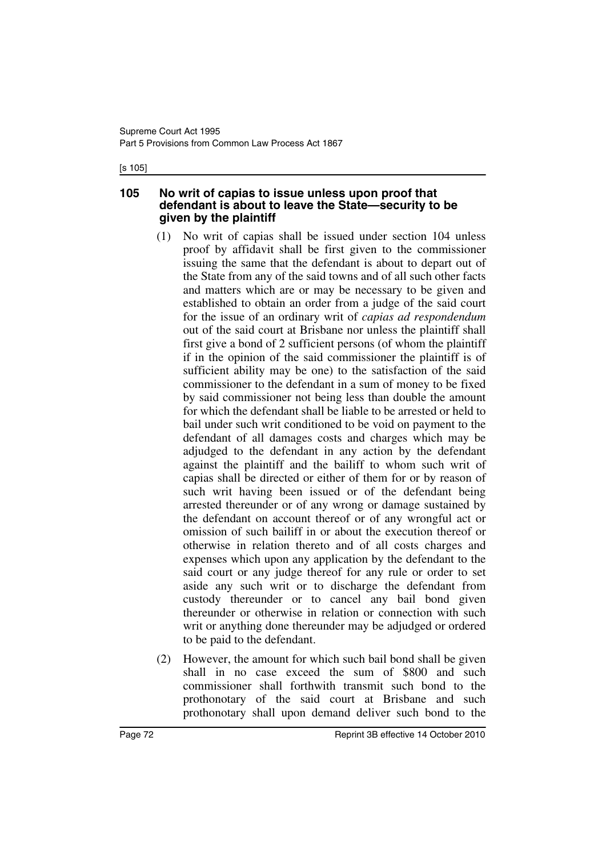#### [s 105]

#### **105 No writ of capias to issue unless upon proof that defendant is about to leave the State—security to be given by the plaintiff**

- (1) No writ of capias shall be issued under section 104 unless proof by affidavit shall be first given to the commissioner issuing the same that the defendant is about to depart out of the State from any of the said towns and of all such other facts and matters which are or may be necessary to be given and established to obtain an order from a judge of the said court for the issue of an ordinary writ of *capias ad respondendum* out of the said court at Brisbane nor unless the plaintiff shall first give a bond of 2 sufficient persons (of whom the plaintiff if in the opinion of the said commissioner the plaintiff is of sufficient ability may be one) to the satisfaction of the said commissioner to the defendant in a sum of money to be fixed by said commissioner not being less than double the amount for which the defendant shall be liable to be arrested or held to bail under such writ conditioned to be void on payment to the defendant of all damages costs and charges which may be adjudged to the defendant in any action by the defendant against the plaintiff and the bailiff to whom such writ of capias shall be directed or either of them for or by reason of such writ having been issued or of the defendant being arrested thereunder or of any wrong or damage sustained by the defendant on account thereof or of any wrongful act or omission of such bailiff in or about the execution thereof or otherwise in relation thereto and of all costs charges and expenses which upon any application by the defendant to the said court or any judge thereof for any rule or order to set aside any such writ or to discharge the defendant from custody thereunder or to cancel any bail bond given thereunder or otherwise in relation or connection with such writ or anything done thereunder may be adjudged or ordered to be paid to the defendant.
- (2) However, the amount for which such bail bond shall be given shall in no case exceed the sum of \$800 and such commissioner shall forthwith transmit such bond to the prothonotary of the said court at Brisbane and such prothonotary shall upon demand deliver such bond to the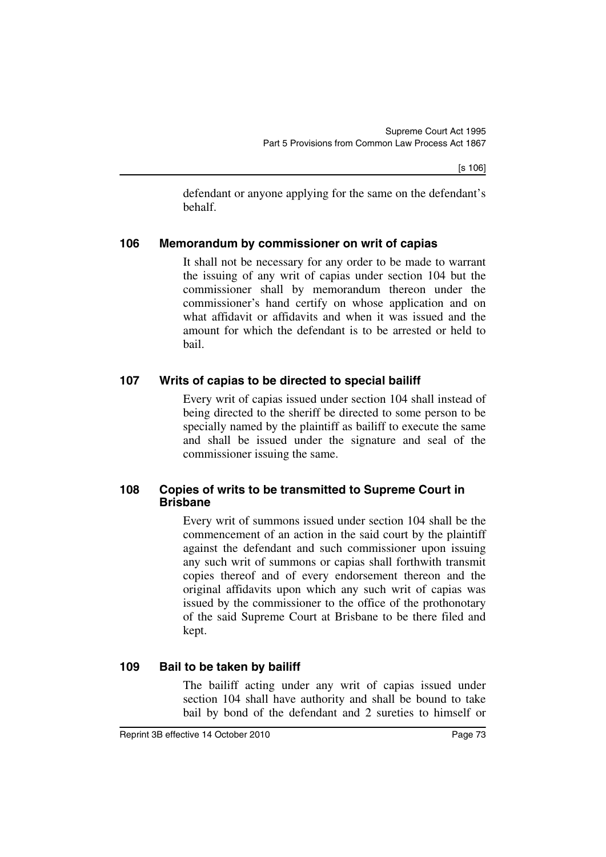defendant or anyone applying for the same on the defendant's behalf.

## **106 Memorandum by commissioner on writ of capias**

It shall not be necessary for any order to be made to warrant the issuing of any writ of capias under section 104 but the commissioner shall by memorandum thereon under the commissioner's hand certify on whose application and on what affidavit or affidavits and when it was issued and the amount for which the defendant is to be arrested or held to bail.

## **107 Writs of capias to be directed to special bailiff**

Every writ of capias issued under section 104 shall instead of being directed to the sheriff be directed to some person to be specially named by the plaintiff as bailiff to execute the same and shall be issued under the signature and seal of the commissioner issuing the same.

### **108 Copies of writs to be transmitted to Supreme Court in Brisbane**

Every writ of summons issued under section 104 shall be the commencement of an action in the said court by the plaintiff against the defendant and such commissioner upon issuing any such writ of summons or capias shall forthwith transmit copies thereof and of every endorsement thereon and the original affidavits upon which any such writ of capias was issued by the commissioner to the office of the prothonotary of the said Supreme Court at Brisbane to be there filed and kept.

## **109 Bail to be taken by bailiff**

The bailiff acting under any writ of capias issued under section 104 shall have authority and shall be bound to take bail by bond of the defendant and 2 sureties to himself or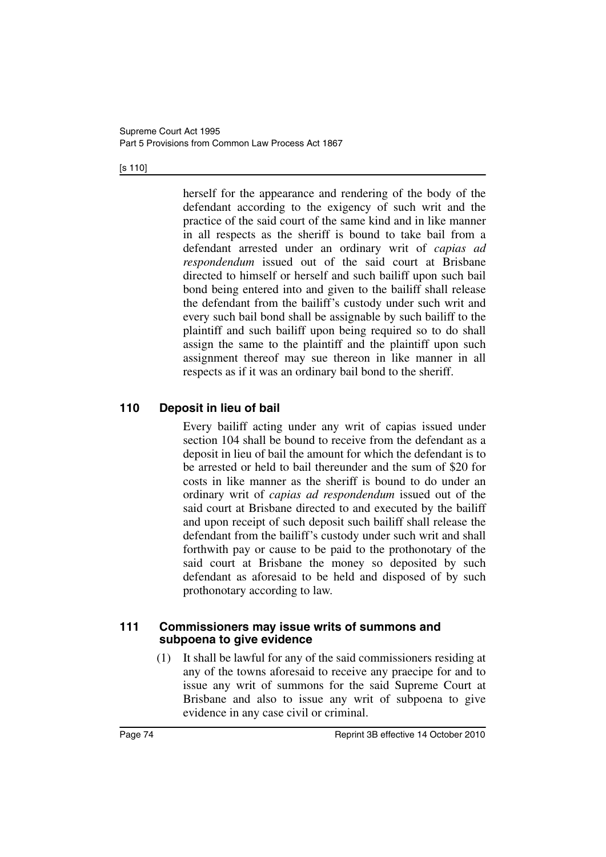#### [s 110]

herself for the appearance and rendering of the body of the defendant according to the exigency of such writ and the practice of the said court of the same kind and in like manner in all respects as the sheriff is bound to take bail from a defendant arrested under an ordinary writ of *capias ad respondendum* issued out of the said court at Brisbane directed to himself or herself and such bailiff upon such bail bond being entered into and given to the bailiff shall release the defendant from the bailiff's custody under such writ and every such bail bond shall be assignable by such bailiff to the plaintiff and such bailiff upon being required so to do shall assign the same to the plaintiff and the plaintiff upon such assignment thereof may sue thereon in like manner in all respects as if it was an ordinary bail bond to the sheriff.

## **110 Deposit in lieu of bail**

Every bailiff acting under any writ of capias issued under section 104 shall be bound to receive from the defendant as a deposit in lieu of bail the amount for which the defendant is to be arrested or held to bail thereunder and the sum of \$20 for costs in like manner as the sheriff is bound to do under an ordinary writ of *capias ad respondendum* issued out of the said court at Brisbane directed to and executed by the bailiff and upon receipt of such deposit such bailiff shall release the defendant from the bailiff's custody under such writ and shall forthwith pay or cause to be paid to the prothonotary of the said court at Brisbane the money so deposited by such defendant as aforesaid to be held and disposed of by such prothonotary according to law.

### **111 Commissioners may issue writs of summons and subpoena to give evidence**

(1) It shall be lawful for any of the said commissioners residing at any of the towns aforesaid to receive any praecipe for and to issue any writ of summons for the said Supreme Court at Brisbane and also to issue any writ of subpoena to give evidence in any case civil or criminal.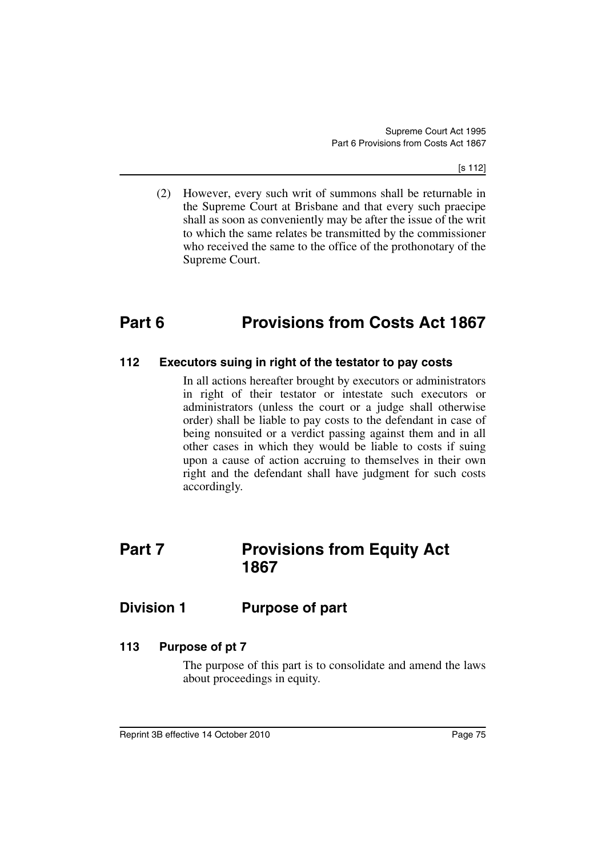[s 112]

(2) However, every such writ of summons shall be returnable in the Supreme Court at Brisbane and that every such praecipe shall as soon as conveniently may be after the issue of the writ to which the same relates be transmitted by the commissioner who received the same to the office of the prothonotary of the Supreme Court.

# **Part 6 Provisions from Costs Act 1867**

### **112 Executors suing in right of the testator to pay costs**

In all actions hereafter brought by executors or administrators in right of their testator or intestate such executors or administrators (unless the court or a judge shall otherwise order) shall be liable to pay costs to the defendant in case of being nonsuited or a verdict passing against them and in all other cases in which they would be liable to costs if suing upon a cause of action accruing to themselves in their own right and the defendant shall have judgment for such costs accordingly.

# **Part 7** Provisions from Equity Act **1867**

## **Division 1 Purpose of part**

## **113 Purpose of pt 7**

The purpose of this part is to consolidate and amend the laws about proceedings in equity.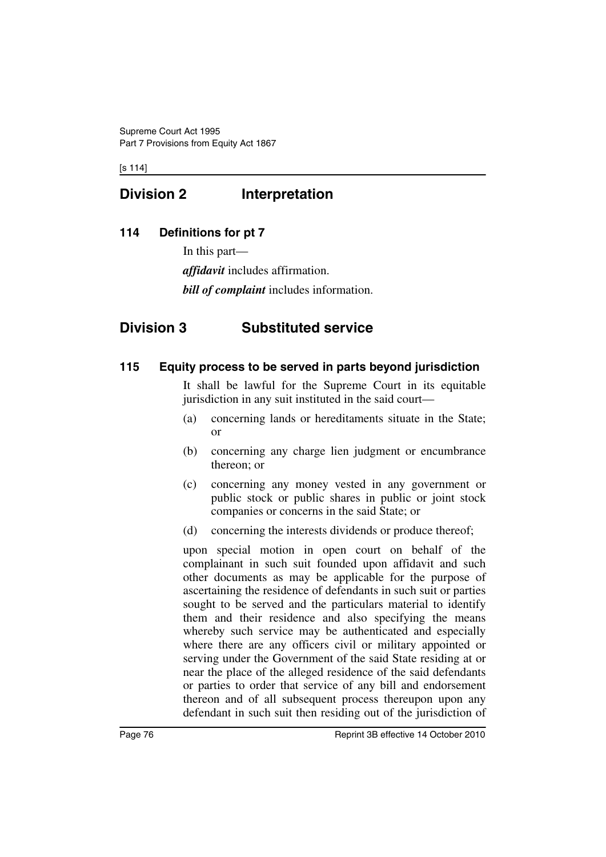[s 114]

# **Division 2 Interpretation**

## **114 Definitions for pt 7**

In this part—

*affidavit* includes affirmation.

*bill of complaint* includes information.

# **Division 3 Substituted service**

## **115 Equity process to be served in parts beyond jurisdiction**

It shall be lawful for the Supreme Court in its equitable jurisdiction in any suit instituted in the said court—

- (a) concerning lands or hereditaments situate in the State; or
- (b) concerning any charge lien judgment or encumbrance thereon; or
- (c) concerning any money vested in any government or public stock or public shares in public or joint stock companies or concerns in the said State; or
- (d) concerning the interests dividends or produce thereof;

upon special motion in open court on behalf of the complainant in such suit founded upon affidavit and such other documents as may be applicable for the purpose of ascertaining the residence of defendants in such suit or parties sought to be served and the particulars material to identify them and their residence and also specifying the means whereby such service may be authenticated and especially where there are any officers civil or military appointed or serving under the Government of the said State residing at or near the place of the alleged residence of the said defendants or parties to order that service of any bill and endorsement thereon and of all subsequent process thereupon upon any defendant in such suit then residing out of the jurisdiction of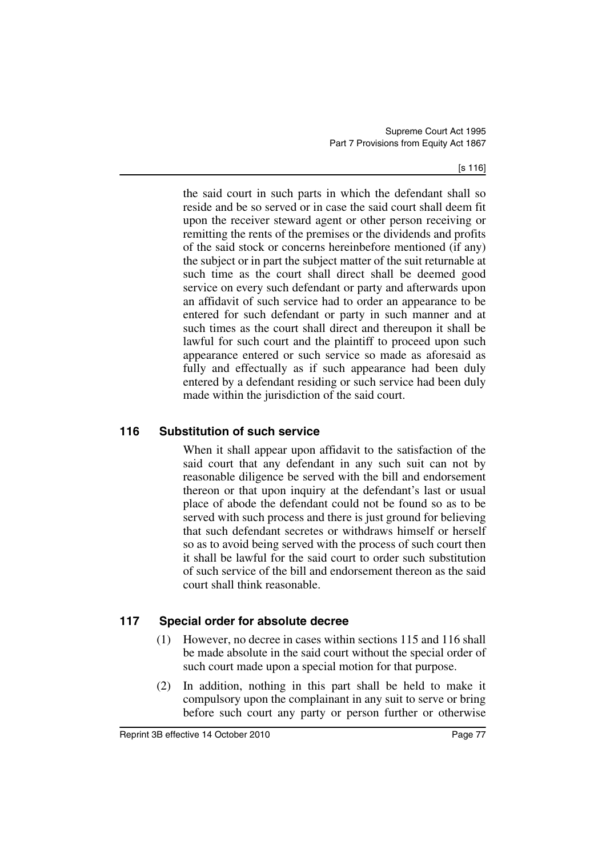[s 116]

the said court in such parts in which the defendant shall so reside and be so served or in case the said court shall deem fit upon the receiver steward agent or other person receiving or remitting the rents of the premises or the dividends and profits of the said stock or concerns hereinbefore mentioned (if any) the subject or in part the subject matter of the suit returnable at such time as the court shall direct shall be deemed good service on every such defendant or party and afterwards upon an affidavit of such service had to order an appearance to be entered for such defendant or party in such manner and at such times as the court shall direct and thereupon it shall be lawful for such court and the plaintiff to proceed upon such appearance entered or such service so made as aforesaid as fully and effectually as if such appearance had been duly entered by a defendant residing or such service had been duly made within the jurisdiction of the said court.

## **116 Substitution of such service**

When it shall appear upon affidavit to the satisfaction of the said court that any defendant in any such suit can not by reasonable diligence be served with the bill and endorsement thereon or that upon inquiry at the defendant's last or usual place of abode the defendant could not be found so as to be served with such process and there is just ground for believing that such defendant secretes or withdraws himself or herself so as to avoid being served with the process of such court then it shall be lawful for the said court to order such substitution of such service of the bill and endorsement thereon as the said court shall think reasonable.

## **117 Special order for absolute decree**

- (1) However, no decree in cases within sections 115 and 116 shall be made absolute in the said court without the special order of such court made upon a special motion for that purpose.
- (2) In addition, nothing in this part shall be held to make it compulsory upon the complainant in any suit to serve or bring before such court any party or person further or otherwise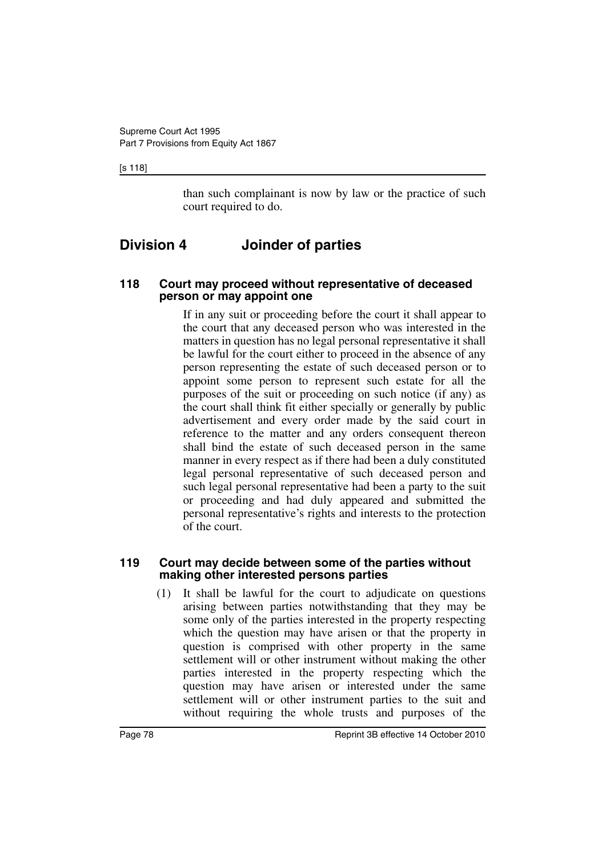#### [s 118]

than such complainant is now by law or the practice of such court required to do.

# **Division 4 Joinder of parties**

#### **118 Court may proceed without representative of deceased person or may appoint one**

If in any suit or proceeding before the court it shall appear to the court that any deceased person who was interested in the matters in question has no legal personal representative it shall be lawful for the court either to proceed in the absence of any person representing the estate of such deceased person or to appoint some person to represent such estate for all the purposes of the suit or proceeding on such notice (if any) as the court shall think fit either specially or generally by public advertisement and every order made by the said court in reference to the matter and any orders consequent thereon shall bind the estate of such deceased person in the same manner in every respect as if there had been a duly constituted legal personal representative of such deceased person and such legal personal representative had been a party to the suit or proceeding and had duly appeared and submitted the personal representative's rights and interests to the protection of the court.

#### **119 Court may decide between some of the parties without making other interested persons parties**

(1) It shall be lawful for the court to adjudicate on questions arising between parties notwithstanding that they may be some only of the parties interested in the property respecting which the question may have arisen or that the property in question is comprised with other property in the same settlement will or other instrument without making the other parties interested in the property respecting which the question may have arisen or interested under the same settlement will or other instrument parties to the suit and without requiring the whole trusts and purposes of the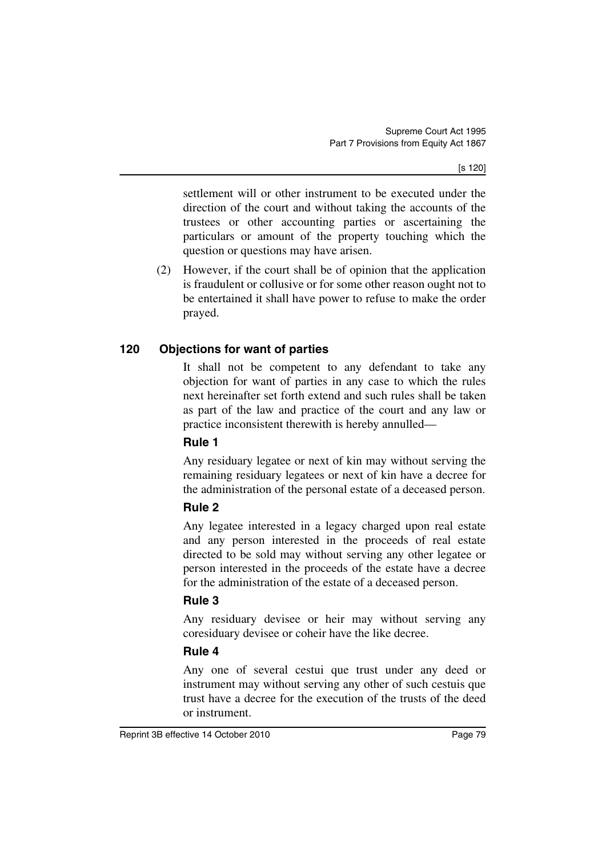[s 120]

settlement will or other instrument to be executed under the direction of the court and without taking the accounts of the trustees or other accounting parties or ascertaining the particulars or amount of the property touching which the question or questions may have arisen.

(2) However, if the court shall be of opinion that the application is fraudulent or collusive or for some other reason ought not to be entertained it shall have power to refuse to make the order prayed.

## **120 Objections for want of parties**

It shall not be competent to any defendant to take any objection for want of parties in any case to which the rules next hereinafter set forth extend and such rules shall be taken as part of the law and practice of the court and any law or practice inconsistent therewith is hereby annulled—

### **Rule 1**

Any residuary legatee or next of kin may without serving the remaining residuary legatees or next of kin have a decree for the administration of the personal estate of a deceased person.

## **Rule 2**

Any legatee interested in a legacy charged upon real estate and any person interested in the proceeds of real estate directed to be sold may without serving any other legatee or person interested in the proceeds of the estate have a decree for the administration of the estate of a deceased person.

## **Rule 3**

Any residuary devisee or heir may without serving any coresiduary devisee or coheir have the like decree.

## **Rule 4**

Any one of several cestui que trust under any deed or instrument may without serving any other of such cestuis que trust have a decree for the execution of the trusts of the deed or instrument.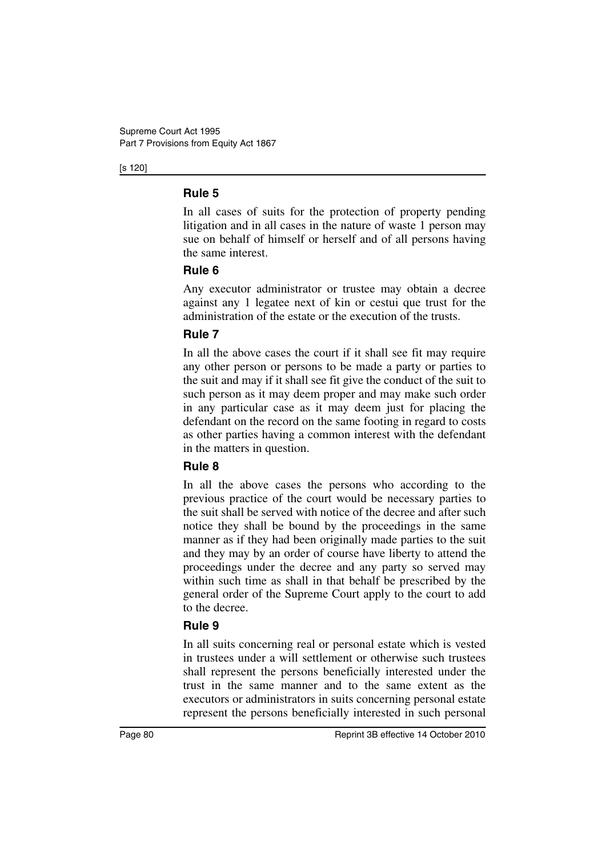[s 120]

## **Rule 5**

In all cases of suits for the protection of property pending litigation and in all cases in the nature of waste 1 person may sue on behalf of himself or herself and of all persons having the same interest.

## **Rule 6**

Any executor administrator or trustee may obtain a decree against any 1 legatee next of kin or cestui que trust for the administration of the estate or the execution of the trusts.

## **Rule 7**

In all the above cases the court if it shall see fit may require any other person or persons to be made a party or parties to the suit and may if it shall see fit give the conduct of the suit to such person as it may deem proper and may make such order in any particular case as it may deem just for placing the defendant on the record on the same footing in regard to costs as other parties having a common interest with the defendant in the matters in question.

## **Rule 8**

In all the above cases the persons who according to the previous practice of the court would be necessary parties to the suit shall be served with notice of the decree and after such notice they shall be bound by the proceedings in the same manner as if they had been originally made parties to the suit and they may by an order of course have liberty to attend the proceedings under the decree and any party so served may within such time as shall in that behalf be prescribed by the general order of the Supreme Court apply to the court to add to the decree.

## **Rule 9**

In all suits concerning real or personal estate which is vested in trustees under a will settlement or otherwise such trustees shall represent the persons beneficially interested under the trust in the same manner and to the same extent as the executors or administrators in suits concerning personal estate represent the persons beneficially interested in such personal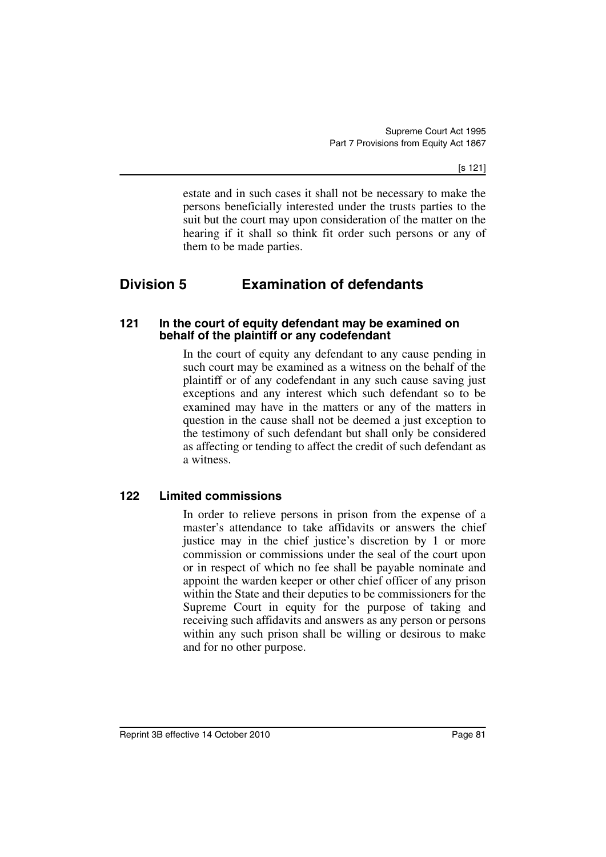[s 121]

estate and in such cases it shall not be necessary to make the persons beneficially interested under the trusts parties to the suit but the court may upon consideration of the matter on the hearing if it shall so think fit order such persons or any of them to be made parties.

# **Division 5 Examination of defendants**

#### **121 In the court of equity defendant may be examined on behalf of the plaintiff or any codefendant**

In the court of equity any defendant to any cause pending in such court may be examined as a witness on the behalf of the plaintiff or of any codefendant in any such cause saving just exceptions and any interest which such defendant so to be examined may have in the matters or any of the matters in question in the cause shall not be deemed a just exception to the testimony of such defendant but shall only be considered as affecting or tending to affect the credit of such defendant as a witness.

## **122 Limited commissions**

In order to relieve persons in prison from the expense of a master's attendance to take affidavits or answers the chief justice may in the chief justice's discretion by 1 or more commission or commissions under the seal of the court upon or in respect of which no fee shall be payable nominate and appoint the warden keeper or other chief officer of any prison within the State and their deputies to be commissioners for the Supreme Court in equity for the purpose of taking and receiving such affidavits and answers as any person or persons within any such prison shall be willing or desirous to make and for no other purpose.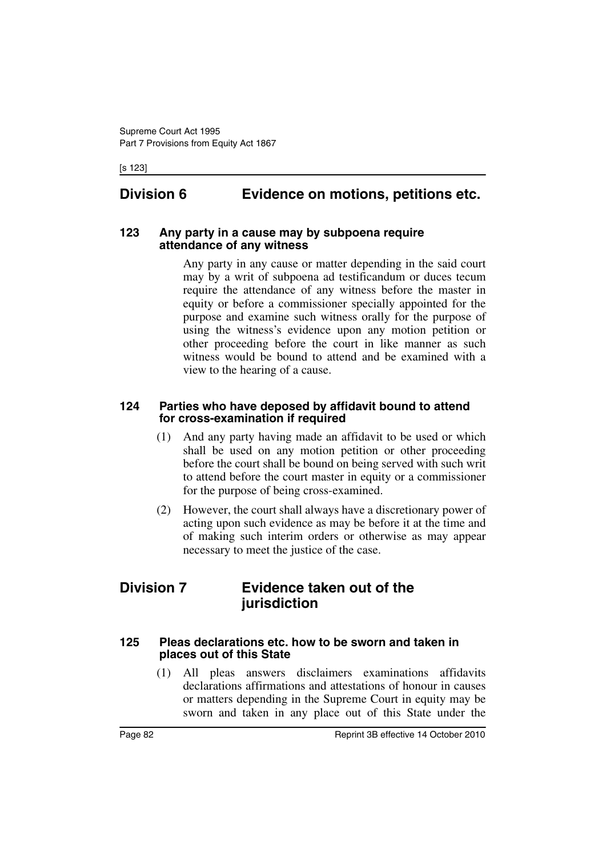[s 123]

# **Division 6 Evidence on motions, petitions etc.**

#### **123 Any party in a cause may by subpoena require attendance of any witness**

Any party in any cause or matter depending in the said court may by a writ of subpoena ad testificandum or duces tecum require the attendance of any witness before the master in equity or before a commissioner specially appointed for the purpose and examine such witness orally for the purpose of using the witness's evidence upon any motion petition or other proceeding before the court in like manner as such witness would be bound to attend and be examined with a view to the hearing of a cause.

### **124 Parties who have deposed by affidavit bound to attend for cross-examination if required**

- (1) And any party having made an affidavit to be used or which shall be used on any motion petition or other proceeding before the court shall be bound on being served with such writ to attend before the court master in equity or a commissioner for the purpose of being cross-examined.
- (2) However, the court shall always have a discretionary power of acting upon such evidence as may be before it at the time and of making such interim orders or otherwise as may appear necessary to meet the justice of the case.

# **Division 7 Evidence taken out of the jurisdiction**

#### **125 Pleas declarations etc. how to be sworn and taken in places out of this State**

(1) All pleas answers disclaimers examinations affidavits declarations affirmations and attestations of honour in causes or matters depending in the Supreme Court in equity may be sworn and taken in any place out of this State under the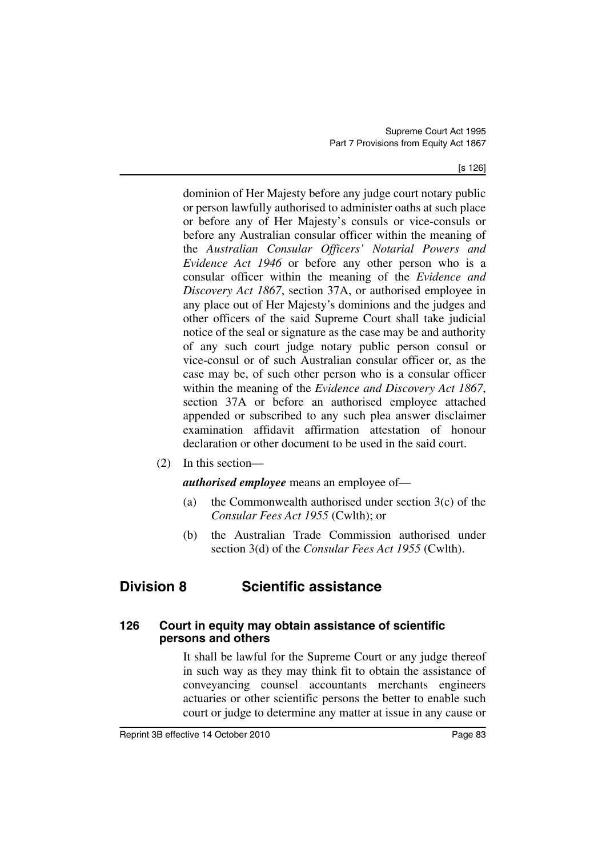[s 126]

dominion of Her Majesty before any judge court notary public or person lawfully authorised to administer oaths at such place or before any of Her Majesty's consuls or vice-consuls or before any Australian consular officer within the meaning of the *Australian Consular Officers' Notarial Powers and Evidence Act 1946* or before any other person who is a consular officer within the meaning of the *Evidence and Discovery Act 1867*, section 37A, or authorised employee in any place out of Her Majesty's dominions and the judges and other officers of the said Supreme Court shall take judicial notice of the seal or signature as the case may be and authority of any such court judge notary public person consul or vice-consul or of such Australian consular officer or, as the case may be, of such other person who is a consular officer within the meaning of the *Evidence and Discovery Act 1867*, section 37A or before an authorised employee attached appended or subscribed to any such plea answer disclaimer examination affidavit affirmation attestation of honour declaration or other document to be used in the said court.

(2) In this section—

*authorised employee* means an employee of—

- (a) the Commonwealth authorised under section  $3(c)$  of the *Consular Fees Act 1955* (Cwlth); or
- (b) the Australian Trade Commission authorised under section 3(d) of the *Consular Fees Act 1955* (Cwlth).

# **Division 8 Scientific assistance**

### **126 Court in equity may obtain assistance of scientific persons and others**

It shall be lawful for the Supreme Court or any judge thereof in such way as they may think fit to obtain the assistance of conveyancing counsel accountants merchants engineers actuaries or other scientific persons the better to enable such court or judge to determine any matter at issue in any cause or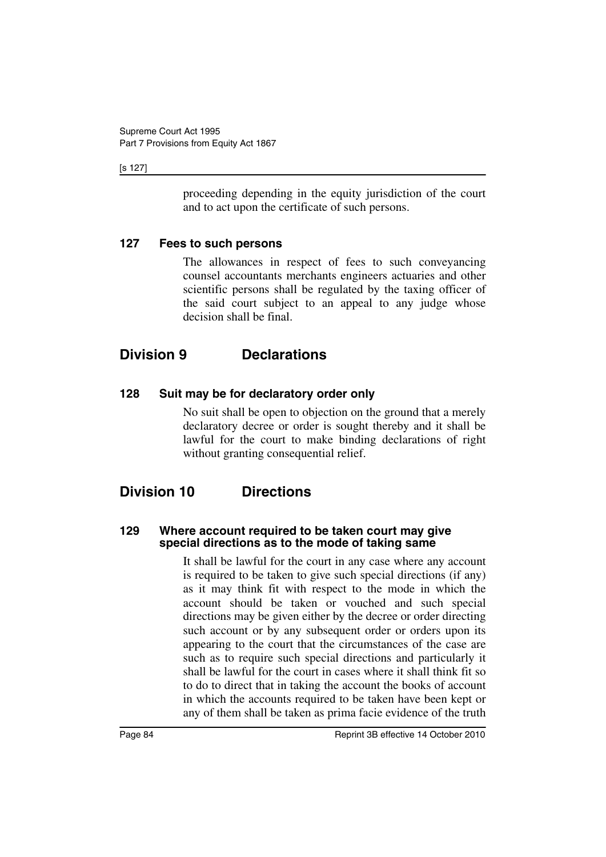#### [s 127]

proceeding depending in the equity jurisdiction of the court and to act upon the certificate of such persons.

## **127 Fees to such persons**

The allowances in respect of fees to such conveyancing counsel accountants merchants engineers actuaries and other scientific persons shall be regulated by the taxing officer of the said court subject to an appeal to any judge whose decision shall be final.

# **Division 9 Declarations**

## **128 Suit may be for declaratory order only**

No suit shall be open to objection on the ground that a merely declaratory decree or order is sought thereby and it shall be lawful for the court to make binding declarations of right without granting consequential relief.

# **Division 10 Directions**

### **129 Where account required to be taken court may give special directions as to the mode of taking same**

It shall be lawful for the court in any case where any account is required to be taken to give such special directions (if any) as it may think fit with respect to the mode in which the account should be taken or vouched and such special directions may be given either by the decree or order directing such account or by any subsequent order or orders upon its appearing to the court that the circumstances of the case are such as to require such special directions and particularly it shall be lawful for the court in cases where it shall think fit so to do to direct that in taking the account the books of account in which the accounts required to be taken have been kept or any of them shall be taken as prima facie evidence of the truth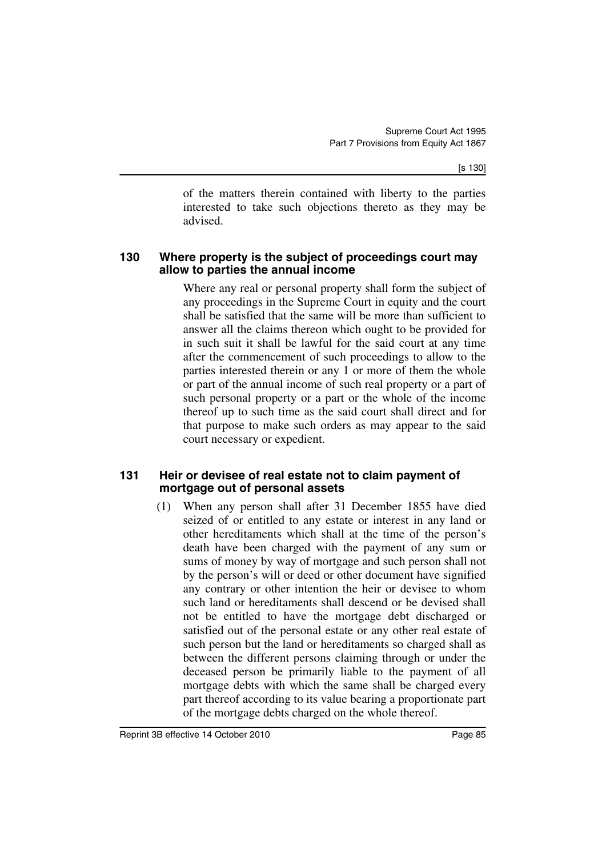[s 130]

of the matters therein contained with liberty to the parties interested to take such objections thereto as they may be advised.

### **130 Where property is the subject of proceedings court may allow to parties the annual income**

Where any real or personal property shall form the subject of any proceedings in the Supreme Court in equity and the court shall be satisfied that the same will be more than sufficient to answer all the claims thereon which ought to be provided for in such suit it shall be lawful for the said court at any time after the commencement of such proceedings to allow to the parties interested therein or any 1 or more of them the whole or part of the annual income of such real property or a part of such personal property or a part or the whole of the income thereof up to such time as the said court shall direct and for that purpose to make such orders as may appear to the said court necessary or expedient.

## **131 Heir or devisee of real estate not to claim payment of mortgage out of personal assets**

(1) When any person shall after 31 December 1855 have died seized of or entitled to any estate or interest in any land or other hereditaments which shall at the time of the person's death have been charged with the payment of any sum or sums of money by way of mortgage and such person shall not by the person's will or deed or other document have signified any contrary or other intention the heir or devisee to whom such land or hereditaments shall descend or be devised shall not be entitled to have the mortgage debt discharged or satisfied out of the personal estate or any other real estate of such person but the land or hereditaments so charged shall as between the different persons claiming through or under the deceased person be primarily liable to the payment of all mortgage debts with which the same shall be charged every part thereof according to its value bearing a proportionate part of the mortgage debts charged on the whole thereof.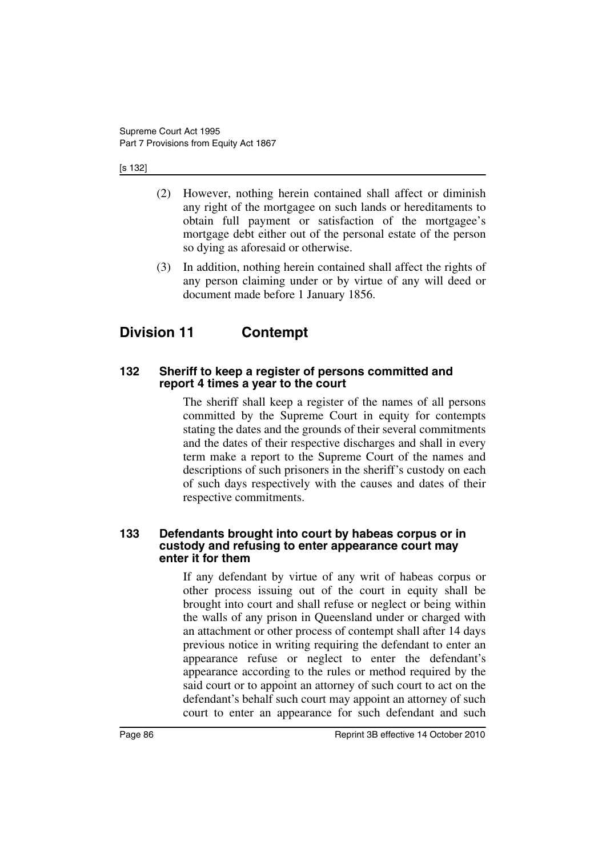#### [s 132]

- (2) However, nothing herein contained shall affect or diminish any right of the mortgagee on such lands or hereditaments to obtain full payment or satisfaction of the mortgagee's mortgage debt either out of the personal estate of the person so dying as aforesaid or otherwise.
- (3) In addition, nothing herein contained shall affect the rights of any person claiming under or by virtue of any will deed or document made before 1 January 1856.

# **Division 11 Contempt**

### **132 Sheriff to keep a register of persons committed and report 4 times a year to the court**

The sheriff shall keep a register of the names of all persons committed by the Supreme Court in equity for contempts stating the dates and the grounds of their several commitments and the dates of their respective discharges and shall in every term make a report to the Supreme Court of the names and descriptions of such prisoners in the sheriff's custody on each of such days respectively with the causes and dates of their respective commitments.

#### **133 Defendants brought into court by habeas corpus or in custody and refusing to enter appearance court may enter it for them**

If any defendant by virtue of any writ of habeas corpus or other process issuing out of the court in equity shall be brought into court and shall refuse or neglect or being within the walls of any prison in Queensland under or charged with an attachment or other process of contempt shall after 14 days previous notice in writing requiring the defendant to enter an appearance refuse or neglect to enter the defendant's appearance according to the rules or method required by the said court or to appoint an attorney of such court to act on the defendant's behalf such court may appoint an attorney of such court to enter an appearance for such defendant and such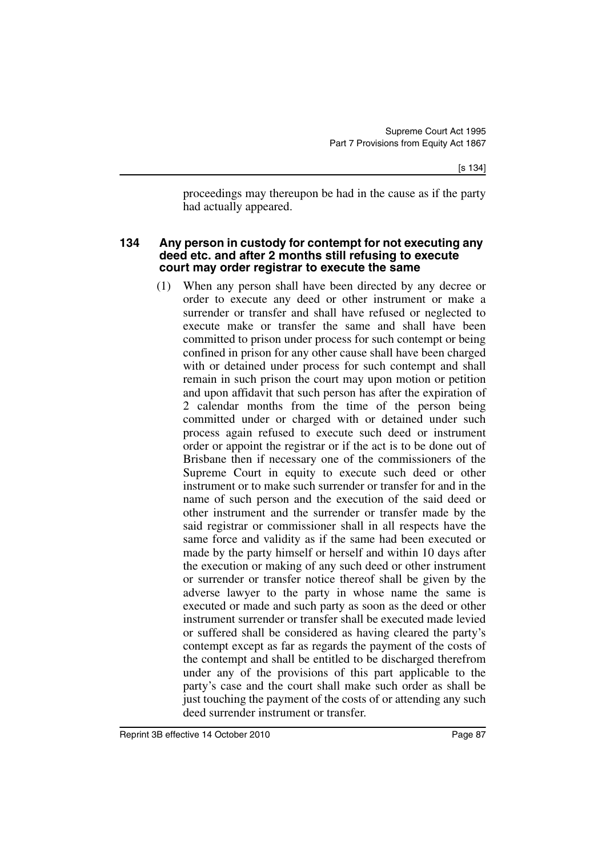proceedings may thereupon be had in the cause as if the party had actually appeared.

#### **134 Any person in custody for contempt for not executing any deed etc. and after 2 months still refusing to execute court may order registrar to execute the same**

(1) When any person shall have been directed by any decree or order to execute any deed or other instrument or make a surrender or transfer and shall have refused or neglected to execute make or transfer the same and shall have been committed to prison under process for such contempt or being confined in prison for any other cause shall have been charged with or detained under process for such contempt and shall remain in such prison the court may upon motion or petition and upon affidavit that such person has after the expiration of 2 calendar months from the time of the person being committed under or charged with or detained under such process again refused to execute such deed or instrument order or appoint the registrar or if the act is to be done out of Brisbane then if necessary one of the commissioners of the Supreme Court in equity to execute such deed or other instrument or to make such surrender or transfer for and in the name of such person and the execution of the said deed or other instrument and the surrender or transfer made by the said registrar or commissioner shall in all respects have the same force and validity as if the same had been executed or made by the party himself or herself and within 10 days after the execution or making of any such deed or other instrument or surrender or transfer notice thereof shall be given by the adverse lawyer to the party in whose name the same is executed or made and such party as soon as the deed or other instrument surrender or transfer shall be executed made levied or suffered shall be considered as having cleared the party's contempt except as far as regards the payment of the costs of the contempt and shall be entitled to be discharged therefrom under any of the provisions of this part applicable to the party's case and the court shall make such order as shall be just touching the payment of the costs of or attending any such deed surrender instrument or transfer.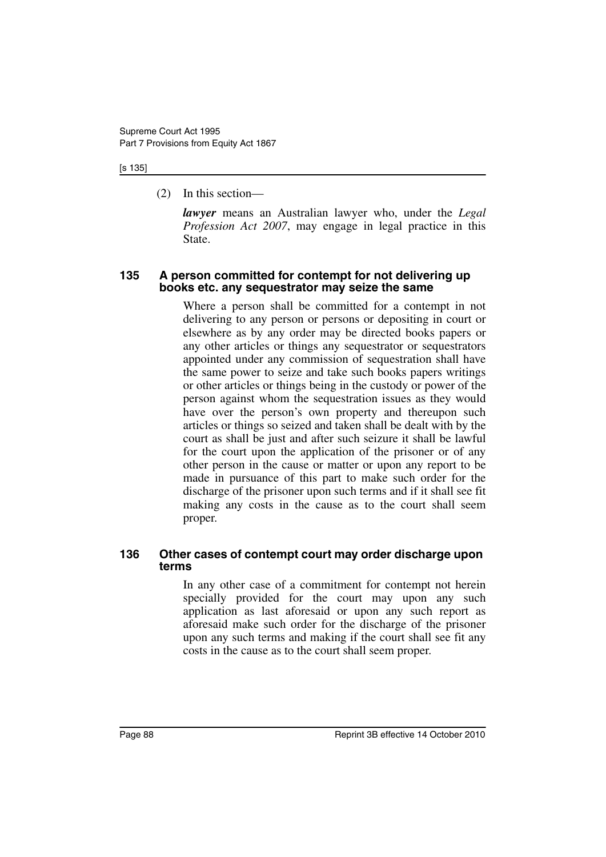#### [s 135]

(2) In this section—

*lawyer* means an Australian lawyer who, under the *Legal Profession Act 2007*, may engage in legal practice in this State.

#### **135 A person committed for contempt for not delivering up books etc. any sequestrator may seize the same**

Where a person shall be committed for a contempt in not delivering to any person or persons or depositing in court or elsewhere as by any order may be directed books papers or any other articles or things any sequestrator or sequestrators appointed under any commission of sequestration shall have the same power to seize and take such books papers writings or other articles or things being in the custody or power of the person against whom the sequestration issues as they would have over the person's own property and thereupon such articles or things so seized and taken shall be dealt with by the court as shall be just and after such seizure it shall be lawful for the court upon the application of the prisoner or of any other person in the cause or matter or upon any report to be made in pursuance of this part to make such order for the discharge of the prisoner upon such terms and if it shall see fit making any costs in the cause as to the court shall seem proper.

#### **136 Other cases of contempt court may order discharge upon terms**

In any other case of a commitment for contempt not herein specially provided for the court may upon any such application as last aforesaid or upon any such report as aforesaid make such order for the discharge of the prisoner upon any such terms and making if the court shall see fit any costs in the cause as to the court shall seem proper.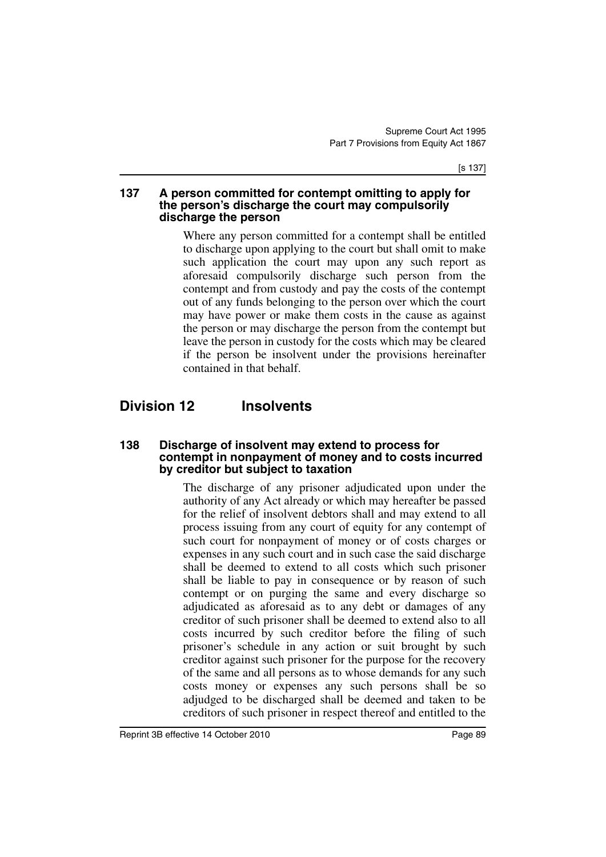#### **137 A person committed for contempt omitting to apply for the person's discharge the court may compulsorily discharge the person**

Where any person committed for a contempt shall be entitled to discharge upon applying to the court but shall omit to make such application the court may upon any such report as aforesaid compulsorily discharge such person from the contempt and from custody and pay the costs of the contempt out of any funds belonging to the person over which the court may have power or make them costs in the cause as against the person or may discharge the person from the contempt but leave the person in custody for the costs which may be cleared if the person be insolvent under the provisions hereinafter contained in that behalf.

# **Division 12 Insolvents**

#### **138 Discharge of insolvent may extend to process for contempt in nonpayment of money and to costs incurred by creditor but subject to taxation**

The discharge of any prisoner adjudicated upon under the authority of any Act already or which may hereafter be passed for the relief of insolvent debtors shall and may extend to all process issuing from any court of equity for any contempt of such court for nonpayment of money or of costs charges or expenses in any such court and in such case the said discharge shall be deemed to extend to all costs which such prisoner shall be liable to pay in consequence or by reason of such contempt or on purging the same and every discharge so adjudicated as aforesaid as to any debt or damages of any creditor of such prisoner shall be deemed to extend also to all costs incurred by such creditor before the filing of such prisoner's schedule in any action or suit brought by such creditor against such prisoner for the purpose for the recovery of the same and all persons as to whose demands for any such costs money or expenses any such persons shall be so adjudged to be discharged shall be deemed and taken to be creditors of such prisoner in respect thereof and entitled to the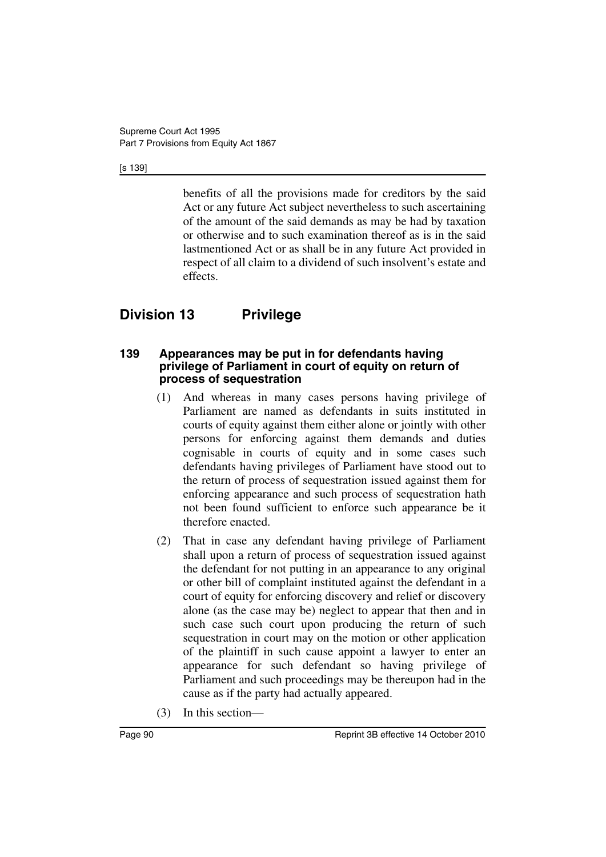#### [s 139]

benefits of all the provisions made for creditors by the said Act or any future Act subject nevertheless to such ascertaining of the amount of the said demands as may be had by taxation or otherwise and to such examination thereof as is in the said lastmentioned Act or as shall be in any future Act provided in respect of all claim to a dividend of such insolvent's estate and effects.

# **Division 13 Privilege**

#### **139 Appearances may be put in for defendants having privilege of Parliament in court of equity on return of process of sequestration**

- (1) And whereas in many cases persons having privilege of Parliament are named as defendants in suits instituted in courts of equity against them either alone or jointly with other persons for enforcing against them demands and duties cognisable in courts of equity and in some cases such defendants having privileges of Parliament have stood out to the return of process of sequestration issued against them for enforcing appearance and such process of sequestration hath not been found sufficient to enforce such appearance be it therefore enacted.
- (2) That in case any defendant having privilege of Parliament shall upon a return of process of sequestration issued against the defendant for not putting in an appearance to any original or other bill of complaint instituted against the defendant in a court of equity for enforcing discovery and relief or discovery alone (as the case may be) neglect to appear that then and in such case such court upon producing the return of such sequestration in court may on the motion or other application of the plaintiff in such cause appoint a lawyer to enter an appearance for such defendant so having privilege of Parliament and such proceedings may be thereupon had in the cause as if the party had actually appeared.
- (3) In this section—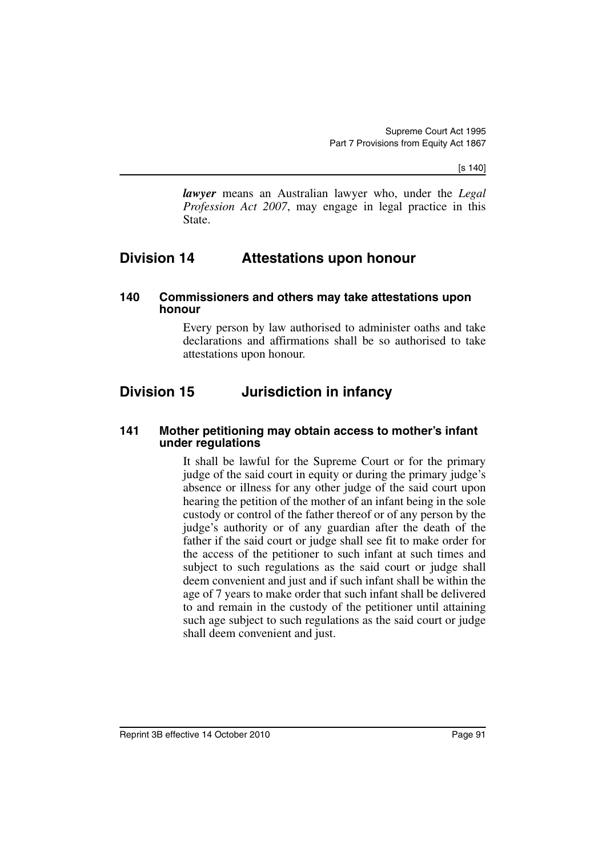[s 140]

*lawyer* means an Australian lawyer who, under the *Legal Profession Act 2007*, may engage in legal practice in this State.

## **Division 14 Attestations upon honour**

#### **140 Commissioners and others may take attestations upon honour**

Every person by law authorised to administer oaths and take declarations and affirmations shall be so authorised to take attestations upon honour.

# **Division 15 Jurisdiction in infancy**

#### **141 Mother petitioning may obtain access to mother's infant under regulations**

It shall be lawful for the Supreme Court or for the primary judge of the said court in equity or during the primary judge's absence or illness for any other judge of the said court upon hearing the petition of the mother of an infant being in the sole custody or control of the father thereof or of any person by the judge's authority or of any guardian after the death of the father if the said court or judge shall see fit to make order for the access of the petitioner to such infant at such times and subject to such regulations as the said court or judge shall deem convenient and just and if such infant shall be within the age of 7 years to make order that such infant shall be delivered to and remain in the custody of the petitioner until attaining such age subject to such regulations as the said court or judge shall deem convenient and just.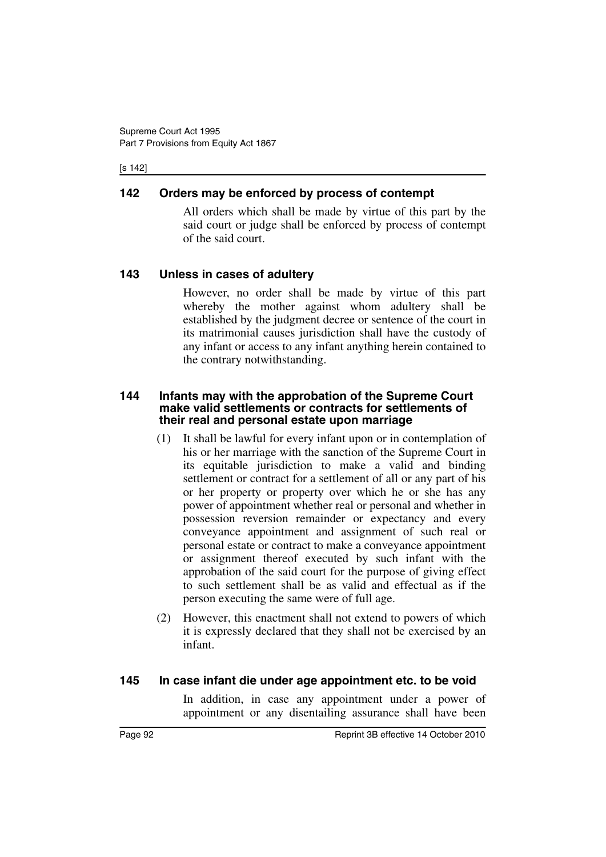#### [s 142]

## **142 Orders may be enforced by process of contempt**

All orders which shall be made by virtue of this part by the said court or judge shall be enforced by process of contempt of the said court.

## **143 Unless in cases of adultery**

However, no order shall be made by virtue of this part whereby the mother against whom adultery shall be established by the judgment decree or sentence of the court in its matrimonial causes jurisdiction shall have the custody of any infant or access to any infant anything herein contained to the contrary notwithstanding.

### **144 Infants may with the approbation of the Supreme Court make valid settlements or contracts for settlements of their real and personal estate upon marriage**

- (1) It shall be lawful for every infant upon or in contemplation of his or her marriage with the sanction of the Supreme Court in its equitable jurisdiction to make a valid and binding settlement or contract for a settlement of all or any part of his or her property or property over which he or she has any power of appointment whether real or personal and whether in possession reversion remainder or expectancy and every conveyance appointment and assignment of such real or personal estate or contract to make a conveyance appointment or assignment thereof executed by such infant with the approbation of the said court for the purpose of giving effect to such settlement shall be as valid and effectual as if the person executing the same were of full age.
- (2) However, this enactment shall not extend to powers of which it is expressly declared that they shall not be exercised by an infant.

### **145 In case infant die under age appointment etc. to be void**

In addition, in case any appointment under a power of appointment or any disentailing assurance shall have been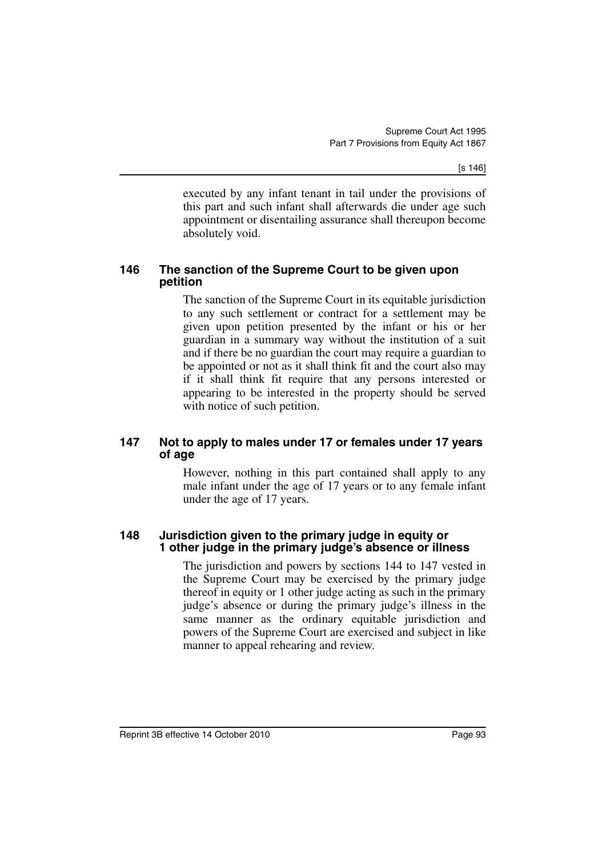[s 146]

executed by any infant tenant in tail under the provisions of this part and such infant shall afterwards die under age such appointment or disentailing assurance shall thereupon become absolutely void.

### **146 The sanction of the Supreme Court to be given upon petition**

The sanction of the Supreme Court in its equitable jurisdiction to any such settlement or contract for a settlement may be given upon petition presented by the infant or his or her guardian in a summary way without the institution of a suit and if there be no guardian the court may require a guardian to be appointed or not as it shall think fit and the court also may if it shall think fit require that any persons interested or appearing to be interested in the property should be served with notice of such petition.

### **147 Not to apply to males under 17 or females under 17 years of age**

However, nothing in this part contained shall apply to any male infant under the age of 17 years or to any female infant under the age of 17 years.

#### **148 Jurisdiction given to the primary judge in equity or 1 other judge in the primary judge's absence or illness**

The jurisdiction and powers by sections 144 to 147 vested in the Supreme Court may be exercised by the primary judge thereof in equity or 1 other judge acting as such in the primary judge's absence or during the primary judge's illness in the same manner as the ordinary equitable jurisdiction and powers of the Supreme Court are exercised and subject in like manner to appeal rehearing and review.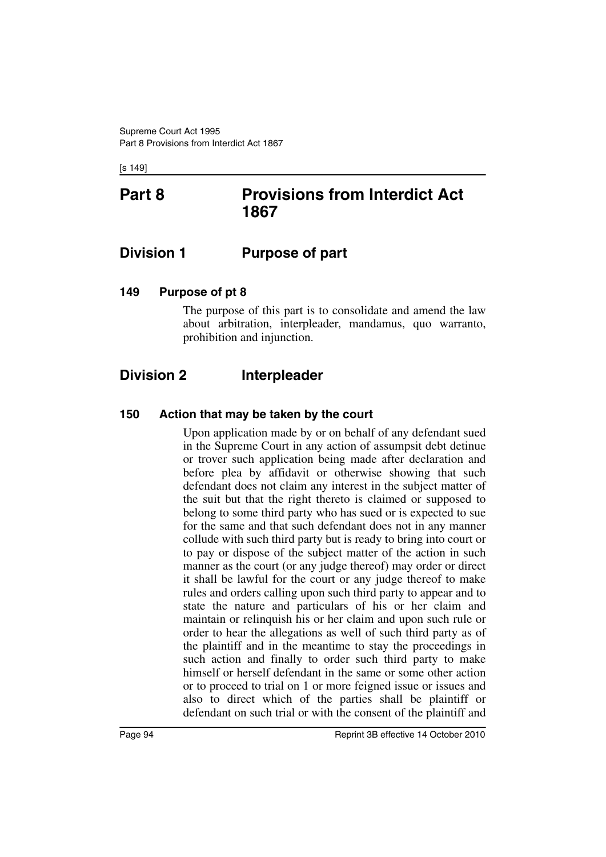[s 149]

# **Part 8 Provisions from Interdict Act 1867**

## **Division 1 Purpose of part**

## **149 Purpose of pt 8**

The purpose of this part is to consolidate and amend the law about arbitration, interpleader, mandamus, quo warranto, prohibition and injunction.

# **Division 2 Interpleader**

## **150 Action that may be taken by the court**

Upon application made by or on behalf of any defendant sued in the Supreme Court in any action of assumpsit debt detinue or trover such application being made after declaration and before plea by affidavit or otherwise showing that such defendant does not claim any interest in the subject matter of the suit but that the right thereto is claimed or supposed to belong to some third party who has sued or is expected to sue for the same and that such defendant does not in any manner collude with such third party but is ready to bring into court or to pay or dispose of the subject matter of the action in such manner as the court (or any judge thereof) may order or direct it shall be lawful for the court or any judge thereof to make rules and orders calling upon such third party to appear and to state the nature and particulars of his or her claim and maintain or relinquish his or her claim and upon such rule or order to hear the allegations as well of such third party as of the plaintiff and in the meantime to stay the proceedings in such action and finally to order such third party to make himself or herself defendant in the same or some other action or to proceed to trial on 1 or more feigned issue or issues and also to direct which of the parties shall be plaintiff or defendant on such trial or with the consent of the plaintiff and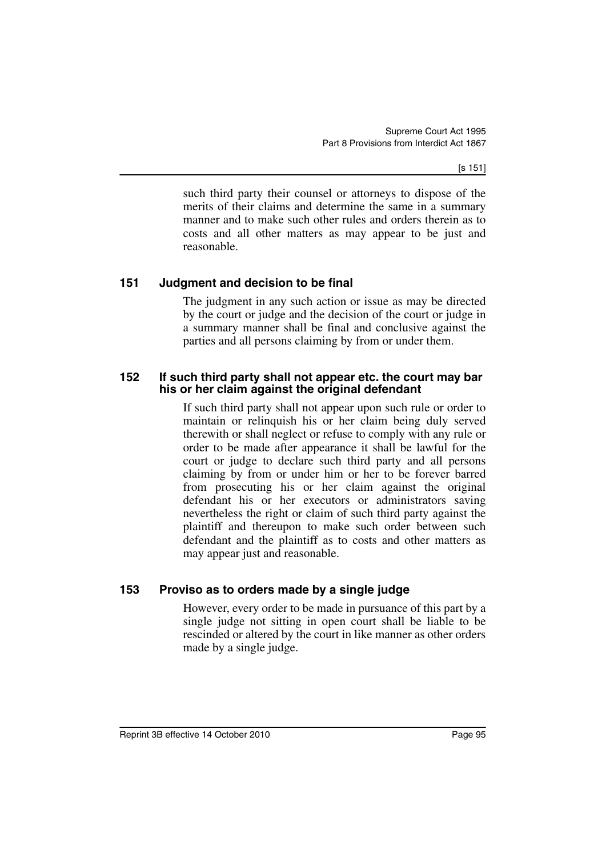[s 151]

such third party their counsel or attorneys to dispose of the merits of their claims and determine the same in a summary manner and to make such other rules and orders therein as to costs and all other matters as may appear to be just and reasonable.

## **151 Judgment and decision to be final**

The judgment in any such action or issue as may be directed by the court or judge and the decision of the court or judge in a summary manner shall be final and conclusive against the parties and all persons claiming by from or under them.

### **152 If such third party shall not appear etc. the court may bar his or her claim against the original defendant**

If such third party shall not appear upon such rule or order to maintain or relinquish his or her claim being duly served therewith or shall neglect or refuse to comply with any rule or order to be made after appearance it shall be lawful for the court or judge to declare such third party and all persons claiming by from or under him or her to be forever barred from prosecuting his or her claim against the original defendant his or her executors or administrators saving nevertheless the right or claim of such third party against the plaintiff and thereupon to make such order between such defendant and the plaintiff as to costs and other matters as may appear just and reasonable.

## **153 Proviso as to orders made by a single judge**

However, every order to be made in pursuance of this part by a single judge not sitting in open court shall be liable to be rescinded or altered by the court in like manner as other orders made by a single judge.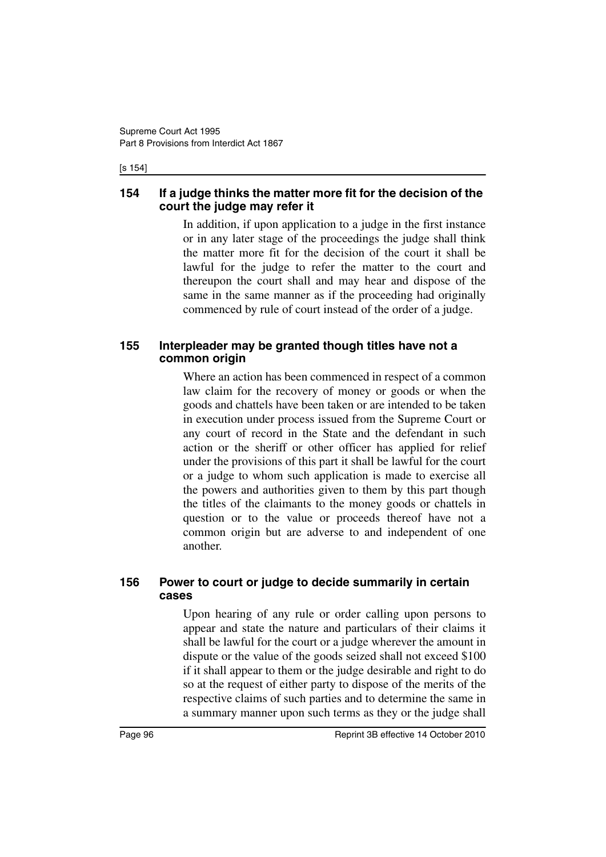#### [s 154]

### **154 If a judge thinks the matter more fit for the decision of the court the judge may refer it**

In addition, if upon application to a judge in the first instance or in any later stage of the proceedings the judge shall think the matter more fit for the decision of the court it shall be lawful for the judge to refer the matter to the court and thereupon the court shall and may hear and dispose of the same in the same manner as if the proceeding had originally commenced by rule of court instead of the order of a judge.

## **155 Interpleader may be granted though titles have not a common origin**

Where an action has been commenced in respect of a common law claim for the recovery of money or goods or when the goods and chattels have been taken or are intended to be taken in execution under process issued from the Supreme Court or any court of record in the State and the defendant in such action or the sheriff or other officer has applied for relief under the provisions of this part it shall be lawful for the court or a judge to whom such application is made to exercise all the powers and authorities given to them by this part though the titles of the claimants to the money goods or chattels in question or to the value or proceeds thereof have not a common origin but are adverse to and independent of one another.

## **156 Power to court or judge to decide summarily in certain cases**

Upon hearing of any rule or order calling upon persons to appear and state the nature and particulars of their claims it shall be lawful for the court or a judge wherever the amount in dispute or the value of the goods seized shall not exceed \$100 if it shall appear to them or the judge desirable and right to do so at the request of either party to dispose of the merits of the respective claims of such parties and to determine the same in a summary manner upon such terms as they or the judge shall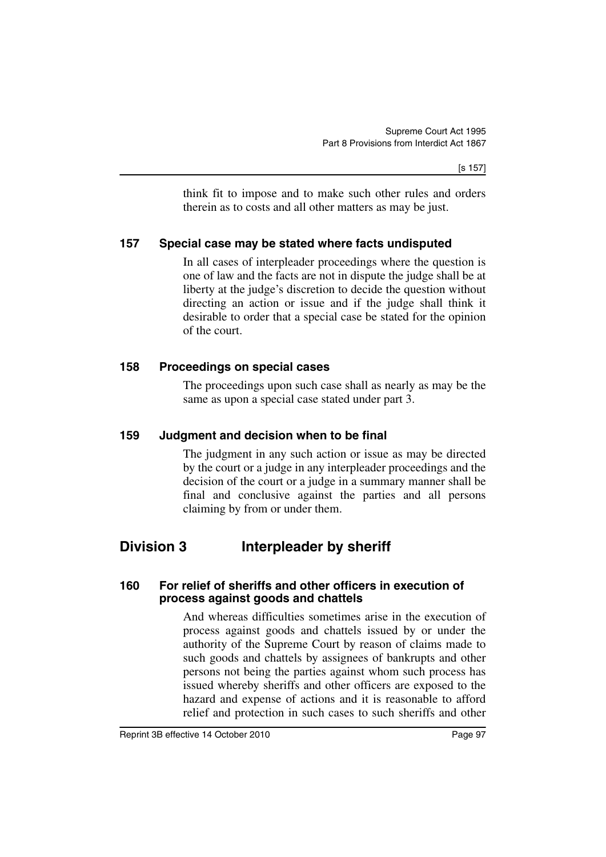think fit to impose and to make such other rules and orders therein as to costs and all other matters as may be just.

## **157 Special case may be stated where facts undisputed**

In all cases of interpleader proceedings where the question is one of law and the facts are not in dispute the judge shall be at liberty at the judge's discretion to decide the question without directing an action or issue and if the judge shall think it desirable to order that a special case be stated for the opinion of the court.

## **158 Proceedings on special cases**

The proceedings upon such case shall as nearly as may be the same as upon a special case stated under part 3.

## **159 Judgment and decision when to be final**

The judgment in any such action or issue as may be directed by the court or a judge in any interpleader proceedings and the decision of the court or a judge in a summary manner shall be final and conclusive against the parties and all persons claiming by from or under them.

# **Division 3 Interpleader by sheriff**

### **160 For relief of sheriffs and other officers in execution of process against goods and chattels**

And whereas difficulties sometimes arise in the execution of process against goods and chattels issued by or under the authority of the Supreme Court by reason of claims made to such goods and chattels by assignees of bankrupts and other persons not being the parties against whom such process has issued whereby sheriffs and other officers are exposed to the hazard and expense of actions and it is reasonable to afford relief and protection in such cases to such sheriffs and other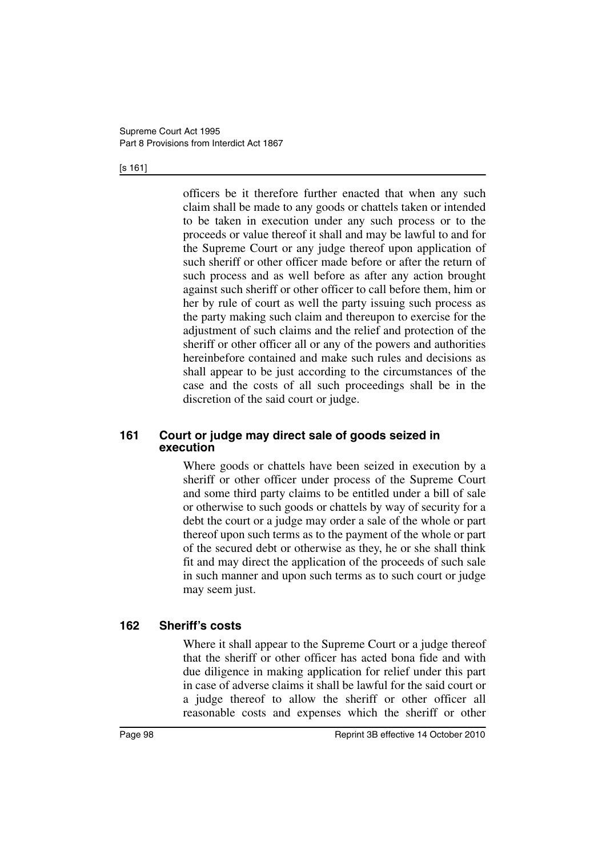#### [s 161]

officers be it therefore further enacted that when any such claim shall be made to any goods or chattels taken or intended to be taken in execution under any such process or to the proceeds or value thereof it shall and may be lawful to and for the Supreme Court or any judge thereof upon application of such sheriff or other officer made before or after the return of such process and as well before as after any action brought against such sheriff or other officer to call before them, him or her by rule of court as well the party issuing such process as the party making such claim and thereupon to exercise for the adjustment of such claims and the relief and protection of the sheriff or other officer all or any of the powers and authorities hereinbefore contained and make such rules and decisions as shall appear to be just according to the circumstances of the case and the costs of all such proceedings shall be in the discretion of the said court or judge.

### **161 Court or judge may direct sale of goods seized in execution**

Where goods or chattels have been seized in execution by a sheriff or other officer under process of the Supreme Court and some third party claims to be entitled under a bill of sale or otherwise to such goods or chattels by way of security for a debt the court or a judge may order a sale of the whole or part thereof upon such terms as to the payment of the whole or part of the secured debt or otherwise as they, he or she shall think fit and may direct the application of the proceeds of such sale in such manner and upon such terms as to such court or judge may seem just.

### **162 Sheriff's costs**

Where it shall appear to the Supreme Court or a judge thereof that the sheriff or other officer has acted bona fide and with due diligence in making application for relief under this part in case of adverse claims it shall be lawful for the said court or a judge thereof to allow the sheriff or other officer all reasonable costs and expenses which the sheriff or other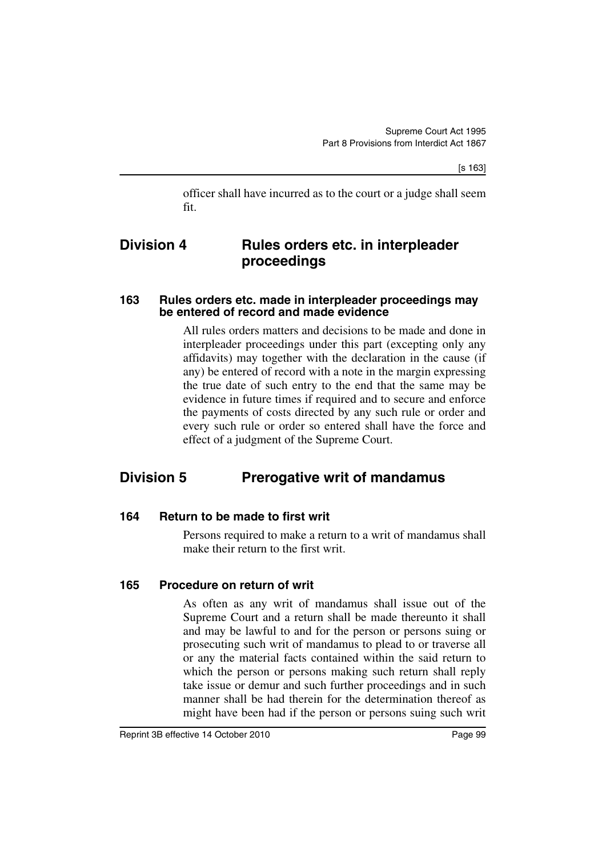[s 163]

officer shall have incurred as to the court or a judge shall seem fit.

## **Division 4 Rules orders etc. in interpleader proceedings**

### **163 Rules orders etc. made in interpleader proceedings may be entered of record and made evidence**

All rules orders matters and decisions to be made and done in interpleader proceedings under this part (excepting only any affidavits) may together with the declaration in the cause (if any) be entered of record with a note in the margin expressing the true date of such entry to the end that the same may be evidence in future times if required and to secure and enforce the payments of costs directed by any such rule or order and every such rule or order so entered shall have the force and effect of a judgment of the Supreme Court.

# **Division 5 Prerogative writ of mandamus**

### **164 Return to be made to first writ**

Persons required to make a return to a writ of mandamus shall make their return to the first writ.

### **165 Procedure on return of writ**

As often as any writ of mandamus shall issue out of the Supreme Court and a return shall be made thereunto it shall and may be lawful to and for the person or persons suing or prosecuting such writ of mandamus to plead to or traverse all or any the material facts contained within the said return to which the person or persons making such return shall reply take issue or demur and such further proceedings and in such manner shall be had therein for the determination thereof as might have been had if the person or persons suing such writ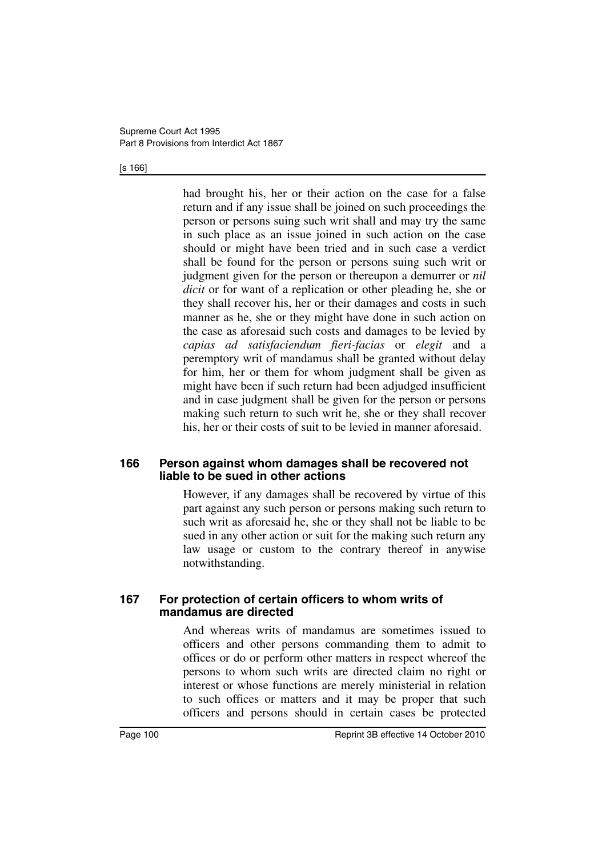#### [s 166]

had brought his, her or their action on the case for a false return and if any issue shall be joined on such proceedings the person or persons suing such writ shall and may try the same in such place as an issue joined in such action on the case should or might have been tried and in such case a verdict shall be found for the person or persons suing such writ or judgment given for the person or thereupon a demurrer or *nil dicit* or for want of a replication or other pleading he, she or they shall recover his, her or their damages and costs in such manner as he, she or they might have done in such action on the case as aforesaid such costs and damages to be levied by *capias ad satisfaciendum fieri-facias* or *elegit* and a peremptory writ of mandamus shall be granted without delay for him, her or them for whom judgment shall be given as might have been if such return had been adjudged insufficient and in case judgment shall be given for the person or persons making such return to such writ he, she or they shall recover his, her or their costs of suit to be levied in manner aforesaid.

#### **166 Person against whom damages shall be recovered not liable to be sued in other actions**

However, if any damages shall be recovered by virtue of this part against any such person or persons making such return to such writ as aforesaid he, she or they shall not be liable to be sued in any other action or suit for the making such return any law usage or custom to the contrary thereof in anywise notwithstanding.

#### **167 For protection of certain officers to whom writs of mandamus are directed**

And whereas writs of mandamus are sometimes issued to officers and other persons commanding them to admit to offices or do or perform other matters in respect whereof the persons to whom such writs are directed claim no right or interest or whose functions are merely ministerial in relation to such offices or matters and it may be proper that such officers and persons should in certain cases be protected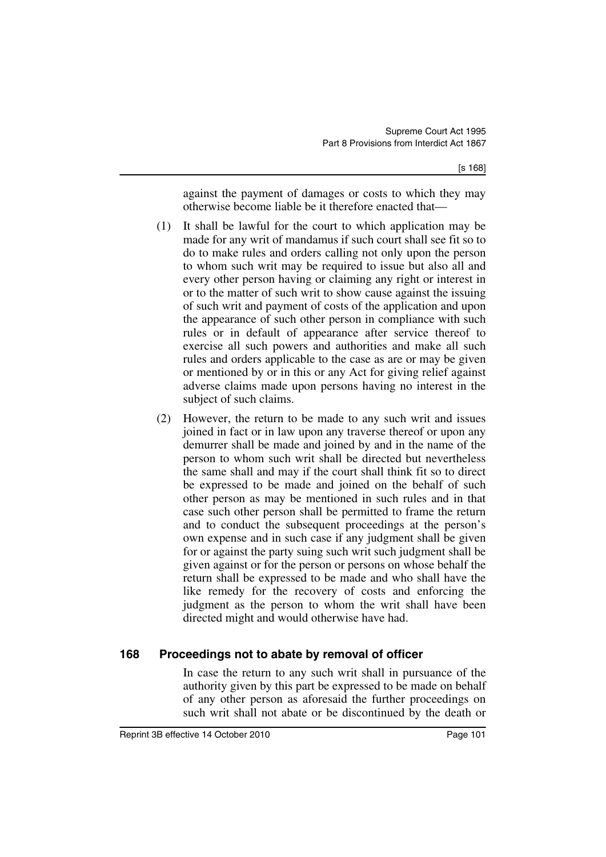against the payment of damages or costs to which they may otherwise become liable be it therefore enacted that—

- (1) It shall be lawful for the court to which application may be made for any writ of mandamus if such court shall see fit so to do to make rules and orders calling not only upon the person to whom such writ may be required to issue but also all and every other person having or claiming any right or interest in or to the matter of such writ to show cause against the issuing of such writ and payment of costs of the application and upon the appearance of such other person in compliance with such rules or in default of appearance after service thereof to exercise all such powers and authorities and make all such rules and orders applicable to the case as are or may be given or mentioned by or in this or any Act for giving relief against adverse claims made upon persons having no interest in the subject of such claims.
- (2) However, the return to be made to any such writ and issues joined in fact or in law upon any traverse thereof or upon any demurrer shall be made and joined by and in the name of the person to whom such writ shall be directed but nevertheless the same shall and may if the court shall think fit so to direct be expressed to be made and joined on the behalf of such other person as may be mentioned in such rules and in that case such other person shall be permitted to frame the return and to conduct the subsequent proceedings at the person's own expense and in such case if any judgment shall be given for or against the party suing such writ such judgment shall be given against or for the person or persons on whose behalf the return shall be expressed to be made and who shall have the like remedy for the recovery of costs and enforcing the judgment as the person to whom the writ shall have been directed might and would otherwise have had.

## **168 Proceedings not to abate by removal of officer**

In case the return to any such writ shall in pursuance of the authority given by this part be expressed to be made on behalf of any other person as aforesaid the further proceedings on such writ shall not abate or be discontinued by the death or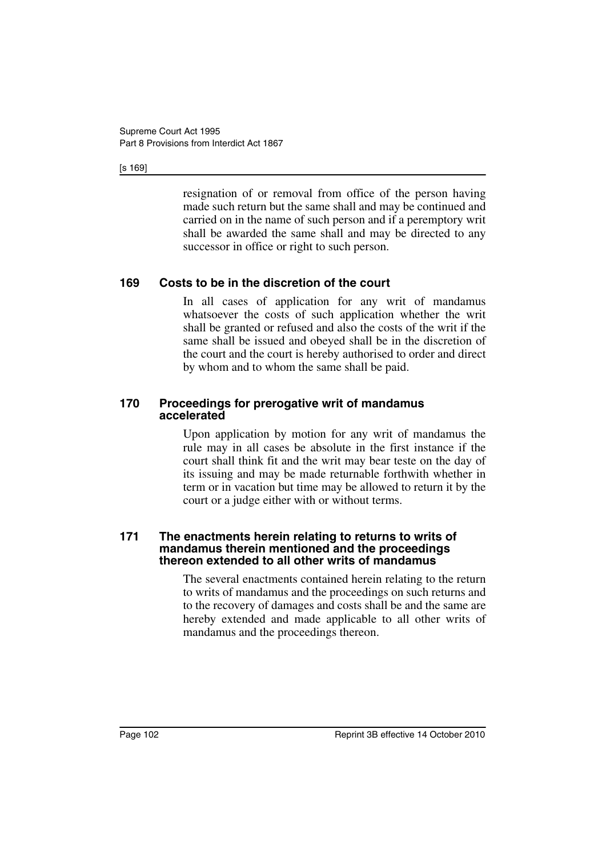#### [s 169]

resignation of or removal from office of the person having made such return but the same shall and may be continued and carried on in the name of such person and if a peremptory writ shall be awarded the same shall and may be directed to any successor in office or right to such person.

## **169 Costs to be in the discretion of the court**

In all cases of application for any writ of mandamus whatsoever the costs of such application whether the writ shall be granted or refused and also the costs of the writ if the same shall be issued and obeyed shall be in the discretion of the court and the court is hereby authorised to order and direct by whom and to whom the same shall be paid.

#### **170 Proceedings for prerogative writ of mandamus accelerated**

Upon application by motion for any writ of mandamus the rule may in all cases be absolute in the first instance if the court shall think fit and the writ may bear teste on the day of its issuing and may be made returnable forthwith whether in term or in vacation but time may be allowed to return it by the court or a judge either with or without terms.

#### **171 The enactments herein relating to returns to writs of mandamus therein mentioned and the proceedings thereon extended to all other writs of mandamus**

The several enactments contained herein relating to the return to writs of mandamus and the proceedings on such returns and to the recovery of damages and costs shall be and the same are hereby extended and made applicable to all other writs of mandamus and the proceedings thereon.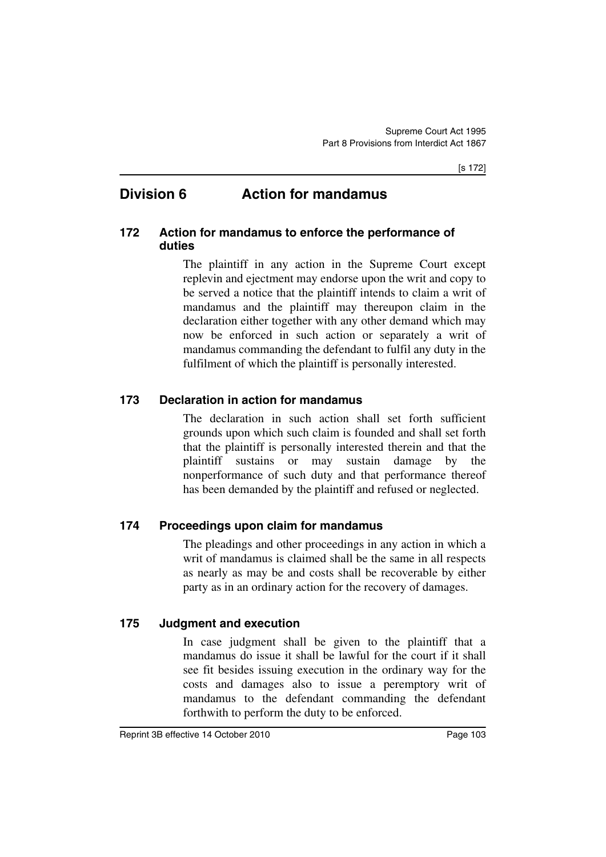# **Division 6 Action for mandamus**

## **172 Action for mandamus to enforce the performance of duties**

The plaintiff in any action in the Supreme Court except replevin and ejectment may endorse upon the writ and copy to be served a notice that the plaintiff intends to claim a writ of mandamus and the plaintiff may thereupon claim in the declaration either together with any other demand which may now be enforced in such action or separately a writ of mandamus commanding the defendant to fulfil any duty in the fulfilment of which the plaintiff is personally interested.

## **173 Declaration in action for mandamus**

The declaration in such action shall set forth sufficient grounds upon which such claim is founded and shall set forth that the plaintiff is personally interested therein and that the plaintiff sustains or may sustain damage by the nonperformance of such duty and that performance thereof has been demanded by the plaintiff and refused or neglected.

## **174 Proceedings upon claim for mandamus**

The pleadings and other proceedings in any action in which a writ of mandamus is claimed shall be the same in all respects as nearly as may be and costs shall be recoverable by either party as in an ordinary action for the recovery of damages.

## **175 Judgment and execution**

In case judgment shall be given to the plaintiff that a mandamus do issue it shall be lawful for the court if it shall see fit besides issuing execution in the ordinary way for the costs and damages also to issue a peremptory writ of mandamus to the defendant commanding the defendant forthwith to perform the duty to be enforced.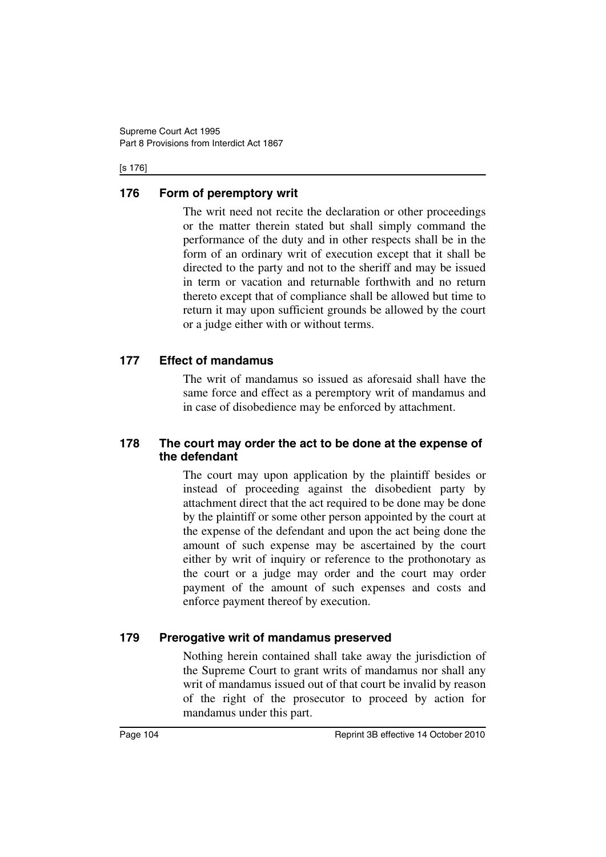#### [s 176]

## **176 Form of peremptory writ**

The writ need not recite the declaration or other proceedings or the matter therein stated but shall simply command the performance of the duty and in other respects shall be in the form of an ordinary writ of execution except that it shall be directed to the party and not to the sheriff and may be issued in term or vacation and returnable forthwith and no return thereto except that of compliance shall be allowed but time to return it may upon sufficient grounds be allowed by the court or a judge either with or without terms.

## **177 Effect of mandamus**

The writ of mandamus so issued as aforesaid shall have the same force and effect as a peremptory writ of mandamus and in case of disobedience may be enforced by attachment.

## **178 The court may order the act to be done at the expense of the defendant**

The court may upon application by the plaintiff besides or instead of proceeding against the disobedient party by attachment direct that the act required to be done may be done by the plaintiff or some other person appointed by the court at the expense of the defendant and upon the act being done the amount of such expense may be ascertained by the court either by writ of inquiry or reference to the prothonotary as the court or a judge may order and the court may order payment of the amount of such expenses and costs and enforce payment thereof by execution.

## **179 Prerogative writ of mandamus preserved**

Nothing herein contained shall take away the jurisdiction of the Supreme Court to grant writs of mandamus nor shall any writ of mandamus issued out of that court be invalid by reason of the right of the prosecutor to proceed by action for mandamus under this part.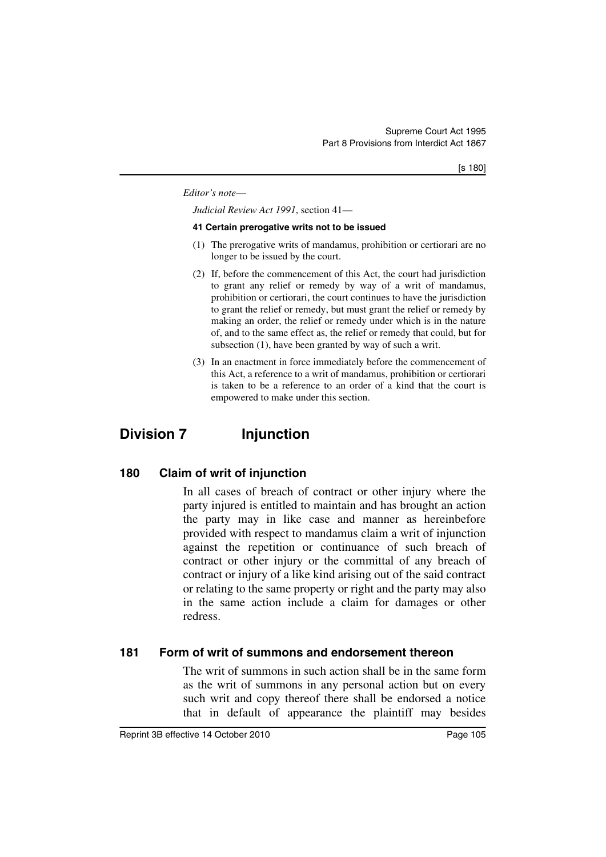#### *Editor's note*—

*Judicial Review Act 1991*, section 41—

#### **41 Certain prerogative writs not to be issued**

- (1) The prerogative writs of mandamus, prohibition or certiorari are no longer to be issued by the court.
- (2) If, before the commencement of this Act, the court had jurisdiction to grant any relief or remedy by way of a writ of mandamus, prohibition or certiorari, the court continues to have the jurisdiction to grant the relief or remedy, but must grant the relief or remedy by making an order, the relief or remedy under which is in the nature of, and to the same effect as, the relief or remedy that could, but for subsection (1), have been granted by way of such a writ.
- (3) In an enactment in force immediately before the commencement of this Act, a reference to a writ of mandamus, prohibition or certiorari is taken to be a reference to an order of a kind that the court is empowered to make under this section.

# **Division 7 Injunction**

## **180 Claim of writ of injunction**

In all cases of breach of contract or other injury where the party injured is entitled to maintain and has brought an action the party may in like case and manner as hereinbefore provided with respect to mandamus claim a writ of injunction against the repetition or continuance of such breach of contract or other injury or the committal of any breach of contract or injury of a like kind arising out of the said contract or relating to the same property or right and the party may also in the same action include a claim for damages or other redress.

### **181 Form of writ of summons and endorsement thereon**

The writ of summons in such action shall be in the same form as the writ of summons in any personal action but on every such writ and copy thereof there shall be endorsed a notice that in default of appearance the plaintiff may besides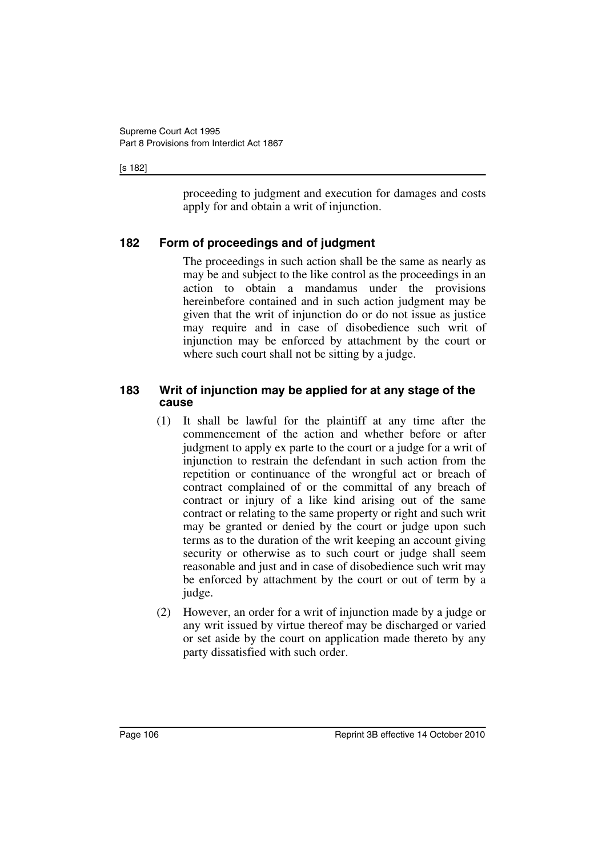#### [s 182]

proceeding to judgment and execution for damages and costs apply for and obtain a writ of injunction.

## **182 Form of proceedings and of judgment**

The proceedings in such action shall be the same as nearly as may be and subject to the like control as the proceedings in an action to obtain a mandamus under the provisions hereinbefore contained and in such action judgment may be given that the writ of injunction do or do not issue as justice may require and in case of disobedience such writ of injunction may be enforced by attachment by the court or where such court shall not be sitting by a judge.

### **183 Writ of injunction may be applied for at any stage of the cause**

- (1) It shall be lawful for the plaintiff at any time after the commencement of the action and whether before or after judgment to apply ex parte to the court or a judge for a writ of injunction to restrain the defendant in such action from the repetition or continuance of the wrongful act or breach of contract complained of or the committal of any breach of contract or injury of a like kind arising out of the same contract or relating to the same property or right and such writ may be granted or denied by the court or judge upon such terms as to the duration of the writ keeping an account giving security or otherwise as to such court or judge shall seem reasonable and just and in case of disobedience such writ may be enforced by attachment by the court or out of term by a judge.
- (2) However, an order for a writ of injunction made by a judge or any writ issued by virtue thereof may be discharged or varied or set aside by the court on application made thereto by any party dissatisfied with such order.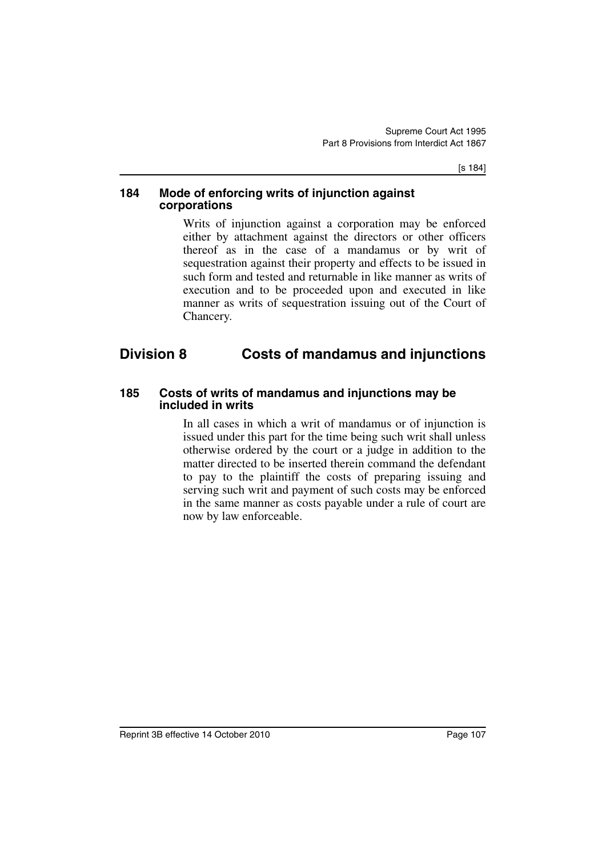[s 184]

#### **184 Mode of enforcing writs of injunction against corporations**

Writs of injunction against a corporation may be enforced either by attachment against the directors or other officers thereof as in the case of a mandamus or by writ of sequestration against their property and effects to be issued in such form and tested and returnable in like manner as writs of execution and to be proceeded upon and executed in like manner as writs of sequestration issuing out of the Court of Chancery.

# **Division 8 Costs of mandamus and injunctions**

#### **185 Costs of writs of mandamus and injunctions may be included in writs**

In all cases in which a writ of mandamus or of injunction is issued under this part for the time being such writ shall unless otherwise ordered by the court or a judge in addition to the matter directed to be inserted therein command the defendant to pay to the plaintiff the costs of preparing issuing and serving such writ and payment of such costs may be enforced in the same manner as costs payable under a rule of court are now by law enforceable.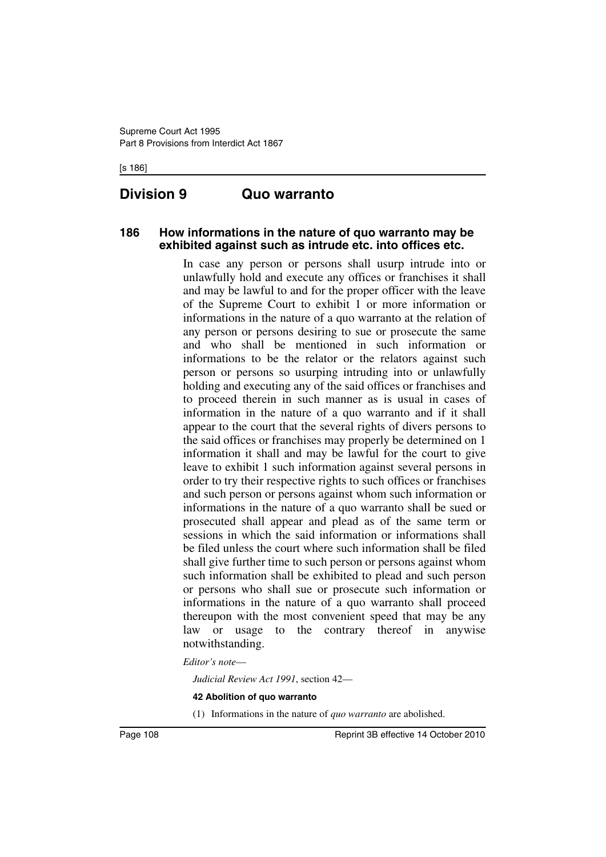[s 186]

# **Division 9 Quo warranto**

#### **186 How informations in the nature of quo warranto may be exhibited against such as intrude etc. into offices etc.**

In case any person or persons shall usurp intrude into or unlawfully hold and execute any offices or franchises it shall and may be lawful to and for the proper officer with the leave of the Supreme Court to exhibit 1 or more information or informations in the nature of a quo warranto at the relation of any person or persons desiring to sue or prosecute the same and who shall be mentioned in such information or informations to be the relator or the relators against such person or persons so usurping intruding into or unlawfully holding and executing any of the said offices or franchises and to proceed therein in such manner as is usual in cases of information in the nature of a quo warranto and if it shall appear to the court that the several rights of divers persons to the said offices or franchises may properly be determined on 1 information it shall and may be lawful for the court to give leave to exhibit 1 such information against several persons in order to try their respective rights to such offices or franchises and such person or persons against whom such information or informations in the nature of a quo warranto shall be sued or prosecuted shall appear and plead as of the same term or sessions in which the said information or informations shall be filed unless the court where such information shall be filed shall give further time to such person or persons against whom such information shall be exhibited to plead and such person or persons who shall sue or prosecute such information or informations in the nature of a quo warranto shall proceed thereupon with the most convenient speed that may be any law or usage to the contrary thereof in anywise notwithstanding.

#### *Editor's note*—

*Judicial Review Act 1991*, section 42—

#### **42 Abolition of quo warranto**

(1) Informations in the nature of *quo warranto* are abolished.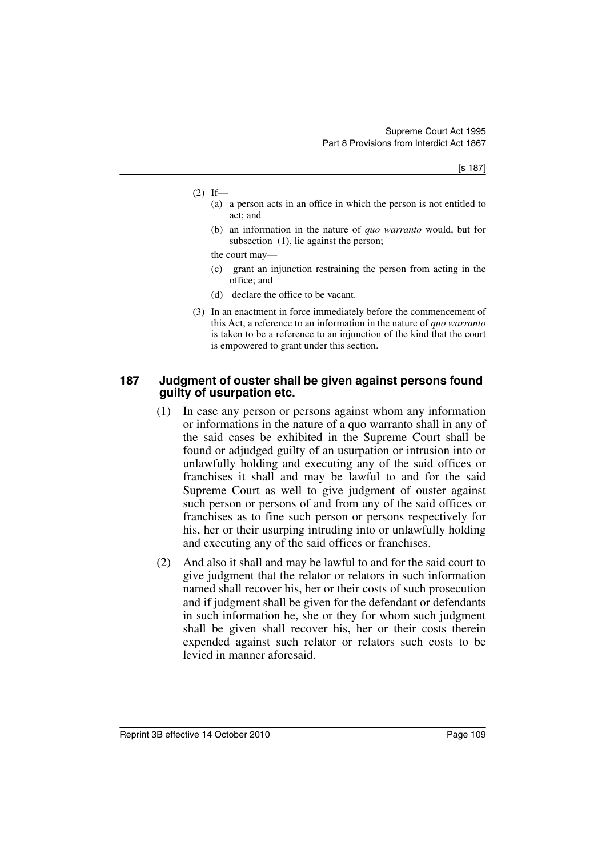- $(2)$  If—
	- (a) a person acts in an office in which the person is not entitled to act; and
	- (b) an information in the nature of *quo warranto* would, but for subsection (1), lie against the person;

the court may—

- (c) grant an injunction restraining the person from acting in the office; and
- (d) declare the office to be vacant.
- (3) In an enactment in force immediately before the commencement of this Act, a reference to an information in the nature of *quo warranto* is taken to be a reference to an injunction of the kind that the court is empowered to grant under this section.

#### **187 Judgment of ouster shall be given against persons found guilty of usurpation etc.**

- (1) In case any person or persons against whom any information or informations in the nature of a quo warranto shall in any of the said cases be exhibited in the Supreme Court shall be found or adjudged guilty of an usurpation or intrusion into or unlawfully holding and executing any of the said offices or franchises it shall and may be lawful to and for the said Supreme Court as well to give judgment of ouster against such person or persons of and from any of the said offices or franchises as to fine such person or persons respectively for his, her or their usurping intruding into or unlawfully holding and executing any of the said offices or franchises.
- (2) And also it shall and may be lawful to and for the said court to give judgment that the relator or relators in such information named shall recover his, her or their costs of such prosecution and if judgment shall be given for the defendant or defendants in such information he, she or they for whom such judgment shall be given shall recover his, her or their costs therein expended against such relator or relators such costs to be levied in manner aforesaid.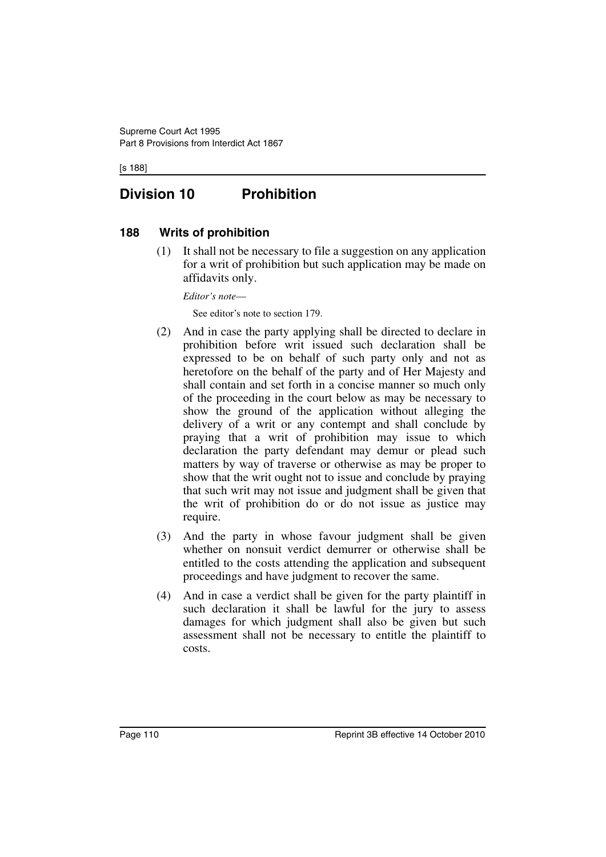[s 188]

# **Division 10 Prohibition**

#### **188 Writs of prohibition**

(1) It shall not be necessary to file a suggestion on any application for a writ of prohibition but such application may be made on affidavits only.

*Editor's note*—

See editor's note to section 179.

- (2) And in case the party applying shall be directed to declare in prohibition before writ issued such declaration shall be expressed to be on behalf of such party only and not as heretofore on the behalf of the party and of Her Majesty and shall contain and set forth in a concise manner so much only of the proceeding in the court below as may be necessary to show the ground of the application without alleging the delivery of a writ or any contempt and shall conclude by praying that a writ of prohibition may issue to which declaration the party defendant may demur or plead such matters by way of traverse or otherwise as may be proper to show that the writ ought not to issue and conclude by praying that such writ may not issue and judgment shall be given that the writ of prohibition do or do not issue as justice may require.
- (3) And the party in whose favour judgment shall be given whether on nonsuit verdict demurrer or otherwise shall be entitled to the costs attending the application and subsequent proceedings and have judgment to recover the same.
- (4) And in case a verdict shall be given for the party plaintiff in such declaration it shall be lawful for the jury to assess damages for which judgment shall also be given but such assessment shall not be necessary to entitle the plaintiff to costs.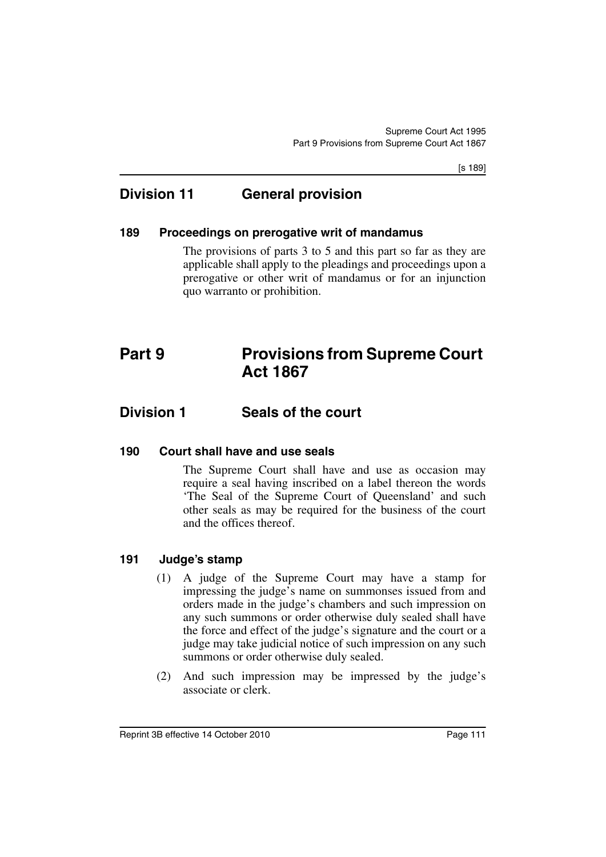[s 189]

# **Division 11 General provision**

#### **189 Proceedings on prerogative writ of mandamus**

The provisions of parts 3 to 5 and this part so far as they are applicable shall apply to the pleadings and proceedings upon a prerogative or other writ of mandamus or for an injunction quo warranto or prohibition.

# **Part 9 Provisions from Supreme Court Act 1867**

## **Division 1 Seals of the court**

#### **190 Court shall have and use seals**

The Supreme Court shall have and use as occasion may require a seal having inscribed on a label thereon the words 'The Seal of the Supreme Court of Queensland' and such other seals as may be required for the business of the court and the offices thereof.

### **191 Judge's stamp**

- (1) A judge of the Supreme Court may have a stamp for impressing the judge's name on summonses issued from and orders made in the judge's chambers and such impression on any such summons or order otherwise duly sealed shall have the force and effect of the judge's signature and the court or a judge may take judicial notice of such impression on any such summons or order otherwise duly sealed.
- (2) And such impression may be impressed by the judge's associate or clerk.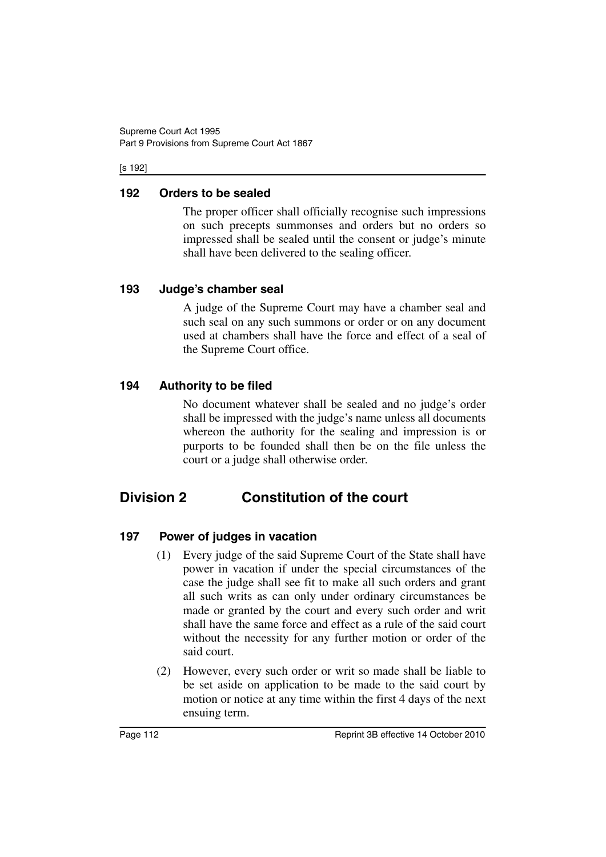#### [s 192]

### **192 Orders to be sealed**

The proper officer shall officially recognise such impressions on such precepts summonses and orders but no orders so impressed shall be sealed until the consent or judge's minute shall have been delivered to the sealing officer.

## **193 Judge's chamber seal**

A judge of the Supreme Court may have a chamber seal and such seal on any such summons or order or on any document used at chambers shall have the force and effect of a seal of the Supreme Court office.

## **194 Authority to be filed**

No document whatever shall be sealed and no judge's order shall be impressed with the judge's name unless all documents whereon the authority for the sealing and impression is or purports to be founded shall then be on the file unless the court or a judge shall otherwise order.

# **Division 2 Constitution of the court**

## **197 Power of judges in vacation**

- (1) Every judge of the said Supreme Court of the State shall have power in vacation if under the special circumstances of the case the judge shall see fit to make all such orders and grant all such writs as can only under ordinary circumstances be made or granted by the court and every such order and writ shall have the same force and effect as a rule of the said court without the necessity for any further motion or order of the said court.
- (2) However, every such order or writ so made shall be liable to be set aside on application to be made to the said court by motion or notice at any time within the first 4 days of the next ensuing term.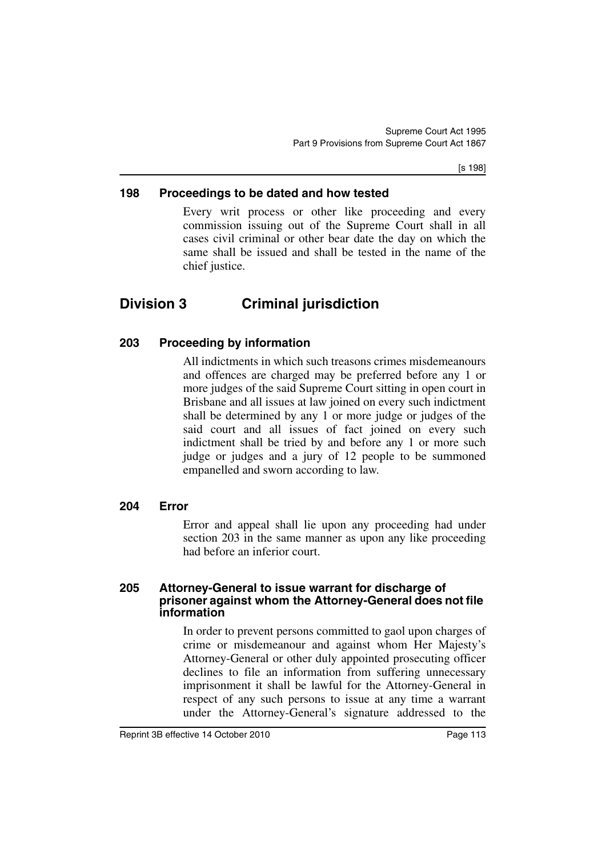[s 198]

#### **198 Proceedings to be dated and how tested**

Every writ process or other like proceeding and every commission issuing out of the Supreme Court shall in all cases civil criminal or other bear date the day on which the same shall be issued and shall be tested in the name of the chief justice.

# **Division 3 Criminal jurisdiction**

#### **203 Proceeding by information**

All indictments in which such treasons crimes misdemeanours and offences are charged may be preferred before any 1 or more judges of the said Supreme Court sitting in open court in Brisbane and all issues at law joined on every such indictment shall be determined by any 1 or more judge or judges of the said court and all issues of fact joined on every such indictment shall be tried by and before any 1 or more such judge or judges and a jury of 12 people to be summoned empanelled and sworn according to law.

#### **204 Error**

Error and appeal shall lie upon any proceeding had under section 203 in the same manner as upon any like proceeding had before an inferior court.

#### **205 Attorney-General to issue warrant for discharge of prisoner against whom the Attorney-General does not file information**

In order to prevent persons committed to gaol upon charges of crime or misdemeanour and against whom Her Majesty's Attorney-General or other duly appointed prosecuting officer declines to file an information from suffering unnecessary imprisonment it shall be lawful for the Attorney-General in respect of any such persons to issue at any time a warrant under the Attorney-General's signature addressed to the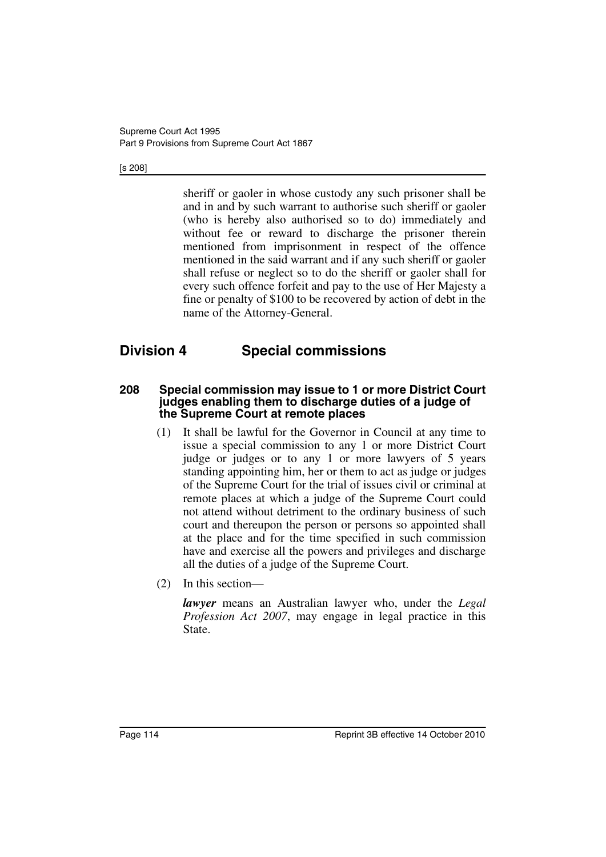#### [s 208]

sheriff or gaoler in whose custody any such prisoner shall be and in and by such warrant to authorise such sheriff or gaoler (who is hereby also authorised so to do) immediately and without fee or reward to discharge the prisoner therein mentioned from imprisonment in respect of the offence mentioned in the said warrant and if any such sheriff or gaoler shall refuse or neglect so to do the sheriff or gaoler shall for every such offence forfeit and pay to the use of Her Majesty a fine or penalty of \$100 to be recovered by action of debt in the name of the Attorney-General.

# **Division 4 Special commissions**

#### **208 Special commission may issue to 1 or more District Court judges enabling them to discharge duties of a judge of the Supreme Court at remote places**

- (1) It shall be lawful for the Governor in Council at any time to issue a special commission to any 1 or more District Court judge or judges or to any 1 or more lawyers of 5 years standing appointing him, her or them to act as judge or judges of the Supreme Court for the trial of issues civil or criminal at remote places at which a judge of the Supreme Court could not attend without detriment to the ordinary business of such court and thereupon the person or persons so appointed shall at the place and for the time specified in such commission have and exercise all the powers and privileges and discharge all the duties of a judge of the Supreme Court.
- (2) In this section—

*lawyer* means an Australian lawyer who, under the *Legal Profession Act 2007*, may engage in legal practice in this State.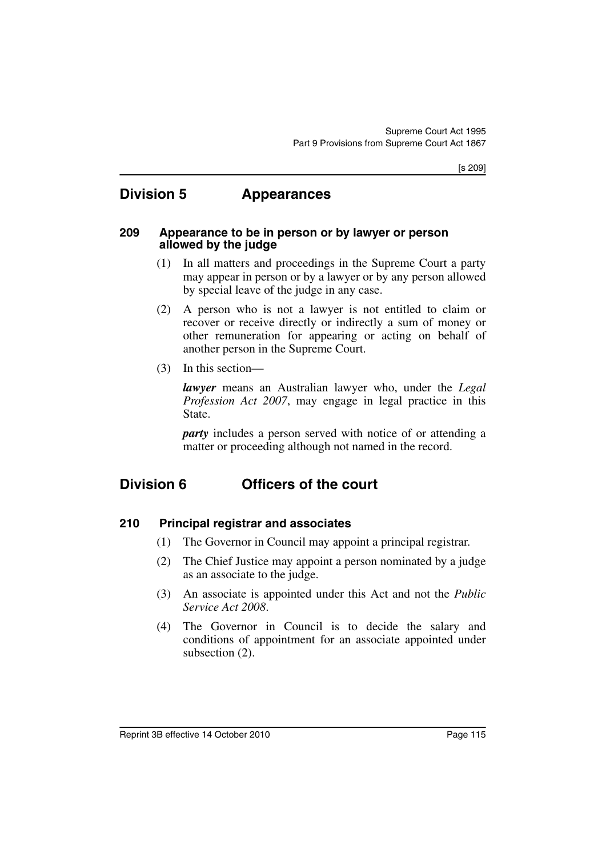# **Division 5 Appearances**

#### **209 Appearance to be in person or by lawyer or person allowed by the judge**

- (1) In all matters and proceedings in the Supreme Court a party may appear in person or by a lawyer or by any person allowed by special leave of the judge in any case.
- (2) A person who is not a lawyer is not entitled to claim or recover or receive directly or indirectly a sum of money or other remuneration for appearing or acting on behalf of another person in the Supreme Court.
- (3) In this section—

*lawyer* means an Australian lawyer who, under the *Legal Profession Act 2007*, may engage in legal practice in this State.

*party* includes a person served with notice of or attending a matter or proceeding although not named in the record.

# **Division 6 Officers of the court**

- **210 Principal registrar and associates**
	- (1) The Governor in Council may appoint a principal registrar.
	- (2) The Chief Justice may appoint a person nominated by a judge as an associate to the judge.
	- (3) An associate is appointed under this Act and not the *Public Service Act 2008*.
	- (4) The Governor in Council is to decide the salary and conditions of appointment for an associate appointed under subsection (2).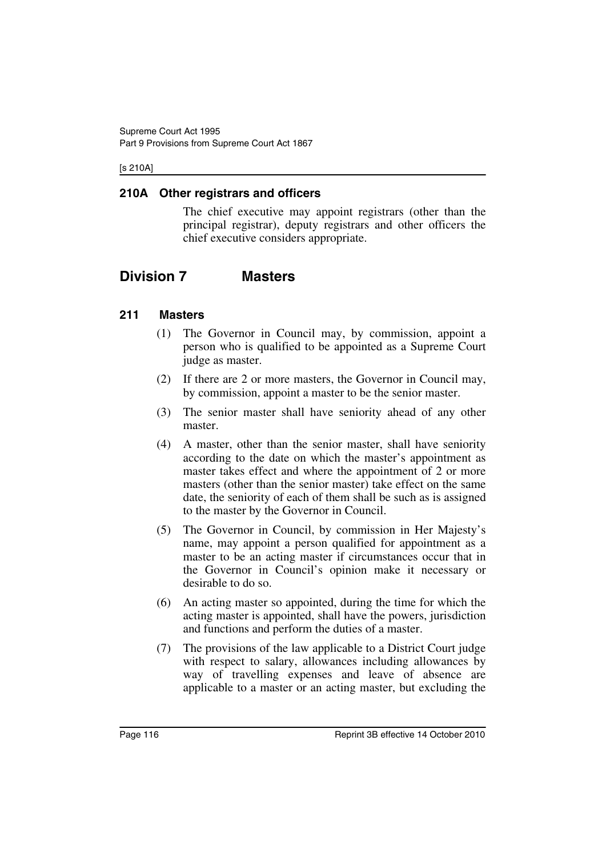#### [s 210A]

#### **210A Other registrars and officers**

The chief executive may appoint registrars (other than the principal registrar), deputy registrars and other officers the chief executive considers appropriate.

# **Division 7 Masters**

#### **211 Masters**

- (1) The Governor in Council may, by commission, appoint a person who is qualified to be appointed as a Supreme Court judge as master.
- (2) If there are 2 or more masters, the Governor in Council may, by commission, appoint a master to be the senior master.
- (3) The senior master shall have seniority ahead of any other master.
- (4) A master, other than the senior master, shall have seniority according to the date on which the master's appointment as master takes effect and where the appointment of 2 or more masters (other than the senior master) take effect on the same date, the seniority of each of them shall be such as is assigned to the master by the Governor in Council.
- (5) The Governor in Council, by commission in Her Majesty's name, may appoint a person qualified for appointment as a master to be an acting master if circumstances occur that in the Governor in Council's opinion make it necessary or desirable to do so.
- (6) An acting master so appointed, during the time for which the acting master is appointed, shall have the powers, jurisdiction and functions and perform the duties of a master.
- (7) The provisions of the law applicable to a District Court judge with respect to salary, allowances including allowances by way of travelling expenses and leave of absence are applicable to a master or an acting master, but excluding the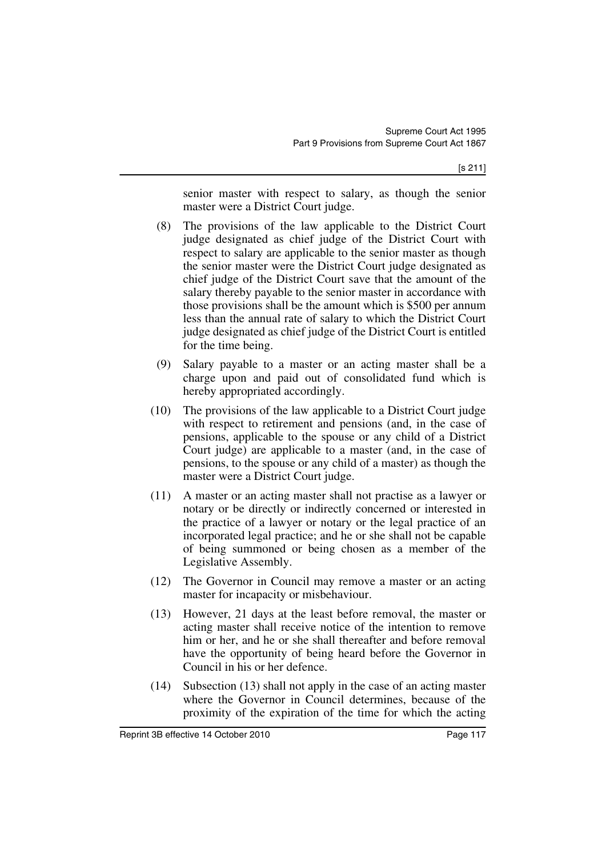senior master with respect to salary, as though the senior master were a District Court judge.

- (8) The provisions of the law applicable to the District Court judge designated as chief judge of the District Court with respect to salary are applicable to the senior master as though the senior master were the District Court judge designated as chief judge of the District Court save that the amount of the salary thereby payable to the senior master in accordance with those provisions shall be the amount which is \$500 per annum less than the annual rate of salary to which the District Court judge designated as chief judge of the District Court is entitled for the time being.
- (9) Salary payable to a master or an acting master shall be a charge upon and paid out of consolidated fund which is hereby appropriated accordingly.
- (10) The provisions of the law applicable to a District Court judge with respect to retirement and pensions (and, in the case of pensions, applicable to the spouse or any child of a District Court judge) are applicable to a master (and, in the case of pensions, to the spouse or any child of a master) as though the master were a District Court judge.
- (11) A master or an acting master shall not practise as a lawyer or notary or be directly or indirectly concerned or interested in the practice of a lawyer or notary or the legal practice of an incorporated legal practice; and he or she shall not be capable of being summoned or being chosen as a member of the Legislative Assembly.
- (12) The Governor in Council may remove a master or an acting master for incapacity or misbehaviour.
- (13) However, 21 days at the least before removal, the master or acting master shall receive notice of the intention to remove him or her, and he or she shall thereafter and before removal have the opportunity of being heard before the Governor in Council in his or her defence.
- (14) Subsection (13) shall not apply in the case of an acting master where the Governor in Council determines, because of the proximity of the expiration of the time for which the acting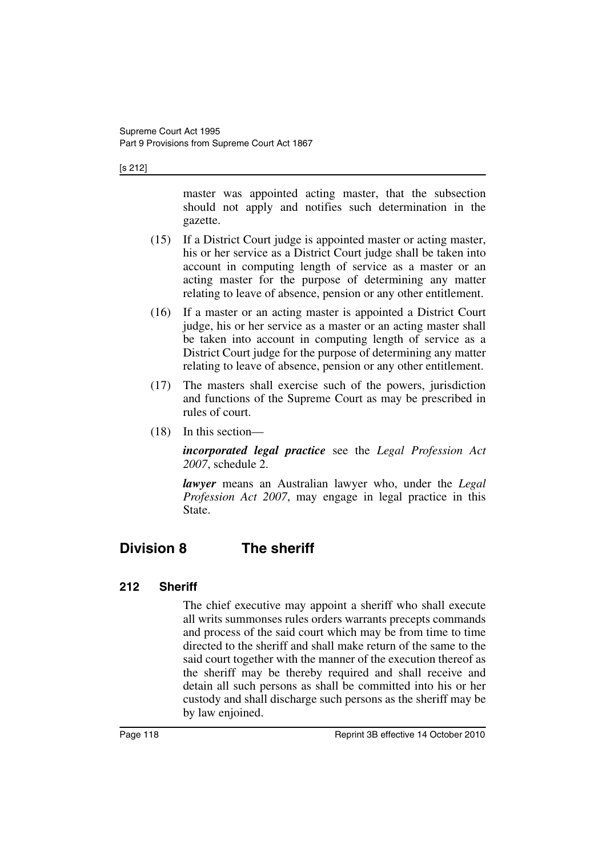#### [s 212]

master was appointed acting master, that the subsection should not apply and notifies such determination in the gazette.

- (15) If a District Court judge is appointed master or acting master, his or her service as a District Court judge shall be taken into account in computing length of service as a master or an acting master for the purpose of determining any matter relating to leave of absence, pension or any other entitlement.
- (16) If a master or an acting master is appointed a District Court judge, his or her service as a master or an acting master shall be taken into account in computing length of service as a District Court judge for the purpose of determining any matter relating to leave of absence, pension or any other entitlement.
- (17) The masters shall exercise such of the powers, jurisdiction and functions of the Supreme Court as may be prescribed in rules of court.
- (18) In this section—

*incorporated legal practice* see the *Legal Profession Act 2007*, schedule 2.

*lawyer* means an Australian lawyer who, under the *Legal Profession Act 2007*, may engage in legal practice in this State.

# **Division 8 The sheriff**

### **212 Sheriff**

The chief executive may appoint a sheriff who shall execute all writs summonses rules orders warrants precepts commands and process of the said court which may be from time to time directed to the sheriff and shall make return of the same to the said court together with the manner of the execution thereof as the sheriff may be thereby required and shall receive and detain all such persons as shall be committed into his or her custody and shall discharge such persons as the sheriff may be by law enjoined.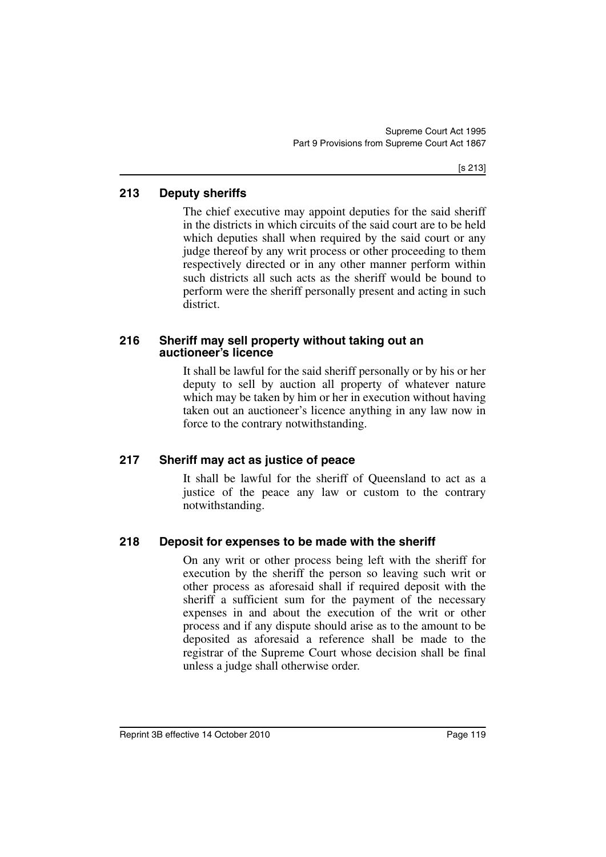### **213 Deputy sheriffs**

The chief executive may appoint deputies for the said sheriff in the districts in which circuits of the said court are to be held which deputies shall when required by the said court or any judge thereof by any writ process or other proceeding to them respectively directed or in any other manner perform within such districts all such acts as the sheriff would be bound to perform were the sheriff personally present and acting in such district.

#### **216 Sheriff may sell property without taking out an auctioneer's licence**

It shall be lawful for the said sheriff personally or by his or her deputy to sell by auction all property of whatever nature which may be taken by him or her in execution without having taken out an auctioneer's licence anything in any law now in force to the contrary notwithstanding.

### **217 Sheriff may act as justice of peace**

It shall be lawful for the sheriff of Queensland to act as a justice of the peace any law or custom to the contrary notwithstanding.

### **218 Deposit for expenses to be made with the sheriff**

On any writ or other process being left with the sheriff for execution by the sheriff the person so leaving such writ or other process as aforesaid shall if required deposit with the sheriff a sufficient sum for the payment of the necessary expenses in and about the execution of the writ or other process and if any dispute should arise as to the amount to be deposited as aforesaid a reference shall be made to the registrar of the Supreme Court whose decision shall be final unless a judge shall otherwise order.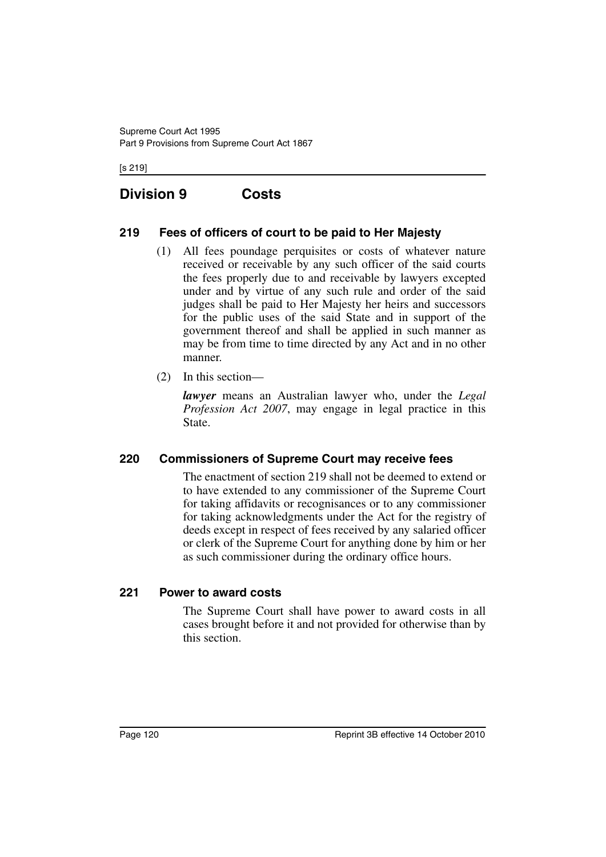[s 219]

# **Division 9 Costs**

## **219 Fees of officers of court to be paid to Her Majesty**

- (1) All fees poundage perquisites or costs of whatever nature received or receivable by any such officer of the said courts the fees properly due to and receivable by lawyers excepted under and by virtue of any such rule and order of the said judges shall be paid to Her Majesty her heirs and successors for the public uses of the said State and in support of the government thereof and shall be applied in such manner as may be from time to time directed by any Act and in no other manner.
- (2) In this section—

*lawyer* means an Australian lawyer who, under the *Legal Profession Act 2007*, may engage in legal practice in this State.

### **220 Commissioners of Supreme Court may receive fees**

The enactment of section 219 shall not be deemed to extend or to have extended to any commissioner of the Supreme Court for taking affidavits or recognisances or to any commissioner for taking acknowledgments under the Act for the registry of deeds except in respect of fees received by any salaried officer or clerk of the Supreme Court for anything done by him or her as such commissioner during the ordinary office hours.

### **221 Power to award costs**

The Supreme Court shall have power to award costs in all cases brought before it and not provided for otherwise than by this section.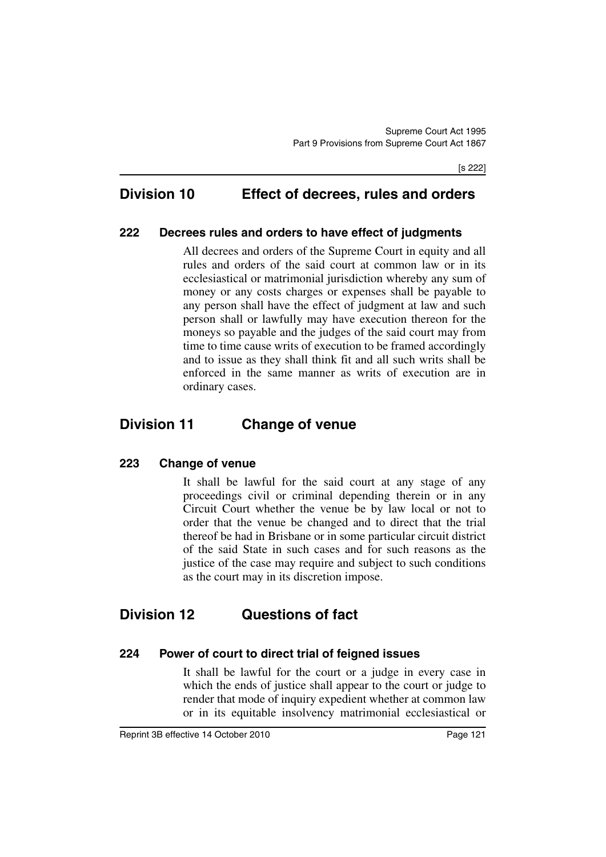# **Division 10 Effect of decrees, rules and orders**

#### **222 Decrees rules and orders to have effect of judgments**

All decrees and orders of the Supreme Court in equity and all rules and orders of the said court at common law or in its ecclesiastical or matrimonial jurisdiction whereby any sum of money or any costs charges or expenses shall be payable to any person shall have the effect of judgment at law and such person shall or lawfully may have execution thereon for the moneys so payable and the judges of the said court may from time to time cause writs of execution to be framed accordingly and to issue as they shall think fit and all such writs shall be enforced in the same manner as writs of execution are in ordinary cases.

# **Division 11 Change of venue**

#### **223 Change of venue**

It shall be lawful for the said court at any stage of any proceedings civil or criminal depending therein or in any Circuit Court whether the venue be by law local or not to order that the venue be changed and to direct that the trial thereof be had in Brisbane or in some particular circuit district of the said State in such cases and for such reasons as the justice of the case may require and subject to such conditions as the court may in its discretion impose.

## **Division 12 Questions of fact**

#### **224 Power of court to direct trial of feigned issues**

It shall be lawful for the court or a judge in every case in which the ends of justice shall appear to the court or judge to render that mode of inquiry expedient whether at common law or in its equitable insolvency matrimonial ecclesiastical or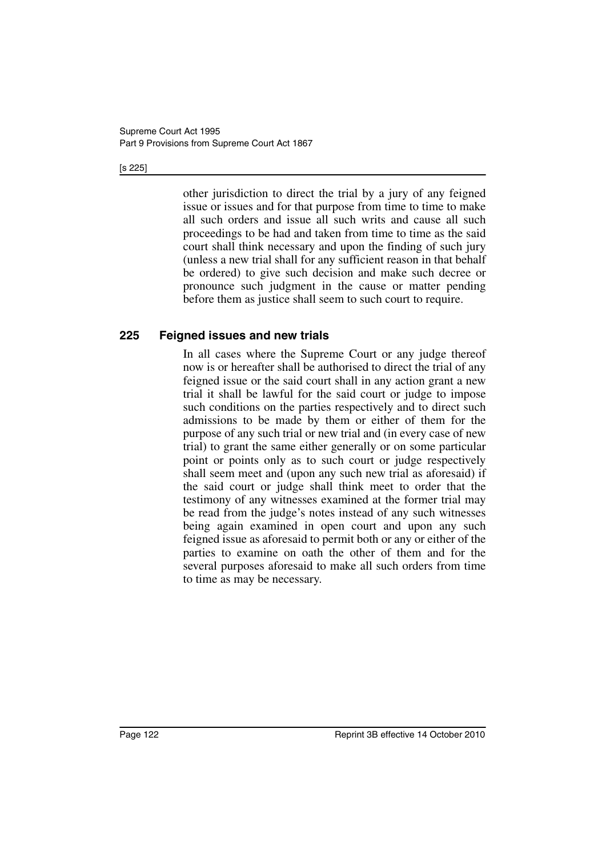#### [s 225]

other jurisdiction to direct the trial by a jury of any feigned issue or issues and for that purpose from time to time to make all such orders and issue all such writs and cause all such proceedings to be had and taken from time to time as the said court shall think necessary and upon the finding of such jury (unless a new trial shall for any sufficient reason in that behalf be ordered) to give such decision and make such decree or pronounce such judgment in the cause or matter pending before them as justice shall seem to such court to require.

#### **225 Feigned issues and new trials**

In all cases where the Supreme Court or any judge thereof now is or hereafter shall be authorised to direct the trial of any feigned issue or the said court shall in any action grant a new trial it shall be lawful for the said court or judge to impose such conditions on the parties respectively and to direct such admissions to be made by them or either of them for the purpose of any such trial or new trial and (in every case of new trial) to grant the same either generally or on some particular point or points only as to such court or judge respectively shall seem meet and (upon any such new trial as aforesaid) if the said court or judge shall think meet to order that the testimony of any witnesses examined at the former trial may be read from the judge's notes instead of any such witnesses being again examined in open court and upon any such feigned issue as aforesaid to permit both or any or either of the parties to examine on oath the other of them and for the several purposes aforesaid to make all such orders from time to time as may be necessary.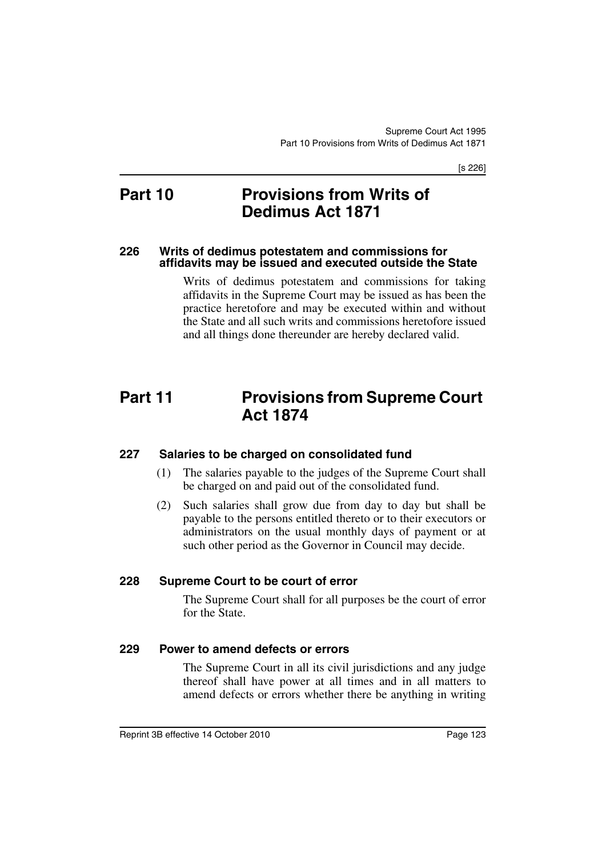[s 226]

# **Part 10 Provisions from Writs of Dedimus Act 1871**

#### **226 Writs of dedimus potestatem and commissions for affidavits may be issued and executed outside the State**

Writs of dedimus potestatem and commissions for taking affidavits in the Supreme Court may be issued as has been the practice heretofore and may be executed within and without the State and all such writs and commissions heretofore issued and all things done thereunder are hereby declared valid.

# **Part 11 Provisions from Supreme Court Act 1874**

### **227 Salaries to be charged on consolidated fund**

- (1) The salaries payable to the judges of the Supreme Court shall be charged on and paid out of the consolidated fund.
- (2) Such salaries shall grow due from day to day but shall be payable to the persons entitled thereto or to their executors or administrators on the usual monthly days of payment or at such other period as the Governor in Council may decide.

#### **228 Supreme Court to be court of error**

The Supreme Court shall for all purposes be the court of error for the State.

#### **229 Power to amend defects or errors**

The Supreme Court in all its civil jurisdictions and any judge thereof shall have power at all times and in all matters to amend defects or errors whether there be anything in writing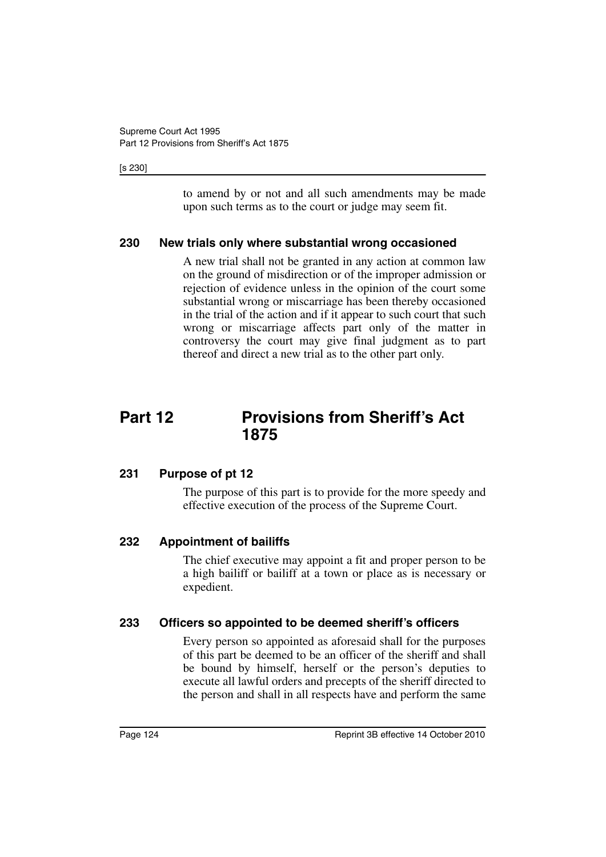#### [s 230]

to amend by or not and all such amendments may be made upon such terms as to the court or judge may seem fit.

#### **230 New trials only where substantial wrong occasioned**

A new trial shall not be granted in any action at common law on the ground of misdirection or of the improper admission or rejection of evidence unless in the opinion of the court some substantial wrong or miscarriage has been thereby occasioned in the trial of the action and if it appear to such court that such wrong or miscarriage affects part only of the matter in controversy the court may give final judgment as to part thereof and direct a new trial as to the other part only.

# **Part 12 Provisions from Sheriff's Act 1875**

#### **231 Purpose of pt 12**

The purpose of this part is to provide for the more speedy and effective execution of the process of the Supreme Court.

#### **232 Appointment of bailiffs**

The chief executive may appoint a fit and proper person to be a high bailiff or bailiff at a town or place as is necessary or expedient.

#### **233 Officers so appointed to be deemed sheriff's officers**

Every person so appointed as aforesaid shall for the purposes of this part be deemed to be an officer of the sheriff and shall be bound by himself, herself or the person's deputies to execute all lawful orders and precepts of the sheriff directed to the person and shall in all respects have and perform the same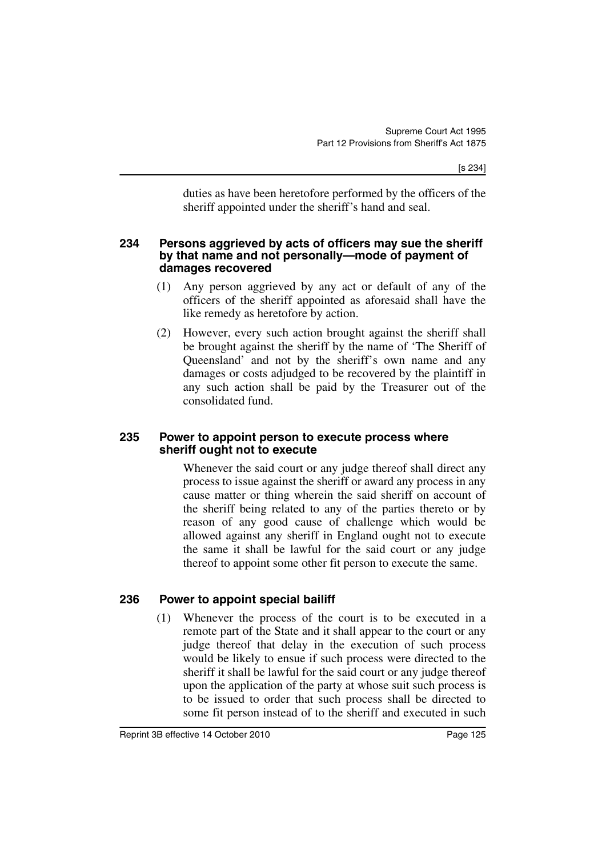duties as have been heretofore performed by the officers of the sheriff appointed under the sheriff's hand and seal.

#### **234 Persons aggrieved by acts of officers may sue the sheriff by that name and not personally—mode of payment of damages recovered**

- (1) Any person aggrieved by any act or default of any of the officers of the sheriff appointed as aforesaid shall have the like remedy as heretofore by action.
- (2) However, every such action brought against the sheriff shall be brought against the sheriff by the name of 'The Sheriff of Queensland' and not by the sheriff's own name and any damages or costs adjudged to be recovered by the plaintiff in any such action shall be paid by the Treasurer out of the consolidated fund.

#### **235 Power to appoint person to execute process where sheriff ought not to execute**

Whenever the said court or any judge thereof shall direct any process to issue against the sheriff or award any process in any cause matter or thing wherein the said sheriff on account of the sheriff being related to any of the parties thereto or by reason of any good cause of challenge which would be allowed against any sheriff in England ought not to execute the same it shall be lawful for the said court or any judge thereof to appoint some other fit person to execute the same.

### **236 Power to appoint special bailiff**

(1) Whenever the process of the court is to be executed in a remote part of the State and it shall appear to the court or any judge thereof that delay in the execution of such process would be likely to ensue if such process were directed to the sheriff it shall be lawful for the said court or any judge thereof upon the application of the party at whose suit such process is to be issued to order that such process shall be directed to some fit person instead of to the sheriff and executed in such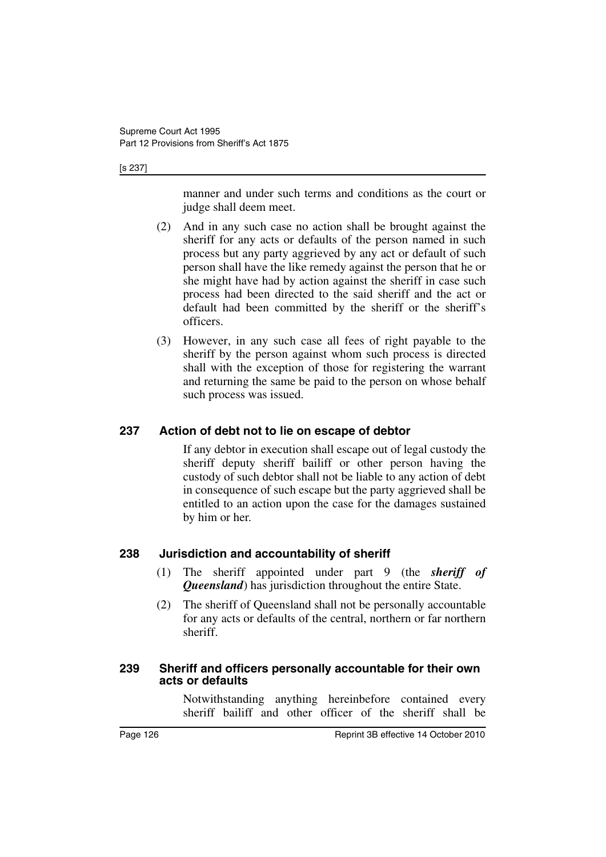[s 237]

manner and under such terms and conditions as the court or judge shall deem meet.

- (2) And in any such case no action shall be brought against the sheriff for any acts or defaults of the person named in such process but any party aggrieved by any act or default of such person shall have the like remedy against the person that he or she might have had by action against the sheriff in case such process had been directed to the said sheriff and the act or default had been committed by the sheriff or the sheriff's officers.
- (3) However, in any such case all fees of right payable to the sheriff by the person against whom such process is directed shall with the exception of those for registering the warrant and returning the same be paid to the person on whose behalf such process was issued.

### **237 Action of debt not to lie on escape of debtor**

If any debtor in execution shall escape out of legal custody the sheriff deputy sheriff bailiff or other person having the custody of such debtor shall not be liable to any action of debt in consequence of such escape but the party aggrieved shall be entitled to an action upon the case for the damages sustained by him or her.

### **238 Jurisdiction and accountability of sheriff**

- (1) The sheriff appointed under part 9 (the *sheriff of Queensland*) has jurisdiction throughout the entire State.
- (2) The sheriff of Queensland shall not be personally accountable for any acts or defaults of the central, northern or far northern sheriff.

#### **239 Sheriff and officers personally accountable for their own acts or defaults**

Notwithstanding anything hereinbefore contained every sheriff bailiff and other officer of the sheriff shall be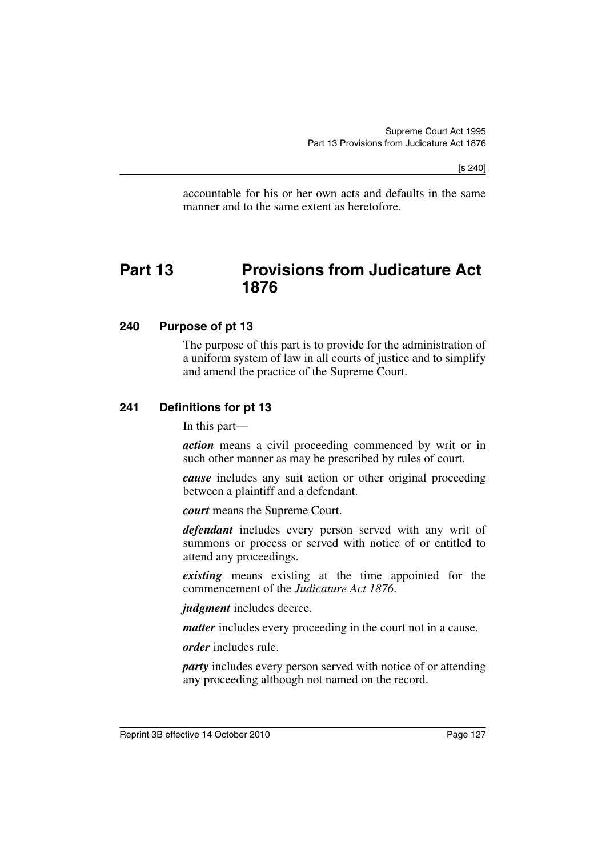[s 240]

accountable for his or her own acts and defaults in the same manner and to the same extent as heretofore.

# **Part 13 Provisions from Judicature Act 1876**

#### **240 Purpose of pt 13**

The purpose of this part is to provide for the administration of a uniform system of law in all courts of justice and to simplify and amend the practice of the Supreme Court.

#### **241 Definitions for pt 13**

In this part—

*action* means a civil proceeding commenced by writ or in such other manner as may be prescribed by rules of court.

*cause* includes any suit action or other original proceeding between a plaintiff and a defendant.

*court* means the Supreme Court.

*defendant* includes every person served with any writ of summons or process or served with notice of or entitled to attend any proceedings.

*existing* means existing at the time appointed for the commencement of the *Judicature Act 1876*.

*judgment* includes decree.

*matter* includes every proceeding in the court not in a cause.

*order* includes rule.

*party* includes every person served with notice of or attending any proceeding although not named on the record.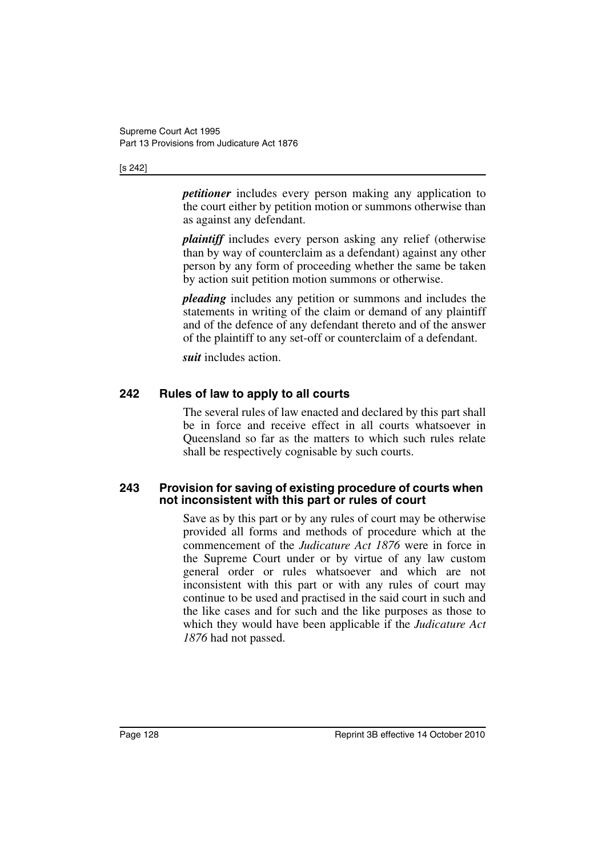#### [s 242]

*petitioner* includes every person making any application to the court either by petition motion or summons otherwise than as against any defendant.

*plaintiff* includes every person asking any relief (otherwise than by way of counterclaim as a defendant) against any other person by any form of proceeding whether the same be taken by action suit petition motion summons or otherwise.

*pleading* includes any petition or summons and includes the statements in writing of the claim or demand of any plaintiff and of the defence of any defendant thereto and of the answer of the plaintiff to any set-off or counterclaim of a defendant.

*suit* includes action.

## **242 Rules of law to apply to all courts**

The several rules of law enacted and declared by this part shall be in force and receive effect in all courts whatsoever in Queensland so far as the matters to which such rules relate shall be respectively cognisable by such courts.

#### **243 Provision for saving of existing procedure of courts when not inconsistent with this part or rules of court**

Save as by this part or by any rules of court may be otherwise provided all forms and methods of procedure which at the commencement of the *Judicature Act 1876* were in force in the Supreme Court under or by virtue of any law custom general order or rules whatsoever and which are not inconsistent with this part or with any rules of court may continue to be used and practised in the said court in such and the like cases and for such and the like purposes as those to which they would have been applicable if the *Judicature Act 1876* had not passed.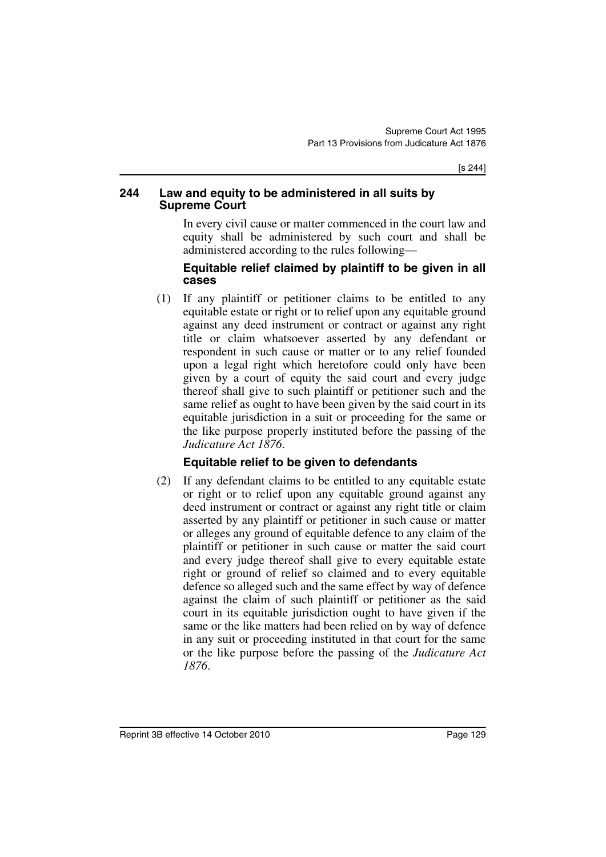#### **244 Law and equity to be administered in all suits by Supreme Court**

In every civil cause or matter commenced in the court law and equity shall be administered by such court and shall be administered according to the rules following—

#### **Equitable relief claimed by plaintiff to be given in all cases**

(1) If any plaintiff or petitioner claims to be entitled to any equitable estate or right or to relief upon any equitable ground against any deed instrument or contract or against any right title or claim whatsoever asserted by any defendant or respondent in such cause or matter or to any relief founded upon a legal right which heretofore could only have been given by a court of equity the said court and every judge thereof shall give to such plaintiff or petitioner such and the same relief as ought to have been given by the said court in its equitable jurisdiction in a suit or proceeding for the same or the like purpose properly instituted before the passing of the *Judicature Act 1876*.

## **Equitable relief to be given to defendants**

(2) If any defendant claims to be entitled to any equitable estate or right or to relief upon any equitable ground against any deed instrument or contract or against any right title or claim asserted by any plaintiff or petitioner in such cause or matter or alleges any ground of equitable defence to any claim of the plaintiff or petitioner in such cause or matter the said court and every judge thereof shall give to every equitable estate right or ground of relief so claimed and to every equitable defence so alleged such and the same effect by way of defence against the claim of such plaintiff or petitioner as the said court in its equitable jurisdiction ought to have given if the same or the like matters had been relied on by way of defence in any suit or proceeding instituted in that court for the same or the like purpose before the passing of the *Judicature Act 1876*.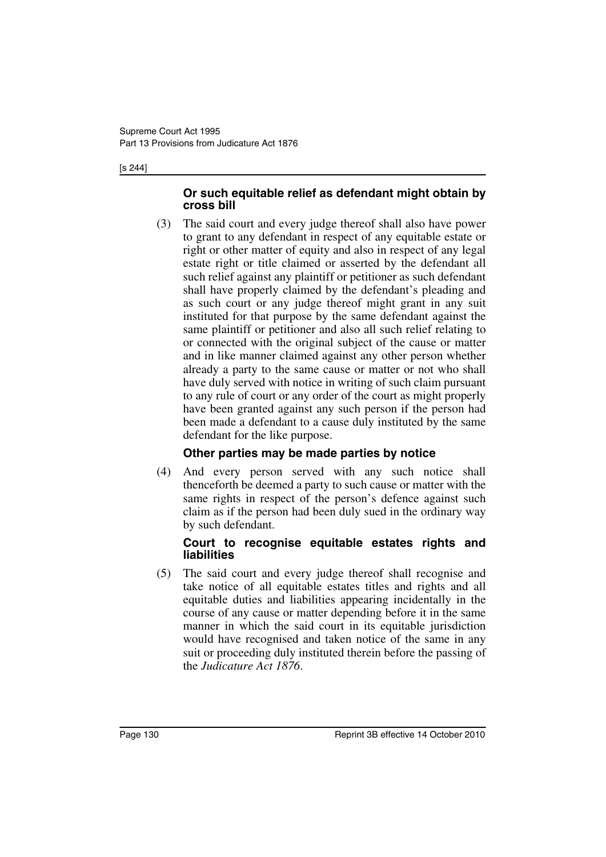#### [s 244]

#### **Or such equitable relief as defendant might obtain by cross bill**

(3) The said court and every judge thereof shall also have power to grant to any defendant in respect of any equitable estate or right or other matter of equity and also in respect of any legal estate right or title claimed or asserted by the defendant all such relief against any plaintiff or petitioner as such defendant shall have properly claimed by the defendant's pleading and as such court or any judge thereof might grant in any suit instituted for that purpose by the same defendant against the same plaintiff or petitioner and also all such relief relating to or connected with the original subject of the cause or matter and in like manner claimed against any other person whether already a party to the same cause or matter or not who shall have duly served with notice in writing of such claim pursuant to any rule of court or any order of the court as might properly have been granted against any such person if the person had been made a defendant to a cause duly instituted by the same defendant for the like purpose.

## **Other parties may be made parties by notice**

(4) And every person served with any such notice shall thenceforth be deemed a party to such cause or matter with the same rights in respect of the person's defence against such claim as if the person had been duly sued in the ordinary way by such defendant.

#### **Court to recognise equitable estates rights and liabilities**

(5) The said court and every judge thereof shall recognise and take notice of all equitable estates titles and rights and all equitable duties and liabilities appearing incidentally in the course of any cause or matter depending before it in the same manner in which the said court in its equitable jurisdiction would have recognised and taken notice of the same in any suit or proceeding duly instituted therein before the passing of the *Judicature Act 1876*.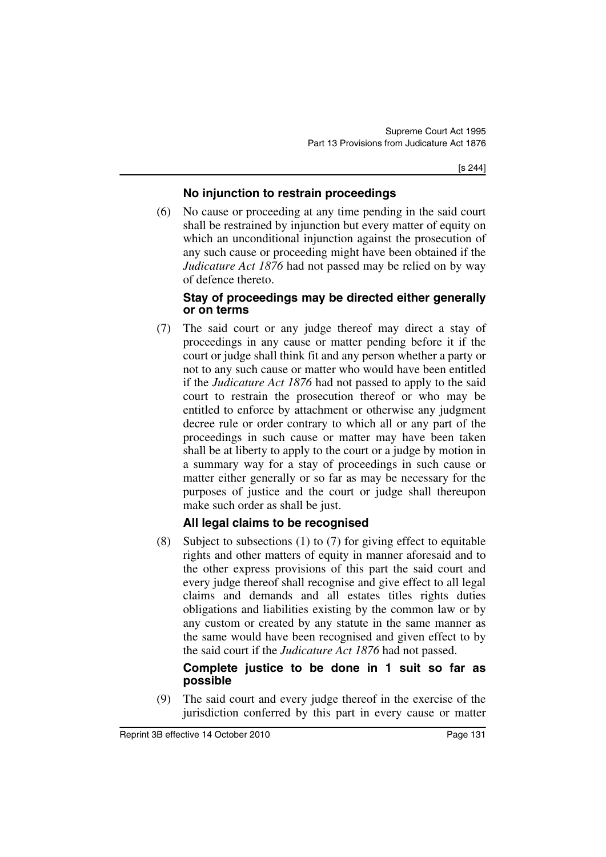[s 244]

## **No injunction to restrain proceedings**

(6) No cause or proceeding at any time pending in the said court shall be restrained by injunction but every matter of equity on which an unconditional injunction against the prosecution of any such cause or proceeding might have been obtained if the *Judicature Act 1876* had not passed may be relied on by way of defence thereto.

## **Stay of proceedings may be directed either generally or on terms**

(7) The said court or any judge thereof may direct a stay of proceedings in any cause or matter pending before it if the court or judge shall think fit and any person whether a party or not to any such cause or matter who would have been entitled if the *Judicature Act 1876* had not passed to apply to the said court to restrain the prosecution thereof or who may be entitled to enforce by attachment or otherwise any judgment decree rule or order contrary to which all or any part of the proceedings in such cause or matter may have been taken shall be at liberty to apply to the court or a judge by motion in a summary way for a stay of proceedings in such cause or matter either generally or so far as may be necessary for the purposes of justice and the court or judge shall thereupon make such order as shall be just.

## **All legal claims to be recognised**

(8) Subject to subsections (1) to (7) for giving effect to equitable rights and other matters of equity in manner aforesaid and to the other express provisions of this part the said court and every judge thereof shall recognise and give effect to all legal claims and demands and all estates titles rights duties obligations and liabilities existing by the common law or by any custom or created by any statute in the same manner as the same would have been recognised and given effect to by the said court if the *Judicature Act 1876* had not passed.

### **Complete justice to be done in 1 suit so far as possible**

(9) The said court and every judge thereof in the exercise of the jurisdiction conferred by this part in every cause or matter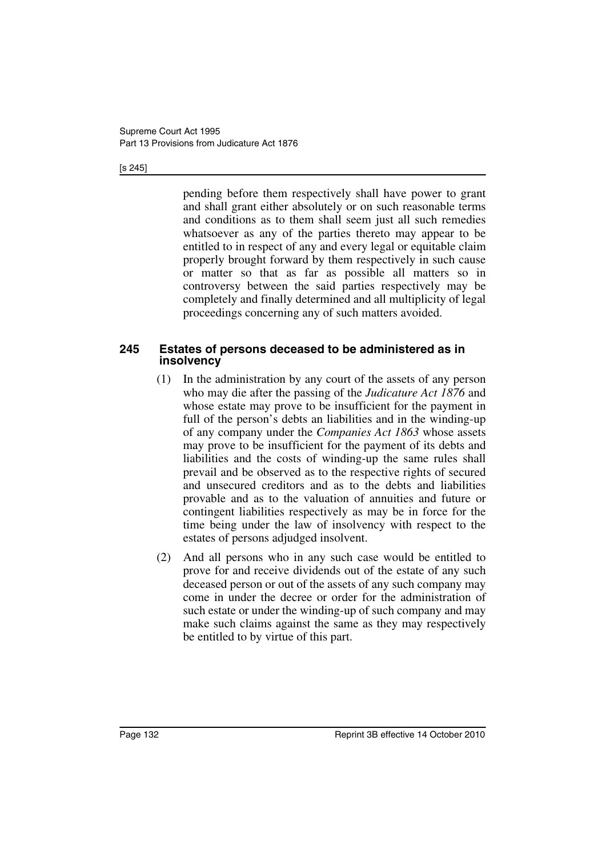#### [s 245]

pending before them respectively shall have power to grant and shall grant either absolutely or on such reasonable terms and conditions as to them shall seem just all such remedies whatsoever as any of the parties thereto may appear to be entitled to in respect of any and every legal or equitable claim properly brought forward by them respectively in such cause or matter so that as far as possible all matters so in controversy between the said parties respectively may be completely and finally determined and all multiplicity of legal proceedings concerning any of such matters avoided.

#### **245 Estates of persons deceased to be administered as in insolvency**

- (1) In the administration by any court of the assets of any person who may die after the passing of the *Judicature Act 1876* and whose estate may prove to be insufficient for the payment in full of the person's debts an liabilities and in the winding-up of any company under the *Companies Act 1863* whose assets may prove to be insufficient for the payment of its debts and liabilities and the costs of winding-up the same rules shall prevail and be observed as to the respective rights of secured and unsecured creditors and as to the debts and liabilities provable and as to the valuation of annuities and future or contingent liabilities respectively as may be in force for the time being under the law of insolvency with respect to the estates of persons adjudged insolvent.
- (2) And all persons who in any such case would be entitled to prove for and receive dividends out of the estate of any such deceased person or out of the assets of any such company may come in under the decree or order for the administration of such estate or under the winding-up of such company and may make such claims against the same as they may respectively be entitled to by virtue of this part.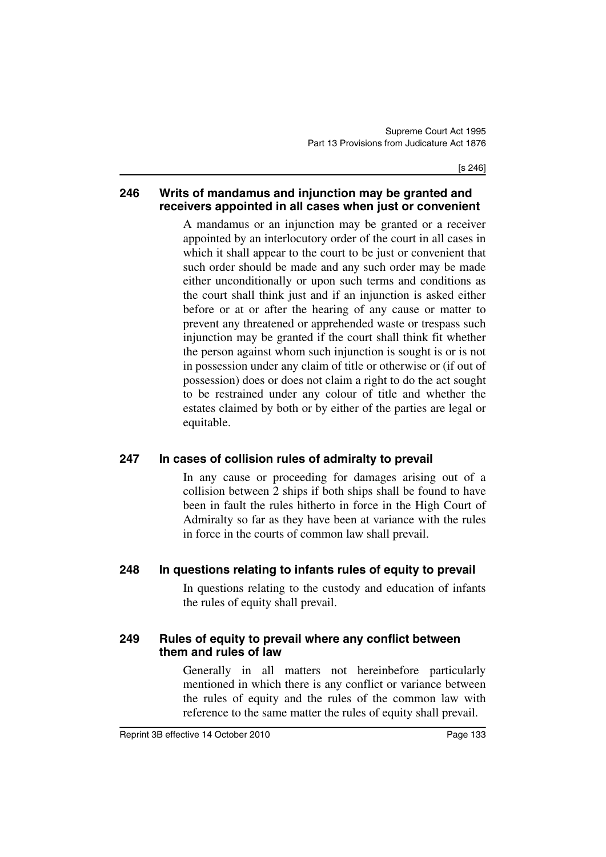#### **246 Writs of mandamus and injunction may be granted and receivers appointed in all cases when just or convenient**

A mandamus or an injunction may be granted or a receiver appointed by an interlocutory order of the court in all cases in which it shall appear to the court to be just or convenient that such order should be made and any such order may be made either unconditionally or upon such terms and conditions as the court shall think just and if an injunction is asked either before or at or after the hearing of any cause or matter to prevent any threatened or apprehended waste or trespass such injunction may be granted if the court shall think fit whether the person against whom such injunction is sought is or is not in possession under any claim of title or otherwise or (if out of possession) does or does not claim a right to do the act sought to be restrained under any colour of title and whether the estates claimed by both or by either of the parties are legal or equitable.

### **247 In cases of collision rules of admiralty to prevail**

In any cause or proceeding for damages arising out of a collision between 2 ships if both ships shall be found to have been in fault the rules hitherto in force in the High Court of Admiralty so far as they have been at variance with the rules in force in the courts of common law shall prevail.

## **248 In questions relating to infants rules of equity to prevail**

In questions relating to the custody and education of infants the rules of equity shall prevail.

#### **249 Rules of equity to prevail where any conflict between them and rules of law**

Generally in all matters not hereinbefore particularly mentioned in which there is any conflict or variance between the rules of equity and the rules of the common law with reference to the same matter the rules of equity shall prevail.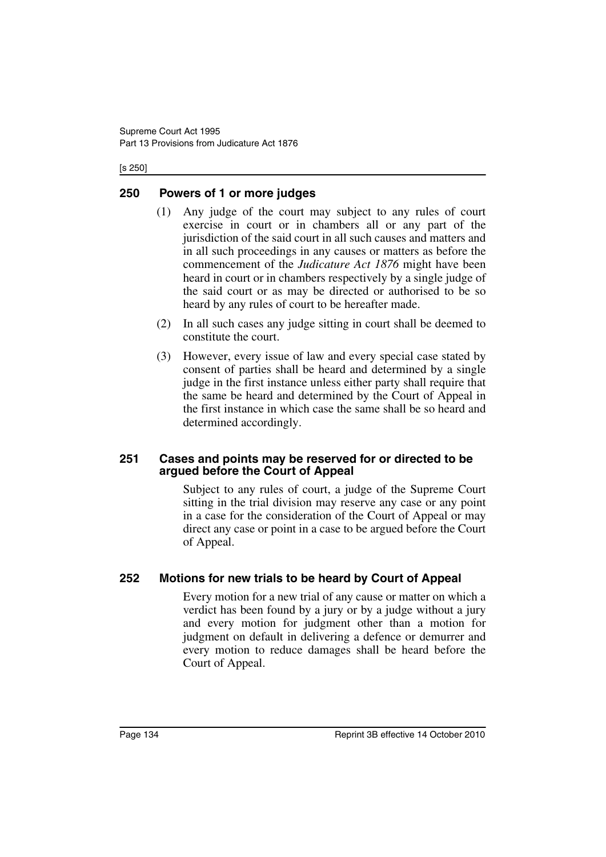#### [s 250]

### **250 Powers of 1 or more judges**

- (1) Any judge of the court may subject to any rules of court exercise in court or in chambers all or any part of the jurisdiction of the said court in all such causes and matters and in all such proceedings in any causes or matters as before the commencement of the *Judicature Act 1876* might have been heard in court or in chambers respectively by a single judge of the said court or as may be directed or authorised to be so heard by any rules of court to be hereafter made.
- (2) In all such cases any judge sitting in court shall be deemed to constitute the court.
- (3) However, every issue of law and every special case stated by consent of parties shall be heard and determined by a single judge in the first instance unless either party shall require that the same be heard and determined by the Court of Appeal in the first instance in which case the same shall be so heard and determined accordingly.

#### **251 Cases and points may be reserved for or directed to be argued before the Court of Appeal**

Subject to any rules of court, a judge of the Supreme Court sitting in the trial division may reserve any case or any point in a case for the consideration of the Court of Appeal or may direct any case or point in a case to be argued before the Court of Appeal.

### **252 Motions for new trials to be heard by Court of Appeal**

Every motion for a new trial of any cause or matter on which a verdict has been found by a jury or by a judge without a jury and every motion for judgment other than a motion for judgment on default in delivering a defence or demurrer and every motion to reduce damages shall be heard before the Court of Appeal.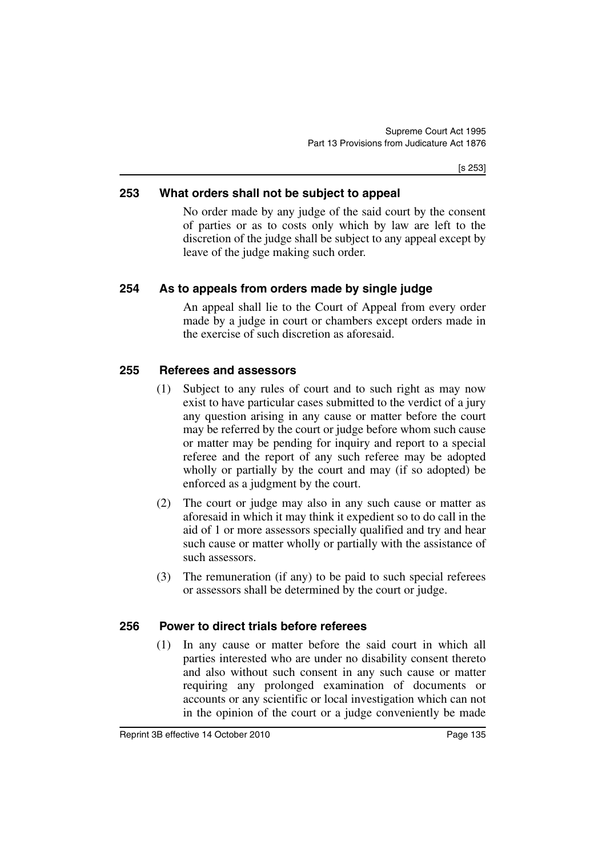[s 253]

### **253 What orders shall not be subject to appeal**

No order made by any judge of the said court by the consent of parties or as to costs only which by law are left to the discretion of the judge shall be subject to any appeal except by leave of the judge making such order.

## **254 As to appeals from orders made by single judge**

An appeal shall lie to the Court of Appeal from every order made by a judge in court or chambers except orders made in the exercise of such discretion as aforesaid.

### **255 Referees and assessors**

- (1) Subject to any rules of court and to such right as may now exist to have particular cases submitted to the verdict of a jury any question arising in any cause or matter before the court may be referred by the court or judge before whom such cause or matter may be pending for inquiry and report to a special referee and the report of any such referee may be adopted wholly or partially by the court and may (if so adopted) be enforced as a judgment by the court.
- (2) The court or judge may also in any such cause or matter as aforesaid in which it may think it expedient so to do call in the aid of 1 or more assessors specially qualified and try and hear such cause or matter wholly or partially with the assistance of such assessors.
- (3) The remuneration (if any) to be paid to such special referees or assessors shall be determined by the court or judge.

### **256 Power to direct trials before referees**

(1) In any cause or matter before the said court in which all parties interested who are under no disability consent thereto and also without such consent in any such cause or matter requiring any prolonged examination of documents or accounts or any scientific or local investigation which can not in the opinion of the court or a judge conveniently be made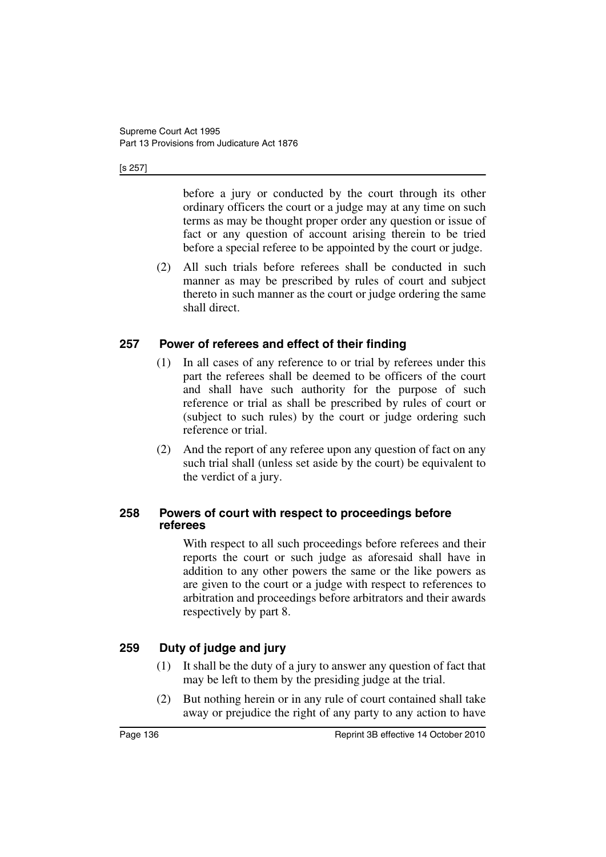#### [s 257]

before a jury or conducted by the court through its other ordinary officers the court or a judge may at any time on such terms as may be thought proper order any question or issue of fact or any question of account arising therein to be tried before a special referee to be appointed by the court or judge.

(2) All such trials before referees shall be conducted in such manner as may be prescribed by rules of court and subject thereto in such manner as the court or judge ordering the same shall direct.

### **257 Power of referees and effect of their finding**

- (1) In all cases of any reference to or trial by referees under this part the referees shall be deemed to be officers of the court and shall have such authority for the purpose of such reference or trial as shall be prescribed by rules of court or (subject to such rules) by the court or judge ordering such reference or trial.
- (2) And the report of any referee upon any question of fact on any such trial shall (unless set aside by the court) be equivalent to the verdict of a jury.

#### **258 Powers of court with respect to proceedings before referees**

With respect to all such proceedings before referees and their reports the court or such judge as aforesaid shall have in addition to any other powers the same or the like powers as are given to the court or a judge with respect to references to arbitration and proceedings before arbitrators and their awards respectively by part 8.

## **259 Duty of judge and jury**

- (1) It shall be the duty of a jury to answer any question of fact that may be left to them by the presiding judge at the trial.
- (2) But nothing herein or in any rule of court contained shall take away or prejudice the right of any party to any action to have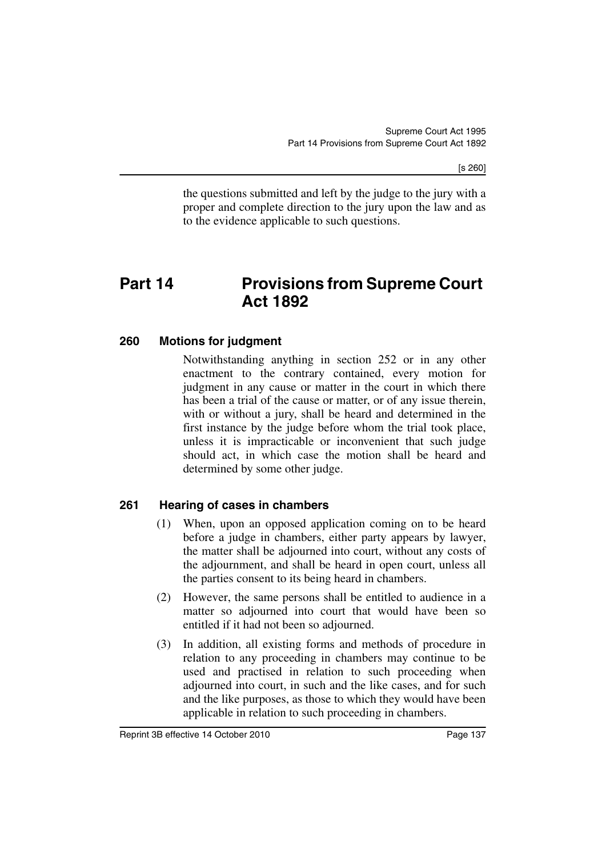the questions submitted and left by the judge to the jury with a proper and complete direction to the jury upon the law and as to the evidence applicable to such questions.

# **Part 14 Provisions from Supreme Court Act 1892**

### **260 Motions for judgment**

Notwithstanding anything in section 252 or in any other enactment to the contrary contained, every motion for judgment in any cause or matter in the court in which there has been a trial of the cause or matter, or of any issue therein, with or without a jury, shall be heard and determined in the first instance by the judge before whom the trial took place, unless it is impracticable or inconvenient that such judge should act, in which case the motion shall be heard and determined by some other judge.

### **261 Hearing of cases in chambers**

- (1) When, upon an opposed application coming on to be heard before a judge in chambers, either party appears by lawyer, the matter shall be adjourned into court, without any costs of the adjournment, and shall be heard in open court, unless all the parties consent to its being heard in chambers.
- (2) However, the same persons shall be entitled to audience in a matter so adjourned into court that would have been so entitled if it had not been so adjourned.
- (3) In addition, all existing forms and methods of procedure in relation to any proceeding in chambers may continue to be used and practised in relation to such proceeding when adjourned into court, in such and the like cases, and for such and the like purposes, as those to which they would have been applicable in relation to such proceeding in chambers.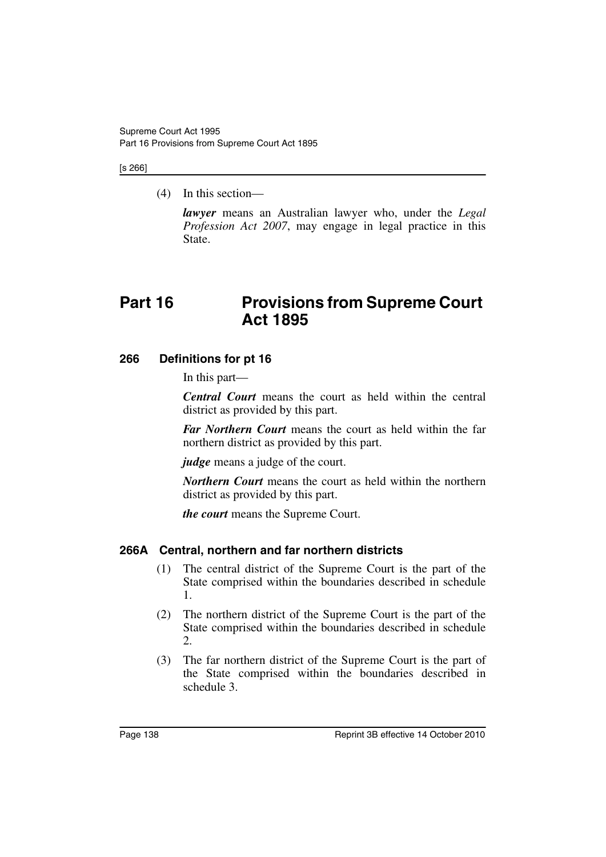#### [s 266]

(4) In this section—

*lawyer* means an Australian lawyer who, under the *Legal Profession Act 2007*, may engage in legal practice in this State.

# **Part 16 Provisions from Supreme Court Act 1895**

### **266 Definitions for pt 16**

In this part—

*Central Court* means the court as held within the central district as provided by this part.

*Far Northern Court* means the court as held within the far northern district as provided by this part.

*judge* means a judge of the court.

*Northern Court* means the court as held within the northern district as provided by this part.

*the court* means the Supreme Court.

### **266A Central, northern and far northern districts**

- (1) The central district of the Supreme Court is the part of the State comprised within the boundaries described in schedule 1.
- (2) The northern district of the Supreme Court is the part of the State comprised within the boundaries described in schedule 2.
- (3) The far northern district of the Supreme Court is the part of the State comprised within the boundaries described in schedule 3.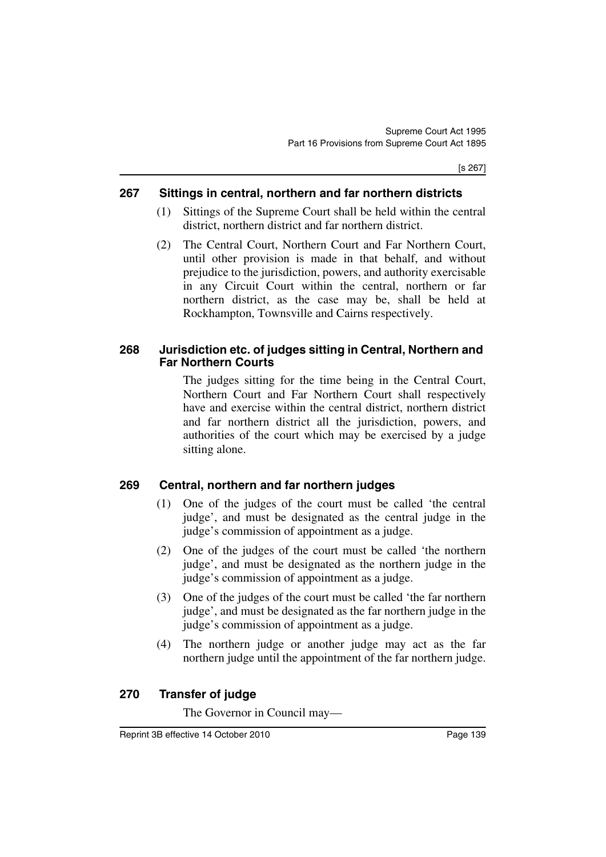#### **267 Sittings in central, northern and far northern districts**

- (1) Sittings of the Supreme Court shall be held within the central district, northern district and far northern district.
- (2) The Central Court, Northern Court and Far Northern Court, until other provision is made in that behalf, and without prejudice to the jurisdiction, powers, and authority exercisable in any Circuit Court within the central, northern or far northern district, as the case may be, shall be held at Rockhampton, Townsville and Cairns respectively.

#### **268 Jurisdiction etc. of judges sitting in Central, Northern and Far Northern Courts**

The judges sitting for the time being in the Central Court, Northern Court and Far Northern Court shall respectively have and exercise within the central district, northern district and far northern district all the jurisdiction, powers, and authorities of the court which may be exercised by a judge sitting alone.

## **269 Central, northern and far northern judges**

- (1) One of the judges of the court must be called 'the central judge', and must be designated as the central judge in the judge's commission of appointment as a judge.
- (2) One of the judges of the court must be called 'the northern judge', and must be designated as the northern judge in the judge's commission of appointment as a judge.
- (3) One of the judges of the court must be called 'the far northern judge', and must be designated as the far northern judge in the judge's commission of appointment as a judge.
- (4) The northern judge or another judge may act as the far northern judge until the appointment of the far northern judge.

## **270 Transfer of judge**

The Governor in Council may—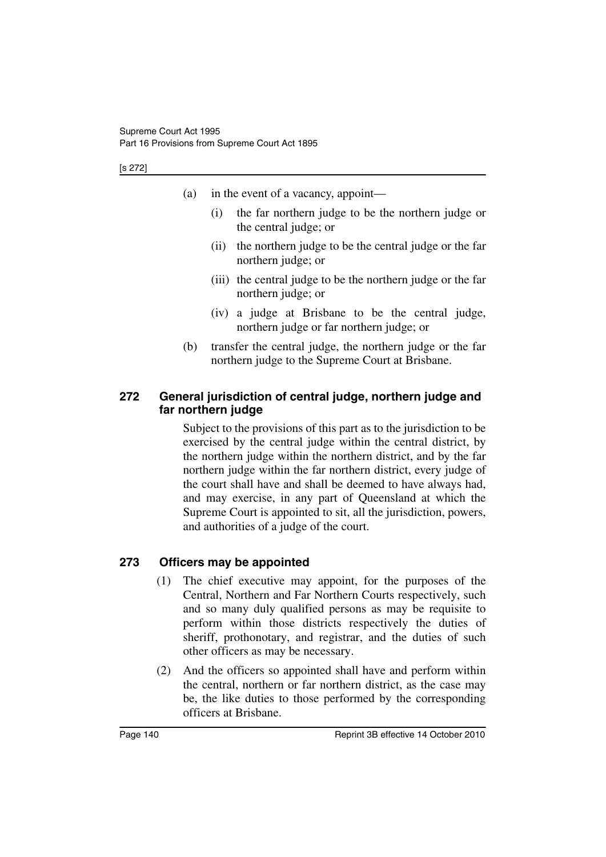- (a) in the event of a vacancy, appoint—
	- (i) the far northern judge to be the northern judge or the central judge; or
	- (ii) the northern judge to be the central judge or the far northern judge; or
	- (iii) the central judge to be the northern judge or the far northern judge; or
	- (iv) a judge at Brisbane to be the central judge, northern judge or far northern judge; or
- (b) transfer the central judge, the northern judge or the far northern judge to the Supreme Court at Brisbane.

## **272 General jurisdiction of central judge, northern judge and far northern judge**

Subject to the provisions of this part as to the jurisdiction to be exercised by the central judge within the central district, by the northern judge within the northern district, and by the far northern judge within the far northern district, every judge of the court shall have and shall be deemed to have always had, and may exercise, in any part of Queensland at which the Supreme Court is appointed to sit, all the jurisdiction, powers, and authorities of a judge of the court.

## **273 Officers may be appointed**

- (1) The chief executive may appoint, for the purposes of the Central, Northern and Far Northern Courts respectively, such and so many duly qualified persons as may be requisite to perform within those districts respectively the duties of sheriff, prothonotary, and registrar, and the duties of such other officers as may be necessary.
- (2) And the officers so appointed shall have and perform within the central, northern or far northern district, as the case may be, the like duties to those performed by the corresponding officers at Brisbane.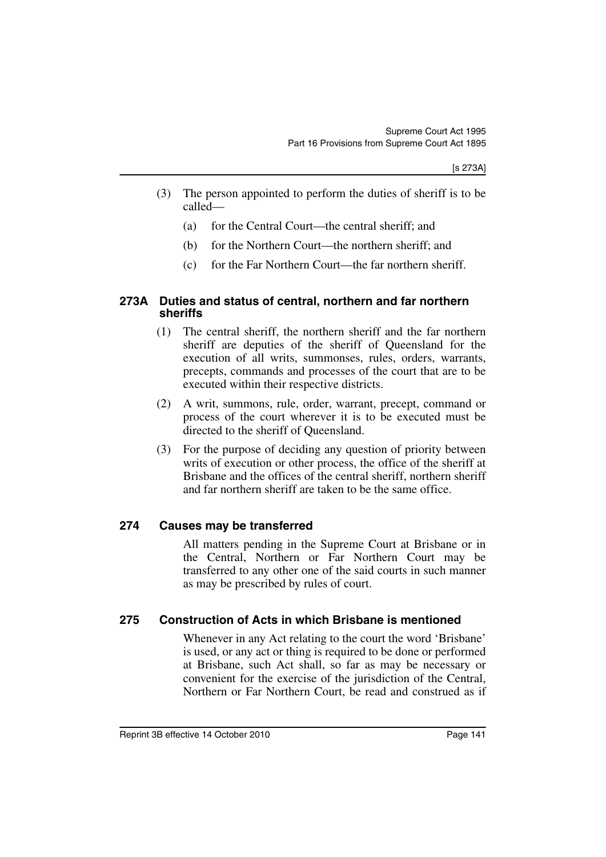- (3) The person appointed to perform the duties of sheriff is to be called—
	- (a) for the Central Court—the central sheriff; and
	- (b) for the Northern Court—the northern sheriff; and
	- (c) for the Far Northern Court—the far northern sheriff.

#### **273A Duties and status of central, northern and far northern sheriffs**

- (1) The central sheriff, the northern sheriff and the far northern sheriff are deputies of the sheriff of Queensland for the execution of all writs, summonses, rules, orders, warrants, precepts, commands and processes of the court that are to be executed within their respective districts.
- (2) A writ, summons, rule, order, warrant, precept, command or process of the court wherever it is to be executed must be directed to the sheriff of Queensland.
- (3) For the purpose of deciding any question of priority between writs of execution or other process, the office of the sheriff at Brisbane and the offices of the central sheriff, northern sheriff and far northern sheriff are taken to be the same office.

#### **274 Causes may be transferred**

All matters pending in the Supreme Court at Brisbane or in the Central, Northern or Far Northern Court may be transferred to any other one of the said courts in such manner as may be prescribed by rules of court.

#### **275 Construction of Acts in which Brisbane is mentioned**

Whenever in any Act relating to the court the word 'Brisbane' is used, or any act or thing is required to be done or performed at Brisbane, such Act shall, so far as may be necessary or convenient for the exercise of the jurisdiction of the Central, Northern or Far Northern Court, be read and construed as if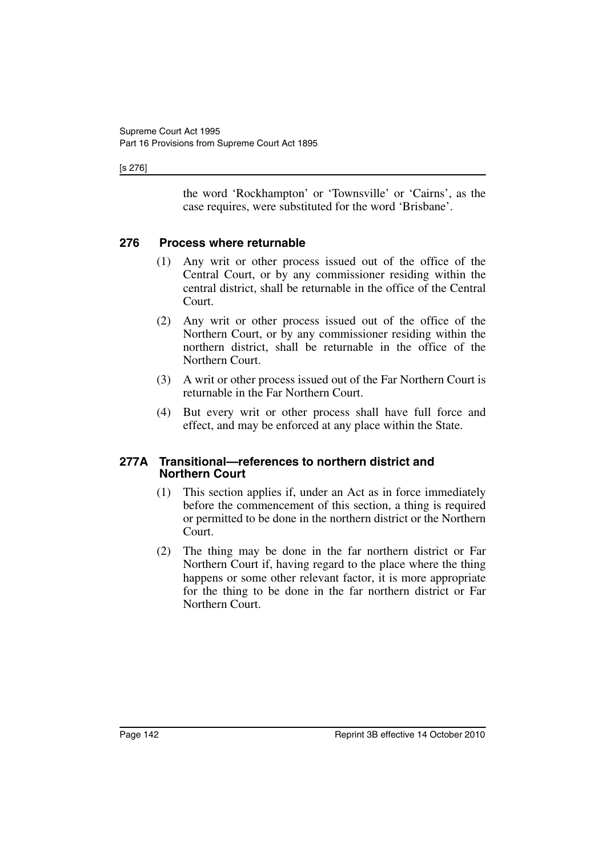[s 276]

the word 'Rockhampton' or 'Townsville' or 'Cairns', as the case requires, were substituted for the word 'Brisbane'.

### **276 Process where returnable**

- (1) Any writ or other process issued out of the office of the Central Court, or by any commissioner residing within the central district, shall be returnable in the office of the Central Court.
- (2) Any writ or other process issued out of the office of the Northern Court, or by any commissioner residing within the northern district, shall be returnable in the office of the Northern Court.
- (3) A writ or other process issued out of the Far Northern Court is returnable in the Far Northern Court.
- (4) But every writ or other process shall have full force and effect, and may be enforced at any place within the State.

#### **277A Transitional—references to northern district and Northern Court**

- (1) This section applies if, under an Act as in force immediately before the commencement of this section, a thing is required or permitted to be done in the northern district or the Northern Court.
- (2) The thing may be done in the far northern district or Far Northern Court if, having regard to the place where the thing happens or some other relevant factor, it is more appropriate for the thing to be done in the far northern district or Far Northern Court.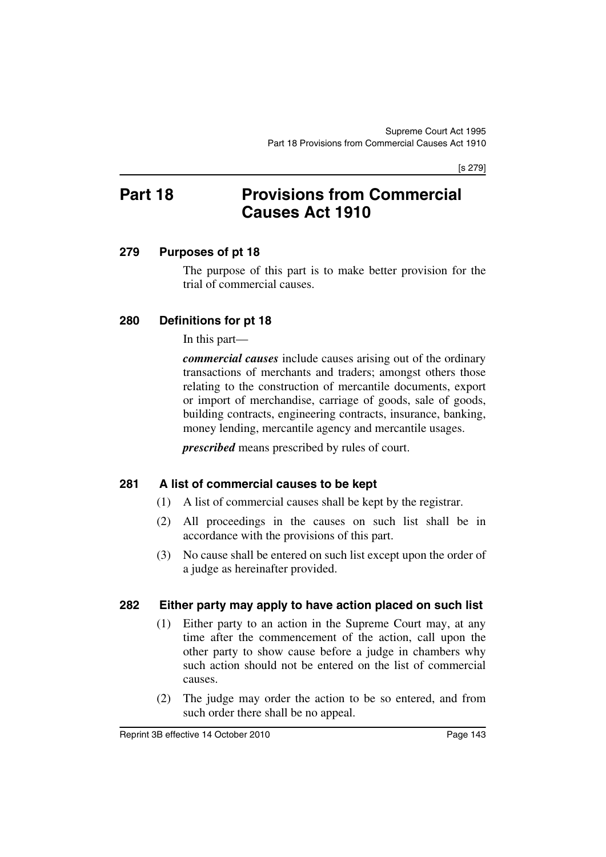[s 279]

# **Part 18 Provisions from Commercial Causes Act 1910**

# **279 Purposes of pt 18**

The purpose of this part is to make better provision for the trial of commercial causes.

# **280 Definitions for pt 18**

In this part—

*commercial causes* include causes arising out of the ordinary transactions of merchants and traders; amongst others those relating to the construction of mercantile documents, export or import of merchandise, carriage of goods, sale of goods, building contracts, engineering contracts, insurance, banking, money lending, mercantile agency and mercantile usages.

*prescribed* means prescribed by rules of court.

# **281 A list of commercial causes to be kept**

- (1) A list of commercial causes shall be kept by the registrar.
- (2) All proceedings in the causes on such list shall be in accordance with the provisions of this part.
- (3) No cause shall be entered on such list except upon the order of a judge as hereinafter provided.

# **282 Either party may apply to have action placed on such list**

- (1) Either party to an action in the Supreme Court may, at any time after the commencement of the action, call upon the other party to show cause before a judge in chambers why such action should not be entered on the list of commercial causes.
- (2) The judge may order the action to be so entered, and from such order there shall be no appeal.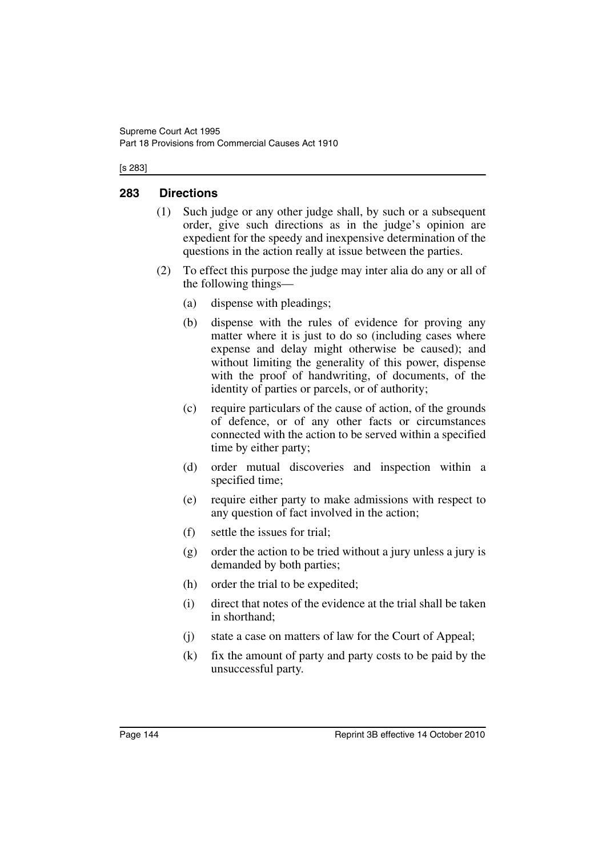[s 283]

# **283 Directions**

- (1) Such judge or any other judge shall, by such or a subsequent order, give such directions as in the judge's opinion are expedient for the speedy and inexpensive determination of the questions in the action really at issue between the parties.
- (2) To effect this purpose the judge may inter alia do any or all of the following things—
	- (a) dispense with pleadings;
	- (b) dispense with the rules of evidence for proving any matter where it is just to do so (including cases where expense and delay might otherwise be caused); and without limiting the generality of this power, dispense with the proof of handwriting, of documents, of the identity of parties or parcels, or of authority;
	- (c) require particulars of the cause of action, of the grounds of defence, or of any other facts or circumstances connected with the action to be served within a specified time by either party;
	- (d) order mutual discoveries and inspection within a specified time;
	- (e) require either party to make admissions with respect to any question of fact involved in the action;
	- (f) settle the issues for trial;
	- (g) order the action to be tried without a jury unless a jury is demanded by both parties;
	- (h) order the trial to be expedited;
	- (i) direct that notes of the evidence at the trial shall be taken in shorthand;
	- (j) state a case on matters of law for the Court of Appeal;
	- (k) fix the amount of party and party costs to be paid by the unsuccessful party.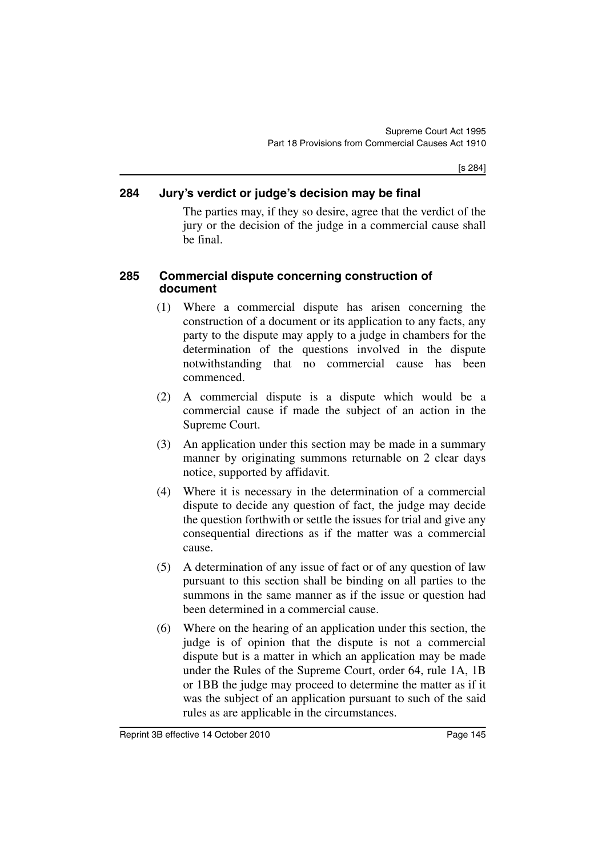[s 284]

# **284 Jury's verdict or judge's decision may be final**

The parties may, if they so desire, agree that the verdict of the jury or the decision of the judge in a commercial cause shall be final.

# **285 Commercial dispute concerning construction of document**

- (1) Where a commercial dispute has arisen concerning the construction of a document or its application to any facts, any party to the dispute may apply to a judge in chambers for the determination of the questions involved in the dispute notwithstanding that no commercial cause has been commenced.
- (2) A commercial dispute is a dispute which would be a commercial cause if made the subject of an action in the Supreme Court.
- (3) An application under this section may be made in a summary manner by originating summons returnable on 2 clear days notice, supported by affidavit.
- (4) Where it is necessary in the determination of a commercial dispute to decide any question of fact, the judge may decide the question forthwith or settle the issues for trial and give any consequential directions as if the matter was a commercial cause.
- (5) A determination of any issue of fact or of any question of law pursuant to this section shall be binding on all parties to the summons in the same manner as if the issue or question had been determined in a commercial cause.
- (6) Where on the hearing of an application under this section, the judge is of opinion that the dispute is not a commercial dispute but is a matter in which an application may be made under the Rules of the Supreme Court, order 64, rule 1A, 1B or 1BB the judge may proceed to determine the matter as if it was the subject of an application pursuant to such of the said rules as are applicable in the circumstances.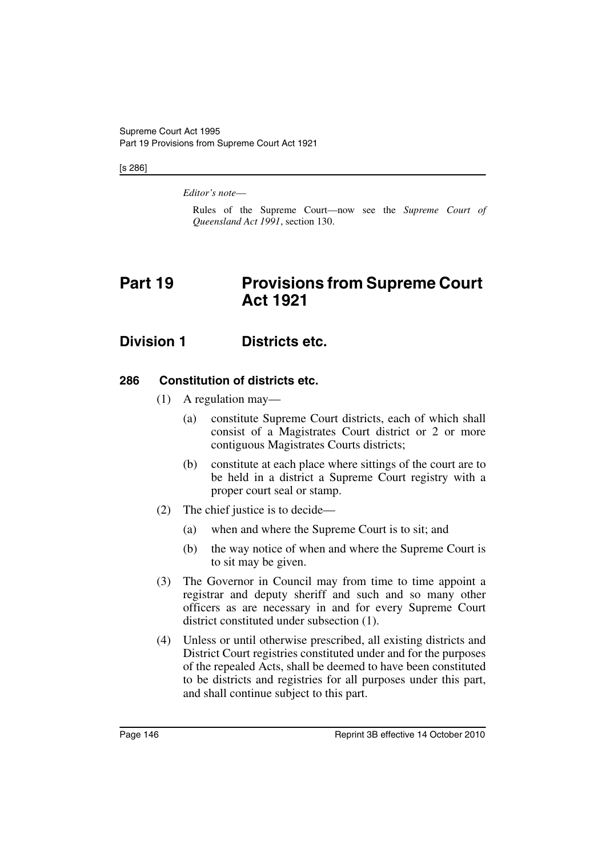#### [s 286]

*Editor's note*—

Rules of the Supreme Court—now see the *Supreme Court of Queensland Act 1991*, section 130.

# **Part 19** Provisions from Supreme Court **Act 1921**

# **Division 1 Districts etc.**

# **286 Constitution of districts etc.**

- (1) A regulation may—
	- (a) constitute Supreme Court districts, each of which shall consist of a Magistrates Court district or 2 or more contiguous Magistrates Courts districts;
	- (b) constitute at each place where sittings of the court are to be held in a district a Supreme Court registry with a proper court seal or stamp.
- (2) The chief justice is to decide—
	- (a) when and where the Supreme Court is to sit; and
	- (b) the way notice of when and where the Supreme Court is to sit may be given.
- (3) The Governor in Council may from time to time appoint a registrar and deputy sheriff and such and so many other officers as are necessary in and for every Supreme Court district constituted under subsection (1).
- (4) Unless or until otherwise prescribed, all existing districts and District Court registries constituted under and for the purposes of the repealed Acts, shall be deemed to have been constituted to be districts and registries for all purposes under this part, and shall continue subject to this part.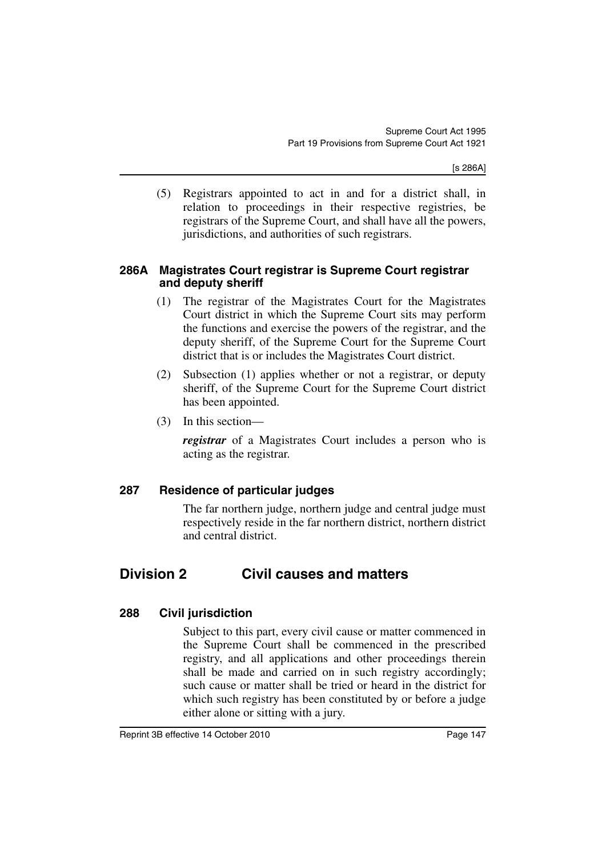(5) Registrars appointed to act in and for a district shall, in relation to proceedings in their respective registries, be registrars of the Supreme Court, and shall have all the powers, jurisdictions, and authorities of such registrars.

### **286A Magistrates Court registrar is Supreme Court registrar and deputy sheriff**

- (1) The registrar of the Magistrates Court for the Magistrates Court district in which the Supreme Court sits may perform the functions and exercise the powers of the registrar, and the deputy sheriff, of the Supreme Court for the Supreme Court district that is or includes the Magistrates Court district.
- (2) Subsection (1) applies whether or not a registrar, or deputy sheriff, of the Supreme Court for the Supreme Court district has been appointed.
- (3) In this section—

*registrar* of a Magistrates Court includes a person who is acting as the registrar.

# **287 Residence of particular judges**

The far northern judge, northern judge and central judge must respectively reside in the far northern district, northern district and central district.

# **Division 2 Civil causes and matters**

# **288 Civil jurisdiction**

Subject to this part, every civil cause or matter commenced in the Supreme Court shall be commenced in the prescribed registry, and all applications and other proceedings therein shall be made and carried on in such registry accordingly; such cause or matter shall be tried or heard in the district for which such registry has been constituted by or before a judge either alone or sitting with a jury.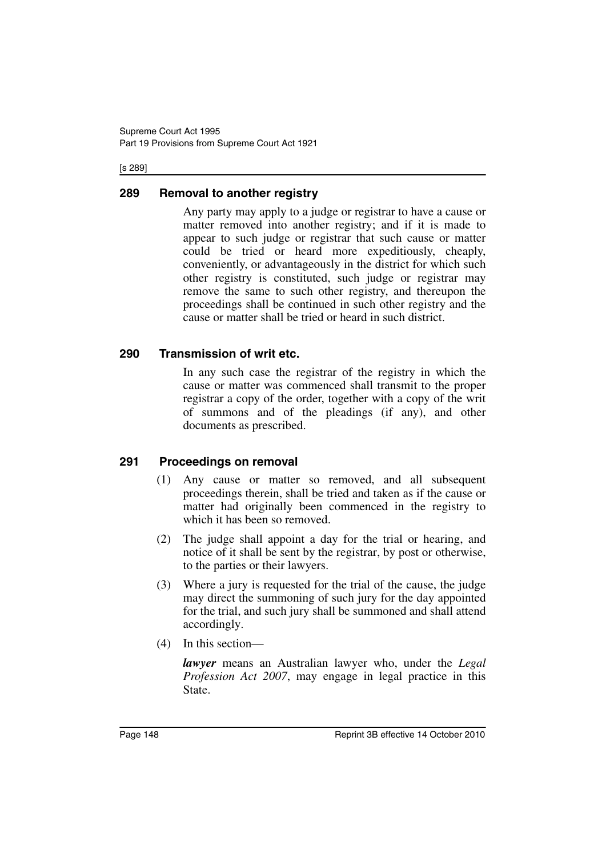#### [s 289]

# **289 Removal to another registry**

Any party may apply to a judge or registrar to have a cause or matter removed into another registry; and if it is made to appear to such judge or registrar that such cause or matter could be tried or heard more expeditiously, cheaply, conveniently, or advantageously in the district for which such other registry is constituted, such judge or registrar may remove the same to such other registry, and thereupon the proceedings shall be continued in such other registry and the cause or matter shall be tried or heard in such district.

# **290 Transmission of writ etc.**

In any such case the registrar of the registry in which the cause or matter was commenced shall transmit to the proper registrar a copy of the order, together with a copy of the writ of summons and of the pleadings (if any), and other documents as prescribed.

# **291 Proceedings on removal**

- (1) Any cause or matter so removed, and all subsequent proceedings therein, shall be tried and taken as if the cause or matter had originally been commenced in the registry to which it has been so removed.
- (2) The judge shall appoint a day for the trial or hearing, and notice of it shall be sent by the registrar, by post or otherwise, to the parties or their lawyers.
- (3) Where a jury is requested for the trial of the cause, the judge may direct the summoning of such jury for the day appointed for the trial, and such jury shall be summoned and shall attend accordingly.
- (4) In this section—

*lawyer* means an Australian lawyer who, under the *Legal Profession Act 2007*, may engage in legal practice in this State.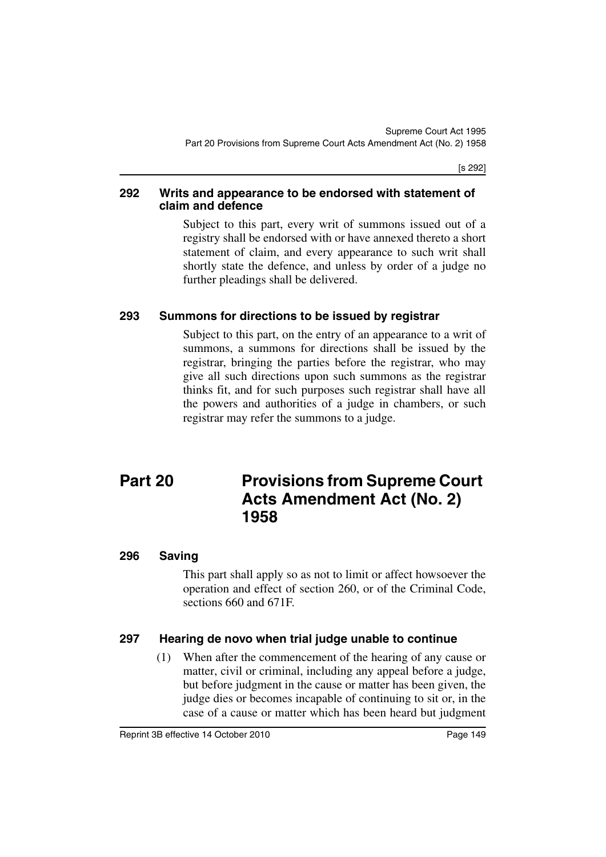[s 292]

### **292 Writs and appearance to be endorsed with statement of claim and defence**

Subject to this part, every writ of summons issued out of a registry shall be endorsed with or have annexed thereto a short statement of claim, and every appearance to such writ shall shortly state the defence, and unless by order of a judge no further pleadings shall be delivered.

# **293 Summons for directions to be issued by registrar**

Subject to this part, on the entry of an appearance to a writ of summons, a summons for directions shall be issued by the registrar, bringing the parties before the registrar, who may give all such directions upon such summons as the registrar thinks fit, and for such purposes such registrar shall have all the powers and authorities of a judge in chambers, or such registrar may refer the summons to a judge.

# **Part 20 Provisions from Supreme Court Acts Amendment Act (No. 2) 1958**

# **296 Saving**

This part shall apply so as not to limit or affect howsoever the operation and effect of section 260, or of the Criminal Code, sections 660 and 671F.

# **297 Hearing de novo when trial judge unable to continue**

(1) When after the commencement of the hearing of any cause or matter, civil or criminal, including any appeal before a judge, but before judgment in the cause or matter has been given, the judge dies or becomes incapable of continuing to sit or, in the case of a cause or matter which has been heard but judgment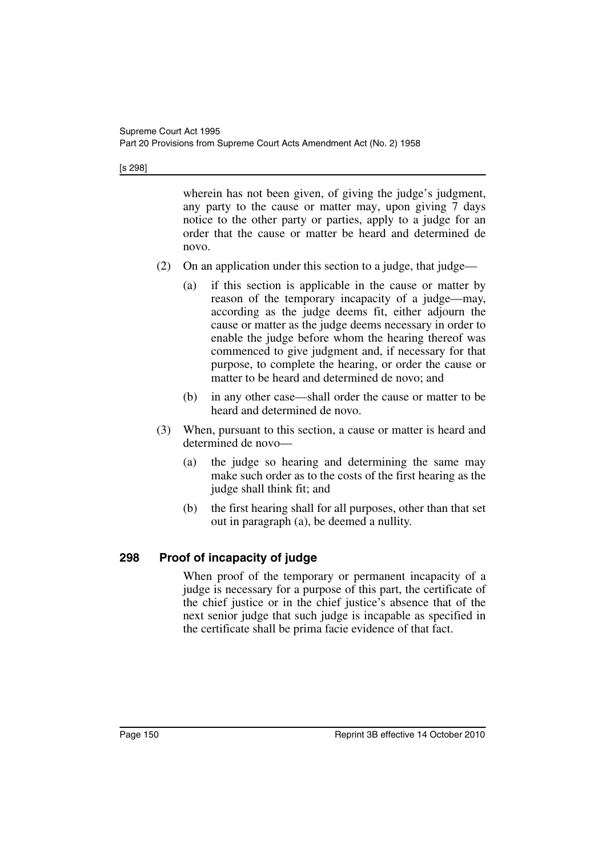[s 298]

wherein has not been given, of giving the judge's judgment, any party to the cause or matter may, upon giving 7 days notice to the other party or parties, apply to a judge for an order that the cause or matter be heard and determined de novo.

- (2) On an application under this section to a judge, that judge—
	- (a) if this section is applicable in the cause or matter by reason of the temporary incapacity of a judge—may, according as the judge deems fit, either adjourn the cause or matter as the judge deems necessary in order to enable the judge before whom the hearing thereof was commenced to give judgment and, if necessary for that purpose, to complete the hearing, or order the cause or matter to be heard and determined de novo; and
	- (b) in any other case—shall order the cause or matter to be heard and determined de novo.
- (3) When, pursuant to this section, a cause or matter is heard and determined de novo—
	- (a) the judge so hearing and determining the same may make such order as to the costs of the first hearing as the judge shall think fit; and
	- (b) the first hearing shall for all purposes, other than that set out in paragraph (a), be deemed a nullity.

# **298 Proof of incapacity of judge**

When proof of the temporary or permanent incapacity of a judge is necessary for a purpose of this part, the certificate of the chief justice or in the chief justice's absence that of the next senior judge that such judge is incapable as specified in the certificate shall be prima facie evidence of that fact.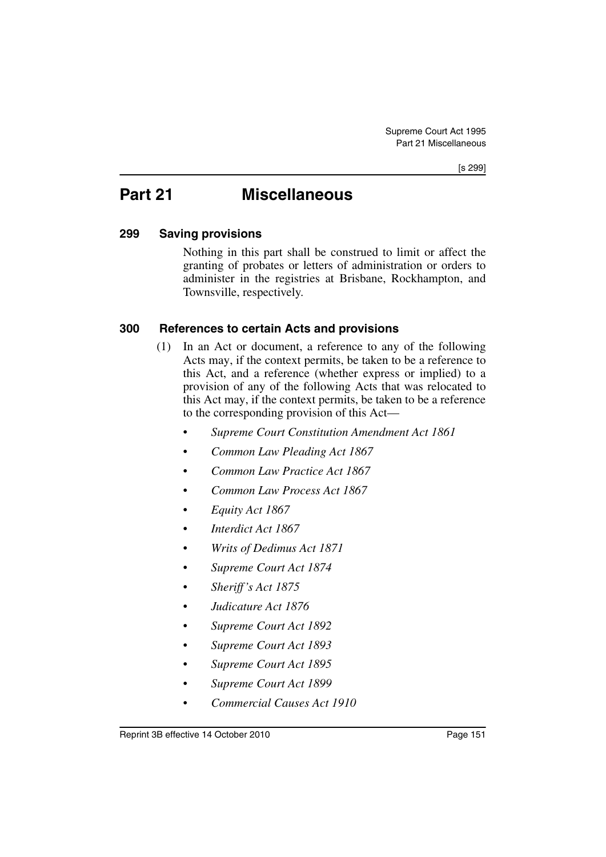# **Part 21 Miscellaneous**

# **299 Saving provisions**

Nothing in this part shall be construed to limit or affect the granting of probates or letters of administration or orders to administer in the registries at Brisbane, Rockhampton, and Townsville, respectively.

# **300 References to certain Acts and provisions**

- (1) In an Act or document, a reference to any of the following Acts may, if the context permits, be taken to be a reference to this Act, and a reference (whether express or implied) to a provision of any of the following Acts that was relocated to this Act may, if the context permits, be taken to be a reference to the corresponding provision of this Act—
	- *Supreme Court Constitution Amendment Act 1861*
	- *Common Law Pleading Act 1867*
	- *Common Law Practice Act 1867*
	- *Common Law Process Act 1867*
	- *Equity Act 1867*
	- *Interdict Act 1867*
	- *Writs of Dedimus Act 1871*
	- *Supreme Court Act 1874*
	- *Sheriff's Act 1875*
	- *Judicature Act 1876*
	- *Supreme Court Act 1892*
	- *Supreme Court Act 1893*
	- *Supreme Court Act 1895*
	- *Supreme Court Act 1899*
	- *Commercial Causes Act 1910*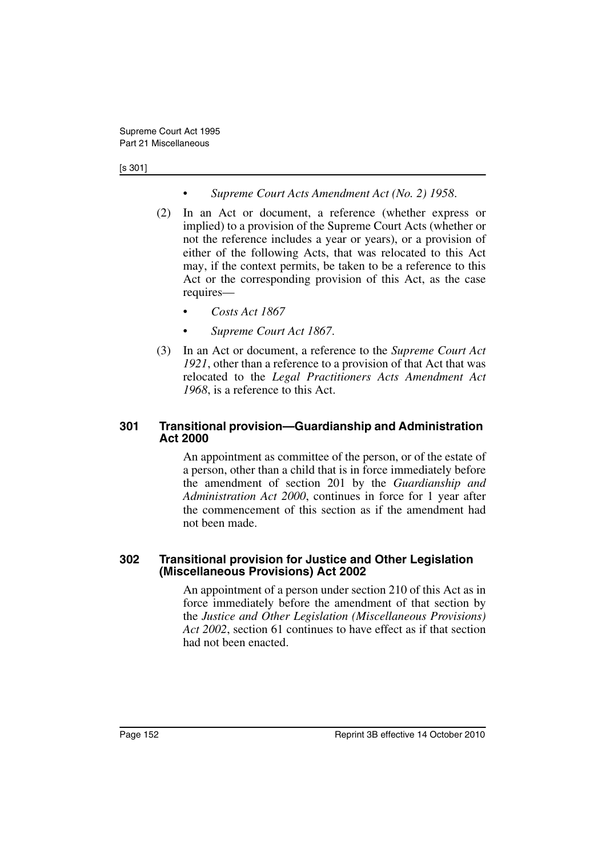#### [s 301]

- *Supreme Court Acts Amendment Act (No. 2) 1958*.
- (2) In an Act or document, a reference (whether express or implied) to a provision of the Supreme Court Acts (whether or not the reference includes a year or years), or a provision of either of the following Acts, that was relocated to this Act may, if the context permits, be taken to be a reference to this Act or the corresponding provision of this Act, as the case requires—
	- *Costs Act 1867*
	- *Supreme Court Act 1867*.
- (3) In an Act or document, a reference to the *Supreme Court Act 1921*, other than a reference to a provision of that Act that was relocated to the *Legal Practitioners Acts Amendment Act 1968*, is a reference to this Act.

# **301 Transitional provision—Guardianship and Administration Act 2000**

An appointment as committee of the person, or of the estate of a person, other than a child that is in force immediately before the amendment of section 201 by the *Guardianship and Administration Act 2000*, continues in force for 1 year after the commencement of this section as if the amendment had not been made.

### **302 Transitional provision for Justice and Other Legislation (Miscellaneous Provisions) Act 2002**

An appointment of a person under section 210 of this Act as in force immediately before the amendment of that section by the *Justice and Other Legislation (Miscellaneous Provisions) Act 2002*, section 61 continues to have effect as if that section had not been enacted.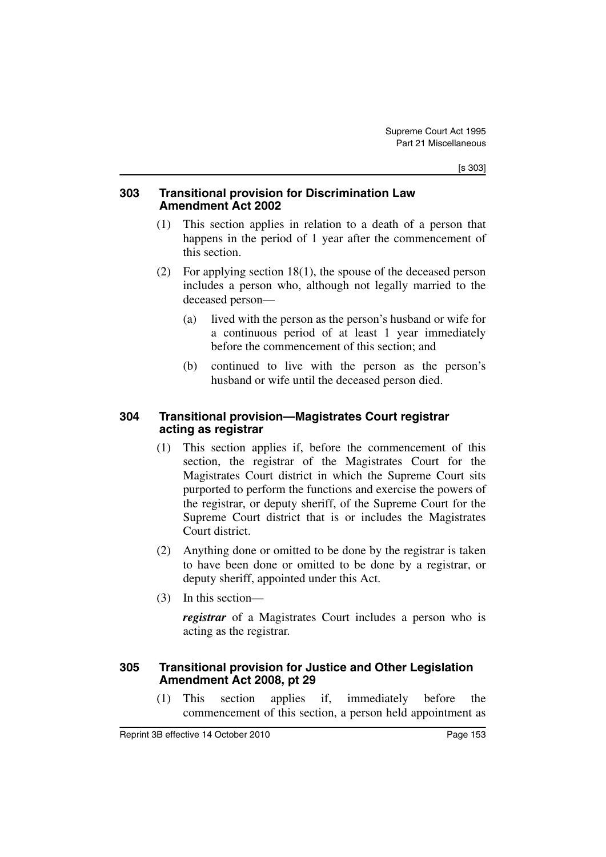# **303 Transitional provision for Discrimination Law Amendment Act 2002**

- (1) This section applies in relation to a death of a person that happens in the period of 1 year after the commencement of this section.
- (2) For applying section 18(1), the spouse of the deceased person includes a person who, although not legally married to the deceased person—
	- (a) lived with the person as the person's husband or wife for a continuous period of at least 1 year immediately before the commencement of this section; and
	- (b) continued to live with the person as the person's husband or wife until the deceased person died.

# **304 Transitional provision—Magistrates Court registrar acting as registrar**

- (1) This section applies if, before the commencement of this section, the registrar of the Magistrates Court for the Magistrates Court district in which the Supreme Court sits purported to perform the functions and exercise the powers of the registrar, or deputy sheriff, of the Supreme Court for the Supreme Court district that is or includes the Magistrates Court district.
- (2) Anything done or omitted to be done by the registrar is taken to have been done or omitted to be done by a registrar, or deputy sheriff, appointed under this Act.
- (3) In this section—

*registrar* of a Magistrates Court includes a person who is acting as the registrar.

# **305 Transitional provision for Justice and Other Legislation Amendment Act 2008, pt 29**

(1) This section applies if, immediately before the commencement of this section, a person held appointment as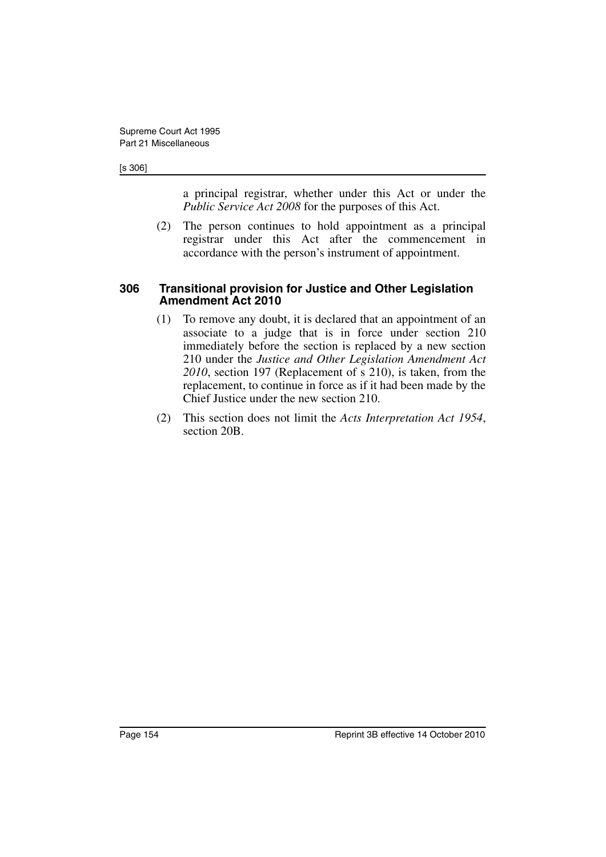#### [s 306]

a principal registrar, whether under this Act or under the *Public Service Act 2008* for the purposes of this Act.

(2) The person continues to hold appointment as a principal registrar under this Act after the commencement in accordance with the person's instrument of appointment.

### **306 Transitional provision for Justice and Other Legislation Amendment Act 2010**

- (1) To remove any doubt, it is declared that an appointment of an associate to a judge that is in force under section 210 immediately before the section is replaced by a new section 210 under the *Justice and Other Legislation Amendment Act 2010*, section 197 (Replacement of s 210), is taken, from the replacement, to continue in force as if it had been made by the Chief Justice under the new section 210.
- (2) This section does not limit the *Acts Interpretation Act 1954*, section 20B.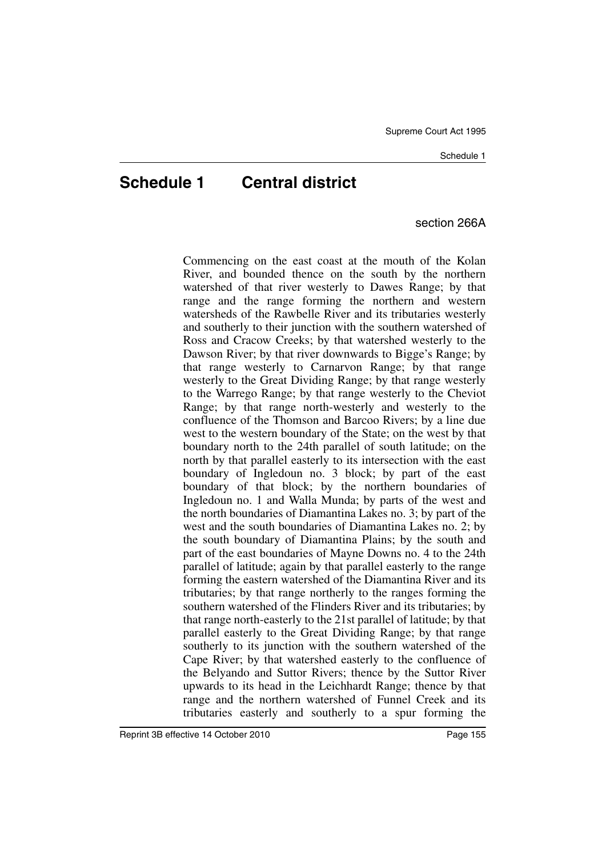# **Schedule 1 Central district**

section 266A

Commencing on the east coast at the mouth of the Kolan River, and bounded thence on the south by the northern watershed of that river westerly to Dawes Range; by that range and the range forming the northern and western watersheds of the Rawbelle River and its tributaries westerly and southerly to their junction with the southern watershed of Ross and Cracow Creeks; by that watershed westerly to the Dawson River; by that river downwards to Bigge's Range; by that range westerly to Carnarvon Range; by that range westerly to the Great Dividing Range; by that range westerly to the Warrego Range; by that range westerly to the Cheviot Range; by that range north-westerly and westerly to the confluence of the Thomson and Barcoo Rivers; by a line due west to the western boundary of the State; on the west by that boundary north to the 24th parallel of south latitude; on the north by that parallel easterly to its intersection with the east boundary of Ingledoun no. 3 block; by part of the east boundary of that block; by the northern boundaries of Ingledoun no. 1 and Walla Munda; by parts of the west and the north boundaries of Diamantina Lakes no. 3; by part of the west and the south boundaries of Diamantina Lakes no. 2; by the south boundary of Diamantina Plains; by the south and part of the east boundaries of Mayne Downs no. 4 to the 24th parallel of latitude; again by that parallel easterly to the range forming the eastern watershed of the Diamantina River and its tributaries; by that range northerly to the ranges forming the southern watershed of the Flinders River and its tributaries; by that range north-easterly to the 21st parallel of latitude; by that parallel easterly to the Great Dividing Range; by that range southerly to its junction with the southern watershed of the Cape River; by that watershed easterly to the confluence of the Belyando and Suttor Rivers; thence by the Suttor River upwards to its head in the Leichhardt Range; thence by that range and the northern watershed of Funnel Creek and its tributaries easterly and southerly to a spur forming the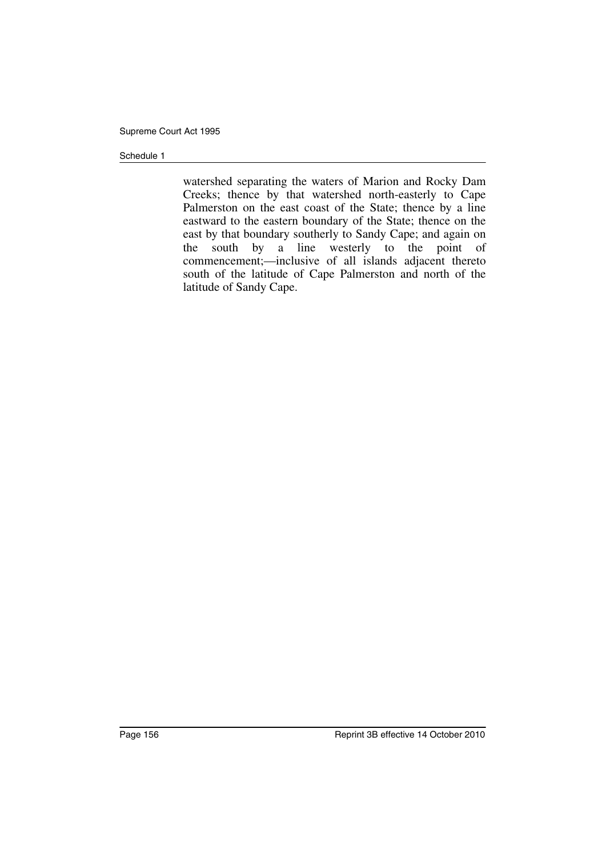#### Schedule 1

watershed separating the waters of Marion and Rocky Dam Creeks; thence by that watershed north-easterly to Cape Palmerston on the east coast of the State; thence by a line eastward to the eastern boundary of the State; thence on the east by that boundary southerly to Sandy Cape; and again on the south by a line westerly to the point of commencement;—inclusive of all islands adjacent thereto south of the latitude of Cape Palmerston and north of the latitude of Sandy Cape.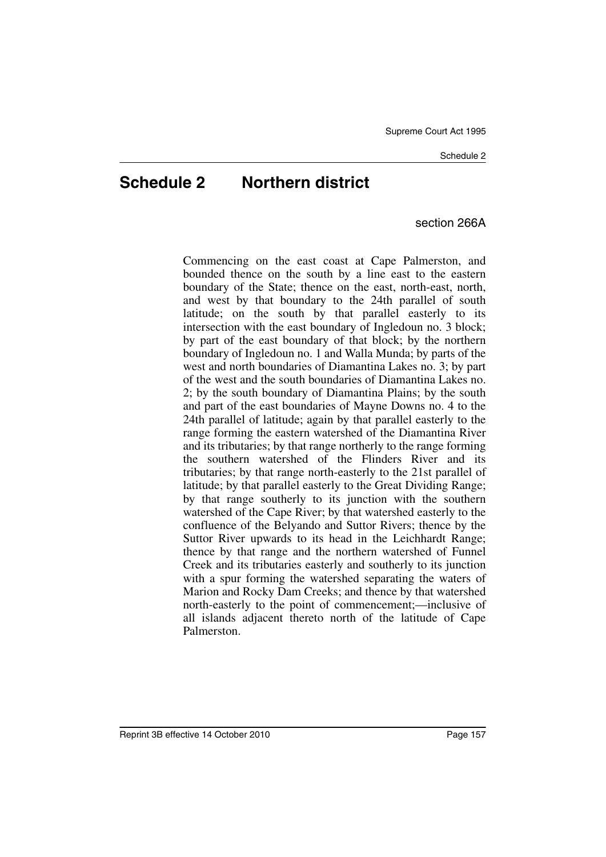# **Schedule 2 Northern district**

section 266A

Commencing on the east coast at Cape Palmerston, and bounded thence on the south by a line east to the eastern boundary of the State; thence on the east, north-east, north, and west by that boundary to the 24th parallel of south latitude; on the south by that parallel easterly to its intersection with the east boundary of Ingledoun no. 3 block; by part of the east boundary of that block; by the northern boundary of Ingledoun no. 1 and Walla Munda; by parts of the west and north boundaries of Diamantina Lakes no. 3; by part of the west and the south boundaries of Diamantina Lakes no. 2; by the south boundary of Diamantina Plains; by the south and part of the east boundaries of Mayne Downs no. 4 to the 24th parallel of latitude; again by that parallel easterly to the range forming the eastern watershed of the Diamantina River and its tributaries; by that range northerly to the range forming the southern watershed of the Flinders River and its tributaries; by that range north-easterly to the 21st parallel of latitude; by that parallel easterly to the Great Dividing Range; by that range southerly to its junction with the southern watershed of the Cape River; by that watershed easterly to the confluence of the Belyando and Suttor Rivers; thence by the Suttor River upwards to its head in the Leichhardt Range; thence by that range and the northern watershed of Funnel Creek and its tributaries easterly and southerly to its junction with a spur forming the watershed separating the waters of Marion and Rocky Dam Creeks; and thence by that watershed north-easterly to the point of commencement;—inclusive of all islands adjacent thereto north of the latitude of Cape Palmerston.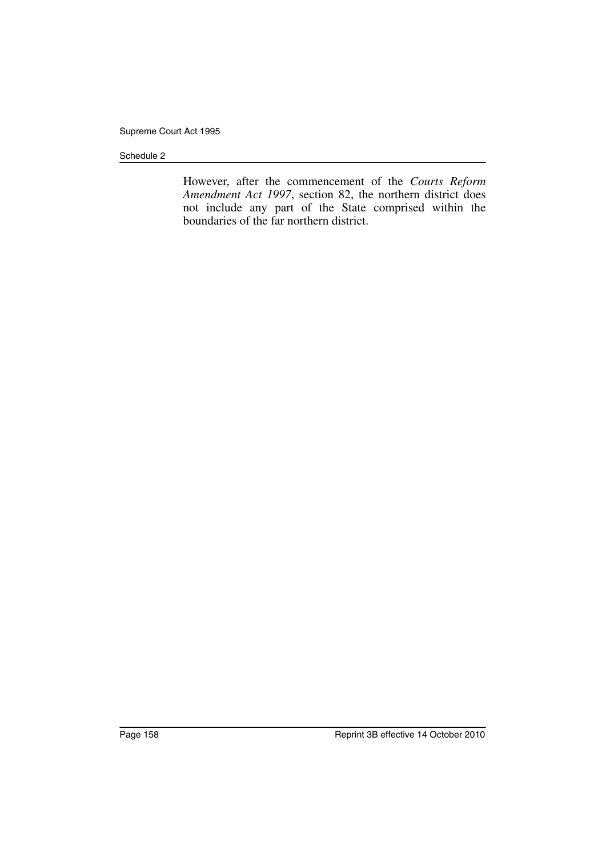#### Schedule 2

However, after the commencement of the *Courts Reform Amendment Act 1997*, section 82, the northern district does not include any part of the State comprised within the boundaries of the far northern district.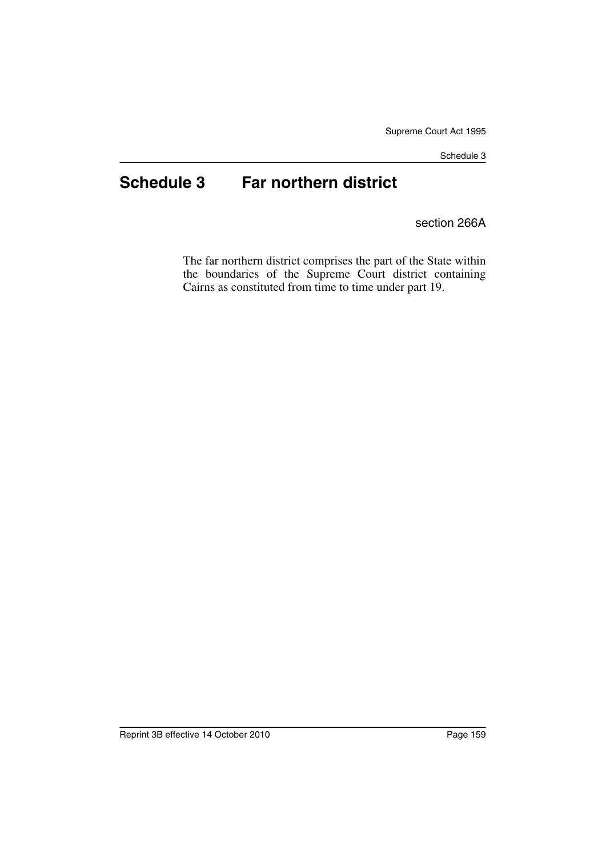Schedule 3

# **Schedule 3 Far northern district**

section 266A

The far northern district comprises the part of the State within the boundaries of the Supreme Court district containing Cairns as constituted from time to time under part 19.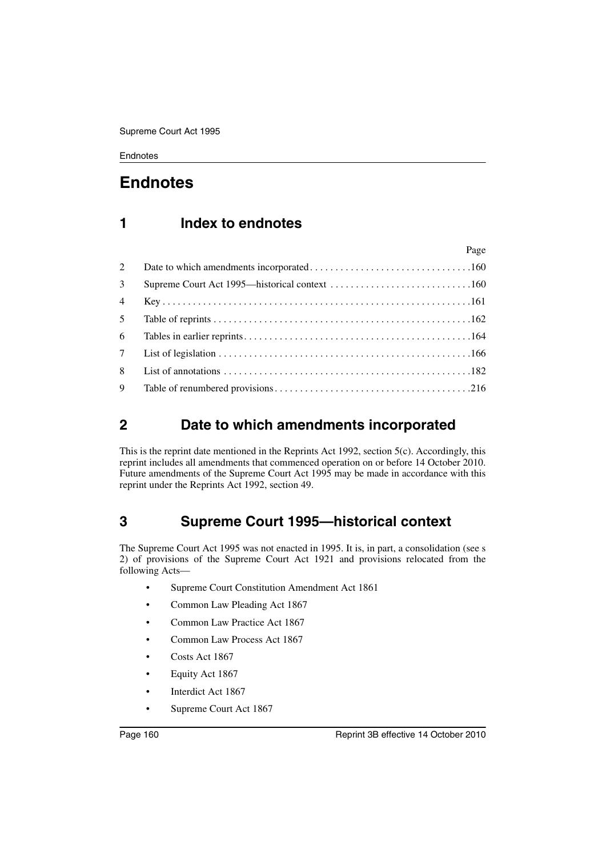# **Endnotes**

# **1 Index to endnotes**

|                | Page |
|----------------|------|
| 2              |      |
| $\mathfrak{Z}$ |      |
| $\overline{4}$ |      |
| 5 <sup>1</sup> |      |
| 6              |      |
| 7 <sup>7</sup> |      |
| 8              |      |
| 9              |      |

# <span id="page-161-1"></span>**2 Date to which amendments incorporated**

This is the reprint date mentioned in the Reprints Act 1992, section 5(c). Accordingly, this reprint includes all amendments that commenced operation on or before 14 October 2010. Future amendments of the Supreme Court Act 1995 may be made in accordance with this reprint under the Reprints Act 1992, section 49.

# <span id="page-161-0"></span>**3 Supreme Court 1995—historical context**

The Supreme Court Act 1995 was not enacted in 1995. It is, in part, a consolidation (see s 2) of provisions of the Supreme Court Act 1921 and provisions relocated from the following Acts—

- Supreme Court Constitution Amendment Act 1861
- Common Law Pleading Act 1867
- Common Law Practice Act 1867
- Common Law Process Act 1867
- Costs Act 1867
- Equity Act 1867
- Interdict Act 1867
- Supreme Court Act 1867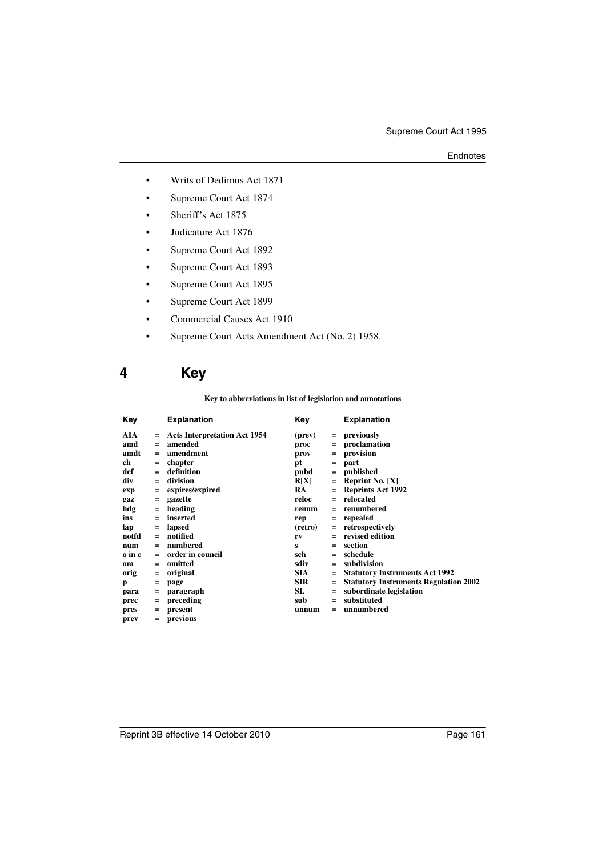- Writs of Dedimus Act 1871
- Supreme Court Act 1874
- Sheriff's Act 1875
- Judicature Act 1876
- Supreme Court Act 1892
- Supreme Court Act 1893
- Supreme Court Act 1895
- Supreme Court Act 1899
- Commercial Causes Act 1910
- Supreme Court Acts Amendment Act (No. 2) 1958.

# <span id="page-162-0"></span>**4 Key**

#### **Key to abbreviations in list of legislation and annotations**

| Key    |     | <b>Explanation</b>                  | Key        |     | <b>Explanation</b>                           |
|--------|-----|-------------------------------------|------------|-----|----------------------------------------------|
| AIA    | $=$ | <b>Acts Interpretation Act 1954</b> | (prev)     | $=$ | previously                                   |
| amd    | $=$ | amended                             | proc       | $=$ | proclamation                                 |
| amdt   | $=$ | amendment                           | prov       | $=$ | provision                                    |
| ch     | $=$ | chapter                             | pt         | $=$ | part                                         |
| def    | $=$ | definition                          | pubd       | $=$ | published                                    |
| div    | $=$ | division                            | R[X]       | $=$ | <b>Reprint No.</b> $[X]$                     |
| exp    | Ξ   | expires/expired                     | <b>RA</b>  | =   | <b>Reprints Act 1992</b>                     |
| gaz    | $=$ | gazette                             | reloc      | $=$ | relocated                                    |
| hdg    | $=$ | heading                             | renum      | $=$ | renumbered                                   |
| ins    | $=$ | inserted                            | rep        | $=$ | repealed                                     |
| lap    | $=$ | lapsed                              | (retro)    | $=$ | retrospectively                              |
| notfd  | $=$ | notified                            | rv         | $=$ | revised edition                              |
| num    | $=$ | numbered                            | s          | $=$ | section                                      |
| o in c | $=$ | order in council                    | sch        | $=$ | schedule                                     |
| om     | $=$ | omitted                             | sdiv       | $=$ | subdivision                                  |
| orig   | $=$ | original                            | <b>SIA</b> | $=$ | <b>Statutory Instruments Act 1992</b>        |
| p      | =   | page                                | <b>SIR</b> | =   | <b>Statutory Instruments Regulation 2002</b> |
| para   | $=$ | paragraph                           | SL         | =   | subordinate legislation                      |
| prec   | $=$ | preceding                           | sub        | $=$ | substituted                                  |
| pres   | $=$ | present                             | unnum      | =   | unnumbered                                   |
| prev   | $=$ | previous                            |            |     |                                              |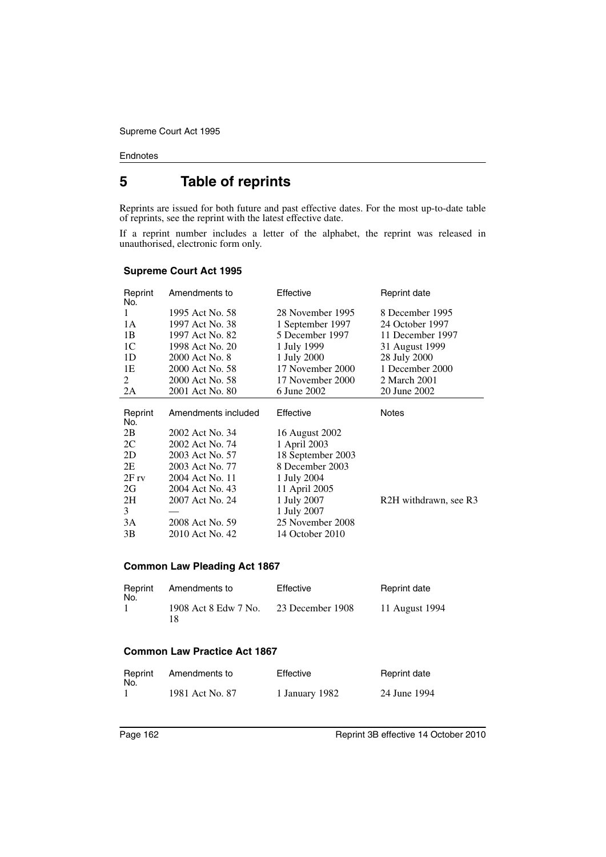# <span id="page-163-0"></span>**5 Table of reprints**

Reprints are issued for both future and past effective dates. For the most up-to-date table of reprints, see the reprint with the latest effective date.

If a reprint number includes a letter of the alphabet, the reprint was released in unauthorised, electronic form only.

| Reprint<br>No. | Amendments to       | Effective         | Reprint date          |
|----------------|---------------------|-------------------|-----------------------|
| 1              | 1995 Act No. 58     | 28 November 1995  | 8 December 1995       |
| 1A             | 1997 Act No. 38     | 1 September 1997  | 24 October 1997       |
| 1B             | 1997 Act No. 82     | 5 December 1997   | 11 December 1997      |
| 1C             | 1998 Act No. 20     | 1 July 1999       | 31 August 1999        |
| 1D             | 2000 Act No. 8      | 1 July 2000       | 28 July 2000          |
| 1E             | 2000 Act No. 58     | 17 November 2000  | 1 December 2000       |
| 2              | 2000 Act No. 58     | 17 November 2000  | 2 March 2001          |
| 2A             | 2001 Act No. 80     | 6 June 2002       | 20 June 2002          |
|                |                     |                   |                       |
| Reprint        | Amendments included | Effective         | Notes                 |
| No.            |                     |                   |                       |
| 2B             | 2002 Act No. 34     | 16 August 2002    |                       |
| 2C             | 2002 Act No. 74     | 1 April 2003      |                       |
| 2D             | 2003 Act No. 57     | 18 September 2003 |                       |
| 2E             | 2003 Act No. 77     | 8 December 2003   |                       |
| $2F_{IV}$      | 2004 Act No. 11     | 1 July 2004       |                       |
| 2G             | 2004 Act No. 43     | 11 April 2005     |                       |
| 2H             | 2007 Act No. 24     | 1 July 2007       | R2H withdrawn, see R3 |
| 3              |                     | 1 July 2007       |                       |
| 3A             | 2008 Act No. 59     | 25 November 2008  |                       |
| 3B             | 2010 Act No. 42     | 14 October 2010   |                       |

#### **Supreme Court Act 1995**

#### **Common Law Pleading Act 1867**

| Reprint<br>No. | Amendments to              | Effective        | Reprint date   |
|----------------|----------------------------|------------------|----------------|
|                | 1908 Act 8 Edw 7 No.<br>18 | 23 December 1908 | 11 August 1994 |

### **Common Law Practice Act 1867**

| Reprint<br>No. | Amendments to   | Effective      | Reprint date |
|----------------|-----------------|----------------|--------------|
|                | 1981 Act No. 87 | 1 January 1982 | 24 June 1994 |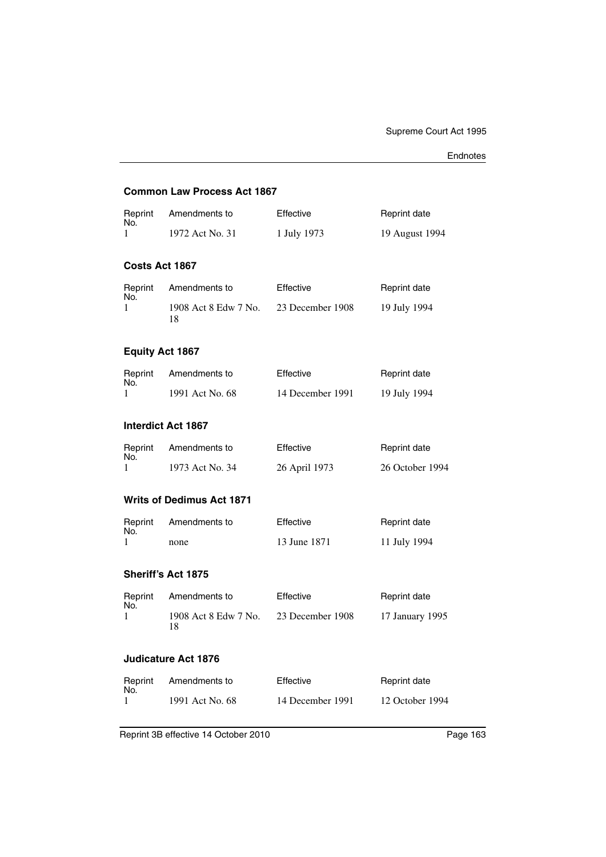### **Common Law Process Act 1867**

| Reprint<br>No.            | Amendments to                    | Effective        | Reprint date        |
|---------------------------|----------------------------------|------------------|---------------------|
| 1                         | 1972 Act No. 31                  | 1 July 1973      | 19 August 1994      |
| Costs Act 1867            |                                  |                  |                     |
| Reprint<br>No.            | Amendments to                    | Effective        | Reprint date        |
| 1                         | 1908 Act 8 Edw 7 No.<br>18       | 23 December 1908 | 19 July 1994        |
| <b>Equity Act 1867</b>    |                                  |                  |                     |
| Reprint                   | Amendments to                    | Effective        | Reprint date        |
| No.<br>1                  | 1991 Act No. 68                  | 14 December 1991 | 19 July 1994        |
| <b>Interdict Act 1867</b> |                                  |                  |                     |
| Reprint<br>No.            | Amendments to                    | Effective        | <b>Reprint date</b> |
| 1                         | 1973 Act No. 34                  | 26 April 1973    | 26 October 1994     |
|                           | <b>Writs of Dedimus Act 1871</b> |                  |                     |
| Reprint<br>No.            | Amendments to                    | Effective        | Reprint date        |
| 1                         | none                             | 13 June 1871     | 11 July 1994        |
| Sheriff's Act 1875        |                                  |                  |                     |
| Reprint<br>No.            | Amendments to                    | Effective        | <b>Reprint date</b> |
| 1                         | 1908 Act 8 Edw 7 No.<br>18       | 23 December 1908 | 17 January 1995     |
|                           | <b>Judicature Act 1876</b>       |                  |                     |
| Reprint                   | Amendments to                    | Effective        | Reprint date        |
| No.<br>1                  | 1991 Act No. 68                  | 14 December 1991 | 12 October 1994     |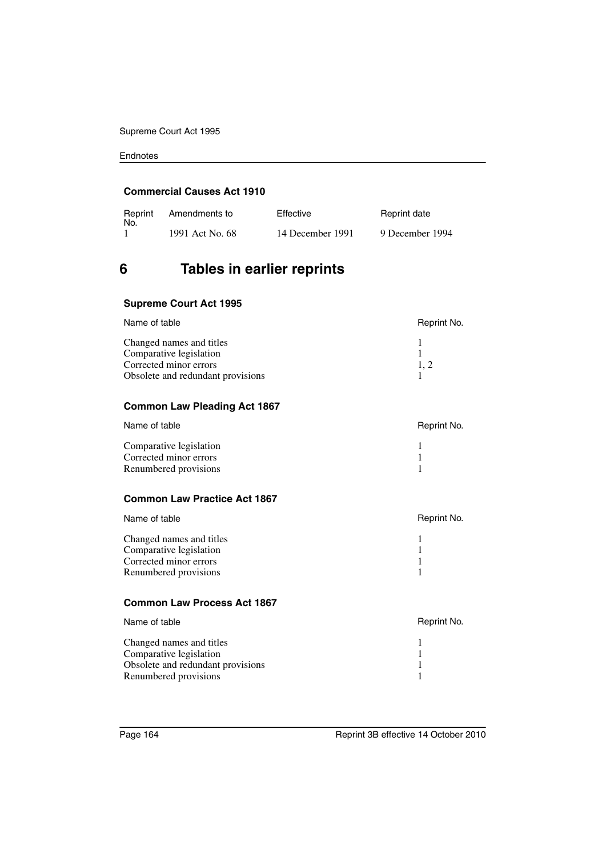#### **Commercial Causes Act 1910**

| Reprint<br>No. | Amendments to   | Effective        | Reprint date    |
|----------------|-----------------|------------------|-----------------|
|                | 1991 Act No. 68 | 14 December 1991 | 9 December 1994 |

# <span id="page-165-0"></span>**6 Tables in earlier reprints**

### **Supreme Court Act 1995**

| Name of table                     | Reprint No. |
|-----------------------------------|-------------|
| Changed names and titles          |             |
| Comparative legislation           |             |
| Corrected minor errors            | 1.2         |
| Obsolete and redundant provisions |             |

### **Common Law Pleading Act 1867**

| Name of table           | Reprint No. |
|-------------------------|-------------|
| Comparative legislation |             |
| Corrected minor errors  |             |
| Renumbered provisions   |             |

### **Common Law Practice Act 1867**

| Name of table                                     | Reprint No. |
|---------------------------------------------------|-------------|
| Changed names and titles                          |             |
| Comparative legislation<br>Corrected minor errors |             |
| Renumbered provisions                             |             |

### **Common Law Process Act 1867**

| Name of table                                                                                                     | Reprint No. |
|-------------------------------------------------------------------------------------------------------------------|-------------|
| Changed names and titles<br>Comparative legislation<br>Obsolete and redundant provisions<br>Renumbered provisions |             |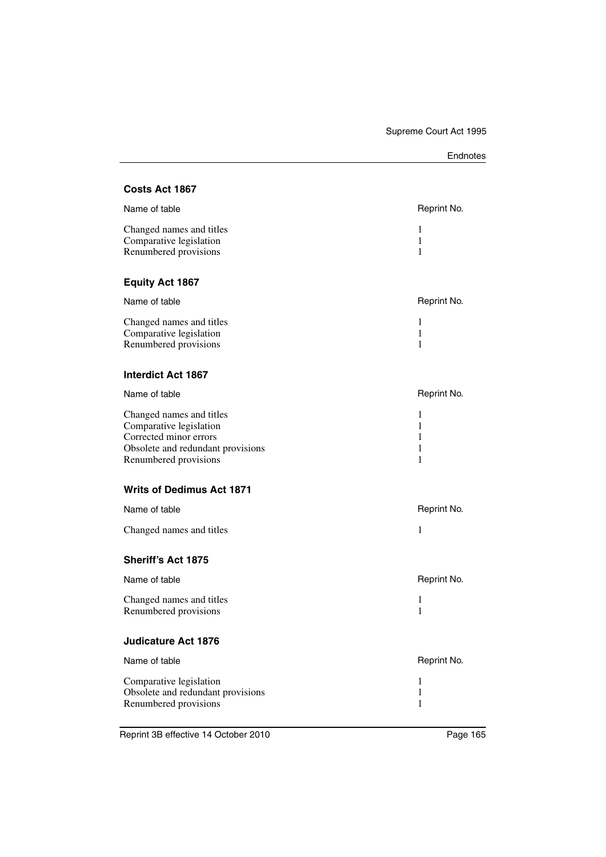| Endnotes |
|----------|
|----------|

### **Costs Act 1867**

| Reprint No. |
|-------------|
|             |
|             |
|             |
|             |

### **Equity Act 1867**

| Name of table            | Reprint No. |
|--------------------------|-------------|
| Changed names and titles |             |
| Comparative legislation  |             |
| Renumbered provisions    |             |

#### **Interdict Act 1867**

| Name of table                     | Reprint No. |
|-----------------------------------|-------------|
| Changed names and titles          |             |
| Comparative legislation           |             |
| Corrected minor errors            |             |
| Obsolete and redundant provisions |             |
| Renumbered provisions             |             |

# **Writs of Dedimus Act 1871**

| Name of table            | Reprint No. |
|--------------------------|-------------|
| Changed names and titles |             |

#### **Sheriff's Act 1875**

| Name of table                                     | Reprint No. |
|---------------------------------------------------|-------------|
| Changed names and titles<br>Renumbered provisions |             |

### **Judicature Act 1876**

| Name of table                     | Reprint No. |
|-----------------------------------|-------------|
| Comparative legislation           |             |
| Obsolete and redundant provisions |             |
| Renumbered provisions             |             |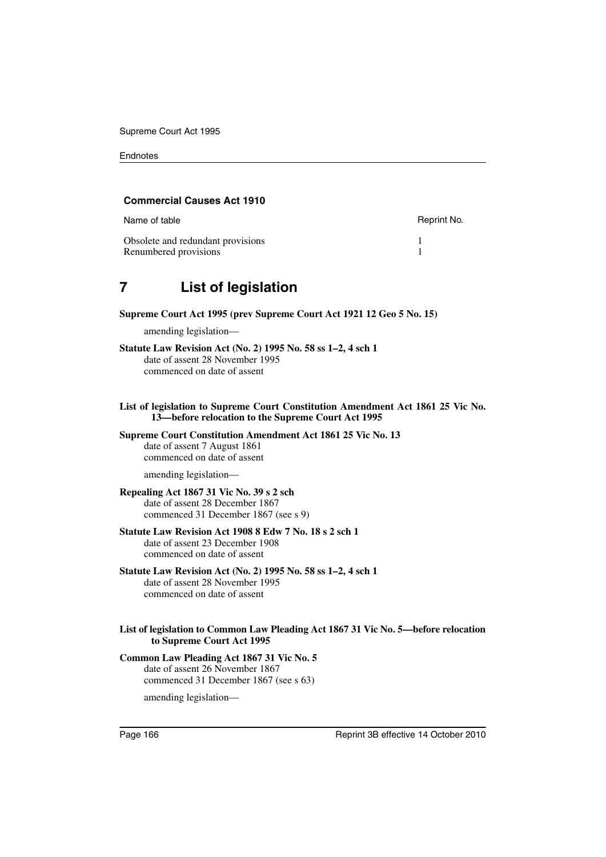#### **Commercial Causes Act 1910**

| Name of table                     | Reprint No. |
|-----------------------------------|-------------|
| Obsolete and redundant provisions |             |
| Renumbered provisions             |             |

# <span id="page-167-0"></span>**7 List of legislation**

**Supreme Court Act 1995 (prev Supreme Court Act 1921 12 Geo 5 No. 15)**

amending legislation—

- **Statute Law Revision Act (No. 2) 1995 No. 58 ss 1–2, 4 sch 1** date of assent 28 November 1995 commenced on date of assent
- **List of legislation to Supreme Court Constitution Amendment Act 1861 25 Vic No. 13—before relocation to the Supreme Court Act 1995**

**Supreme Court Constitution Amendment Act 1861 25 Vic No. 13** date of assent 7 August 1861 commenced on date of assent

amending legislation—

#### **Repealing Act 1867 31 Vic No. 39 s 2 sch**

date of assent 28 December 1867 commenced 31 December 1867 (see s 9)

#### **Statute Law Revision Act 1908 8 Edw 7 No. 18 s 2 sch 1** date of assent 23 December 1908

commenced on date of assent

#### **Statute Law Revision Act (No. 2) 1995 No. 58 ss 1–2, 4 sch 1**

date of assent 28 November 1995 commenced on date of assent

#### **List of legislation to Common Law Pleading Act 1867 31 Vic No. 5—before relocation to Supreme Court Act 1995**

**Common Law Pleading Act 1867 31 Vic No. 5** date of assent 26 November 1867 commenced 31 December 1867 (see s 63)

amending legislation—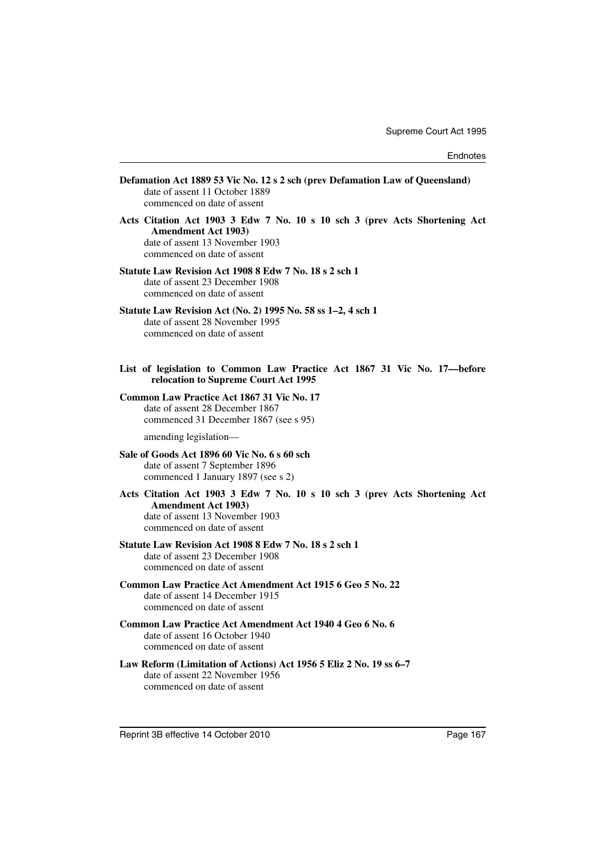| Defamation Act 1889 53 Vic No. 12 s 2 sch (prev Defamation Law of Queensland)<br>date of assent 11 October 1889<br>commenced on date of assent                             |
|----------------------------------------------------------------------------------------------------------------------------------------------------------------------------|
| Acts Citation Act 1903 3 Edw 7 No. 10 s 10 sch 3 (prev Acts Shortening Act<br><b>Amendment Act 1903)</b><br>date of assent 13 November 1903<br>commenced on date of assent |
| Statute Law Revision Act 1908 8 Edw 7 No. 18 s 2 sch 1<br>date of assent 23 December 1908<br>commenced on date of assent                                                   |
| Statute Law Revision Act (No. 2) 1995 No. 58 ss 1-2, 4 sch 1<br>date of assent 28 November 1995<br>commenced on date of assent                                             |
| List of legislation to Common Law Practice Act 1867 31 Vic No. 17-before<br>relocation to Supreme Court Act 1995                                                           |
| Common Law Practice Act 1867 31 Vic No. 17<br>date of assent 28 December 1867<br>commenced 31 December 1867 (see s 95)                                                     |
| amending legislation-                                                                                                                                                      |
| Sale of Goods Act 1896 60 Vic No. 6 s 60 sch<br>date of assent 7 September 1896<br>commenced 1 January 1897 (see s 2)                                                      |
| Acts Citation Act 1903 3 Edw 7 No. 10 s 10 sch 3 (prev Acts Shortening Act<br><b>Amendment Act 1903)</b><br>date of assent 13 November 1903<br>commenced on date of assent |
| Statute Law Revision Act 1908 8 Edw 7 No. 18 s 2 sch 1<br>date of assent 23 December 1908<br>commenced on date of assent                                                   |
| Common Law Practice Act Amendment Act 1915 6 Geo 5 No. 22<br>date of assent 14 December 1915<br>commenced on date of assent                                                |
| Common Law Practice Act Amendment Act 1940 4 Geo 6 No. 6<br>date of assent 16 October 1940<br>commenced on date of assent                                                  |
| Law Reform (Limitation of Actions) Act 1956 5 Eliz 2 No. 19 ss 6–7<br>date of assent 22 November 1956<br>commenced on date of assent                                       |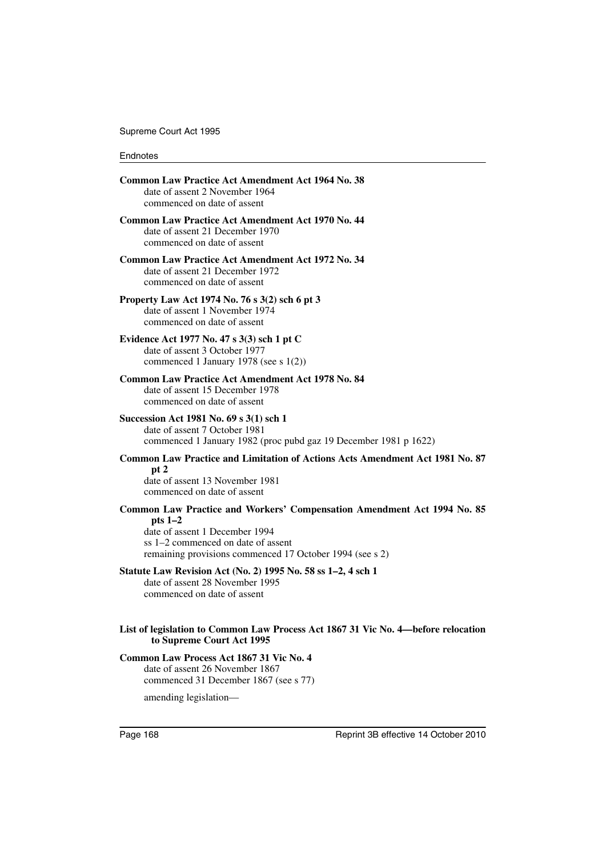| <b>Common Law Practice Act Amendment Act 1964 No. 38</b><br>date of assent 2 November 1964<br>commenced on date of assent                                                                                                |
|--------------------------------------------------------------------------------------------------------------------------------------------------------------------------------------------------------------------------|
| <b>Common Law Practice Act Amendment Act 1970 No. 44</b><br>date of assent 21 December 1970<br>commenced on date of assent                                                                                               |
| Common Law Practice Act Amendment Act 1972 No. 34<br>date of assent 21 December 1972<br>commenced on date of assent                                                                                                      |
| Property Law Act 1974 No. 76 s 3(2) sch 6 pt 3<br>date of assent 1 November 1974<br>commenced on date of assent                                                                                                          |
| Evidence Act 1977 No. 47 s 3(3) sch 1 pt C<br>date of assent 3 October 1977<br>commenced 1 January 1978 (see s $1(2)$ )                                                                                                  |
| <b>Common Law Practice Act Amendment Act 1978 No. 84</b><br>date of assent 15 December 1978<br>commenced on date of assent                                                                                               |
| Succession Act 1981 No. 69 s 3(1) sch 1<br>date of assent 7 October 1981<br>commenced 1 January 1982 (proc pubd gaz 19 December 1981 p 1622)                                                                             |
| Common Law Practice and Limitation of Actions Acts Amendment Act 1981 No. 87                                                                                                                                             |
| pt 2<br>date of assent 13 November 1981<br>commenced on date of assent                                                                                                                                                   |
| Common Law Practice and Workers' Compensation Amendment Act 1994 No. 85<br>pts $1-2$<br>date of assent 1 December 1994<br>ss 1–2 commenced on date of assent<br>remaining provisions commenced 17 October 1994 (see s 2) |
| Statute Law Revision Act (No. 2) 1995 No. 58 ss 1-2, 4 sch 1<br>date of assent 28 November 1995<br>commenced on date of assent                                                                                           |
| List of legislation to Common Law Process Act 1867 31 Vic No. 4-before relocation<br>to Supreme Court Act 1995                                                                                                           |
| Common Law Process Act 1867 31 Vic No. 4<br>date of assent 26 November 1867<br>commenced 31 December 1867 (see s 77)                                                                                                     |

amending legislation—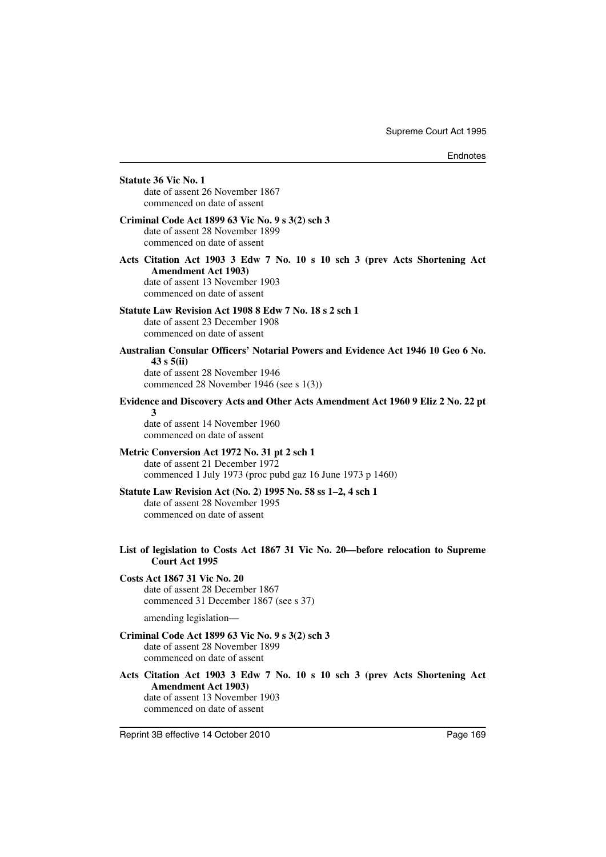| <b>Statute 36 Vic No. 1</b><br>date of assent 26 November 1867<br>commenced on date of assent                                                                                |
|------------------------------------------------------------------------------------------------------------------------------------------------------------------------------|
| Criminal Code Act 1899 63 Vic No. 9 s 3(2) sch 3<br>date of assent 28 November 1899<br>commenced on date of assent                                                           |
| Acts Citation Act 1903 3 Edw 7 No. 10 s 10 sch 3 (prev Acts Shortening Act<br><b>Amendment Act 1903)</b><br>date of assent 13 November 1903<br>commenced on date of assent   |
| Statute Law Revision Act 1908 8 Edw 7 No. 18 s 2 sch 1<br>date of assent 23 December 1908<br>commenced on date of assent                                                     |
| Australian Consular Officers' Notarial Powers and Evidence Act 1946 10 Geo 6 No.<br>43 s 5(ii)<br>date of assent 28 November 1946<br>commenced 28 November 1946 (see s 1(3)) |
| Evidence and Discovery Acts and Other Acts Amendment Act 1960 9 Eliz 2 No. 22 pt<br>3<br>date of assent 14 November 1960<br>commenced on date of assent                      |
| Metric Conversion Act 1972 No. 31 pt 2 sch 1<br>date of assent 21 December 1972<br>commenced 1 July 1973 (proc pubd gaz 16 June 1973 p 1460)                                 |
| Statute Law Revision Act (No. 2) 1995 No. 58 ss 1-2, 4 sch 1<br>date of assent 28 November 1995<br>commenced on date of assent                                               |
| List of legislation to Costs Act 1867 31 Vic No. 20—before relocation to Supreme<br><b>Court Act 1995</b>                                                                    |
| <b>Costs Act 1867 31 Vic No. 20</b><br>date of assent 28 December 1867<br>commenced 31 December 1867 (see s 37)                                                              |
| amending legislation-                                                                                                                                                        |
| Criminal Code Act 1899 63 Vic No. 9 s 3(2) sch 3<br>date of assent 28 November 1899<br>commenced on date of assent                                                           |
| Acts Citation Act 1903 3 Edw 7 No. 10 s 10 sch 3 (prev Acts Shortening Act<br><b>Amendment Act 1903)</b><br>date of assent 13 November 1903<br>commenced on date of assent   |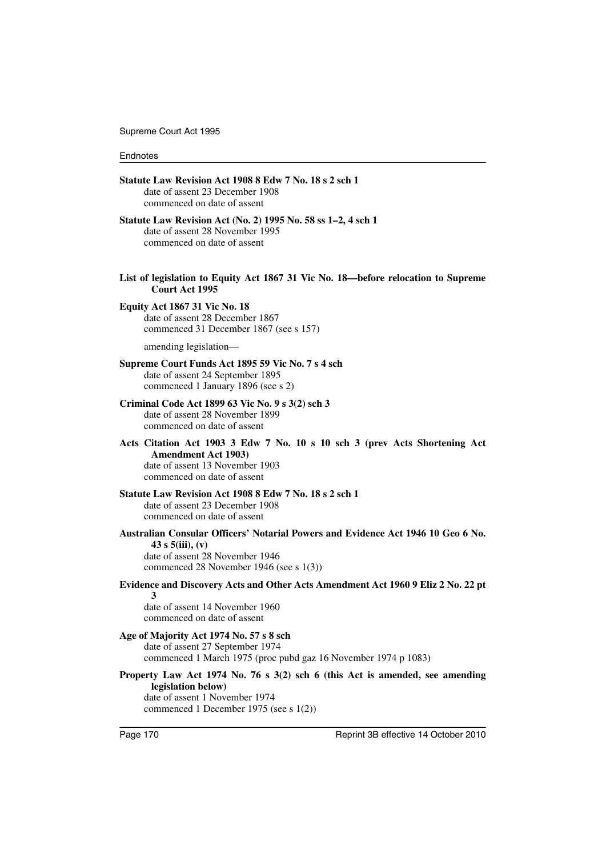Supreme Court Act 1995

#### Endnotes

|   | Statute Law Revision Act 1908 8 Edw 7 No. 18 s 2 sch 1<br>date of assent 23 December 1908<br>commenced on date of assent                                                              |
|---|---------------------------------------------------------------------------------------------------------------------------------------------------------------------------------------|
|   | Statute Law Revision Act (No. 2) 1995 No. 58 ss 1–2, 4 sch 1<br>date of assent 28 November 1995<br>commenced on date of assent                                                        |
|   | List of legislation to Equity Act 1867 31 Vic No. 18—before relocation to Supreme<br>Court Act 1995                                                                                   |
|   | <b>Equity Act 1867 31 Vic No. 18</b><br>date of assent 28 December 1867<br>commenced 31 December 1867 (see s 157)                                                                     |
|   | amending legislation-                                                                                                                                                                 |
|   | Supreme Court Funds Act 1895 59 Vic No. 7 s 4 sch<br>date of assent 24 September 1895<br>commenced 1 January 1896 (see s 2)                                                           |
|   | Criminal Code Act 1899 63 Vic No. 9 s 3(2) sch 3<br>date of assent 28 November 1899<br>commenced on date of assent                                                                    |
|   | Acts Citation Act 1903 3 Edw 7 No. 10 s 10 sch 3 (prev Acts Shortening Act<br><b>Amendment Act 1903)</b><br>date of assent 13 November 1903<br>commenced on date of assent            |
|   | Statute Law Revision Act 1908 8 Edw 7 No. 18 s 2 sch 1<br>date of assent 23 December 1908<br>commenced on date of assent                                                              |
|   | Australian Consular Officers' Notarial Powers and Evidence Act 1946 10 Geo 6 No.<br>43 s $5(iii)$ , (v)<br>date of assent 28 November 1946<br>commenced 28 November 1946 (see s 1(3)) |
|   | Evidence and Discovery Acts and Other Acts Amendment Act 1960 9 Eliz 2 No. 22 pt                                                                                                      |
| 3 | date of assent 14 November 1960<br>commenced on date of assent                                                                                                                        |
|   | Age of Majority Act 1974 No. 57 s 8 sch<br>date of assent 27 September 1974<br>commenced 1 March 1975 (proc pubd gaz 16 November 1974 p 1083)                                         |
|   | Property Law Act 1974 No. 76 s 3(2) sch 6 (this Act is amended, see amending<br>legislation below)<br>date of assent 1 November 1974<br>commenced 1 December 1975 (see s 1(2))        |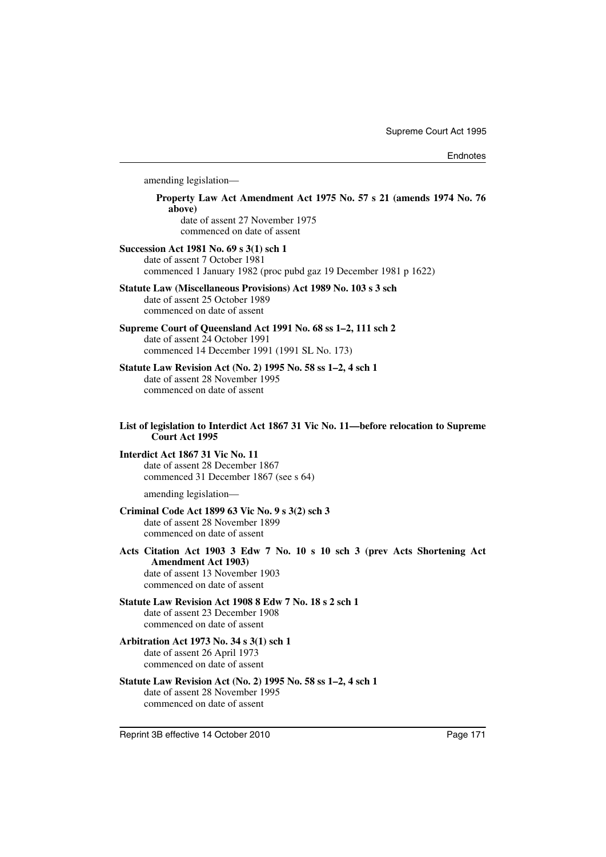amending legislation— **Property Law Act Amendment Act 1975 No. 57 s 21 (amends 1974 No. 76 above)** date of assent 27 November 1975 commenced on date of assent **Succession Act 1981 No. 69 s 3(1) sch 1** date of assent 7 October 1981 commenced 1 January 1982 (proc pubd gaz 19 December 1981 p 1622) **Statute Law (Miscellaneous Provisions) Act 1989 No. 103 s 3 sch** date of assent 25 October 1989 commenced on date of assent **Supreme Court of Queensland Act 1991 No. 68 ss 1–2, 111 sch 2** date of assent 24 October 1991 commenced 14 December 1991 (1991 SL No. 173) **Statute Law Revision Act (No. 2) 1995 No. 58 ss 1–2, 4 sch 1** date of assent 28 November 1995 commenced on date of assent **List of legislation to Interdict Act 1867 31 Vic No. 11—before relocation to Supreme Court Act 1995 Interdict Act 1867 31 Vic No. 11** date of assent 28 December 1867 commenced 31 December 1867 (see s 64) amending legislation— **Criminal Code Act 1899 63 Vic No. 9 s 3(2) sch 3** date of assent 28 November 1899 commenced on date of assent **Acts Citation Act 1903 3 Edw 7 No. 10 s 10 sch 3 (prev Acts Shortening Act Amendment Act 1903)** date of assent 13 November 1903 commenced on date of assent **Statute Law Revision Act 1908 8 Edw 7 No. 18 s 2 sch 1** date of assent 23 December 1908 commenced on date of assent **Arbitration Act 1973 No. 34 s 3(1) sch 1** date of assent 26 April 1973 commenced on date of assent **Statute Law Revision Act (No. 2) 1995 No. 58 ss 1–2, 4 sch 1** date of assent 28 November 1995 commenced on date of assent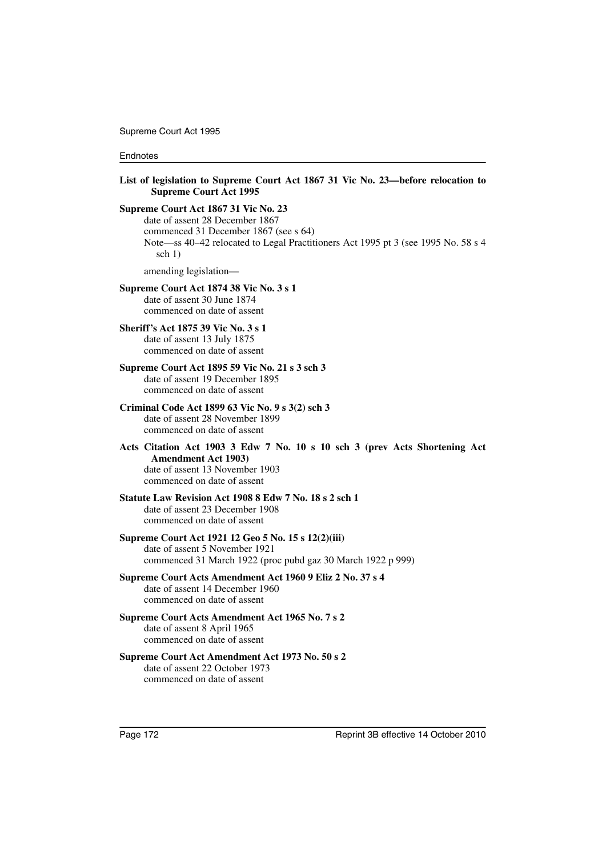Supreme Court Act 1995

#### Endnotes

| List of legislation to Supreme Court Act 1867 31 Vic No. 23—before relocation to<br><b>Supreme Court Act 1995</b>                                                                                                 |
|-------------------------------------------------------------------------------------------------------------------------------------------------------------------------------------------------------------------|
| Supreme Court Act 1867 31 Vic No. 23<br>date of assent 28 December 1867<br>commenced 31 December 1867 (see s 64)<br>Note—ss 40–42 relocated to Legal Practitioners Act 1995 pt 3 (see 1995 No. 58 s 4<br>sch $1)$ |
| amending legislation-                                                                                                                                                                                             |
| Supreme Court Act 1874 38 Vic No. 3 s 1<br>date of assent 30 June 1874<br>commenced on date of assent                                                                                                             |
| <b>Sheriff's Act 1875 39 Vic No. 3 s 1</b><br>date of assent 13 July 1875<br>commenced on date of assent                                                                                                          |
| Supreme Court Act 1895 59 Vic No. 21 s 3 sch 3<br>date of assent 19 December 1895<br>commenced on date of assent                                                                                                  |
| Criminal Code Act 1899 63 Vic No. 9 s 3(2) sch 3<br>date of assent 28 November 1899<br>commenced on date of assent                                                                                                |
| Acts Citation Act 1903 3 Edw 7 No. 10 s 10 sch 3 (prev Acts Shortening Act<br><b>Amendment Act 1903)</b><br>date of assent 13 November 1903<br>commenced on date of assent                                        |
| Statute Law Revision Act 1908 8 Edw 7 No. 18 s 2 sch 1<br>date of assent 23 December 1908<br>commenced on date of assent                                                                                          |
| Supreme Court Act 1921 12 Geo 5 No. 15 s 12(2)(iii)<br>date of assent 5 November 1921<br>commenced 31 March 1922 (proc pubd gaz 30 March 1922 p 999)                                                              |
| Supreme Court Acts Amendment Act 1960 9 Eliz 2 No. 37 s 4<br>date of assent 14 December 1960<br>commenced on date of assent                                                                                       |
| Supreme Court Acts Amendment Act 1965 No. 7 s 2<br>date of assent 8 April 1965<br>commenced on date of assent                                                                                                     |
| Supreme Court Act Amendment Act 1973 No. 50 s 2<br>date of assent 22 October 1973<br>commenced on date of assent                                                                                                  |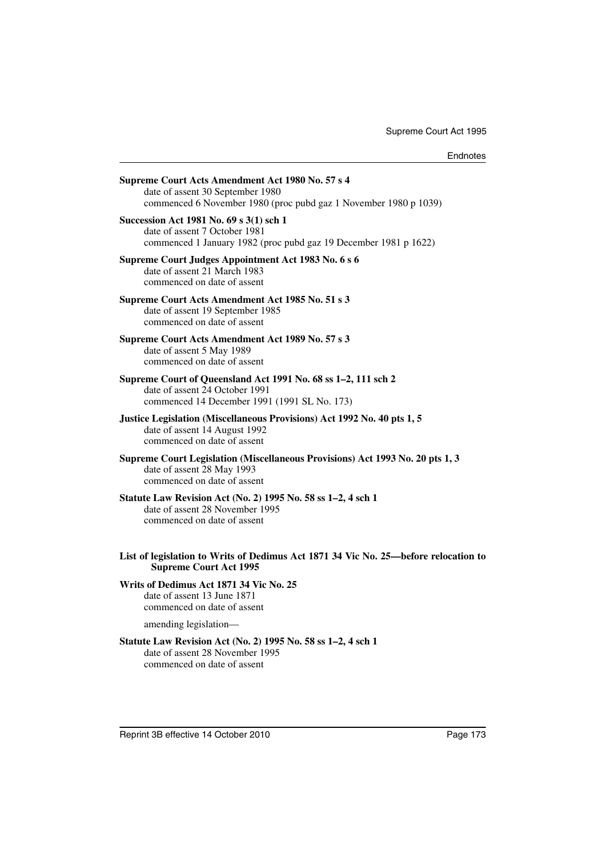| Supreme Court Acts Amendment Act 1980 No. 57 s 4<br>date of assent 30 September 1980<br>commenced 6 November 1980 (proc pubd gaz 1 November 1980 p 1039) |
|----------------------------------------------------------------------------------------------------------------------------------------------------------|
| Succession Act 1981 No. 69 s 3(1) sch 1<br>date of assent 7 October 1981<br>commenced 1 January 1982 (proc pubd gaz 19 December 1981 p 1622)             |
| Supreme Court Judges Appointment Act 1983 No. 6 s 6<br>date of assent 21 March 1983<br>commenced on date of assent                                       |
| Supreme Court Acts Amendment Act 1985 No. 51 s 3<br>date of assent 19 September 1985<br>commenced on date of assent                                      |
| Supreme Court Acts Amendment Act 1989 No. 57 s 3<br>date of assent 5 May 1989<br>commenced on date of assent                                             |
| Supreme Court of Queensland Act 1991 No. 68 ss 1-2, 111 sch 2<br>date of assent 24 October 1991<br>commenced 14 December 1991 (1991 SL No. 173)          |
| Justice Legislation (Miscellaneous Provisions) Act 1992 No. 40 pts 1, 5<br>date of assent 14 August 1992<br>commenced on date of assent                  |
| Supreme Court Legislation (Miscellaneous Provisions) Act 1993 No. 20 pts 1, 3<br>date of assent 28 May 1993<br>commenced on date of assent               |
| Statute Law Revision Act (No. 2) 1995 No. 58 ss 1-2, 4 sch 1<br>date of assent 28 November 1995<br>commenced on date of assent                           |
| List of legislation to Writs of Dedimus Act 1871 34 Vic No. 25—before relocation to<br><b>Supreme Court Act 1995</b>                                     |
| Writs of Dedimus Act 1871 34 Vic No. 25<br>date of assent 13 June 1871<br>commenced on date of assent                                                    |
| amending legislation-                                                                                                                                    |
| Statute Law Revision Act (No. 2) 1995 No. 58 ss 1-2, 4 sch 1<br>date of assent 28 November 1995<br>commenced on date of assent                           |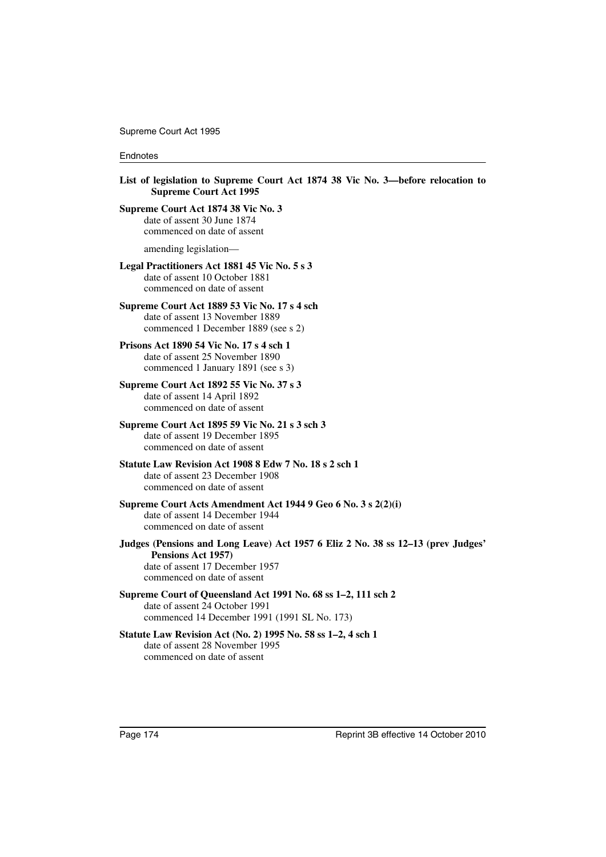Supreme Court Act 1995

#### **Endnotes**

**List of legislation to Supreme Court Act 1874 38 Vic No. 3—before relocation to Supreme Court Act 1995**

**Supreme Court Act 1874 38 Vic No. 3** date of assent 30 June 1874 commenced on date of assent

amending legislation—

#### **Legal Practitioners Act 1881 45 Vic No. 5 s 3**

date of assent 10 October 1881 commenced on date of assent

#### **Supreme Court Act 1889 53 Vic No. 17 s 4 sch**

date of assent 13 November 1889 commenced 1 December 1889 (see s 2)

#### **Prisons Act 1890 54 Vic No. 17 s 4 sch 1**

date of assent 25 November 1890 commenced 1 January 1891 (see s 3)

#### **Supreme Court Act 1892 55 Vic No. 37 s 3**

date of assent 14 April 1892 commenced on date of assent

#### **Supreme Court Act 1895 59 Vic No. 21 s 3 sch 3**

date of assent 19 December 1895 commenced on date of assent

# **Statute Law Revision Act 1908 8 Edw 7 No. 18 s 2 sch 1**

date of assent 23 December 1908 commenced on date of assent

#### **Supreme Court Acts Amendment Act 1944 9 Geo 6 No. 3 s 2(2)(i)** date of assent 14 December 1944 commenced on date of assent

**Judges (Pensions and Long Leave) Act 1957 6 Eliz 2 No. 38 ss 12–13 (prev Judges' Pensions Act 1957)** date of assent 17 December 1957

commenced on date of assent

**Supreme Court of Queensland Act 1991 No. 68 ss 1–2, 111 sch 2** date of assent 24 October 1991 commenced 14 December 1991 (1991 SL No. 173)

### **Statute Law Revision Act (No. 2) 1995 No. 58 ss 1–2, 4 sch 1** date of assent 28 November 1995

commenced on date of assent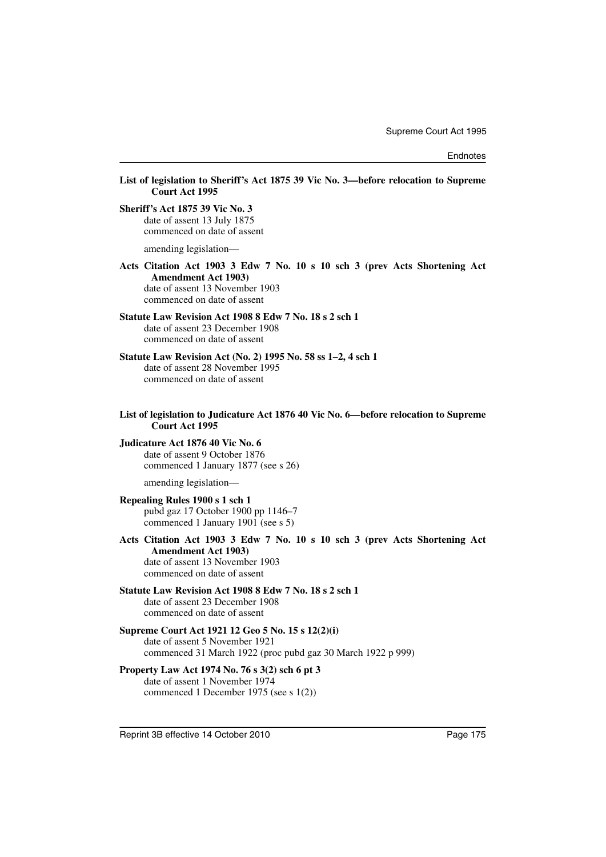**List of legislation to Sheriff's Act 1875 39 Vic No. 3—before relocation to Supreme Court Act 1995**

**Sheriff's Act 1875 39 Vic No. 3**

date of assent 13 July 1875 commenced on date of assent

amending legislation—

**Acts Citation Act 1903 3 Edw 7 No. 10 s 10 sch 3 (prev Acts Shortening Act Amendment Act 1903)** date of assent 13 November 1903

commenced on date of assent

### **Statute Law Revision Act 1908 8 Edw 7 No. 18 s 2 sch 1**

date of assent 23 December 1908 commenced on date of assent

**Statute Law Revision Act (No. 2) 1995 No. 58 ss 1–2, 4 sch 1** date of assent 28 November 1995 commenced on date of assent

**List of legislation to Judicature Act 1876 40 Vic No. 6—before relocation to Supreme Court Act 1995**

**Judicature Act 1876 40 Vic No. 6** date of assent 9 October 1876 commenced 1 January 1877 (see s 26)

amending legislation—

#### **Repealing Rules 1900 s 1 sch 1**

pubd gaz 17 October 1900 pp 1146–7 commenced 1 January 1901 (see s 5)

**Acts Citation Act 1903 3 Edw 7 No. 10 s 10 sch 3 (prev Acts Shortening Act Amendment Act 1903)** date of assent 13 November 1903

commenced on date of assent

#### **Statute Law Revision Act 1908 8 Edw 7 No. 18 s 2 sch 1** date of assent 23 December 1908 commenced on date of assent

#### **Supreme Court Act 1921 12 Geo 5 No. 15 s 12(2)(i)** date of assent 5 November 1921 commenced 31 March 1922 (proc pubd gaz 30 March 1922 p 999)

#### **Property Law Act 1974 No. 76 s 3(2) sch 6 pt 3** date of assent 1 November 1974 commenced 1 December 1975 (see s 1(2))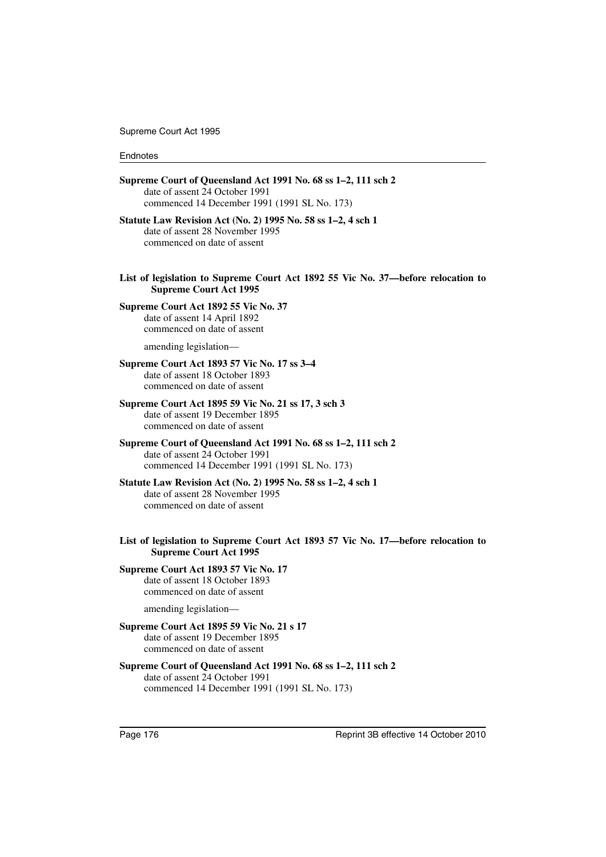Supreme Court Act 1995

#### Endnotes

| Supreme Court of Queensland Act 1991 No. 68 ss 1-2, 111 sch 2<br>date of assent 24 October 1991<br>commenced 14 December 1991 (1991 SL No. 173) |
|-------------------------------------------------------------------------------------------------------------------------------------------------|
| Statute Law Revision Act (No. 2) 1995 No. 58 ss 1-2, 4 sch 1<br>date of assent 28 November 1995<br>commenced on date of assent                  |
| List of legislation to Supreme Court Act 1892 55 Vic No. 37—before relocation to<br><b>Supreme Court Act 1995</b>                               |
| Supreme Court Act 1892 55 Vic No. 37<br>date of assent 14 April 1892<br>commenced on date of assent                                             |
| amending legislation-                                                                                                                           |
| Supreme Court Act 1893 57 Vic No. 17 ss 3-4<br>date of assent 18 October 1893<br>commenced on date of assent                                    |
| Supreme Court Act 1895 59 Vic No. 21 ss 17, 3 sch 3<br>date of assent 19 December 1895<br>commenced on date of assent                           |
| Supreme Court of Queensland Act 1991 No. 68 ss 1-2, 111 sch 2<br>date of assent 24 October 1991<br>commenced 14 December 1991 (1991 SL No. 173) |
| Statute Law Revision Act (No. 2) 1995 No. 58 ss 1-2, 4 sch 1<br>date of assent 28 November 1995<br>commenced on date of assent                  |
| List of legislation to Supreme Court Act 1893 57 Vic No. 17—before relocation to<br><b>Supreme Court Act 1995</b>                               |
| Supreme Court Act 1893 57 Vic No. 17<br>date of assent 18 October 1893<br>commenced on date of assent                                           |
| amending legislation-                                                                                                                           |
| Supreme Court Act 1895 59 Vic No. 21 s 17<br>date of assent 19 December 1895<br>commenced on date of assent                                     |
| Supreme Court of Queensland Act 1991 No. 68 ss 1-2, 111 sch 2<br>date of assent 24 October 1991<br>commenced 14 December 1991 (1991 SL No. 173) |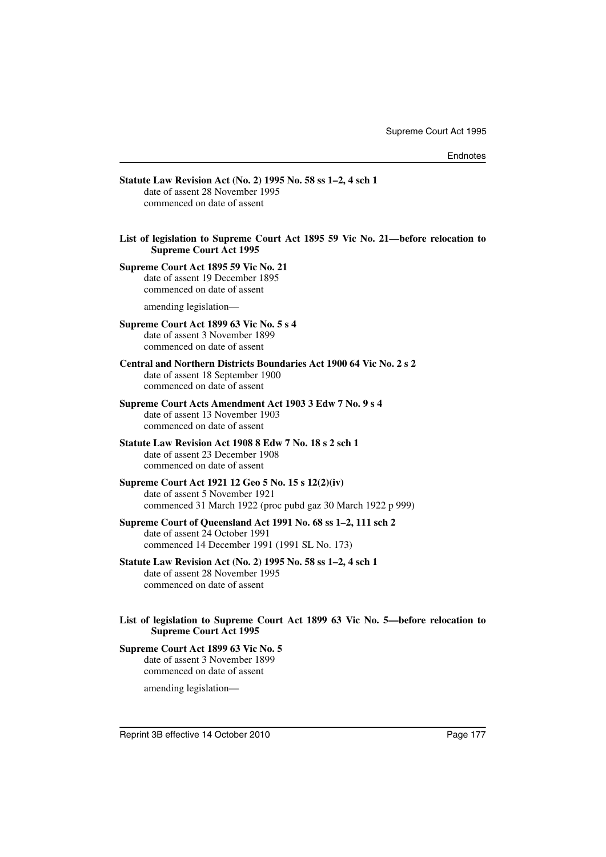| Statute Law Revision Act (No. 2) 1995 No. 58 ss 1-2, 4 sch 1<br>date of assent 28 November 1995<br>commenced on date of assent                      |
|-----------------------------------------------------------------------------------------------------------------------------------------------------|
|                                                                                                                                                     |
| List of legislation to Supreme Court Act 1895 59 Vic No. 21—before relocation to<br><b>Supreme Court Act 1995</b>                                   |
| Supreme Court Act 1895 59 Vic No. 21<br>date of assent 19 December 1895<br>commenced on date of assent                                              |
| amending legislation-                                                                                                                               |
| Supreme Court Act 1899 63 Vic No. 5 s 4<br>date of assent 3 November 1899<br>commenced on date of assent                                            |
| Central and Northern Districts Boundaries Act 1900 64 Vic No. 2 s 2<br>date of assent 18 September 1900<br>commenced on date of assent              |
| Supreme Court Acts Amendment Act 1903 3 Edw 7 No. 9 s 4<br>date of assent 13 November 1903<br>commenced on date of assent                           |
| Statute Law Revision Act 1908 8 Edw 7 No. 18 s 2 sch 1<br>date of assent 23 December 1908<br>commenced on date of assent                            |
| Supreme Court Act 1921 12 Geo 5 No. 15 s 12(2)(iv)<br>date of assent 5 November 1921<br>commenced 31 March 1922 (proc pubd gaz 30 March 1922 p 999) |
| Supreme Court of Queensland Act 1991 No. 68 ss 1-2, 111 sch 2<br>date of assent 24 October 1991<br>commenced 14 December 1991 (1991 SL No. 173)     |
| Statute Law Revision Act (No. 2) 1995 No. 58 ss 1-2, 4 sch 1<br>date of assent 28 November 1995<br>commenced on date of assent                      |
| List of legislation to Supreme Court Act 1899 63 Vic No. 5-before relocation to<br><b>Supreme Court Act 1995</b>                                    |
| Supreme Court Act 1899 63 Vic No. 5<br>date of assent 3 November 1899<br>commenced on date of assent                                                |

amending legislation—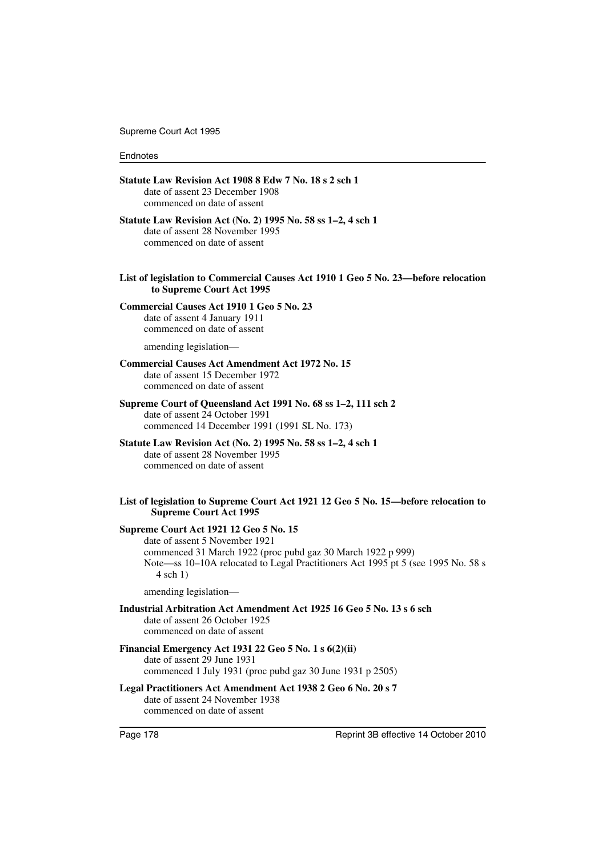Supreme Court Act 1995

### Endnotes

| Statute Law Revision Act 1908 8 Edw 7 No. 18 s 2 sch 1<br>date of assent 23 December 1908<br>commenced on date of assent                                                                                                                         |
|--------------------------------------------------------------------------------------------------------------------------------------------------------------------------------------------------------------------------------------------------|
| Statute Law Revision Act (No. 2) 1995 No. 58 ss 1–2, 4 sch 1<br>date of assent 28 November 1995<br>commenced on date of assent                                                                                                                   |
| List of legislation to Commercial Causes Act 1910 1 Geo 5 No. 23—before relocation<br>to Supreme Court Act 1995                                                                                                                                  |
| <b>Commercial Causes Act 1910 1 Geo 5 No. 23</b><br>date of assent 4 January 1911<br>commenced on date of assent                                                                                                                                 |
| amending legislation-                                                                                                                                                                                                                            |
| <b>Commercial Causes Act Amendment Act 1972 No. 15</b><br>date of assent 15 December 1972<br>commenced on date of assent                                                                                                                         |
| Supreme Court of Queensland Act 1991 No. 68 ss 1–2, 111 sch 2<br>date of assent 24 October 1991<br>commenced 14 December 1991 (1991 SL No. 173)                                                                                                  |
| Statute Law Revision Act (No. 2) 1995 No. 58 ss 1–2, 4 sch 1<br>date of assent 28 November 1995<br>commenced on date of assent                                                                                                                   |
| List of legislation to Supreme Court Act 1921 12 Geo 5 No. 15—before relocation to<br><b>Supreme Court Act 1995</b>                                                                                                                              |
| <b>Supreme Court Act 1921 12 Geo 5 No. 15</b><br>date of assent 5 November 1921<br>commenced 31 March 1922 (proc pubd gaz 30 March 1922 p 999)<br>Note—ss 10–10A relocated to Legal Practitioners Act 1995 pt 5 (see 1995 No. 58 s<br>$4$ sch 1) |
| amending legislation-                                                                                                                                                                                                                            |
| Industrial Arbitration Act Amendment Act 1925 16 Geo 5 No. 13 s 6 sch<br>date of assent 26 October 1925<br>commenced on date of assent                                                                                                           |
| Financial Emergency Act 1931 22 Geo 5 No. 1 s 6(2)(ii)<br>date of assent 29 June 1931<br>commenced 1 July 1931 (proc pubd gaz 30 June 1931 p 2505)                                                                                               |
| Legal Practitioners Act Amendment Act 1938 2 Geo 6 No. 20 s 7<br>date of assent 24 November 1938<br>commenced on date of assent                                                                                                                  |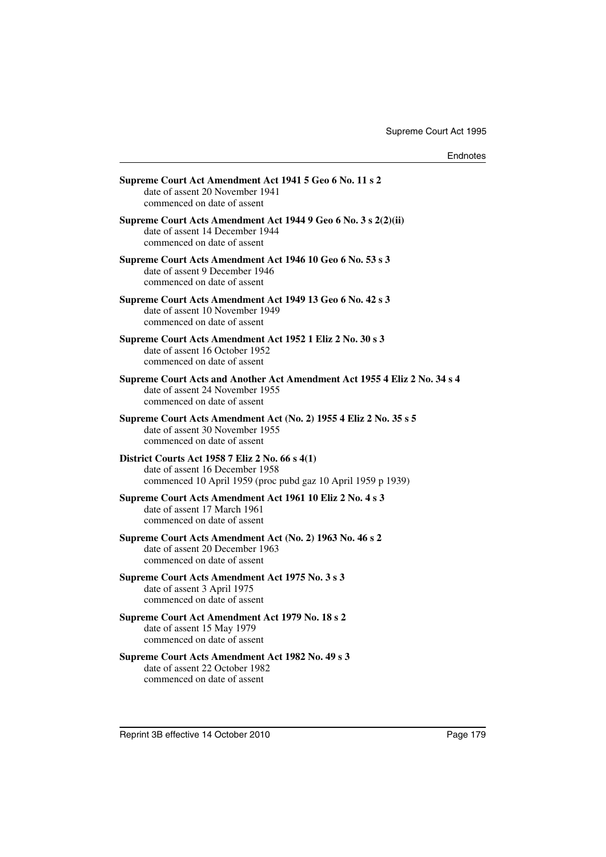| Supreme Court Act Amendment Act 1941 5 Geo 6 No. 11 s 2<br>date of assent 20 November 1941<br>commenced on date of assent                          |
|----------------------------------------------------------------------------------------------------------------------------------------------------|
| Supreme Court Acts Amendment Act 1944 9 Geo 6 No. 3 s 2(2)(ii)<br>date of assent 14 December 1944<br>commenced on date of assent                   |
| Supreme Court Acts Amendment Act 1946 10 Geo 6 No. 53 s 3<br>date of assent 9 December 1946<br>commenced on date of assent                         |
| Supreme Court Acts Amendment Act 1949 13 Geo 6 No. 42 s 3<br>date of assent 10 November 1949<br>commenced on date of assent                        |
| Supreme Court Acts Amendment Act 1952 1 Eliz 2 No. 30 s 3<br>date of assent 16 October 1952<br>commenced on date of assent                         |
| Supreme Court Acts and Another Act Amendment Act 1955 4 Eliz 2 No. 34 s 4<br>date of assent 24 November 1955<br>commenced on date of assent        |
| Supreme Court Acts Amendment Act (No. 2) 1955 4 Eliz 2 No. 35 s 5<br>date of assent 30 November 1955<br>commenced on date of assent                |
| District Courts Act 1958 7 Eliz 2 No. 66 s 4(1)<br>date of assent 16 December 1958<br>commenced 10 April 1959 (proc pubd gaz 10 April 1959 p 1939) |
| Supreme Court Acts Amendment Act 1961 10 Eliz 2 No. 4 s 3<br>date of assent 17 March 1961<br>commenced on date of assent                           |
| Supreme Court Acts Amendment Act (No. 2) 1963 No. 46 s 2<br>date of assent 20 December 1963<br>commenced on date of assent                         |
| Supreme Court Acts Amendment Act 1975 No. 3 s 3<br>date of assent 3 April 1975<br>commenced on date of assent                                      |
| Supreme Court Act Amendment Act 1979 No. 18 s 2<br>date of assent 15 May 1979<br>commenced on date of assent                                       |
| Supreme Court Acts Amendment Act 1982 No. 49 s 3<br>date of assent 22 October 1982<br>commenced on date of assent                                  |
|                                                                                                                                                    |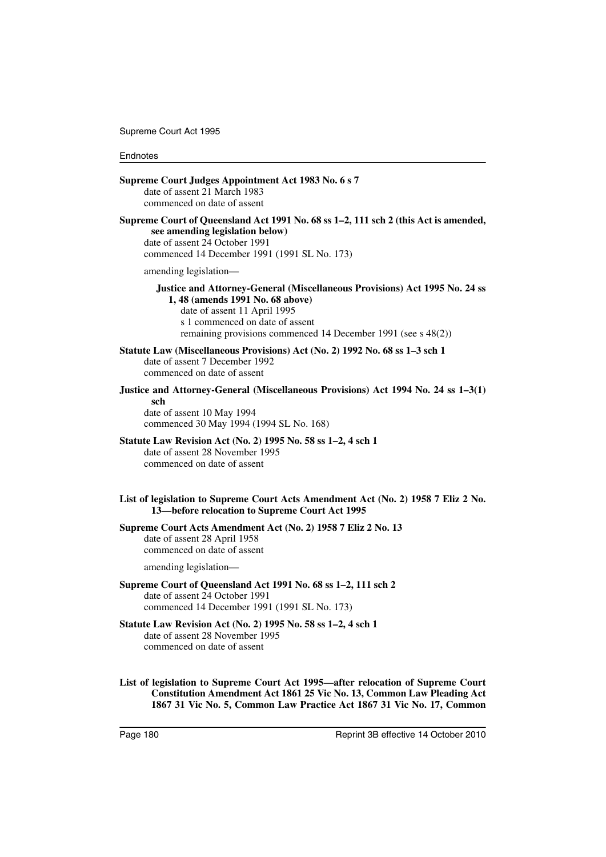#### Endnotes

| Supreme Court Judges Appointment Act 1983 No. 6 s 7<br>date of assent 21 March 1983<br>commenced on date of assent                                                                                                                                 |
|----------------------------------------------------------------------------------------------------------------------------------------------------------------------------------------------------------------------------------------------------|
| Supreme Court of Queensland Act 1991 No. 68 ss 1–2, 111 sch 2 (this Act is amended,<br>see amending legislation below)<br>date of assent 24 October 1991<br>commenced 14 December 1991 (1991 SL No. 173)                                           |
| amending legislation-                                                                                                                                                                                                                              |
| Justice and Attorney-General (Miscellaneous Provisions) Act 1995 No. 24 ss<br>1, 48 (amends 1991 No. 68 above)<br>date of assent 11 April 1995<br>s 1 commenced on date of assent<br>remaining provisions commenced 14 December 1991 (see s 48(2)) |
| Statute Law (Miscellaneous Provisions) Act (No. 2) 1992 No. 68 ss 1–3 sch 1<br>date of assent 7 December 1992<br>commenced on date of assent                                                                                                       |
| Justice and Attorney-General (Miscellaneous Provisions) Act 1994 No. 24 ss 1-3(1)<br>sch<br>date of assent 10 May 1994<br>commenced 30 May 1994 (1994 SL No. 168)                                                                                  |
| Statute Law Revision Act (No. 2) 1995 No. 58 ss 1-2, 4 sch 1<br>date of assent 28 November 1995<br>commenced on date of assent                                                                                                                     |
| List of legislation to Supreme Court Acts Amendment Act (No. 2) 1958 7 Eliz 2 No.<br>13-before relocation to Supreme Court Act 1995                                                                                                                |
| Supreme Court Acts Amendment Act (No. 2) 1958 7 Eliz 2 No. 13<br>date of assent 28 April 1958<br>commenced on date of assent                                                                                                                       |
| amending legislation-                                                                                                                                                                                                                              |
| Supreme Court of Queensland Act 1991 No. 68 ss 1-2, 111 sch 2<br>date of assent 24 October 1991<br>commenced 14 December 1991 (1991 SL No. 173)                                                                                                    |
| Statute Law Revision Act (No. 2) 1995 No. 58 ss 1-2, 4 sch 1<br>date of assent 28 November 1995<br>commenced on date of assent                                                                                                                     |

**List of legislation to Supreme Court Act 1995—after relocation of Supreme Court Constitution Amendment Act 1861 25 Vic No. 13, Common Law Pleading Act 1867 31 Vic No. 5, Common Law Practice Act 1867 31 Vic No. 17, Common**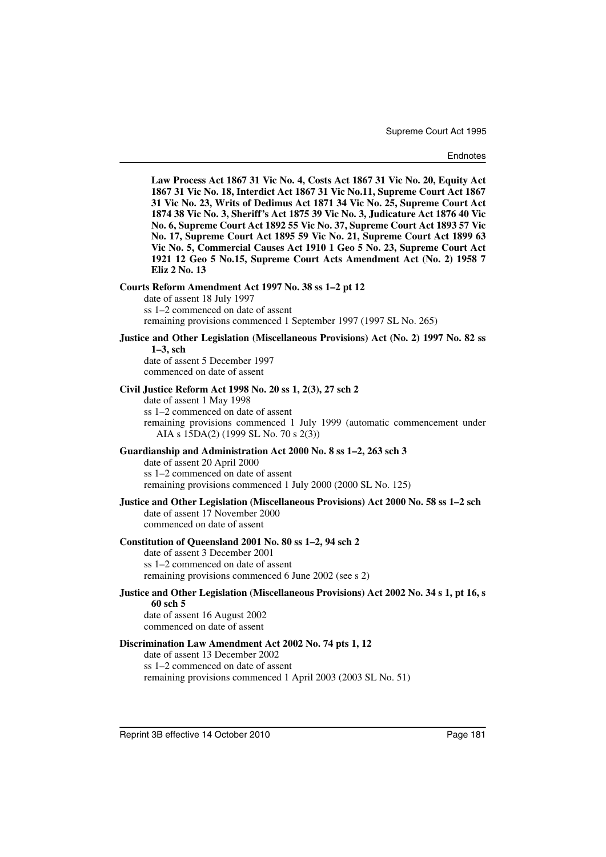**Law Process Act 1867 31 Vic No. 4, Costs Act 1867 31 Vic No. 20, Equity Act 1867 31 Vic No. 18, Interdict Act 1867 31 Vic No.11, Supreme Court Act 1867 31 Vic No. 23, Writs of Dedimus Act 1871 34 Vic No. 25, Supreme Court Act 1874 38 Vic No. 3, Sheriff's Act 1875 39 Vic No. 3, Judicature Act 1876 40 Vic No. 6, Supreme Court Act 1892 55 Vic No. 37, Supreme Court Act 1893 57 Vic No. 17, Supreme Court Act 1895 59 Vic No. 21, Supreme Court Act 1899 63 Vic No. 5, Commercial Causes Act 1910 1 Geo 5 No. 23, Supreme Court Act 1921 12 Geo 5 No.15, Supreme Court Acts Amendment Act (No. 2) 1958 7 Eliz 2 No. 13**

#### **Courts Reform Amendment Act 1997 No. 38 ss 1–2 pt 12**

date of assent 18 July 1997 ss 1–2 commenced on date of assent remaining provisions commenced 1 September 1997 (1997 SL No. 265)

## **Justice and Other Legislation (Miscellaneous Provisions) Act (No. 2) 1997 No. 82 ss 1–3, sch**

date of assent 5 December 1997 commenced on date of assent

#### **Civil Justice Reform Act 1998 No. 20 ss 1, 2(3), 27 sch 2**

date of assent 1 May 1998 ss 1–2 commenced on date of assent remaining provisions commenced 1 July 1999 (automatic commencement under AIA s 15DA(2) (1999 SL No. 70 s 2(3))

#### **Guardianship and Administration Act 2000 No. 8 ss 1–2, 263 sch 3**

date of assent 20 April 2000 ss 1–2 commenced on date of assent remaining provisions commenced 1 July 2000 (2000 SL No. 125)

## **Justice and Other Legislation (Miscellaneous Provisions) Act 2000 No. 58 ss 1–2 sch**

date of assent 17 November 2000 commenced on date of assent

#### **Constitution of Queensland 2001 No. 80 ss 1–2, 94 sch 2**

date of assent 3 December 2001 ss 1–2 commenced on date of assent remaining provisions commenced 6 June 2002 (see s 2)

#### **Justice and Other Legislation (Miscellaneous Provisions) Act 2002 No. 34 s 1, pt 16, s 60 sch 5**

date of assent 16 August 2002 commenced on date of assent

#### **Discrimination Law Amendment Act 2002 No. 74 pts 1, 12**

date of assent 13 December 2002 ss 1–2 commenced on date of assent remaining provisions commenced 1 April 2003 (2003 SL No. 51)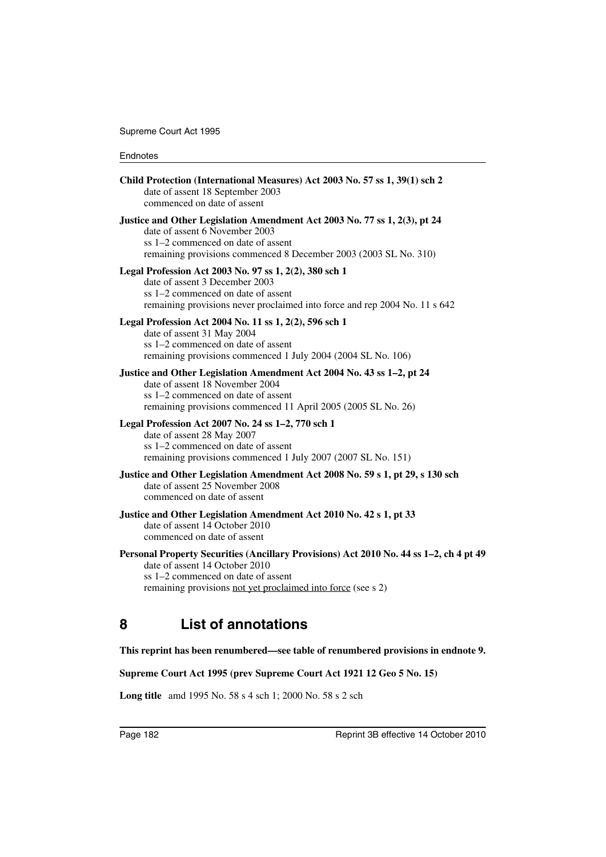| Child Protection (International Measures) Act 2003 No. 57 ss 1, 39(1) sch 2<br>date of assent 18 September 2003<br>commenced on date of assent                                                                                 |
|--------------------------------------------------------------------------------------------------------------------------------------------------------------------------------------------------------------------------------|
| Justice and Other Legislation Amendment Act 2003 No. 77 ss 1, 2(3), pt 24<br>date of assent 6 November 2003<br>ss 1–2 commenced on date of assent<br>remaining provisions commenced 8 December 2003 (2003 SL No. 310)          |
| Legal Profession Act 2003 No. 97 ss 1, 2(2), 380 sch 1<br>date of assent 3 December 2003<br>ss 1-2 commenced on date of assent<br>remaining provisions never proclaimed into force and rep 2004 No. 11 s 642                   |
| Legal Profession Act 2004 No. 11 ss 1, 2(2), 596 sch 1<br>date of assent 31 May 2004<br>ss 1-2 commenced on date of assent<br>remaining provisions commenced 1 July 2004 (2004 SL No. 106)                                     |
| Justice and Other Legislation Amendment Act 2004 No. 43 ss 1-2, pt 24<br>date of assent 18 November 2004<br>ss 1–2 commenced on date of assent<br>remaining provisions commenced 11 April 2005 (2005 SL No. 26)                |
| Legal Profession Act 2007 No. 24 ss 1-2, 770 sch 1<br>date of assent 28 May 2007<br>ss 1–2 commenced on date of assent<br>remaining provisions commenced 1 July 2007 (2007 SL No. 151)                                         |
| Justice and Other Legislation Amendment Act 2008 No. 59 s 1, pt 29, s 130 sch<br>date of assent 25 November 2008<br>commenced on date of assent                                                                                |
| Justice and Other Legislation Amendment Act 2010 No. 42 s 1, pt 33<br>date of assent 14 October 2010<br>commenced on date of assent                                                                                            |
| Personal Property Securities (Ancillary Provisions) Act 2010 No. 44 ss 1-2, ch 4 pt 49<br>date of assent 14 October 2010<br>ss 1–2 commenced on date of assent<br>remaining provisions not yet proclaimed into force (see s 2) |
| <b>List of annotations</b><br>8                                                                                                                                                                                                |

# **This reprint has been renumbered—see table of renumbered provisions in endnote 9.**

**Supreme Court Act 1995 (prev Supreme Court Act 1921 12 Geo 5 No. 15)**

**Long title** amd 1995 No. 58 s 4 sch 1; 2000 No. 58 s 2 sch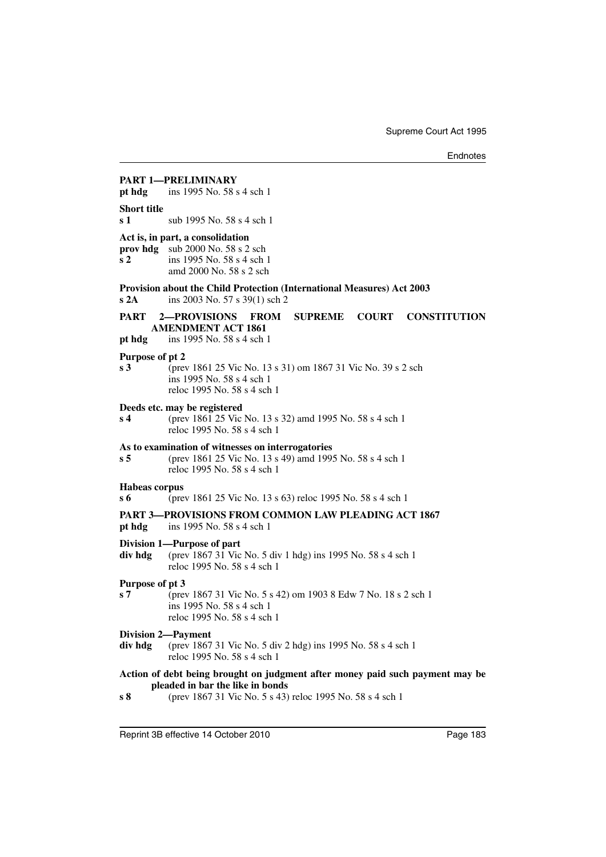## **PART 1—PRELIMINARY pt hdg** ins 1995 No. 58 s 4 sch 1 **Short title s 1** sub 1995 No. 58 s 4 sch 1 **Act is, in part, a consolidation prov hdg** sub 2000 No. 58 s 2 sch **s 2** ins 1995 No. 58 s 4 sch 1 amd 2000 No. 58 s 2 sch **Provision about the Child Protection (International Measures) Act 2003 s 2A** ins 2003 No. 57 s 39(1) sch 2 **PART 2—PROVISIONS FROM SUPREME COURT CONSTITUTION AMENDMENT ACT 1861 pt hdg** ins 1995 No. 58 s 4 sch 1 **Purpose of pt 2 s 3** (prev 1861 25 Vic No. 13 s 31) om 1867 31 Vic No. 39 s 2 sch ins 1995 No. 58 s 4 sch 1 reloc 1995 No. 58 s 4 sch 1 **Deeds etc. may be registered s 4** (prev 1861 25 Vic No. 13 s 32) amd 1995 No. 58 s 4 sch 1 reloc 1995 No. 58 s 4 sch 1 **As to examination of witnesses on interrogatories s 5** (prev 1861 25 Vic No. 13 s 49) amd 1995 No. 58 s 4 sch 1 reloc 1995 No. 58 s 4 sch 1 **Habeas corpus s 6** (prev 1861 25 Vic No. 13 s 63) reloc 1995 No. 58 s 4 sch 1 **PART 3—PROVISIONS FROM COMMON LAW PLEADING ACT 1867 pt hdg** ins 1995 No. 58 s 4 sch 1 **Division 1—Purpose of part div hdg** (prev 1867 31 Vic No. 5 div 1 hdg) ins 1995 No. 58 s 4 sch 1 reloc 1995 No. 58 s 4 sch 1 **Purpose of pt 3 s 7** (prev 1867 31 Vic No. 5 s 42) om 1903 8 Edw 7 No. 18 s 2 sch 1 ins 1995 No. 58 s 4 sch 1 reloc 1995 No. 58 s 4 sch 1 **Division 2—Payment div hdg** (prev 1867 31 Vic No. 5 div 2 hdg) ins 1995 No. 58 s 4 sch 1 reloc 1995 No. 58 s 4 sch 1 **Action of debt being brought on judgment after money paid such payment may be pleaded in bar the like in bonds s 8** (prev 1867 31 Vic No. 5 s 43) reloc 1995 No. 58 s 4 sch 1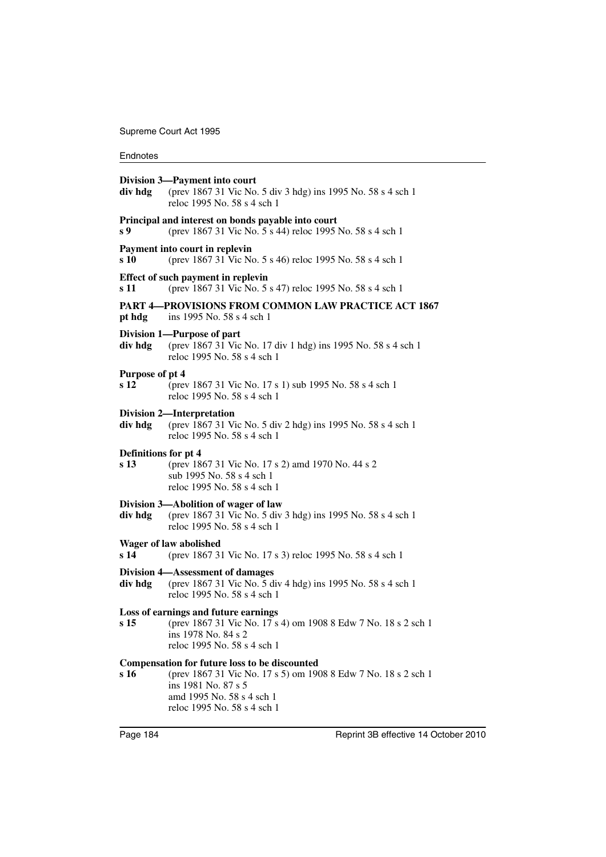| div hdg                      | Division 3-Payment into court<br>(prev 1867 31 Vic No. 5 div 3 hdg) ins 1995 No. 58 s 4 sch 1<br>reloc 1995 No. 58 s 4 sch 1                                                                              |
|------------------------------|-----------------------------------------------------------------------------------------------------------------------------------------------------------------------------------------------------------|
| s 9                          | Principal and interest on bonds payable into court<br>(prev 1867 31 Vic No. 5 s 44) reloc 1995 No. 58 s 4 sch 1                                                                                           |
| s 10                         | Payment into court in replevin<br>(prev 1867 31 Vic No. 5 s 46) reloc 1995 No. 58 s 4 sch 1                                                                                                               |
| s 11                         | Effect of such payment in replevin<br>(prev 1867 31 Vic No. 5 s 47) reloc 1995 No. 58 s 4 sch 1                                                                                                           |
| pt hdg                       | <b>PART 4—PROVISIONS FROM COMMON LAW PRACTICE ACT 1867</b><br>ins 1995 No. 58 s 4 sch 1                                                                                                                   |
| div hdg                      | Division 1-Purpose of part<br>(prev 1867 31 Vic No. 17 div 1 hdg) ins 1995 No. 58 s 4 sch 1<br>reloc 1995 No. 58 s 4 sch 1                                                                                |
| Purpose of pt 4<br>s 12      | (prev 1867 31 Vic No. 17 s 1) sub 1995 No. 58 s 4 sch 1<br>reloc 1995 No. 58 s 4 sch 1                                                                                                                    |
| div hdg                      | <b>Division 2-Interpretation</b><br>(prev 1867 31 Vic No. 5 div 2 hdg) ins 1995 No. 58 s 4 sch 1<br>reloc 1995 No. 58 s 4 sch 1                                                                           |
| Definitions for pt 4<br>s 13 | (prev 1867 31 Vic No. 17 s 2) amd 1970 No. 44 s 2<br>sub 1995 No. 58 s 4 sch 1<br>reloc 1995 No. 58 s 4 sch 1                                                                                             |
| div hdg                      | Division 3—Abolition of wager of law<br>(prev 1867 31 Vic No. 5 div 3 hdg) ins 1995 No. 58 s 4 sch 1<br>reloc 1995 No. 58 s 4 sch 1                                                                       |
| s 14                         | Wager of law abolished<br>(prev 1867 31 Vic No. 17 s 3) reloc 1995 No. 58 s 4 sch 1                                                                                                                       |
| div hdg                      | Division 4—Assessment of damages<br>(prev 1867 31 Vic No. 5 div 4 hdg) ins 1995 No. 58 s 4 sch 1<br>reloc 1995 No. 58 s 4 sch 1                                                                           |
| s 15                         | Loss of earnings and future earnings<br>(prev 1867 31 Vic No. 17 s 4) om 1908 8 Edw 7 No. 18 s 2 sch 1<br>ins 1978 No. 84 s 2<br>reloc 1995 No. 58 s 4 sch 1                                              |
| s 16                         | <b>Compensation for future loss to be discounted</b><br>(prev 1867 31 Vic No. 17 s 5) om 1908 8 Edw 7 No. 18 s 2 sch 1<br>ins 1981 No. 87 s 5<br>amd 1995 No. 58 s 4 sch 1<br>reloc 1995 No. 58 s 4 sch 1 |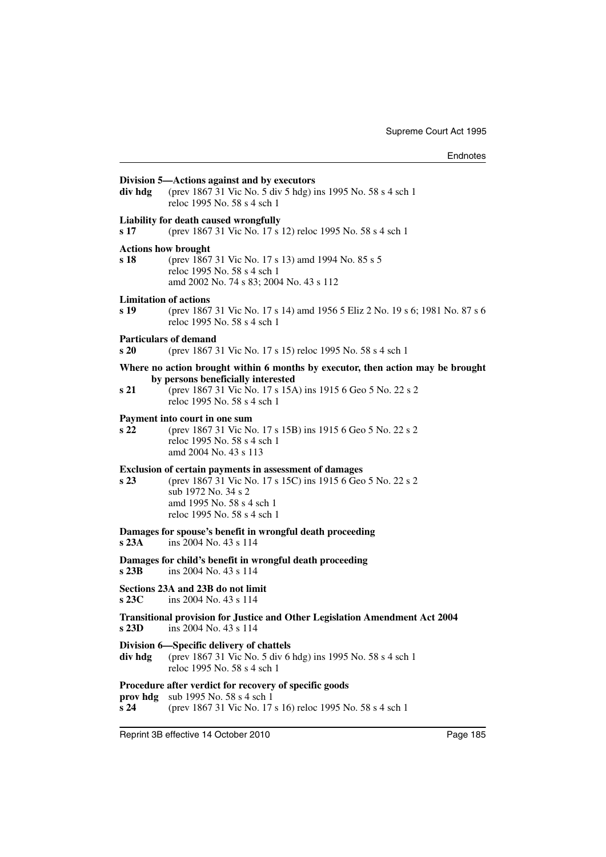| div hdg                                         | Division 5—Actions against and by executors<br>(prev 1867 31 Vic No. 5 div 5 hdg) ins 1995 No. 58 s 4 sch 1<br>reloc 1995 No. 58 s 4 sch 1                                                                          |
|-------------------------------------------------|---------------------------------------------------------------------------------------------------------------------------------------------------------------------------------------------------------------------|
| s 17                                            | Liability for death caused wrongfully<br>(prev 1867 31 Vic No. 17 s 12) reloc 1995 No. 58 s 4 sch 1                                                                                                                 |
| <b>Actions how brought</b><br>s 18              | (prev 1867 31 Vic No. 17 s 13) amd 1994 No. 85 s 5<br>reloc 1995 No. 58 s 4 sch 1<br>amd 2002 No. 74 s 83; 2004 No. 43 s 112                                                                                        |
| <b>Limitation of actions</b><br>s <sub>19</sub> | (prev 1867 31 Vic No. 17 s 14) amd 1956 5 Eliz 2 No. 19 s 6; 1981 No. 87 s 6<br>reloc 1995 No. 58 s 4 sch 1                                                                                                         |
| s20                                             | <b>Particulars of demand</b><br>(prev 1867 31 Vic No. 17 s 15) reloc 1995 No. 58 s 4 sch 1                                                                                                                          |
| s 21                                            | Where no action brought within 6 months by executor, then action may be brought<br>by persons beneficially interested<br>(prev 1867 31 Vic No. 17 s 15A) ins 1915 6 Geo 5 No. 22 s 2<br>reloc 1995 No. 58 s 4 sch 1 |
| s <sub>22</sub>                                 | Payment into court in one sum<br>(prev 1867 31 Vic No. 17 s 15B) ins 1915 6 Geo 5 No. 22 s 2<br>reloc 1995 No. 58 s 4 sch 1<br>amd 2004 No. 43 s 113                                                                |
| s <sub>23</sub>                                 | Exclusion of certain payments in assessment of damages<br>(prev 1867 31 Vic No. 17 s 15C) ins 1915 6 Geo 5 No. 22 s 2<br>sub 1972 No. 34 s 2<br>amd 1995 No. 58 s 4 sch 1<br>reloc 1995 No. 58 s 4 sch 1            |
| s23A                                            | Damages for spouse's benefit in wrongful death proceeding<br>ins 2004 No. 43 s 114                                                                                                                                  |
| s23B                                            | Damages for child's benefit in wrongful death proceeding<br>ins 2004 No. 43 s 114                                                                                                                                   |
| s23C                                            | Sections 23A and 23B do not limit<br>ins 2004 No. 43 s 114                                                                                                                                                          |
|                                                 | Transitional provision for Justice and Other Legislation Amendment Act 2004<br>$\mathbf{s}$ 23D ins 2004 No. 43 s 114                                                                                               |
| div hdg                                         | Division 6—Specific delivery of chattels<br>(prev 1867 31 Vic No. 5 div 6 hdg) ins 1995 No. 58 s 4 sch 1<br>reloc 1995 No. 58 s 4 sch 1                                                                             |
| prov hdg<br>s24                                 | Procedure after verdict for recovery of specific goods<br>sub 1995 No. 58 s 4 sch 1<br>(prev 1867 31 Vic No. 17 s 16) reloc 1995 No. 58 s 4 sch 1                                                                   |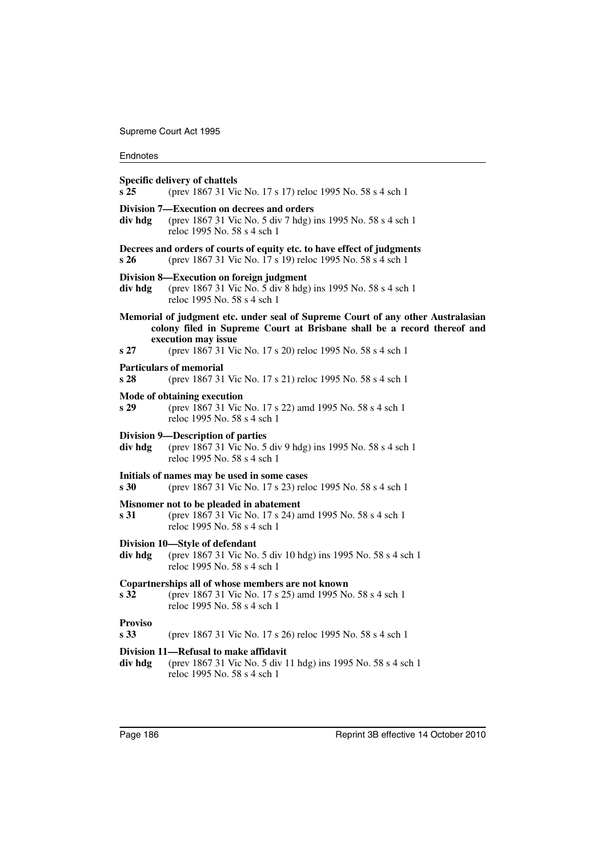## Endnotes

## **Specific delivery of chattels**

| s25                               | (prev 1867 31 Vic No. 17 s 17) reloc 1995 No. 58 s 4 sch 1                                                                                                                                                                                      |
|-----------------------------------|-------------------------------------------------------------------------------------------------------------------------------------------------------------------------------------------------------------------------------------------------|
| div hdg                           | Division 7—Execution on decrees and orders<br>(prev 1867 31 Vic No. 5 div 7 hdg) ins 1995 No. 58 s 4 sch 1<br>reloc 1995 No. 58 s 4 sch 1                                                                                                       |
| s26                               | Decrees and orders of courts of equity etc. to have effect of judgments<br>(prev 1867 31 Vic No. 17 s 19) reloc 1995 No. 58 s 4 sch 1                                                                                                           |
| div hdg                           | Division 8—Execution on foreign judgment<br>(prev 1867 31 Vic No. 5 div 8 hdg) ins 1995 No. 58 s 4 sch 1<br>reloc 1995 No. 58 s 4 sch 1                                                                                                         |
| s27                               | Memorial of judgment etc. under seal of Supreme Court of any other Australasian<br>colony filed in Supreme Court at Brisbane shall be a record thereof and<br>execution may issue<br>(prev 1867 31 Vic No. 17 s 20) reloc 1995 No. 58 s 4 sch 1 |
|                                   | <b>Particulars of memorial</b>                                                                                                                                                                                                                  |
| s <sub>28</sub>                   | (prev 1867 31 Vic No. 17 s 21) reloc 1995 No. 58 s 4 sch 1                                                                                                                                                                                      |
| s29                               | Mode of obtaining execution<br>(prev 1867 31 Vic No. 17 s 22) amd 1995 No. 58 s 4 sch 1<br>reloc 1995 No. 58 s 4 sch 1                                                                                                                          |
| div hdg                           | Division 9-Description of parties<br>(prev 1867 31 Vic No. 5 div 9 hdg) ins 1995 No. 58 s 4 sch 1<br>reloc 1995 No. 58 s 4 sch 1                                                                                                                |
| s <sub>30</sub>                   | Initials of names may be used in some cases<br>(prev 1867 31 Vic No. 17 s 23) reloc 1995 No. 58 s 4 sch 1                                                                                                                                       |
| s 31                              | Misnomer not to be pleaded in abatement<br>(prev 1867 31 Vic No. 17 s 24) amd 1995 No. 58 s 4 sch 1<br>reloc 1995 No. 58 s 4 sch 1                                                                                                              |
| div hdg                           | Division 10-Style of defendant<br>(prev 1867 31 Vic No. 5 div 10 hdg) ins 1995 No. 58 s 4 sch 1<br>reloc 1995 No. 58 s 4 sch 1                                                                                                                  |
| s 32                              | Copartnerships all of whose members are not known<br>(prev 1867 31 Vic No. 17 s 25) amd 1995 No. 58 s 4 sch 1<br>reloc 1995 No. 58 s 4 sch 1                                                                                                    |
| <b>Proviso</b><br>s <sub>33</sub> | (prev 1867 31 Vic No. 17 s 26) reloc 1995 No. 58 s 4 sch 1                                                                                                                                                                                      |
| div hdg                           | Division 11—Refusal to make affidavit<br>(prev 1867 31 Vic No. 5 div 11 hdg) ins 1995 No. 58 s 4 sch 1<br>reloc 1995 No. 58 s 4 sch 1                                                                                                           |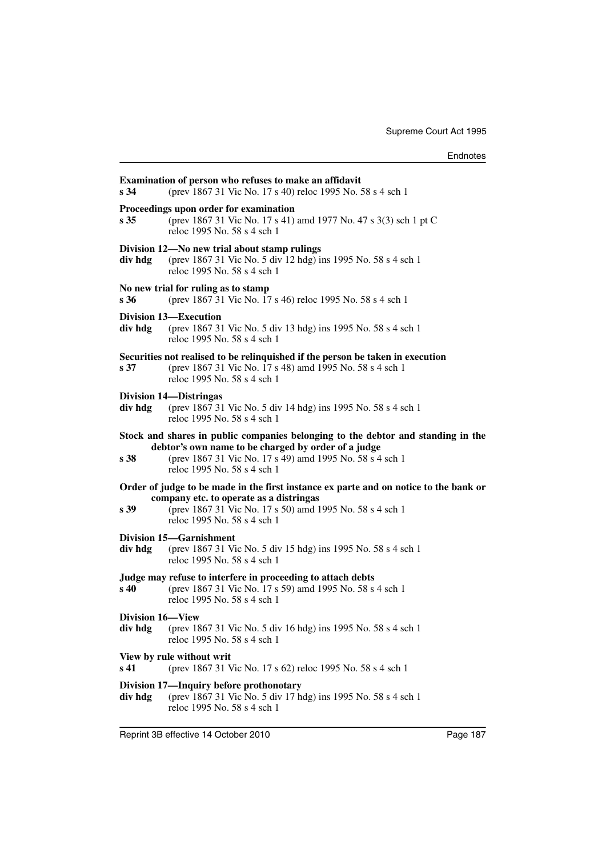| s 34             | Examination of person who refuses to make an affidavit<br>(prev 1867 31 Vic No. 17 s 40) reloc 1995 No. 58 s 4 sch 1                                                                                                               |
|------------------|------------------------------------------------------------------------------------------------------------------------------------------------------------------------------------------------------------------------------------|
| s 35             | Proceedings upon order for examination<br>(prev 1867 31 Vic No. 17 s 41) amd 1977 No. 47 s 3(3) sch 1 pt C<br>reloc 1995 No. 58 s 4 sch 1                                                                                          |
| div hdg          | Division 12-No new trial about stamp rulings<br>(prev 1867 31 Vic No. 5 div 12 hdg) ins 1995 No. 58 s 4 sch 1<br>reloc 1995 No. 58 s 4 sch 1                                                                                       |
| s 36             | No new trial for ruling as to stamp<br>(prev 1867 31 Vic No. 17 s 46) reloc 1995 No. 58 s 4 sch 1                                                                                                                                  |
| div hdg          | Division 13—Execution<br>(prev 1867 31 Vic No. 5 div 13 hdg) ins 1995 No. 58 s 4 sch 1<br>reloc 1995 No. 58 s 4 sch 1                                                                                                              |
| s 37             | Securities not realised to be relinquished if the person be taken in execution<br>(prev 1867 31 Vic No. 17 s 48) amd 1995 No. 58 s 4 sch 1<br>reloc 1995 No. 58 s 4 sch 1                                                          |
| div hdg          | <b>Division 14—Distringas</b><br>(prev 1867 31 Vic No. 5 div 14 hdg) ins 1995 No. 58 s 4 sch 1<br>reloc 1995 No. 58 s 4 sch 1                                                                                                      |
| s 38             | Stock and shares in public companies belonging to the debtor and standing in the<br>debtor's own name to be charged by order of a judge<br>(prev 1867 31 Vic No. 17 s 49) amd 1995 No. 58 s 4 sch 1<br>reloc 1995 No. 58 s 4 sch 1 |
| s 39             | Order of judge to be made in the first instance ex parte and on notice to the bank or<br>company etc. to operate as a distringas<br>(prev 1867 31 Vic No. 17 s 50) amd 1995 No. 58 s 4 sch 1<br>reloc 1995 No. 58 s 4 sch 1        |
| div hdg          | Division 15-Garnishment<br>(prev 1867 31 Vic No. 5 div 15 hdg) ins 1995 No. 58 s 4 sch 1<br>reloc 1995 No. 58 s 4 sch 1                                                                                                            |
| s 40             | Judge may refuse to interfere in proceeding to attach debts<br>(prev 1867 31 Vic No. 17 s 59) amd 1995 No. 58 s 4 sch 1<br>reloc 1995 No. 58 s 4 sch 1                                                                             |
| Division 16-View | div hdg (prev 1867 31 Vic No. 5 div 16 hdg) ins 1995 No. 58 s 4 sch 1<br>reloc 1995 No. 58 s 4 sch 1                                                                                                                               |
| s 41             | View by rule without writ<br>(prev 1867 31 Vic No. 17 s 62) reloc 1995 No. 58 s 4 sch 1                                                                                                                                            |
| div hdg          | Division 17—Inquiry before prothonotary<br>(prev 1867 31 Vic No. 5 div 17 hdg) ins 1995 No. 58 s 4 sch 1<br>reloc 1995 No. 58 s 4 sch 1                                                                                            |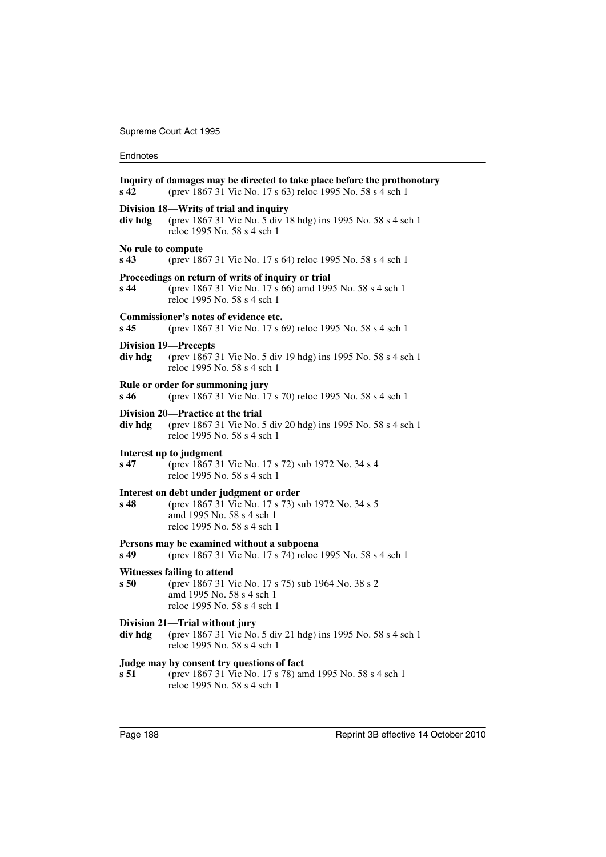| s 42                          | Inquiry of damages may be directed to take place before the prothonotary<br>(prev 1867 31 Vic No. 17 s 63) reloc 1995 No. 58 s 4 sch 1                     |
|-------------------------------|------------------------------------------------------------------------------------------------------------------------------------------------------------|
| div hdg                       | Division 18—Writs of trial and inquiry<br>(prev 1867 31 Vic No. 5 div 18 hdg) ins 1995 No. 58 s 4 sch 1<br>reloc 1995 No. 58 s 4 sch 1                     |
| No rule to compute<br>$s\,43$ | (prev 1867 31 Vic No. 17 s 64) reloc 1995 No. 58 s 4 sch 1                                                                                                 |
| s 44                          | Proceedings on return of writs of inquiry or trial<br>(prev 1867 31 Vic No. 17 s 66) amd 1995 No. 58 s 4 sch 1<br>reloc 1995 No. 58 s 4 sch 1              |
| s 45                          | Commissioner's notes of evidence etc.<br>(prev 1867 31 Vic No. 17 s 69) reloc 1995 No. 58 s 4 sch 1                                                        |
| div hdg                       | <b>Division 19-Precepts</b><br>(prev 1867 31 Vic No. 5 div 19 hdg) ins 1995 No. 58 s 4 sch 1<br>reloc 1995 No. 58 s 4 sch 1                                |
| s 46                          | Rule or order for summoning jury<br>(prev 1867 31 Vic No. 17 s 70) reloc 1995 No. 58 s 4 sch 1                                                             |
| div hdg                       | Division 20—Practice at the trial<br>(prev 1867 31 Vic No. 5 div 20 hdg) ins 1995 No. 58 s 4 sch 1<br>reloc 1995 No. 58 s 4 sch 1                          |
| s 47                          | Interest up to judgment<br>(prev 1867 31 Vic No. 17 s 72) sub 1972 No. 34 s 4<br>reloc 1995 No. 58 s 4 sch 1                                               |
| s 48                          | Interest on debt under judgment or order<br>(prev 1867 31 Vic No. 17 s 73) sub 1972 No. 34 s 5<br>amd 1995 No. 58 s 4 sch 1<br>reloc 1995 No. 58 s 4 sch 1 |
| s 49                          | Persons may be examined without a subpoena<br>(prev 1867 31 Vic No. 17 s 74) reloc 1995 No. 58 s 4 sch 1                                                   |
| s 50                          | Witnesses failing to attend<br>(prev 1867 31 Vic No. 17 s 75) sub 1964 No. 38 s 2<br>amd 1995 No. 58 s 4 sch 1<br>reloc 1995 No. 58 s 4 sch 1              |
| div hdg                       | Division 21-Trial without jury<br>(prev 1867 31 Vic No. 5 div 21 hdg) ins 1995 No. 58 s 4 sch 1<br>reloc 1995 No. 58 s 4 sch 1                             |
| s 51                          | Judge may by consent try questions of fact<br>(prev 1867 31 Vic No. 17 s 78) amd 1995 No. 58 s 4 sch 1<br>reloc 1995 No. 58 s 4 sch 1                      |
|                               |                                                                                                                                                            |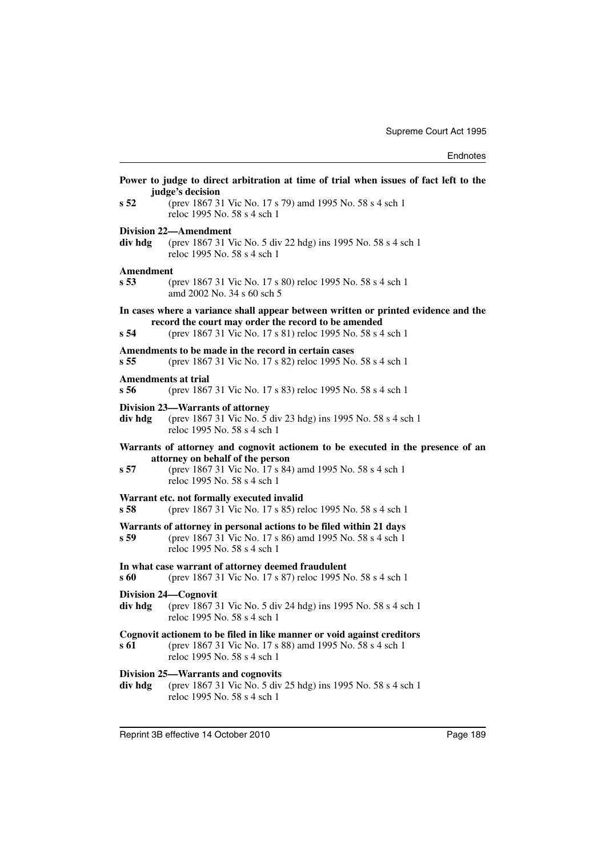|                   | Power to judge to direct arbitration at time of trial when issues of fact left to the<br>judge's decision                                                                                                      |
|-------------------|----------------------------------------------------------------------------------------------------------------------------------------------------------------------------------------------------------------|
| s <sub>52</sub>   | (prev 1867 31 Vic No. 17 s 79) amd 1995 No. 58 s 4 sch 1<br>reloc 1995 No. 58 s 4 sch 1                                                                                                                        |
| div hdg           | <b>Division 22-Amendment</b><br>(prev 1867 31 Vic No. 5 div 22 hdg) ins 1995 No. 58 s 4 sch 1<br>reloc 1995 No. 58 s 4 sch 1                                                                                   |
| Amendment<br>s 53 | (prev 1867 31 Vic No. 17 s 80) reloc 1995 No. 58 s 4 sch 1<br>amd 2002 No. 34 s 60 sch 5                                                                                                                       |
| s 54              | In cases where a variance shall appear between written or printed evidence and the<br>record the court may order the record to be amended<br>(prev 1867 31 Vic No. 17 s 81) reloc 1995 No. 58 s 4 sch 1        |
| s 55              | Amendments to be made in the record in certain cases<br>(prev 1867 31 Vic No. 17 s 82) reloc 1995 No. 58 s 4 sch 1                                                                                             |
| s 56              | <b>Amendments at trial</b><br>(prev 1867 31 Vic No. 17 s 83) reloc 1995 No. 58 s 4 sch 1                                                                                                                       |
| div hdg           | Division 23—Warrants of attorney<br>(prev 1867 31 Vic No. 5 div 23 hdg) ins 1995 No. 58 s 4 sch 1<br>reloc 1995 No. 58 s 4 sch 1                                                                               |
| s 57              | Warrants of attorney and cognovit actionem to be executed in the presence of an<br>attorney on behalf of the person<br>(prev 1867 31 Vic No. 17 s 84) amd 1995 No. 58 s 4 sch 1<br>reloc 1995 No. 58 s 4 sch 1 |
| s 58              | Warrant etc. not formally executed invalid<br>(prev 1867 31 Vic No. 17 s 85) reloc 1995 No. 58 s 4 sch 1                                                                                                       |
| s 59              | Warrants of attorney in personal actions to be filed within 21 days<br>(prev 1867 31 Vic No. 17 s 86) amd 1995 No. 58 s 4 sch 1<br>reloc 1995 No. 58 s 4 sch 1                                                 |
| s 60              | In what case warrant of attorney deemed fraudulent<br>(prev 1867 31 Vic No. 17 s 87) reloc 1995 No. 58 s 4 sch 1                                                                                               |
| div hdg           | Division 24—Cognovit<br>(prev 1867 31 Vic No. 5 div 24 hdg) ins 1995 No. 58 s 4 sch 1<br>reloc 1995 No. 58 s 4 sch 1                                                                                           |
| s 61              | Cognovit actionem to be filed in like manner or void against creditors<br>(prev 1867 31 Vic No. 17 s 88) amd 1995 No. 58 s 4 sch 1<br>reloc 1995 No. 58 s 4 sch 1                                              |
| div hdg           | Division 25—Warrants and cognovits<br>(prev 1867 31 Vic No. 5 div 25 hdg) ins 1995 No. 58 s 4 sch 1<br>reloc 1995 No. 58 s 4 sch 1                                                                             |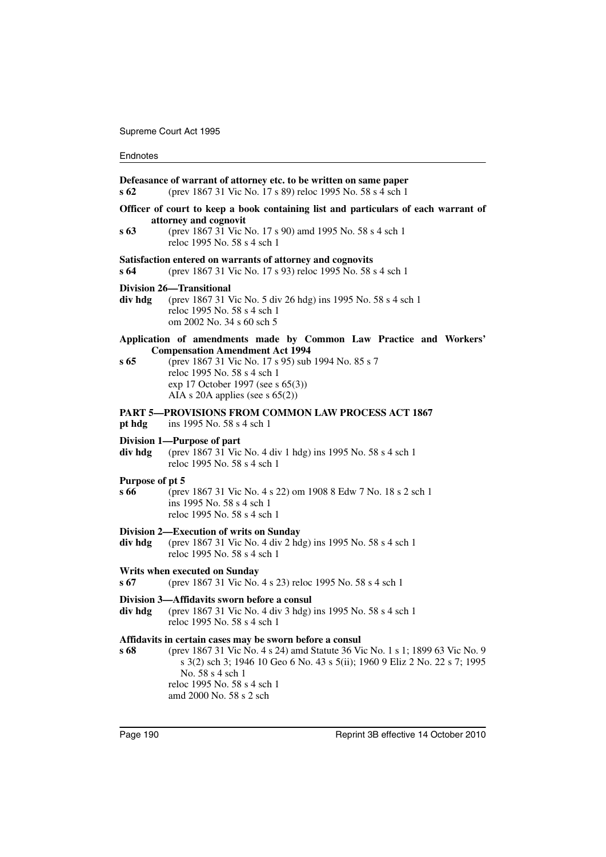| s 62                    | Defeasance of warrant of attorney etc. to be written on same paper<br>(prev 1867 31 Vic No. 17 s 89) reloc 1995 No. 58 s 4 sch 1                                                                                                                                                                      |
|-------------------------|-------------------------------------------------------------------------------------------------------------------------------------------------------------------------------------------------------------------------------------------------------------------------------------------------------|
|                         | Officer of court to keep a book containing list and particulars of each warrant of<br>attorney and cognovit                                                                                                                                                                                           |
| s 63                    | (prev 1867 31 Vic No. 17 s 90) amd 1995 No. 58 s 4 sch 1<br>reloc 1995 No. 58 s 4 sch 1                                                                                                                                                                                                               |
| s 64                    | Satisfaction entered on warrants of attorney and cognovits<br>(prev 1867 31 Vic No. 17 s 93) reloc 1995 No. 58 s 4 sch 1                                                                                                                                                                              |
| div hdg                 | <b>Division 26–Transitional</b><br>(prev 1867 31 Vic No. 5 div 26 hdg) ins 1995 No. 58 s 4 sch 1<br>reloc 1995 No. 58 s 4 sch 1<br>om 2002 No. 34 s 60 sch 5                                                                                                                                          |
| s 65                    | Application of amendments made by Common Law Practice and Workers'<br><b>Compensation Amendment Act 1994</b><br>(prev 1867 31 Vic No. 17 s 95) sub 1994 No. 85 s 7<br>reloc 1995 No. 58 s 4 sch 1<br>exp 17 October 1997 (see s 65(3))<br>AIA s 20A applies (see s $65(2)$ )                          |
| pt hdg                  | PART 5—PROVISIONS FROM COMMON LAW PROCESS ACT 1867<br>ins 1995 No. 58 s 4 sch 1                                                                                                                                                                                                                       |
| div hdg                 | Division 1—Purpose of part<br>(prev 1867 31 Vic No. 4 div 1 hdg) ins 1995 No. 58 s 4 sch 1<br>reloc 1995 No. 58 s 4 sch 1                                                                                                                                                                             |
| Purpose of pt 5<br>s 66 | (prev 1867 31 Vic No. 4 s 22) om 1908 8 Edw 7 No. 18 s 2 sch 1<br>ins 1995 No. 58 s 4 sch 1<br>reloc 1995 No. 58 s 4 sch 1                                                                                                                                                                            |
| div hdg                 | Division 2—Execution of writs on Sunday<br>(prev 1867 31 Vic No. 4 div 2 hdg) ins 1995 No. 58 s 4 sch 1<br>reloc 1995 No. 58 s 4 sch 1                                                                                                                                                                |
| s 67                    | Writs when executed on Sunday<br>(prev 1867 31 Vic No. 4 s 23) reloc 1995 No. 58 s 4 sch 1                                                                                                                                                                                                            |
| div hdg                 | Division 3-Affidavits sworn before a consul<br>(prev 1867 31 Vic No. 4 div 3 hdg) ins 1995 No. 58 s 4 sch 1<br>reloc 1995 No. 58 s 4 sch 1                                                                                                                                                            |
| s 68                    | Affidavits in certain cases may be sworn before a consul<br>(prev 1867 31 Vic No. 4 s 24) amd Statute 36 Vic No. 1 s 1; 1899 63 Vic No. 9<br>s 3(2) sch 3; 1946 10 Geo 6 No. 43 s 5(ii); 1960 9 Eliz 2 No. 22 s 7; 1995<br>No. 58 s 4 sch 1<br>reloc 1995 No. 58 s 4 sch 1<br>amd 2000 No. 58 s 2 sch |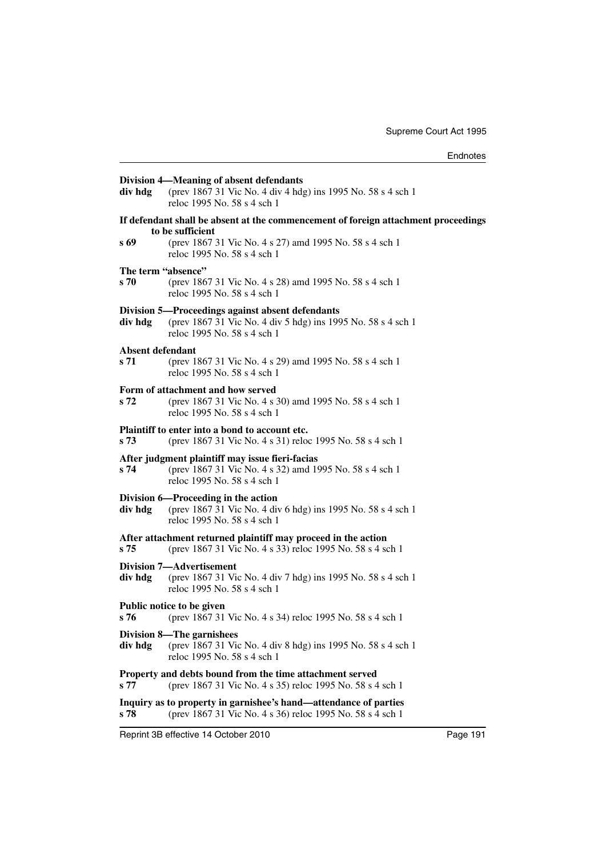|                                                          | Division 4—Meaning of absent defendants                                                                                                         |
|----------------------------------------------------------|-------------------------------------------------------------------------------------------------------------------------------------------------|
| div hdg                                                  | (prev 1867 31 Vic No. 4 div 4 hdg) ins 1995 No. 58 s 4 sch 1<br>reloc 1995 No. 58 s 4 sch 1                                                     |
|                                                          | If defendant shall be absent at the commencement of foreign attachment proceedings<br>to be sufficient                                          |
| s 69                                                     | (prev 1867 31 Vic No. 4 s 27) amd 1995 No. 58 s 4 sch 1<br>reloc 1995 No. 58 s 4 sch 1                                                          |
| The term "absence"                                       |                                                                                                                                                 |
| s 70                                                     | (prev 1867 31 Vic No. 4 s 28) amd 1995 No. 58 s 4 sch 1<br>reloc 1995 No. 58 s 4 sch 1                                                          |
| div hdg                                                  | Division 5—Proceedings against absent defendants<br>(prev 1867 31 Vic No. 4 div 5 hdg) ins 1995 No. 58 s 4 sch 1<br>reloc 1995 No. 58 s 4 sch 1 |
| Absent defendant                                         |                                                                                                                                                 |
| s 71                                                     | (prev 1867 31 Vic No. 4 s 29) amd 1995 No. 58 s 4 sch 1<br>reloc 1995 No. 58 s 4 sch 1                                                          |
|                                                          | Form of attachment and how served                                                                                                               |
| s 72                                                     | (prev 1867 31 Vic No. 4 s 30) amd 1995 No. 58 s 4 sch 1<br>reloc 1995 No. 58 s 4 sch 1                                                          |
|                                                          | Plaintiff to enter into a bond to account etc.                                                                                                  |
| s 73                                                     | (prev 1867 31 Vic No. 4 s 31) reloc 1995 No. 58 s 4 sch 1                                                                                       |
|                                                          | After judgment plaintiff may issue fieri-facias                                                                                                 |
| s 74                                                     | (prev 1867 31 Vic No. 4 s 32) amd 1995 No. 58 s 4 sch 1<br>reloc 1995 No. 58 s 4 sch 1                                                          |
|                                                          | Division 6—Proceeding in the action                                                                                                             |
| div hdg                                                  | (prev 1867 31 Vic No. 4 div 6 hdg) ins 1995 No. 58 s 4 sch 1<br>reloc 1995 No. 58 s 4 sch 1                                                     |
|                                                          | After attachment returned plaintiff may proceed in the action                                                                                   |
| s 75                                                     | (prev 1867 31 Vic No. 4 s 33) reloc 1995 No. 58 s 4 sch 1                                                                                       |
|                                                          | Division 7—Advertisement                                                                                                                        |
| div hdg                                                  | (prev 1867 31 Vic No. 4 div 7 hdg) ins 1995 No. 58 s 4 sch 1<br>reloc 1995 No. 58 s 4 sch 1                                                     |
| s 76                                                     | Public notice to be given<br>(prev 1867 31 Vic No. 4 s 34) reloc 1995 No. 58 s 4 sch 1                                                          |
|                                                          | <b>Division 8-The garnishees</b>                                                                                                                |
| div hdg                                                  | (prev 1867 31 Vic No. 4 div 8 hdg) ins 1995 No. 58 s 4 sch 1<br>reloc 1995 No. 58 s 4 sch 1                                                     |
| Property and debts bound from the time attachment served |                                                                                                                                                 |
| s 77                                                     | (prev 1867 31 Vic No. 4 s 35) reloc 1995 No. 58 s 4 sch 1                                                                                       |
| s 78                                                     | Inquiry as to property in garnishee's hand—attendance of parties<br>(prev 1867 31 Vic No. 4 s 36) reloc 1995 No. 58 s 4 sch 1                   |
|                                                          |                                                                                                                                                 |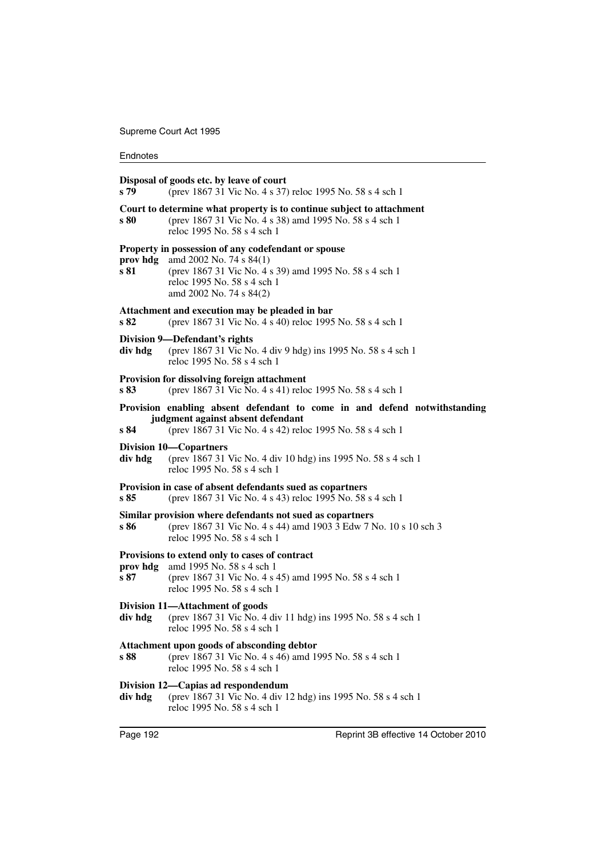| s 79             | Disposal of goods etc. by leave of court<br>(prev 1867 31 Vic No. 4 s 37) reloc 1995 No. 58 s 4 sch 1                                                                                                 |
|------------------|-------------------------------------------------------------------------------------------------------------------------------------------------------------------------------------------------------|
| s 80             | Court to determine what property is to continue subject to attachment<br>(prev 1867 31 Vic No. 4 s 38) amd 1995 No. 58 s 4 sch 1<br>reloc 1995 No. 58 s 4 sch 1                                       |
| prov hdg<br>s 81 | Property in possession of any codefendant or spouse<br>amd 2002 No. 74 s $84(1)$<br>(prev 1867 31 Vic No. 4 s 39) amd 1995 No. 58 s 4 sch 1<br>reloc 1995 No. 58 s 4 sch 1<br>amd 2002 No. 74 s 84(2) |
| s 82             | Attachment and execution may be pleaded in bar<br>(prev 1867 31 Vic No. 4 s 40) reloc 1995 No. 58 s 4 sch 1                                                                                           |
| div hdg          | Division 9-Defendant's rights<br>(prev 1867 31 Vic No. 4 div 9 hdg) ins 1995 No. 58 s 4 sch 1<br>reloc 1995 No. 58 s 4 sch 1                                                                          |
| s83              | Provision for dissolving foreign attachment<br>(prev 1867 31 Vic No. 4 s 41) reloc 1995 No. 58 s 4 sch 1                                                                                              |
| s 84             | Provision enabling absent defendant to come in and defend notwithstanding<br>judgment against absent defendant<br>(prev 1867 31 Vic No. 4 s 42) reloc 1995 No. 58 s 4 sch 1                           |
| div hdg          | <b>Division 10—Copartners</b><br>(prev 1867 31 Vic No. 4 div 10 hdg) ins 1995 No. 58 s 4 sch 1<br>reloc 1995 No. 58 s 4 sch 1                                                                         |
| s 85             | Provision in case of absent defendants sued as copartners<br>(prev 1867 31 Vic No. 4 s 43) reloc 1995 No. 58 s 4 sch 1                                                                                |
| s 86             | Similar provision where defendants not sued as copartners<br>(prev 1867 31 Vic No. 4 s 44) amd 1903 3 Edw 7 No. 10 s 10 sch 3<br>reloc 1995 No. 58 s 4 sch 1                                          |
| prov hdg<br>s 87 | Provisions to extend only to cases of contract<br>amd 1995 No. 58 s 4 sch 1<br>(prev 1867 31 Vic No. 4 s 45) amd 1995 No. 58 s 4 sch 1<br>reloc 1995 No. 58 s 4 sch 1                                 |
| div hdg          | Division 11-Attachment of goods<br>(prev 1867 31 Vic No. 4 div 11 hdg) ins 1995 No. 58 s 4 sch 1<br>reloc 1995 No. 58 s 4 sch 1                                                                       |
| s 88             | Attachment upon goods of absconding debtor<br>(prev 1867 31 Vic No. 4 s 46) amd 1995 No. 58 s 4 sch 1<br>reloc 1995 No. 58 s 4 sch 1                                                                  |
| div hdg          | Division 12-Capias ad respondendum<br>(prev 1867 31 Vic No. 4 div 12 hdg) ins 1995 No. 58 s 4 sch 1<br>reloc 1995 No. 58 s 4 sch 1                                                                    |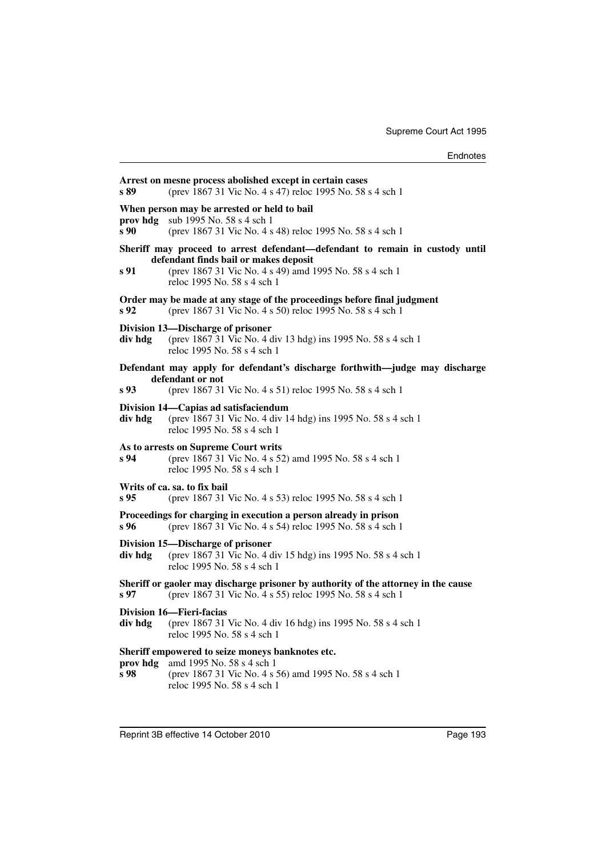| s 89             | Arrest on mesne process abolished except in certain cases<br>(prev 1867 31 Vic No. 4 s 47) reloc 1995 No. 58 s 4 sch 1                                                                                          |
|------------------|-----------------------------------------------------------------------------------------------------------------------------------------------------------------------------------------------------------------|
| prov hdg<br>s 90 | When person may be arrested or held to bail<br>sub 1995 No. 58 s 4 sch 1<br>(prev 1867 31 Vic No. 4 s 48) reloc 1995 No. 58 s 4 sch 1                                                                           |
| s 91             | Sheriff may proceed to arrest defendant—defendant to remain in custody until<br>defendant finds bail or makes deposit<br>(prev 1867 31 Vic No. 4 s 49) amd 1995 No. 58 s 4 sch 1<br>reloc 1995 No. 58 s 4 sch 1 |
| s 92             | Order may be made at any stage of the proceedings before final judgment<br>(prev 1867 31 Vic No. 4 s 50) reloc 1995 No. 58 s 4 sch 1                                                                            |
| div hdg          | Division 13-Discharge of prisoner<br>(prev 1867 31 Vic No. 4 div 13 hdg) ins 1995 No. 58 s 4 sch 1<br>reloc 1995 No. 58 s 4 sch 1                                                                               |
|                  | Defendant may apply for defendant's discharge forthwith-judge may discharge                                                                                                                                     |
| s 93             | defendant or not<br>(prev 1867 31 Vic No. 4 s 51) reloc 1995 No. 58 s 4 sch 1                                                                                                                                   |
| div hdg          | Division 14—Capias ad satisfaciendum<br>(prev 1867 31 Vic No. 4 div 14 hdg) ins 1995 No. 58 s 4 sch 1<br>reloc 1995 No. 58 s 4 sch 1                                                                            |
| s 94             | As to arrests on Supreme Court writs<br>(prev 1867 31 Vic No. 4 s 52) amd 1995 No. 58 s 4 sch 1<br>reloc 1995 No. 58 s 4 sch 1                                                                                  |
| s 95             | Writs of ca. sa. to fix bail<br>(prev 1867 31 Vic No. 4 s 53) reloc 1995 No. 58 s 4 sch 1                                                                                                                       |
| s 96             | Proceedings for charging in execution a person already in prison<br>(prev 1867 31 Vic No. 4 s 54) reloc 1995 No. 58 s 4 sch 1                                                                                   |
| div hdg          | Division 15-Discharge of prisoner<br>(prev 1867 31 Vic No. 4 div 15 hdg) ins 1995 No. 58 s 4 sch 1<br>reloc 1995 No. 58 s 4 sch 1                                                                               |
| s 97             | Sheriff or gaoler may discharge prisoner by authority of the attorney in the cause<br>(prev 1867 31 Vic No. 4 s 55) reloc 1995 No. 58 s 4 sch 1                                                                 |
| div hdg          | Division 16-Fieri-facias<br>(prev 1867 31 Vic No. 4 div 16 hdg) ins 1995 No. 58 s 4 sch 1<br>reloc 1995 No. 58 s 4 sch 1                                                                                        |
| prov hdg<br>s 98 | Sheriff empowered to seize moneys banknotes etc.<br>amd 1995 No. 58 s 4 sch 1<br>(prev 1867 31 Vic No. 4 s 56) amd 1995 No. 58 s 4 sch 1<br>reloc 1995 No. 58 s 4 sch 1                                         |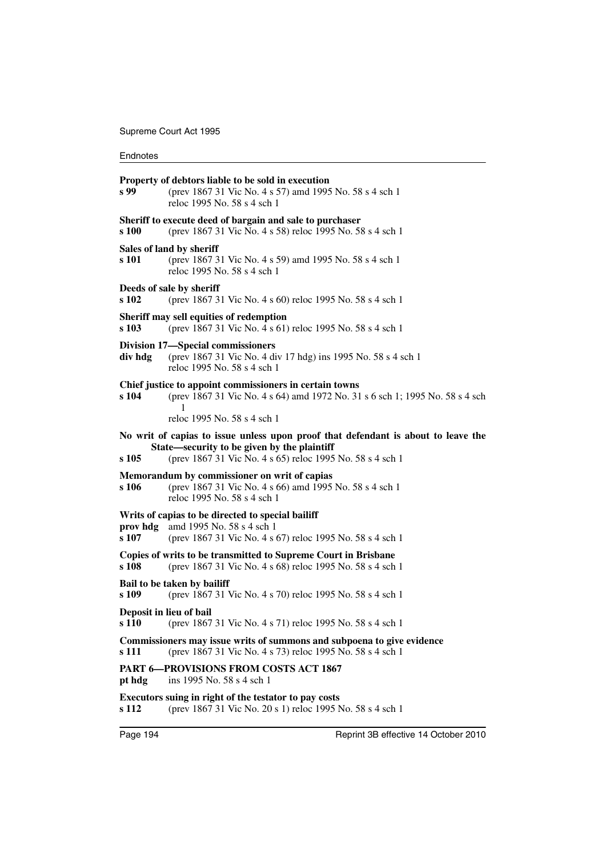| s 99              | Property of debtors liable to be sold in execution<br>(prev 1867 31 Vic No. 4 s 57) amd 1995 No. 58 s 4 sch 1<br>reloc 1995 No. 58 s 4 sch 1                                                  |
|-------------------|-----------------------------------------------------------------------------------------------------------------------------------------------------------------------------------------------|
| s 100             | Sheriff to execute deed of bargain and sale to purchaser<br>(prev 1867 31 Vic No. 4 s 58) reloc 1995 No. 58 s 4 sch 1                                                                         |
| s 101             | Sales of land by sheriff<br>(prev 1867 31 Vic No. 4 s 59) amd 1995 No. 58 s 4 sch 1<br>reloc 1995 No. 58 s 4 sch 1                                                                            |
| s 102             | Deeds of sale by sheriff<br>(prev 1867 31 Vic No. 4 s 60) reloc 1995 No. 58 s 4 sch 1                                                                                                         |
| s 103             | Sheriff may sell equities of redemption<br>(prev 1867 31 Vic No. 4 s 61) reloc 1995 No. 58 s 4 sch 1                                                                                          |
| div hdg           | Division 17—Special commissioners<br>(prev 1867 31 Vic No. 4 div 17 hdg) ins 1995 No. 58 s 4 sch 1<br>reloc 1995 No. 58 s 4 sch 1                                                             |
| s 104             | Chief justice to appoint commissioners in certain towns<br>(prev 1867 31 Vic No. 4 s 64) amd 1972 No. 31 s 6 sch 1; 1995 No. 58 s 4 sch<br>1                                                  |
|                   | reloc 1995 No. 58 s 4 sch 1                                                                                                                                                                   |
| s 105             | No writ of capias to issue unless upon proof that defendant is about to leave the<br>State—security to be given by the plaintiff<br>(prev 1867 31 Vic No. 4 s 65) reloc 1995 No. 58 s 4 sch 1 |
| s 106             | Memorandum by commissioner on writ of capias<br>(prev 1867 31 Vic No. 4 s 66) amd 1995 No. 58 s 4 sch 1<br>reloc 1995 No. 58 s 4 sch 1                                                        |
| prov hdg<br>s 107 | Writs of capias to be directed to special bailiff<br>amd 1995 No. 58 s 4 sch 1<br>(prev 1867 31 Vic No. 4 s 67) reloc 1995 No. 58 s 4 sch 1                                                   |
| s 108             | Copies of writs to be transmitted to Supreme Court in Brisbane<br>(prev 1867 31 Vic No. 4 s 68) reloc 1995 No. 58 s 4 sch 1                                                                   |
| s 109             | Bail to be taken by bailiff<br>(prev 1867 31 Vic No. 4 s 70) reloc 1995 No. 58 s 4 sch 1                                                                                                      |
| s 110             | Deposit in lieu of bail<br>(prev 1867 31 Vic No. 4 s 71) reloc 1995 No. 58 s 4 sch 1                                                                                                          |
| s 111             | Commissioners may issue writs of summons and subpoena to give evidence<br>(prev 1867 31 Vic No. 4 s 73) reloc 1995 No. 58 s 4 sch 1                                                           |
| pt hdg            | PART 6-PROVISIONS FROM COSTS ACT 1867<br>ins 1995 No. 58 s 4 sch 1                                                                                                                            |
| s 112             | Executors suing in right of the testator to pay costs<br>(prev 1867 31 Vic No. 20 s 1) reloc 1995 No. 58 s 4 sch 1                                                                            |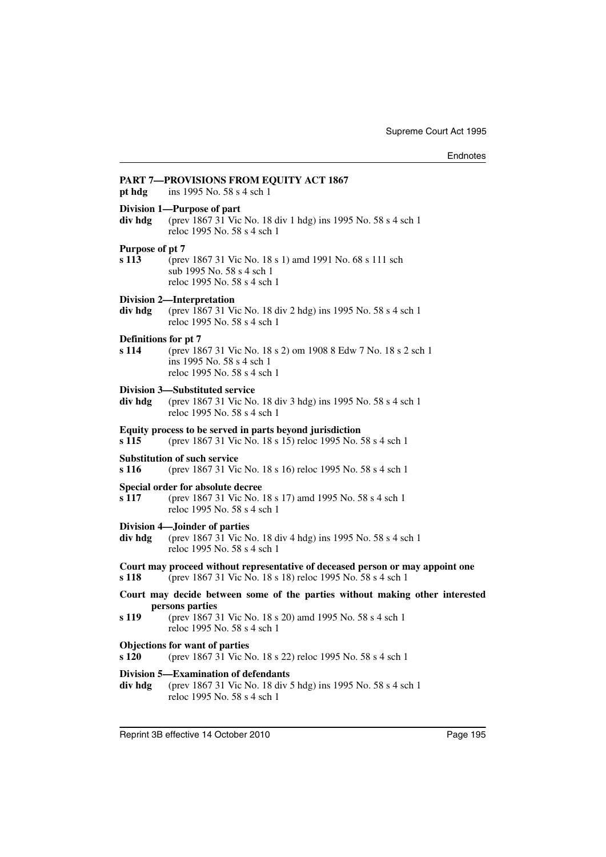| pt hdg                        | PART 7—PROVISIONS FROM EQUITY ACT 1867<br>ins 1995 No. 58 s 4 sch 1                                                                                                                        |
|-------------------------------|--------------------------------------------------------------------------------------------------------------------------------------------------------------------------------------------|
| div hdg                       | Division 1-Purpose of part<br>(prev 1867 31 Vic No. 18 div 1 hdg) ins 1995 No. 58 s 4 sch 1<br>reloc 1995 No. 58 s 4 sch 1                                                                 |
| Purpose of pt 7<br>s 113      | (prev 1867 31 Vic No. 18 s 1) amd 1991 No. 68 s 111 sch<br>sub 1995 No. 58 s 4 sch 1<br>reloc 1995 No. 58 s 4 sch 1                                                                        |
| div hdg                       | <b>Division 2-Interpretation</b><br>(prev 1867 31 Vic No. 18 div 2 hdg) ins 1995 No. 58 s 4 sch 1<br>reloc 1995 No. 58 s 4 sch 1                                                           |
| Definitions for pt 7<br>s 114 | (prev 1867 31 Vic No. 18 s 2) om 1908 8 Edw 7 No. 18 s 2 sch 1<br>ins 1995 No. 58 s 4 sch 1<br>reloc 1995 No. 58 s 4 sch 1                                                                 |
| div hdg                       | Division 3—Substituted service<br>(prev 1867 31 Vic No. 18 div 3 hdg) ins 1995 No. 58 s 4 sch 1<br>reloc 1995 No. 58 s 4 sch 1                                                             |
| s 115                         | Equity process to be served in parts beyond jurisdiction<br>(prev 1867 31 Vic No. 18 s 15) reloc 1995 No. 58 s 4 sch 1                                                                     |
| s 116                         | <b>Substitution of such service</b><br>(prev 1867 31 Vic No. 18 s 16) reloc 1995 No. 58 s 4 sch 1                                                                                          |
| s 117                         | Special order for absolute decree<br>(prev 1867 31 Vic No. 18 s 17) amd 1995 No. 58 s 4 sch 1<br>reloc 1995 No. 58 s 4 sch 1                                                               |
| div hdg                       | <b>Division 4-Joinder of parties</b><br>(prev 1867 31 Vic No. 18 div 4 hdg) ins 1995 No. 58 s 4 sch 1<br>reloc 1995 No. 58 s 4 sch 1                                                       |
| s 118                         | Court may proceed without representative of deceased person or may appoint one<br>(prev 1867 31 Vic No. 18 s 18) reloc 1995 No. 58 s 4 sch 1                                               |
| s 119                         | Court may decide between some of the parties without making other interested<br>persons parties<br>(prev 1867 31 Vic No. 18 s 20) amd 1995 No. 58 s 4 sch 1<br>reloc 1995 No. 58 s 4 sch 1 |
| s 120                         | <b>Objections for want of parties</b><br>(prev 1867 31 Vic No. 18 s 22) reloc 1995 No. 58 s 4 sch 1                                                                                        |
| div hdg                       | Division 5—Examination of defendants<br>(prev 1867 31 Vic No. 18 div 5 hdg) ins 1995 No. 58 s 4 sch 1<br>reloc 1995 No. 58 s 4 sch 1                                                       |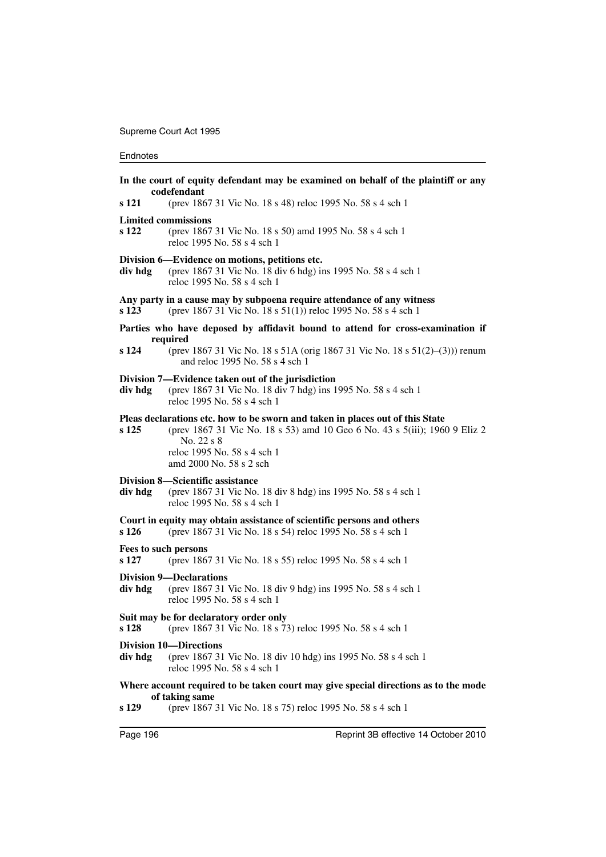|         | In the court of equity defendant may be examined on behalf of the plaintiff or any<br>codefendant                                                                                                                                   |
|---------|-------------------------------------------------------------------------------------------------------------------------------------------------------------------------------------------------------------------------------------|
| s 121   | (prev 1867 31 Vic No. 18 s 48) reloc 1995 No. 58 s 4 sch 1                                                                                                                                                                          |
| s 122   | <b>Limited commissions</b><br>(prev 1867 31 Vic No. 18 s 50) amd 1995 No. 58 s 4 sch 1<br>reloc 1995 No. 58 s 4 sch 1                                                                                                               |
| div hdg | Division 6—Evidence on motions, petitions etc.<br>(prev 1867 31 Vic No. 18 div 6 hdg) ins 1995 No. 58 s 4 sch 1<br>reloc 1995 No. 58 s 4 sch 1                                                                                      |
| s 123   | Any party in a cause may by subpoena require attendance of any witness<br>(prev 1867 31 Vic No. 18 s 51(1)) reloc 1995 No. 58 s 4 sch 1                                                                                             |
|         | Parties who have deposed by affidavit bound to attend for cross-examination if                                                                                                                                                      |
| s 124   | required<br>(prev 1867 31 Vic No. 18 s 51A (orig 1867 31 Vic No. 18 s 51(2)–(3))) renum<br>and reloc 1995 No. 58 s 4 sch 1                                                                                                          |
| div hdg | Division 7—Evidence taken out of the jurisdiction<br>(prev 1867 31 Vic No. 18 div 7 hdg) ins 1995 No. 58 s 4 sch 1<br>reloc 1995 No. 58 s 4 sch 1                                                                                   |
| s 125   | Pleas declarations etc. how to be sworn and taken in places out of this State<br>(prev 1867 31 Vic No. 18 s 53) amd 10 Geo 6 No. 43 s 5(iii); 1960 9 Eliz 2<br>No. 22 s 8<br>reloc 1995 No. 58 s 4 sch 1<br>amd 2000 No. 58 s 2 sch |
| div hdg | <b>Division 8–Scientific assistance</b><br>(prev 1867 31 Vic No. 18 div 8 hdg) ins 1995 No. 58 s 4 sch 1<br>reloc 1995 No. 58 s 4 sch 1                                                                                             |
| s 126   | Court in equity may obtain assistance of scientific persons and others<br>(prev 1867 31 Vic No. 18 s 54) reloc 1995 No. 58 s 4 sch 1                                                                                                |
| s 127   | Fees to such persons<br>(prev 1867 31 Vic No. 18 s 55) reloc 1995 No. 58 s 4 sch 1                                                                                                                                                  |
| div hdg | <b>Division 9—Declarations</b><br>(prev 1867 31 Vic No. 18 div 9 hdg) ins 1995 No. 58 s 4 sch 1<br>reloc 1995 No. 58 s 4 sch 1                                                                                                      |
| s 128   | Suit may be for declaratory order only<br>(prev 1867 31 Vic No. 18 s 73) reloc 1995 No. 58 s 4 sch 1                                                                                                                                |
| div hdg | <b>Division 10-Directions</b><br>(prev 1867 31 Vic No. 18 div 10 hdg) ins 1995 No. 58 s 4 sch 1<br>reloc 1995 No. 58 s 4 sch 1                                                                                                      |
|         | Where account required to be taken court may give special directions as to the mode<br>of taking same                                                                                                                               |

**s 129** (prev 1867 31 Vic No. 18 s 75) reloc 1995 No. 58 s 4 sch 1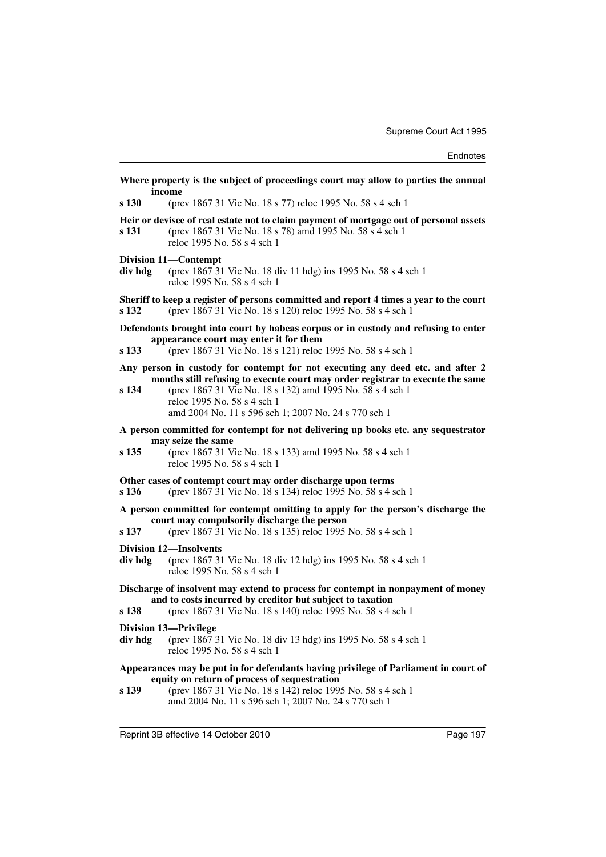|         | Where property is the subject of proceedings court may allow to parties the annual<br>income                                                                                                                                                                                                                         |
|---------|----------------------------------------------------------------------------------------------------------------------------------------------------------------------------------------------------------------------------------------------------------------------------------------------------------------------|
| s 130   | (prev 1867 31 Vic No. 18 s 77) reloc 1995 No. 58 s 4 sch 1                                                                                                                                                                                                                                                           |
| s 131   | Heir or devisee of real estate not to claim payment of mortgage out of personal assets<br>(prev 1867 31 Vic No. 18 s 78) amd 1995 No. 58 s 4 sch 1<br>reloc 1995 No. 58 s 4 sch 1                                                                                                                                    |
| div hdg | Division 11—Contempt<br>(prev 1867 31 Vic No. 18 div 11 hdg) ins 1995 No. 58 s 4 sch 1<br>reloc 1995 No. 58 s 4 sch 1                                                                                                                                                                                                |
| s 132   | Sheriff to keep a register of persons committed and report 4 times a year to the court<br>(prev 1867 31 Vic No. 18 s 120) reloc 1995 No. 58 s 4 sch 1                                                                                                                                                                |
| s 133   | Defendants brought into court by habeas corpus or in custody and refusing to enter<br>appearance court may enter it for them<br>(prev 1867 31 Vic No. 18 s 121) reloc 1995 No. 58 s 4 sch 1                                                                                                                          |
| s 134   | Any person in custody for contempt for not executing any deed etc. and after 2<br>months still refusing to execute court may order registrar to execute the same<br>(prev 1867 31 Vic No. 18 s 132) amd 1995 No. 58 s 4 sch 1<br>reloc 1995 No. 58 s 4 sch 1<br>amd 2004 No. 11 s 596 sch 1; 2007 No. 24 s 770 sch 1 |
| s 135   | A person committed for contempt for not delivering up books etc. any sequestrator<br>may seize the same<br>(prev 1867 31 Vic No. 18 s 133) amd 1995 No. 58 s 4 sch 1<br>reloc 1995 No. 58 s 4 sch 1                                                                                                                  |
| s 136   | Other cases of contempt court may order discharge upon terms<br>(prev 1867 31 Vic No. 18 s 134) reloc 1995 No. 58 s 4 sch 1                                                                                                                                                                                          |
| s 137   | A person committed for contempt omitting to apply for the person's discharge the<br>court may compulsorily discharge the person<br>(prev 1867 31 Vic No. 18 s 135) reloc 1995 No. 58 s 4 sch 1                                                                                                                       |
| div hdg | <b>Division 12-Insolvents</b><br>(prev 1867 31 Vic No. 18 div 12 hdg) ins 1995 No. 58 s 4 sch 1<br>reloc 1995 No. 58 s 4 sch 1                                                                                                                                                                                       |
| s 138   | Discharge of insolvent may extend to process for contempt in nonpayment of money<br>and to costs incurred by creditor but subject to taxation<br>(prev 1867 31 Vic No. 18 s 140) reloc 1995 No. 58 s 4 sch 1                                                                                                         |
| div hdg | <b>Division 13-Privilege</b><br>(prev 1867 31 Vic No. 18 div 13 hdg) ins 1995 No. 58 s 4 sch 1<br>reloc 1995 No. 58 s 4 sch 1                                                                                                                                                                                        |
| s 139   | Appearances may be put in for defendants having privilege of Parliament in court of<br>equity on return of process of sequestration<br>(prev 1867 31 Vic No. 18 s 142) reloc 1995 No. 58 s 4 sch 1<br>amd 2004 No. 11 s 596 sch 1; 2007 No. 24 s 770 sch 1                                                           |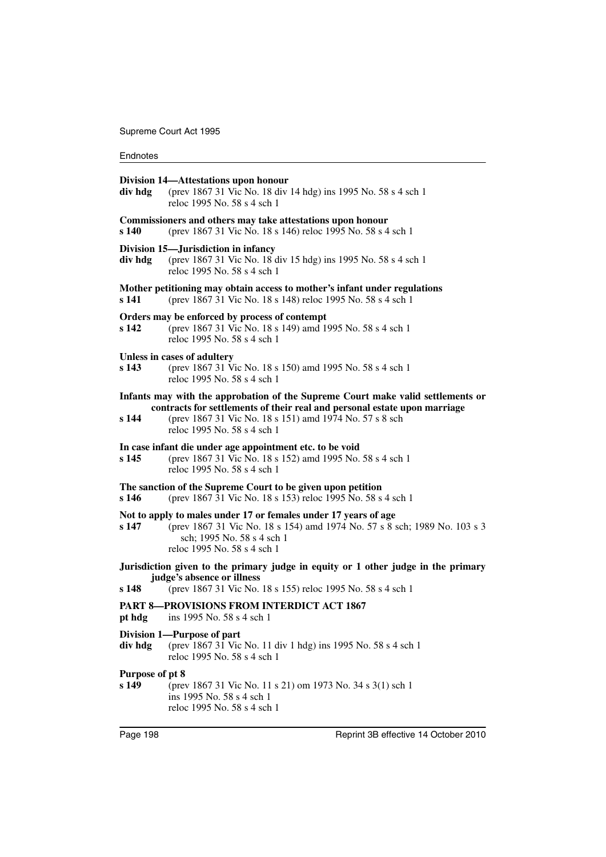| div hdg                  | Division 14—Attestations upon honour<br>(prev 1867 31 Vic No. 18 div 14 hdg) ins 1995 No. 58 s 4 sch 1<br>reloc 1995 No. 58 s 4 sch 1                                                                     |
|--------------------------|-----------------------------------------------------------------------------------------------------------------------------------------------------------------------------------------------------------|
| s 140                    | Commissioners and others may take attestations upon honour<br>(prev 1867 31 Vic No. 18 s 146) reloc 1995 No. 58 s 4 sch 1                                                                                 |
| div hdg                  | Division 15—Jurisdiction in infancy<br>(prev 1867 31 Vic No. 18 div 15 hdg) ins 1995 No. 58 s 4 sch 1<br>reloc 1995 No. 58 s 4 sch 1                                                                      |
| s 141                    | Mother petitioning may obtain access to mother's infant under regulations<br>(prev 1867 31 Vic No. 18 s 148) reloc 1995 No. 58 s 4 sch 1                                                                  |
| s 142                    | Orders may be enforced by process of contempt<br>(prev 1867 31 Vic No. 18 s 149) amd 1995 No. 58 s 4 sch 1<br>reloc 1995 No. 58 s 4 sch 1                                                                 |
| s <sub>143</sub>         | Unless in cases of adultery<br>(prev 1867 31 Vic No. 18 s 150) amd 1995 No. 58 s 4 sch 1<br>reloc 1995 No. 58 s 4 sch 1                                                                                   |
|                          | Infants may with the approbation of the Supreme Court make valid settlements or<br>contracts for settlements of their real and personal estate upon marriage                                              |
| s 144                    | (prev 1867 31 Vic No. 18 s 151) amd 1974 No. 57 s 8 sch<br>reloc 1995 No. 58 s 4 sch 1                                                                                                                    |
| s 145                    | In case infant die under age appointment etc. to be void<br>(prev 1867 31 Vic No. 18 s 152) amd 1995 No. 58 s 4 sch 1<br>reloc 1995 No. 58 s 4 sch 1                                                      |
| s 146                    | The sanction of the Supreme Court to be given upon petition<br>(prev 1867 31 Vic No. 18 s 153) reloc 1995 No. 58 s 4 sch 1                                                                                |
| s 147                    | Not to apply to males under 17 or females under 17 years of age<br>(prev 1867 31 Vic No. 18 s 154) amd 1974 No. 57 s 8 sch; 1989 No. 103 s 3<br>sch; 1995 No. 58 s 4 sch 1<br>reloc 1995 No. 58 s 4 sch 1 |
| s 148                    | Jurisdiction given to the primary judge in equity or 1 other judge in the primary<br>judge's absence or illness<br>(prev 1867 31 Vic No. 18 s 155) reloc 1995 No. 58 s 4 sch 1                            |
| pt hdg                   | <b>PART 8-PROVISIONS FROM INTERDICT ACT 1867</b><br>ins 1995 No. 58 s 4 sch 1                                                                                                                             |
| div hdg                  | Division 1-Purpose of part<br>(prev 1867 31 Vic No. 11 div 1 hdg) ins 1995 No. 58 s 4 sch 1<br>reloc 1995 No. 58 s 4 sch 1                                                                                |
| Purpose of pt 8<br>s 149 | (prev 1867 31 Vic No. 11 s 21) om 1973 No. 34 s 3(1) sch 1<br>ins 1995 No. 58 s 4 sch 1<br>reloc 1995 No. 58 s 4 sch 1                                                                                    |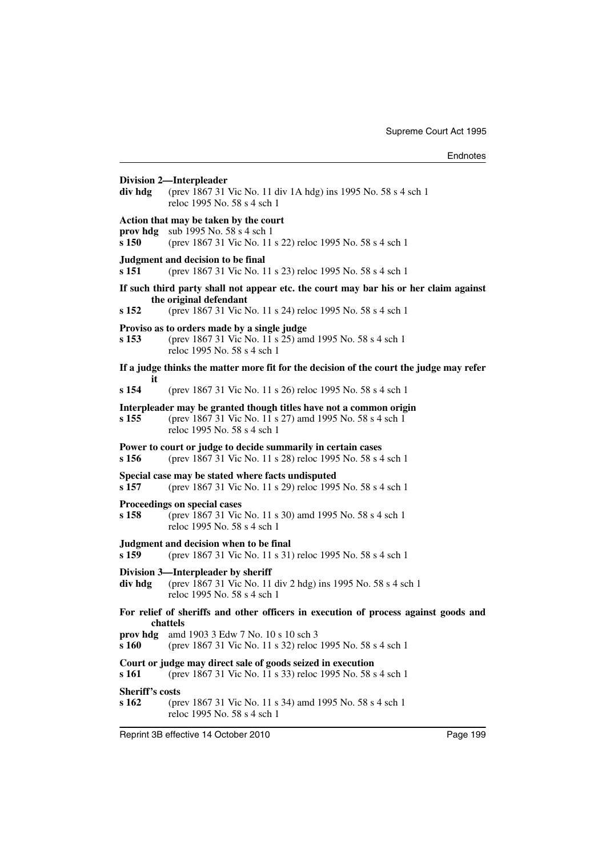**Division 2—Interpleader div hdg** (prev 1867 31 Vic No. 11 div 1A hdg) ins 1995 No. 58 s 4 sch 1 reloc 1995 No. 58 s 4 sch 1 **Action that may be taken by the court prov hdg** sub 1995 No. 58 s 4 sch 1 **s 150** (prev 1867 31 Vic No. 11 s 22) reloc 1995 No. 58 s 4 sch 1 **Judgment and decision to be final s 151** (prev 1867 31 Vic No. 11 s 23) reloc 1995 No. 58 s 4 sch 1 **If such third party shall not appear etc. the court may bar his or her claim against the original defendant s 152** (prev 1867 31 Vic No. 11 s 24) reloc 1995 No. 58 s 4 sch 1 **Proviso as to orders made by a single judge s 153** (prev 1867 31 Vic No. 11 s 25) amd 1995 No. 58 s 4 sch 1 reloc 1995 No. 58 s 4 sch 1 **If a judge thinks the matter more fit for the decision of the court the judge may refer it s 154** (prev 1867 31 Vic No. 11 s 26) reloc 1995 No. 58 s 4 sch 1 **Interpleader may be granted though titles have not a common origin s 155** (prev 1867 31 Vic No. 11 s 27) amd 1995 No. 58 s 4 sch 1 reloc 1995 No. 58 s 4 sch 1 **Power to court or judge to decide summarily in certain cases s 156** (prev 1867 31 Vic No. 11 s 28) reloc 1995 No. 58 s 4 sch 1 **Special case may be stated where facts undisputed s 157** (prev 1867 31 Vic No. 11 s 29) reloc 1995 No. 58 s 4 sch 1 **Proceedings on special cases s 158** (prev 1867 31 Vic No. 11 s 30) amd 1995 No. 58 s 4 sch 1 reloc 1995 No. 58 s 4 sch 1 **Judgment and decision when to be final s 159** (prev 1867 31 Vic No. 11 s 31) reloc 1995 No. 58 s 4 sch 1 **Division 3—Interpleader by sheriff div hdg** (prev 1867 31 Vic No. 11 div 2 hdg) ins 1995 No. 58 s 4 sch 1 reloc 1995 No. 58 s 4 sch 1 **For relief of sheriffs and other officers in execution of process against goods and chattels prov hdg** amd 1903 3 Edw 7 No. 10 s 10 sch 3 **s 160** (prev 1867 31 Vic No. 11 s 32) reloc 1995 No. 58 s 4 sch 1 **Court or judge may direct sale of goods seized in execution s 161** (prev 1867 31 Vic No. 11 s 33) reloc 1995 No. 58 s 4 sch 1 **Sheriff's costs s 162** (prev 1867 31 Vic No. 11 s 34) amd 1995 No. 58 s 4 sch 1 reloc 1995 No. 58 s 4 sch 1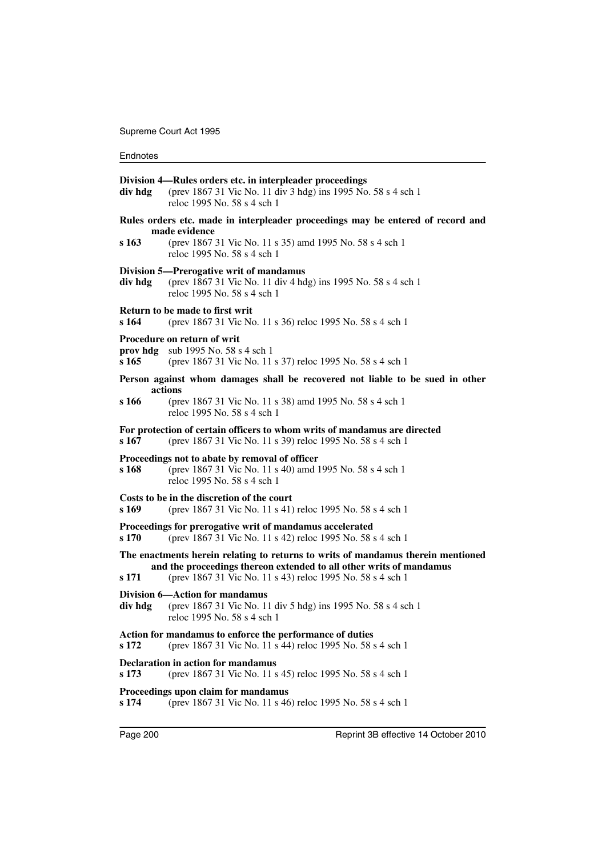| div hdg           | Division 4—Rules orders etc. in interpleader proceedings<br>(prev 1867 31 Vic No. 11 div 3 hdg) ins 1995 No. 58 s 4 sch 1<br>reloc 1995 No. 58 s 4 sch 1                                                              |
|-------------------|-----------------------------------------------------------------------------------------------------------------------------------------------------------------------------------------------------------------------|
|                   | Rules orders etc. made in interpleader proceedings may be entered of record and<br>made evidence                                                                                                                      |
| s 163             | (prev 1867 31 Vic No. 11 s 35) amd 1995 No. 58 s 4 sch 1<br>reloc 1995 No. 58 s 4 sch 1                                                                                                                               |
| div hdg           | Division 5—Prerogative writ of mandamus<br>(prev 1867 31 Vic No. 11 div 4 hdg) ins 1995 No. 58 s 4 sch 1<br>reloc 1995 No. 58 s 4 sch 1                                                                               |
| s 164             | Return to be made to first writ<br>(prev 1867 31 Vic No. 11 s 36) reloc 1995 No. 58 s 4 sch 1                                                                                                                         |
| prov hdg<br>s 165 | Procedure on return of writ<br>sub 1995 No. 58 s 4 sch 1<br>(prev 1867 31 Vic No. 11 s 37) reloc 1995 No. 58 s 4 sch 1                                                                                                |
|                   | Person against whom damages shall be recovered not liable to be sued in other                                                                                                                                         |
| s 166             | actions<br>(prev 1867 31 Vic No. 11 s 38) amd 1995 No. 58 s 4 sch 1<br>reloc 1995 No. 58 s 4 sch 1                                                                                                                    |
| s 167             | For protection of certain officers to whom writs of mandamus are directed<br>(prev 1867 31 Vic No. 11 s 39) reloc 1995 No. 58 s 4 sch 1                                                                               |
| s 168             | Proceedings not to abate by removal of officer<br>(prev 1867 31 Vic No. 11 s 40) amd 1995 No. 58 s 4 sch 1<br>reloc 1995 No. 58 s 4 sch 1                                                                             |
| s 169             | Costs to be in the discretion of the court<br>(prev 1867 31 Vic No. 11 s 41) reloc 1995 No. 58 s 4 sch 1                                                                                                              |
| s 170             | Proceedings for prerogative writ of mandamus accelerated<br>(prev 1867 31 Vic No. 11 s 42) reloc 1995 No. 58 s 4 sch 1                                                                                                |
| s 171             | The enactments herein relating to returns to writs of mandamus therein mentioned<br>and the proceedings thereon extended to all other writs of mandamus<br>(prev 1867 31 Vic No. 11 s 43) reloc 1995 No. 58 s 4 sch 1 |
| div hdg           | <b>Division 6-Action for mandamus</b><br>(prev 1867 31 Vic No. 11 div 5 hdg) ins 1995 No. 58 s 4 sch 1<br>reloc 1995 No. 58 s 4 sch 1                                                                                 |
| s 172             | Action for mandamus to enforce the performance of duties<br>(prev 1867 31 Vic No. 11 s 44) reloc 1995 No. 58 s 4 sch 1                                                                                                |
| s 173             | <b>Declaration in action for mandamus</b><br>(prev 1867 31 Vic No. 11 s 45) reloc 1995 No. 58 s 4 sch 1                                                                                                               |
| s 174             | Proceedings upon claim for mandamus<br>(prev 1867 31 Vic No. 11 s 46) reloc 1995 No. 58 s 4 sch 1                                                                                                                     |
|                   |                                                                                                                                                                                                                       |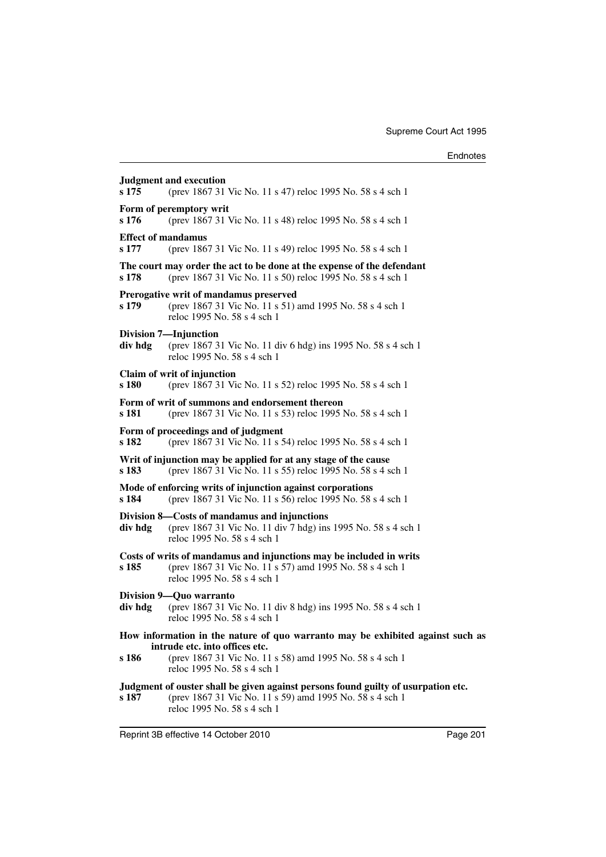| s 175                              | <b>Judgment and execution</b><br>(prev 1867 31 Vic No. 11 s 47) reloc 1995 No. 58 s 4 sch 1                                                                                  |
|------------------------------------|------------------------------------------------------------------------------------------------------------------------------------------------------------------------------|
| s 176                              | Form of peremptory writ<br>(prev 1867 31 Vic No. 11 s 48) reloc 1995 No. 58 s 4 sch 1                                                                                        |
| <b>Effect of mandamus</b><br>s 177 | (prev 1867 31 Vic No. 11 s 49) reloc 1995 No. 58 s 4 sch 1                                                                                                                   |
| s 178                              | The court may order the act to be done at the expense of the defendant<br>(prev 1867 31 Vic No. 11 s 50) reloc 1995 No. 58 s 4 sch 1                                         |
| s 179                              | Prerogative writ of mandamus preserved<br>(prev 1867 31 Vic No. 11 s 51) amd 1995 No. 58 s 4 sch 1<br>reloc 1995 No. 58 s 4 sch 1                                            |
| div hdg                            | Division 7-Injunction<br>(prev 1867 31 Vic No. 11 div 6 hdg) ins 1995 No. 58 s 4 sch 1<br>reloc 1995 No. 58 s 4 sch 1                                                        |
| s 180                              | Claim of writ of injunction<br>(prev 1867 31 Vic No. 11 s 52) reloc 1995 No. 58 s 4 sch 1                                                                                    |
| s 181                              | Form of writ of summons and endorsement thereon<br>(prev 1867 31 Vic No. 11 s 53) reloc 1995 No. 58 s 4 sch 1                                                                |
| s 182                              | Form of proceedings and of judgment<br>(prev 1867 31 Vic No. 11 s 54) reloc 1995 No. 58 s 4 sch 1                                                                            |
| s 183                              | Writ of injunction may be applied for at any stage of the cause<br>(prev 1867 31 Vic No. 11 s 55) reloc 1995 No. 58 s 4 sch 1                                                |
| s 184                              | Mode of enforcing writs of injunction against corporations<br>(prev 1867 31 Vic No. 11 s 56) reloc 1995 No. 58 s 4 sch 1                                                     |
| div hdg                            | Division 8—Costs of mandamus and injunctions<br>(prev 1867 31 Vic No. 11 div 7 hdg) ins 1995 No. 58 s 4 sch 1<br>reloc 1995 No. 58 s 4 sch 1                                 |
| s 185                              | Costs of writs of mandamus and injunctions may be included in writs<br>(prev 1867 31 Vic No. 11 s 57) amd 1995 No. 58 s 4 sch 1<br>reloc 1995 No. 58 s 4 sch 1               |
| div hdg                            | Division 9-Quo warranto<br>(prev 1867 31 Vic No. 11 div 8 hdg) ins 1995 No. 58 s 4 sch 1<br>reloc 1995 No. 58 s 4 sch 1                                                      |
|                                    | How information in the nature of quo warranto may be exhibited against such as<br>intrude etc. into offices etc.                                                             |
| s 186                              | (prev 1867 31 Vic No. 11 s 58) amd 1995 No. 58 s 4 sch 1<br>reloc 1995 No. 58 s 4 sch 1                                                                                      |
| s 187                              | Judgment of ouster shall be given against persons found guilty of usurpation etc.<br>(prev 1867 31 Vic No. 11 s 59) amd 1995 No. 58 s 4 sch 1<br>reloc 1995 No. 58 s 4 sch 1 |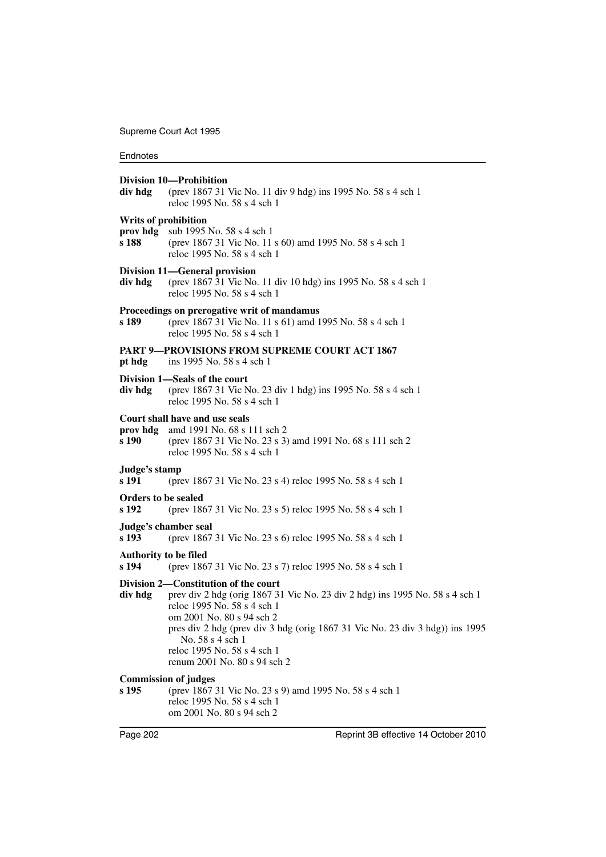#### **Endnotes**

#### **Division 10—Prohibition**

**div hdg** (prev 1867 31 Vic No. 11 div 9 hdg) ins 1995 No. 58 s 4 sch 1 reloc 1995 No. 58 s 4 sch 1

#### **Writs of prohibition**

- **prov hdg** sub 1995 No. 58 s 4 sch 1
- **s 188** (prev 1867 31 Vic No. 11 s 60) amd 1995 No. 58 s 4 sch 1 reloc 1995 No. 58 s 4 sch 1

#### **Division 11—General provision**

**div hdg** (prev 1867 31 Vic No. 11 div 10 hdg) ins 1995 No. 58 s 4 sch 1 reloc 1995 No. 58 s 4 sch 1

#### **Proceedings on prerogative writ of mandamus**

**s 189** (prev 1867 31 Vic No. 11 s 61) amd 1995 No. 58 s 4 sch 1 reloc 1995 No. 58 s 4 sch 1

#### **PART 9—PROVISIONS FROM SUPREME COURT ACT 1867**

**pt hdg** ins 1995 No. 58 s 4 sch 1

## **Division 1—Seals of the court**

**div hdg** (prev 1867 31 Vic No. 23 div 1 hdg) ins 1995 No. 58 s 4 sch 1 reloc 1995 No. 58 s 4 sch 1

#### **Court shall have and use seals**

- **prov hdg** amd 1991 No. 68 s 111 sch 2
- **s 190** (prev 1867 31 Vic No. 23 s 3) amd 1991 No. 68 s 111 sch 2 reloc 1995 No. 58 s 4 sch 1

#### **Judge's stamp**

**s 191** (prev 1867 31 Vic No. 23 s 4) reloc 1995 No. 58 s 4 sch 1

#### **Orders to be sealed**

**s 192** (prev 1867 31 Vic No. 23 s 5) reloc 1995 No. 58 s 4 sch 1

# **Judge's chamber seal**

**s 193** (prev 1867 31 Vic No. 23 s 6) reloc 1995 No. 58 s 4 sch 1

#### **Authority to be filed**

**s 194** (prev 1867 31 Vic No. 23 s 7) reloc 1995 No. 58 s 4 sch 1

#### **Division 2—Constitution of the court**

**div hdg** prev div 2 hdg (orig 1867 31 Vic No. 23 div 2 hdg) ins 1995 No. 58 s 4 sch 1 reloc 1995 No. 58 s 4 sch 1 om 2001 No. 80 s 94 sch 2 pres div 2 hdg (prev div 3 hdg (orig 1867 31 Vic No. 23 div 3 hdg)) ins 1995 No. 58 s 4 sch 1 reloc 1995 No. 58 s 4 sch 1 renum 2001 No. 80 s 94 sch 2

#### **Commission of judges**

**s 195** (prev 1867 31 Vic No. 23 s 9) amd 1995 No. 58 s 4 sch 1 reloc 1995 No. 58 s 4 sch 1 om 2001 No. 80 s 94 sch 2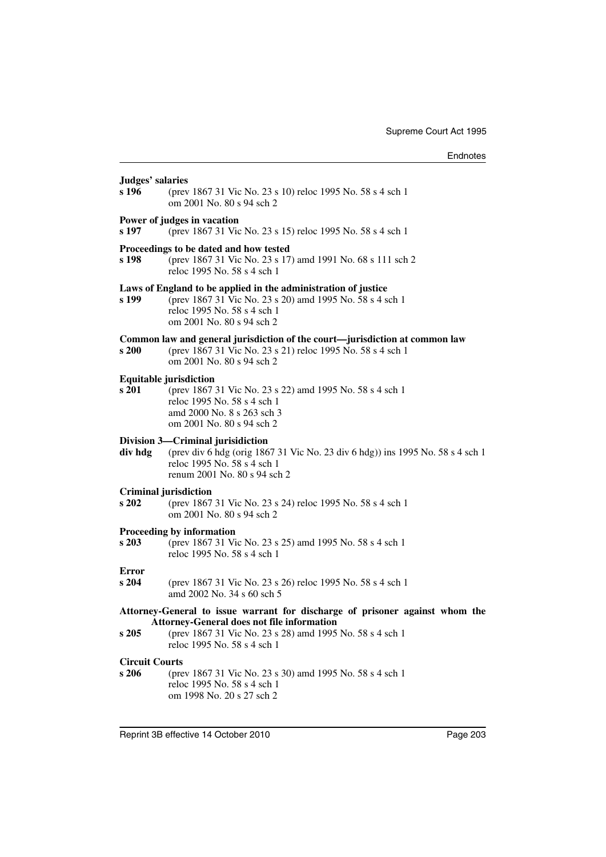| Judges' salaries               |                                                                                                                                                                                                                              |
|--------------------------------|------------------------------------------------------------------------------------------------------------------------------------------------------------------------------------------------------------------------------|
| s 196                          | (prev 1867 31 Vic No. 23 s 10) reloc 1995 No. 58 s 4 sch 1<br>om 2001 No. 80 s 94 sch 2                                                                                                                                      |
| s 197                          | Power of judges in vacation<br>(prev 1867 31 Vic No. 23 s 15) reloc 1995 No. 58 s 4 sch 1                                                                                                                                    |
| s 198                          | Proceedings to be dated and how tested<br>(prev 1867 31 Vic No. 23 s 17) amd 1991 No. 68 s 111 sch 2<br>reloc 1995 No. 58 s 4 sch 1                                                                                          |
| s 199                          | Laws of England to be applied in the administration of justice<br>(prev 1867 31 Vic No. 23 s 20) amd 1995 No. 58 s 4 sch 1<br>reloc 1995 No. 58 s 4 sch 1<br>om 2001 No. 80 s 94 sch 2                                       |
| s 200                          | Common law and general jurisdiction of the court—jurisdiction at common law<br>(prev 1867 31 Vic No. 23 s 21) reloc 1995 No. 58 s 4 sch 1<br>om 2001 No. 80 s 94 sch 2                                                       |
| s 201                          | <b>Equitable jurisdiction</b><br>(prev 1867 31 Vic No. 23 s 22) amd 1995 No. 58 s 4 sch 1<br>reloc 1995 No. 58 s 4 sch 1<br>amd 2000 No. 8 s 263 sch 3<br>om 2001 No. 80 s 94 sch 2                                          |
| div hdg                        | Division 3-Criminal jurisidiction<br>(prev div 6 hdg (orig 1867 31 Vic No. 23 div 6 hdg)) ins 1995 No. 58 s 4 sch 1<br>reloc 1995 No. 58 s 4 sch 1<br>renum 2001 No. 80 s 94 sch 2                                           |
| s 202                          | <b>Criminal jurisdiction</b><br>(prev 1867 31 Vic No. 23 s 24) reloc 1995 No. 58 s 4 sch 1<br>om 2001 No. 80 s 94 sch 2                                                                                                      |
| s 203                          | Proceeding by information<br>(prev 1867 31 Vic No. 23 s 25) amd 1995 No. 58 s 4 sch 1<br>reloc 1995 No. 58 s 4 sch 1                                                                                                         |
| <b>Error</b><br>s204           | (prev 1867 31 Vic No. 23 s 26) reloc 1995 No. 58 s 4 sch 1<br>amd 2002 No. 34 s 60 sch 5                                                                                                                                     |
| s 205                          | Attorney-General to issue warrant for discharge of prisoner against whom the<br><b>Attorney-General does not file information</b><br>(prev 1867 31 Vic No. 23 s 28) amd 1995 No. 58 s 4 sch 1<br>reloc 1995 No. 58 s 4 sch 1 |
| <b>Circuit Courts</b><br>s 206 | (prev 1867 31 Vic No. 23 s 30) amd 1995 No. 58 s 4 sch 1<br>reloc 1995 No. 58 s 4 sch 1<br>om 1998 No. 20 s 27 sch 2                                                                                                         |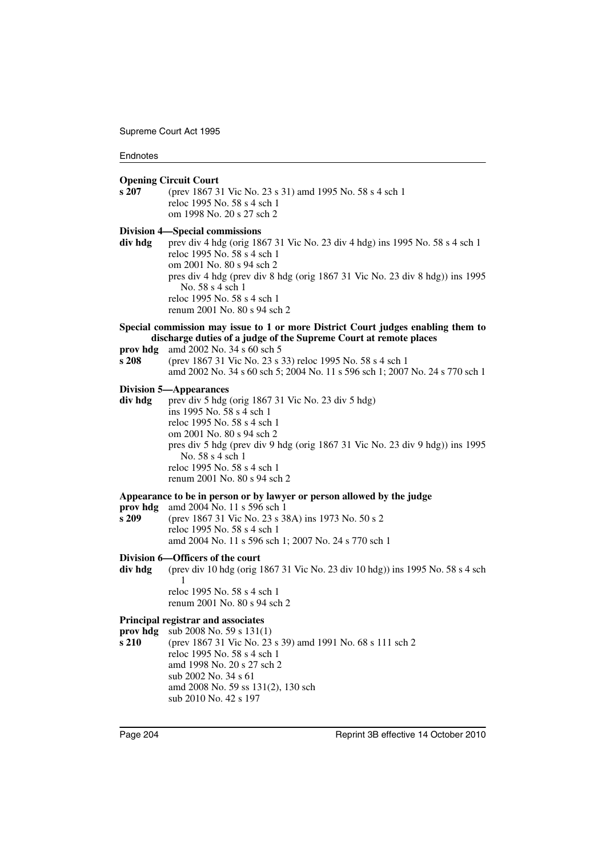#### **Endnotes**

#### **Opening Circuit Court**

**s 207** (prev 1867 31 Vic No. 23 s 31) amd 1995 No. 58 s 4 sch 1 reloc 1995 No. 58 s 4 sch 1 om 1998 No. 20 s 27 sch 2

#### **Division 4—Special commissions**

- **div hdg** prev div 4 hdg (orig 1867 31 Vic No. 23 div 4 hdg) ins 1995 No. 58 s 4 sch 1 reloc 1995 No. 58 s 4 sch 1 om 2001 No. 80 s 94 sch 2 pres div 4 hdg (prev div 8 hdg (orig 1867 31 Vic No. 23 div 8 hdg)) ins 1995 No. 58 s 4 sch 1 reloc 1995 No. 58 s 4 sch 1 renum 2001 No. 80 s 94 sch 2
- **Special commission may issue to 1 or more District Court judges enabling them to discharge duties of a judge of the Supreme Court at remote places**
- **prov hdg** amd 2002 No. 34 s 60 sch 5
- **s 208** (prev 1867 31 Vic No. 23 s 33) reloc 1995 No. 58 s 4 sch 1 amd 2002 No. 34 s 60 sch 5; 2004 No. 11 s 596 sch 1; 2007 No. 24 s 770 sch 1

#### **Division 5—Appearances**

div hdg prev div 5 hdg (orig 1867 31 Vic No. 23 div 5 hdg) ins 1995 No. 58 s 4 sch 1 reloc 1995 No. 58 s 4 sch 1 om 2001 No. 80 s 94 sch 2 pres div 5 hdg (prev div 9 hdg (orig 1867 31 Vic No. 23 div 9 hdg)) ins 1995 No. 58 s 4 sch 1 reloc 1995 No. 58 s 4 sch 1 renum 2001 No. 80 s 94 sch 2

#### **Appearance to be in person or by lawyer or person allowed by the judge**

**prov hdg** amd 2004 No. 11 s 596 sch 1 **s 209** (prev 1867 31 Vic No. 23 s 38A) ins 1973 No. 50 s 2 reloc 1995 No. 58 s 4 sch 1 amd 2004 No. 11 s 596 sch 1; 2007 No. 24 s 770 sch 1

#### **Division 6—Officers of the court**

**div hdg** (prev div 10 hdg (orig 1867 31 Vic No. 23 div 10 hdg)) ins 1995 No. 58 s 4 sch 1 reloc 1995 No. 58 s 4 sch 1

renum 2001 No. 80 s 94 sch 2

#### **Principal registrar and associates**

**prov hdg** sub 2008 No. 59 s 131(1)

**s 210** (prev 1867 31 Vic No. 23 s 39) amd 1991 No. 68 s 111 sch 2 reloc 1995 No. 58 s 4 sch 1 amd 1998 No. 20 s 27 sch 2 sub 2002 No. 34 s 61 amd 2008 No. 59 ss 131(2), 130 sch sub 2010 No. 42 s 197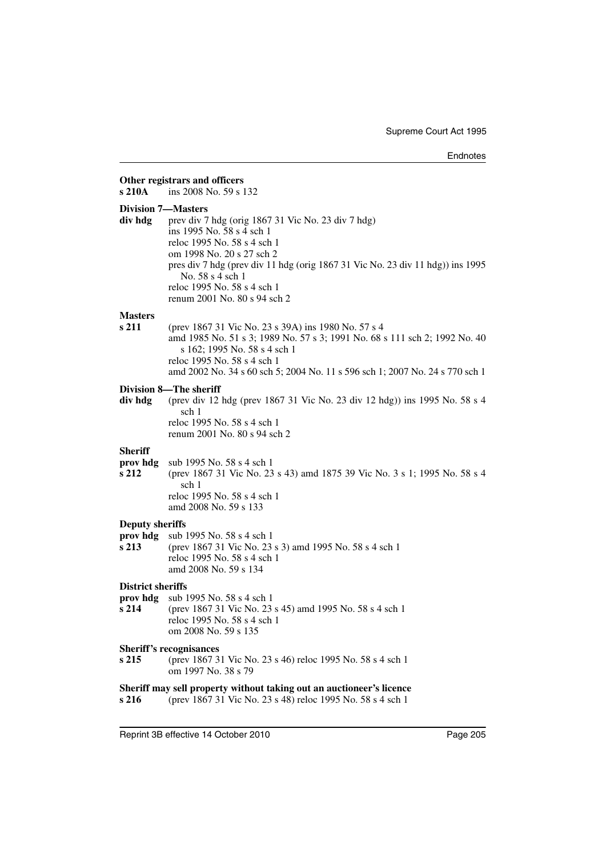| s 210A                                        | Other registrars and officers<br>ins 2008 No. 59 s 132                                                                                                                                                                                                                                                           |
|-----------------------------------------------|------------------------------------------------------------------------------------------------------------------------------------------------------------------------------------------------------------------------------------------------------------------------------------------------------------------|
| <b>Division 7-Masters</b><br>div hdg          | prev div 7 hdg (orig 1867 31 Vic No. 23 div 7 hdg)<br>ins 1995 No. 58 s 4 sch 1<br>reloc 1995 No. 58 s 4 sch 1<br>om 1998 No. 20 s 27 sch 2<br>pres div 7 hdg (prev div 11 hdg (orig 1867 31 Vic No. 23 div 11 hdg)) ins 1995<br>No. 58 s 4 sch 1<br>reloc 1995 No. 58 s 4 sch 1<br>renum 2001 No. 80 s 94 sch 2 |
| <b>Masters</b><br>s 211                       | (prev 1867 31 Vic No. 23 s 39A) ins 1980 No. 57 s 4<br>amd 1985 No. 51 s 3; 1989 No. 57 s 3; 1991 No. 68 s 111 sch 2; 1992 No. 40<br>s 162; 1995 No. 58 s 4 sch 1<br>reloc 1995 No. 58 s 4 sch 1<br>amd 2002 No. 34 s 60 sch 5; 2004 No. 11 s 596 sch 1; 2007 No. 24 s 770 sch 1                                 |
| div hdg                                       | <b>Division 8-The sheriff</b><br>(prev div 12 hdg (prev 1867 31 Vic No. 23 div 12 hdg)) ins 1995 No. 58 s 4<br>sch 1<br>reloc 1995 No. 58 s 4 sch 1<br>renum 2001 No. 80 s 94 sch 2                                                                                                                              |
| <b>Sheriff</b><br>prov hdg<br>s 212           | sub 1995 No. 58 s 4 sch 1<br>(prev 1867 31 Vic No. 23 s 43) amd 1875 39 Vic No. 3 s 1; 1995 No. 58 s 4<br>sch 1<br>reloc 1995 No. 58 s 4 sch 1<br>amd 2008 No. 59 s 133                                                                                                                                          |
| <b>Deputy sheriffs</b><br>prov hdg<br>s 213   | sub 1995 No. 58 s 4 sch 1<br>(prev 1867 31 Vic No. 23 s 3) amd 1995 No. 58 s 4 sch 1<br>reloc 1995 No. 58 s 4 sch 1<br>amd 2008 No. 59 s 134                                                                                                                                                                     |
| <b>District sheriffs</b><br>prov hdg<br>s 214 | sub 1995 No. 58 s 4 sch 1<br>(prev 1867 31 Vic No. 23 s 45) amd 1995 No. 58 s 4 sch 1<br>reloc 1995 No. 58 s 4 sch 1<br>om 2008 No. 59 s 135                                                                                                                                                                     |
| s 215                                         | <b>Sheriff's recognisances</b><br>(prev 1867 31 Vic No. 23 s 46) reloc 1995 No. 58 s 4 sch 1<br>om 1997 No. 38 s 79                                                                                                                                                                                              |
| s 216                                         | Sheriff may sell property without taking out an auctioneer's licence<br>(prev 1867 31 Vic No. 23 s 48) reloc 1995 No. 58 s 4 sch 1                                                                                                                                                                               |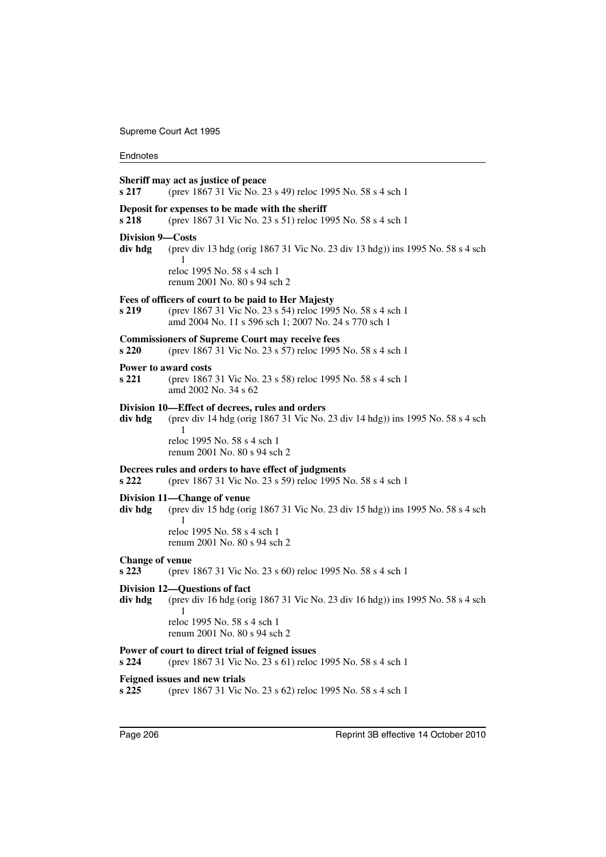| s 217                           | Sheriff may act as justice of peace<br>(prev 1867 31 Vic No. 23 s 49) reloc 1995 No. 58 s 4 sch 1                                                                                 |
|---------------------------------|-----------------------------------------------------------------------------------------------------------------------------------------------------------------------------------|
| s 218                           | Deposit for expenses to be made with the sheriff<br>(prev 1867 31 Vic No. 23 s 51) reloc 1995 No. 58 s 4 sch 1                                                                    |
| Division 9—Costs<br>div hdg     | (prev div 13 hdg (orig 1867 31 Vic No. 23 div 13 hdg)) ins 1995 No. 58 s 4 sch<br>1                                                                                               |
|                                 | reloc 1995 No. 58 s 4 sch 1<br>renum 2001 No. 80 s 94 sch 2                                                                                                                       |
| s 219                           | Fees of officers of court to be paid to Her Majesty<br>(prev 1867 31 Vic No. 23 s 54) reloc 1995 No. 58 s 4 sch 1<br>amd 2004 No. 11 s 596 sch 1; 2007 No. 24 s 770 sch 1         |
| s 220                           | <b>Commissioners of Supreme Court may receive fees</b><br>(prev 1867 31 Vic No. 23 s 57) reloc 1995 No. 58 s 4 sch 1                                                              |
| s 221                           | <b>Power to award costs</b><br>(prev 1867 31 Vic No. 23 s 58) reloc 1995 No. 58 s 4 sch 1<br>amd 2002 No. 34 s 62                                                                 |
| div hdg                         | Division 10—Effect of decrees, rules and orders<br>(prev div 14 hdg (orig 1867 31 Vic No. 23 div 14 hdg)) ins 1995 No. 58 s 4 sch<br>1                                            |
|                                 | reloc 1995 No. 58 s 4 sch 1<br>renum 2001 No. 80 s 94 sch 2                                                                                                                       |
| s 222                           | Decrees rules and orders to have effect of judgments<br>(prev 1867 31 Vic No. 23 s 59) reloc 1995 No. 58 s 4 sch 1                                                                |
| div hdg                         | Division 11—Change of venue<br>(prev div 15 hdg (orig 1867 31 Vic No. 23 div 15 hdg)) ins 1995 No. 58 s 4 sch<br>1<br>reloc 1995 No. 58 s 4 sch 1<br>renum 2001 No. 80 s 94 sch 2 |
| <b>Change of venue</b><br>s 223 | (prev 1867 31 Vic No. 23 s 60) reloc 1995 No. 58 s 4 sch 1                                                                                                                        |
| div hdg                         | Division 12—Questions of fact<br>(prev div 16 hdg (orig 1867 31 Vic No. 23 div 16 hdg)) ins 1995 No. 58 s 4 sch<br>1                                                              |
|                                 | reloc 1995 No. 58 s 4 sch 1<br>renum 2001 No. 80 s 94 sch 2                                                                                                                       |
| s 224                           | Power of court to direct trial of feigned issues<br>(prev 1867 31 Vic No. 23 s 61) reloc 1995 No. 58 s 4 sch 1                                                                    |
| s 225                           | Feigned issues and new trials<br>(prev 1867 31 Vic No. 23 s 62) reloc 1995 No. 58 s 4 sch 1                                                                                       |
|                                 |                                                                                                                                                                                   |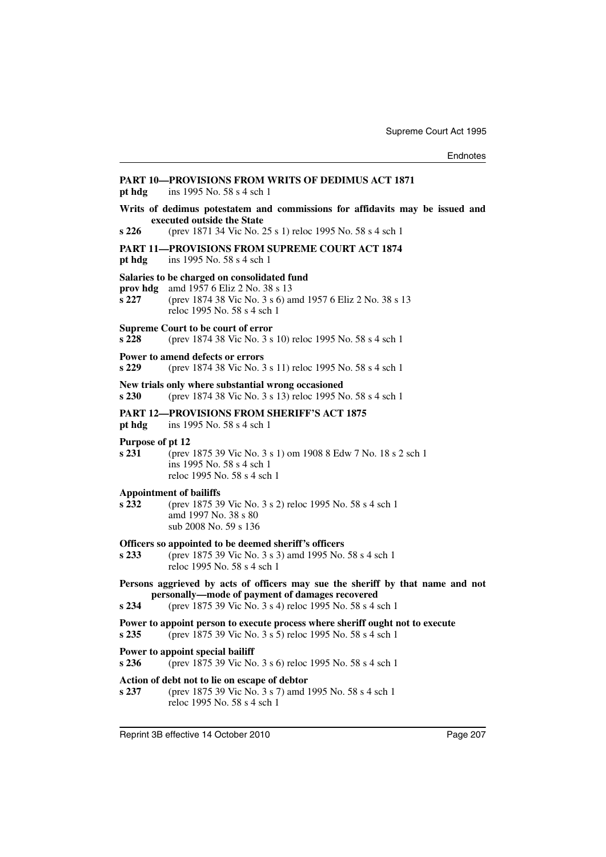| pt hdg                    | <b>PART 10-PROVISIONS FROM WRITS OF DEDIMUS ACT 1871</b><br>ins 1995 No. 58 s 4 sch 1                                                                                                         |
|---------------------------|-----------------------------------------------------------------------------------------------------------------------------------------------------------------------------------------------|
| s 226                     | Writs of dedimus potestatem and commissions for affidavits may be issued and<br>executed outside the State<br>(prev 1871 34 Vic No. 25 s 1) reloc 1995 No. 58 s 4 sch 1                       |
| pt hdg                    | <b>PART 11-PROVISIONS FROM SUPREME COURT ACT 1874</b><br>ins 1995 No. 58 s 4 sch 1                                                                                                            |
| prov hdg<br>s 227         | Salaries to be charged on consolidated fund<br>amd 1957 6 Eliz 2 No. 38 s 13<br>(prev 1874 38 Vic No. 3 s 6) amd 1957 6 Eliz 2 No. 38 s 13<br>reloc 1995 No. 58 s 4 sch 1                     |
| s 228                     | Supreme Court to be court of error<br>(prev 1874 38 Vic No. 3 s 10) reloc 1995 No. 58 s 4 sch 1                                                                                               |
| s 229                     | Power to amend defects or errors<br>(prev 1874 38 Vic No. 3 s 11) reloc 1995 No. 58 s 4 sch 1                                                                                                 |
| s 230                     | New trials only where substantial wrong occasioned<br>(prev 1874 38 Vic No. 3 s 13) reloc 1995 No. 58 s 4 sch 1                                                                               |
| pt hdg                    | <b>PART 12-PROVISIONS FROM SHERIFF'S ACT 1875</b><br>ins 1995 No. 58 s 4 sch 1                                                                                                                |
| Purpose of pt 12<br>s 231 | (prev 1875 39 Vic No. 3 s 1) om 1908 8 Edw 7 No. 18 s 2 sch 1<br>ins 1995 No. 58 s 4 sch 1<br>reloc 1995 No. 58 s 4 sch 1                                                                     |
| s 232                     | <b>Appointment of bailiffs</b><br>(prev 1875 39 Vic No. 3 s 2) reloc 1995 No. 58 s 4 sch 1<br>amd 1997 No. 38 s 80<br>sub 2008 No. 59 s 136                                                   |
| s 233                     | Officers so appointed to be deemed sheriff's officers<br>(prev 1875 39 Vic No. 3 s 3) amd 1995 No. 58 s 4 sch 1<br>reloc 1995 No. 58 s 4 sch 1                                                |
| s234                      | Persons aggrieved by acts of officers may sue the sheriff by that name and not<br>personally—mode of payment of damages recovered<br>(prev 1875 39 Vic No. 3 s 4) reloc 1995 No. 58 s 4 sch 1 |
| s 235                     | Power to appoint person to execute process where sheriff ought not to execute<br>(prev 1875 39 Vic No. 3 s 5) reloc 1995 No. 58 s 4 sch 1                                                     |
| s 236                     | Power to appoint special bailiff<br>(prev 1875 39 Vic No. 3 s 6) reloc 1995 No. 58 s 4 sch 1                                                                                                  |
| s 237                     | Action of debt not to lie on escape of debtor<br>(prev 1875 39 Vic No. 3 s 7) amd 1995 No. 58 s 4 sch 1<br>reloc 1995 No. 58 s 4 sch 1                                                        |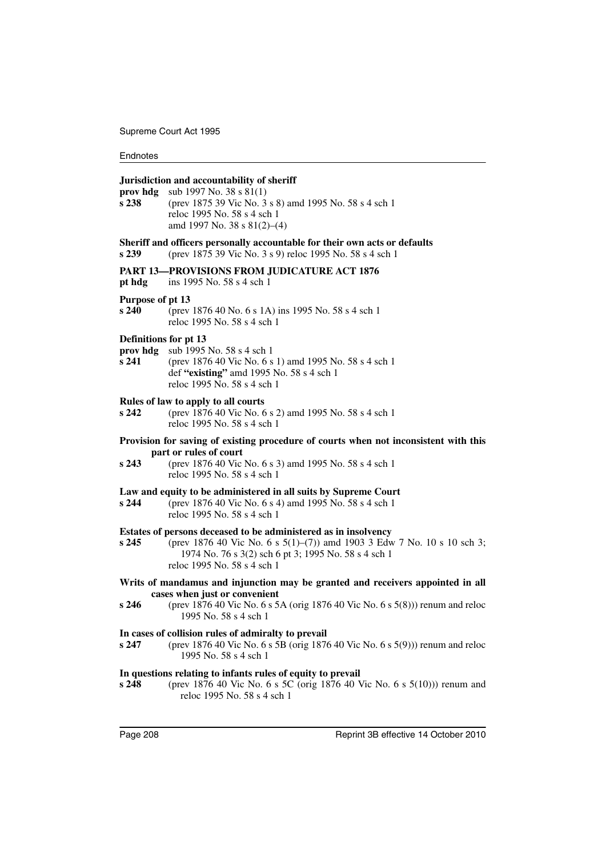#### **Jurisdiction and accountability of sheriff**

**prov hdg** sub 1997 No. 38 s 81(1) **s 238** (prev 1875 39 Vic No. 3 s 8) amd 1995 No. 58 s 4 sch 1 reloc 1995 No. 58 s 4 sch 1 amd 1997 No. 38 s 81(2)–(4)

#### **Sheriff and officers personally accountable for their own acts or defaults**

**s 239** (prev 1875 39 Vic No. 3 s 9) reloc 1995 No. 58 s 4 sch 1

#### **PART 13—PROVISIONS FROM JUDICATURE ACT 1876**

**pt hdg** ins 1995 No. 58 s 4 sch 1

#### **Purpose of pt 13**

**s 240** (prev 1876 40 No. 6 s 1A) ins 1995 No. 58 s 4 sch 1 reloc 1995 No. 58 s 4 sch 1

#### **Definitions for pt 13**

- **prov hdg** sub 1995 No. 58 s 4 sch 1
- **s 241** (prev 1876 40 Vic No. 6 s 1) amd 1995 No. 58 s 4 sch 1 def **"existing"** amd 1995 No. 58 s 4 sch 1 reloc 1995 No. 58 s 4 sch 1

#### **Rules of law to apply to all courts**

**s 242** (prev 1876 40 Vic No. 6 s 2) amd 1995 No. 58 s 4 sch 1 reloc 1995 No. 58 s 4 sch 1

#### **Provision for saving of existing procedure of courts when not inconsistent with this part or rules of court**

**s 243** (prev 1876 40 Vic No. 6 s 3) amd 1995 No. 58 s 4 sch 1 reloc 1995 No. 58 s 4 sch 1

#### **Law and equity to be administered in all suits by Supreme Court**

**s 244** (prev 1876 40 Vic No. 6 s 4) amd 1995 No. 58 s 4 sch 1 reloc 1995 No. 58 s 4 sch 1

#### **Estates of persons deceased to be administered as in insolvency**

**s 245** (prev 1876 40 Vic No. 6 s 5(1)–(7)) amd 1903 3 Edw 7 No. 10 s 10 sch 3; 1974 No. 76 s 3(2) sch 6 pt 3; 1995 No. 58 s 4 sch 1 reloc 1995 No. 58 s 4 sch 1

#### **Writs of mandamus and injunction may be granted and receivers appointed in all cases when just or convenient**

**s 246** (prev 1876 40 Vic No. 6 s 5A (orig 1876 40 Vic No. 6 s 5(8))) renum and reloc 1995 No. 58 s 4 sch 1

#### **In cases of collision rules of admiralty to prevail**

**s 247** (prev 1876 40 Vic No. 6 s 5B (orig 1876 40 Vic No. 6 s 5(9))) renum and reloc 1995 No. 58 s 4 sch 1

## **In questions relating to infants rules of equity to prevail**

**s 248** (prev 1876 40 Vic No. 6 s 5C (orig 1876 40 Vic No. 6 s 5(10))) renum and reloc 1995 No. 58 s 4 sch 1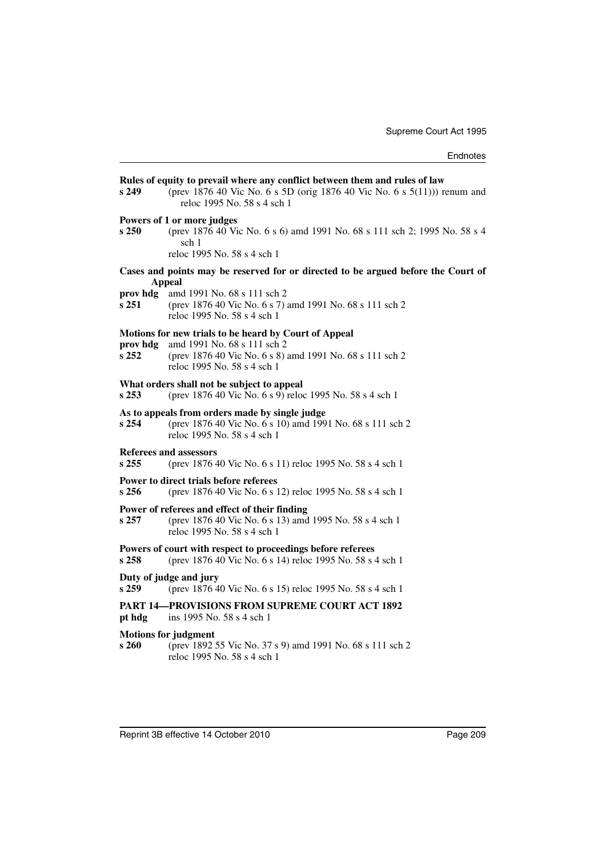| s 249                                                                                              | Rules of equity to prevail where any conflict between them and rules of law<br>(prev 1876 40 Vic No. 6 s 5D (orig 1876 40 Vic No. 6 s 5(11))) renum and<br>reloc 1995 No. 58 s 4 sch 1 |
|----------------------------------------------------------------------------------------------------|----------------------------------------------------------------------------------------------------------------------------------------------------------------------------------------|
| s 250                                                                                              | Powers of 1 or more judges<br>(prev 1876 40 Vic No. 6 s 6) amd 1991 No. 68 s 111 sch 2; 1995 No. 58 s 4<br>sch 1<br>reloc 1995 No. 58 s 4 sch 1                                        |
| Cases and points may be reserved for or directed to be argued before the Court of<br><b>Appeal</b> |                                                                                                                                                                                        |
| prov hdg<br>s 251                                                                                  | amd 1991 No. 68 s 111 sch 2<br>(prev 1876 40 Vic No. 6 s 7) amd 1991 No. 68 s 111 sch 2<br>reloc 1995 No. 58 s 4 sch 1                                                                 |
| prov hdg<br>s 252                                                                                  | Motions for new trials to be heard by Court of Appeal<br>amd 1991 No. 68 s 111 sch 2<br>(prev 1876 40 Vic No. 6 s 8) amd 1991 No. 68 s 111 sch 2<br>reloc 1995 No. 58 s 4 sch 1        |
| s253                                                                                               | What orders shall not be subject to appeal<br>(prev 1876 40 Vic No. 6 s 9) reloc 1995 No. 58 s 4 sch 1                                                                                 |
| s 254                                                                                              | As to appeals from orders made by single judge<br>(prev 1876 40 Vic No. 6 s 10) amd 1991 No. 68 s 111 sch 2<br>reloc 1995 No. 58 s 4 sch 1                                             |
| $s$ 255                                                                                            | Referees and assessors<br>(prev 1876 40 Vic No. 6 s 11) reloc 1995 No. 58 s 4 sch 1                                                                                                    |
| s 256                                                                                              | Power to direct trials before referees<br>(prev 1876 40 Vic No. 6 s 12) reloc 1995 No. 58 s 4 sch 1                                                                                    |
| s 257                                                                                              | Power of referees and effect of their finding<br>(prev 1876 40 Vic No. 6 s 13) amd 1995 No. 58 s 4 sch 1<br>reloc 1995 No. 58 s 4 sch 1                                                |
| s <sub>258</sub>                                                                                   | Powers of court with respect to proceedings before referees<br>(prev 1876 40 Vic No. 6 s 14) reloc 1995 No. 58 s 4 sch 1                                                               |
| s 259                                                                                              | Duty of judge and jury<br>(prev 1876 40 Vic No. 6 s 15) reloc 1995 No. 58 s 4 sch 1                                                                                                    |
| pt hdg                                                                                             | <b>PART 14—PROVISIONS FROM SUPREME COURT ACT 1892</b><br>ins 1995 No. 58 s 4 sch 1                                                                                                     |
| s 260                                                                                              | <b>Motions for judgment</b><br>(prev 1892 55 Vic No. 37 s 9) amd 1991 No. 68 s 111 sch 2<br>reloc 1995 No. 58 s 4 sch 1                                                                |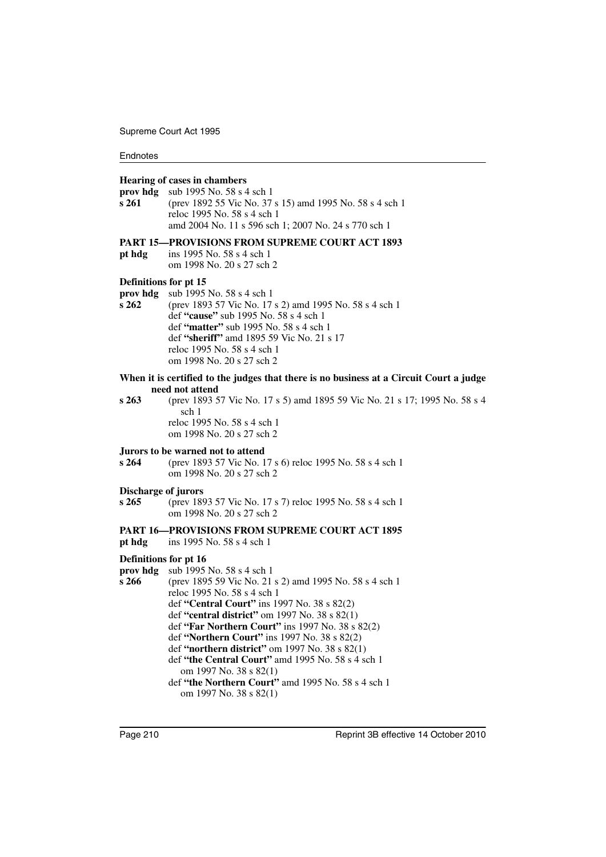#### **Hearing of cases in chambers**

**prov hdg** sub 1995 No. 58 s 4 sch 1 **s 261** (prev 1892 55 Vic No. 37 s 15) amd 1995 No. 58 s 4 sch 1 reloc 1995 No. 58 s 4 sch 1 amd 2004 No. 11 s 596 sch 1; 2007 No. 24 s 770 sch 1

#### **PART 15—PROVISIONS FROM SUPREME COURT ACT 1893**

**pt hdg** ins 1995 No. 58 s 4 sch 1 om 1998 No. 20 s 27 sch 2

#### **Definitions for pt 15**

- **prov hdg** sub 1995 No. 58 s 4 sch 1
- **s 262** (prev 1893 57 Vic No. 17 s 2) amd 1995 No. 58 s 4 sch 1 def **"cause"** sub 1995 No. 58 s 4 sch 1 def **"matter"** sub 1995 No. 58 s 4 sch 1 def **"sheriff"** amd 1895 59 Vic No. 21 s 17 reloc 1995 No. 58 s 4 sch 1 om 1998 No. 20 s 27 sch 2

#### **When it is certified to the judges that there is no business at a Circuit Court a judge need not attend**

**s 263** (prev 1893 57 Vic No. 17 s 5) amd 1895 59 Vic No. 21 s 17; 1995 No. 58 s 4 sch 1 reloc 1995 No. 58 s 4 sch 1 om 1998 No. 20 s 27 sch 2

#### **Jurors to be warned not to attend**

**s 264** (prev 1893 57 Vic No. 17 s 6) reloc 1995 No. 58 s 4 sch 1 om 1998 No. 20 s 27 sch 2

#### **Discharge of jurors**

**s 265** (prev 1893 57 Vic No. 17 s 7) reloc 1995 No. 58 s 4 sch 1 om 1998 No. 20 s 27 sch 2

## **PART 16—PROVISIONS FROM SUPREME COURT ACT 1895**

**pt hdg** ins 1995 No. 58 s 4 sch 1

## **Definitions for pt 16**

**prov hdg** sub 1995 No. 58 s 4 sch 1

**s 266** (prev 1895 59 Vic No. 21 s 2) amd 1995 No. 58 s 4 sch 1 reloc 1995 No. 58 s 4 sch 1 def **"Central Court"** ins 1997 No. 38 s 82(2) def **"central district"** om 1997 No. 38 s 82(1) def **"Far Northern Court"** ins 1997 No. 38 s 82(2) def **"Northern Court"** ins 1997 No. 38 s 82(2) def **"northern district"** om 1997 No. 38 s 82(1) def **"the Central Court"** amd 1995 No. 58 s 4 sch 1 om 1997 No. 38 s 82(1) def **"the Northern Court"** amd 1995 No. 58 s 4 sch 1 om 1997 No. 38 s 82(1)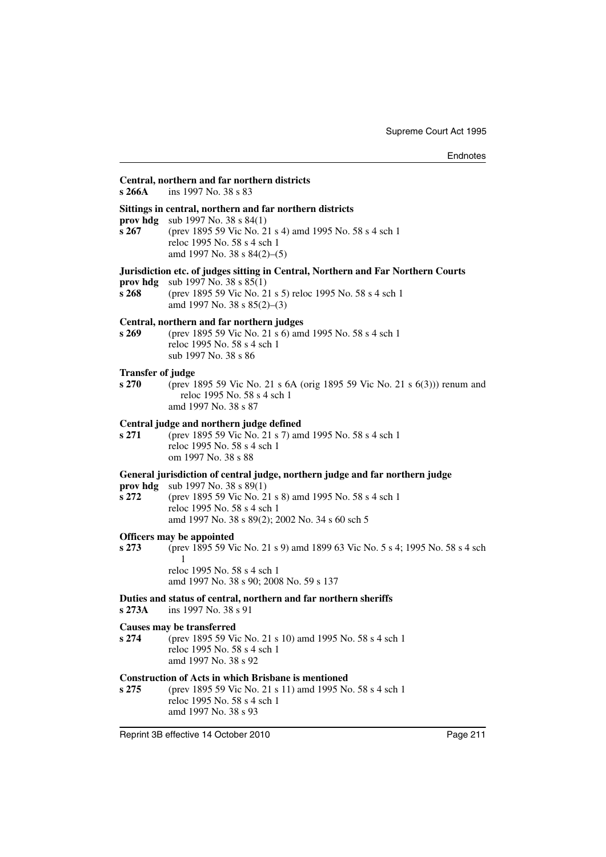#### **Central, northern and far northern districts**

**s 266A** ins 1997 No. 38 s 83

#### **Sittings in central, northern and far northern districts**

**prov hdg** sub 1997 No. 38 s 84(1)

**s 267** (prev 1895 59 Vic No. 21 s 4) amd 1995 No. 58 s 4 sch 1 reloc 1995 No. 58 s 4 sch 1 amd 1997 No. 38 s 84(2)–(5)

#### **Jurisdiction etc. of judges sitting in Central, Northern and Far Northern Courts**

**prov hdg** sub 1997 No. 38 s 85(1)

**s 268** (prev 1895 59 Vic No. 21 s 5) reloc 1995 No. 58 s 4 sch 1 amd 1997 No. 38 s 85(2)–(3)

#### **Central, northern and far northern judges**

**s 269** (prev 1895 59 Vic No. 21 s 6) amd 1995 No. 58 s 4 sch 1 reloc 1995 No. 58 s 4 sch 1 sub 1997 No. 38 s 86

#### **Transfer of judge**

**s 270** (prev 1895 59 Vic No. 21 s 6A (orig 1895 59 Vic No. 21 s 6(3))) renum and reloc 1995 No. 58 s 4 sch 1

amd 1997 No. 38 s 87

#### **Central judge and northern judge defined**

**s 271** (prev 1895 59 Vic No. 21 s 7) amd 1995 No. 58 s 4 sch 1 reloc 1995 No. 58 s 4 sch 1 om 1997 No. 38 s 88

#### **General jurisdiction of central judge, northern judge and far northern judge**

**prov hdg** sub 1997 No. 38 s 89(1)

**s 272** (prev 1895 59 Vic No. 21 s 8) amd 1995 No. 58 s 4 sch 1 reloc 1995 No. 58 s 4 sch 1 amd 1997 No. 38 s 89(2); 2002 No. 34 s 60 sch 5

# **Officers may be appointed**<br>s 273 (prev 1895 59 Vi

**s 273** (prev 1895 59 Vic No. 21 s 9) amd 1899 63 Vic No. 5 s 4; 1995 No. 58 s 4 sch 1 reloc 1995 No. 58 s 4 sch 1

amd 1997 No. 38 s 90; 2008 No. 59 s 137

#### **Duties and status of central, northern and far northern sheriffs**

**s 273A** ins 1997 No. 38 s 91

#### **Causes may be transferred**

**s 274** (prev 1895 59 Vic No. 21 s 10) amd 1995 No. 58 s 4 sch 1 reloc 1995 No. 58 s 4 sch 1 amd 1997 No. 38 s 92

### **Construction of Acts in which Brisbane is mentioned**

**s 275** (prev 1895 59 Vic No. 21 s 11) amd 1995 No. 58 s 4 sch 1 reloc 1995 No. 58 s 4 sch 1 amd 1997 No. 38 s 93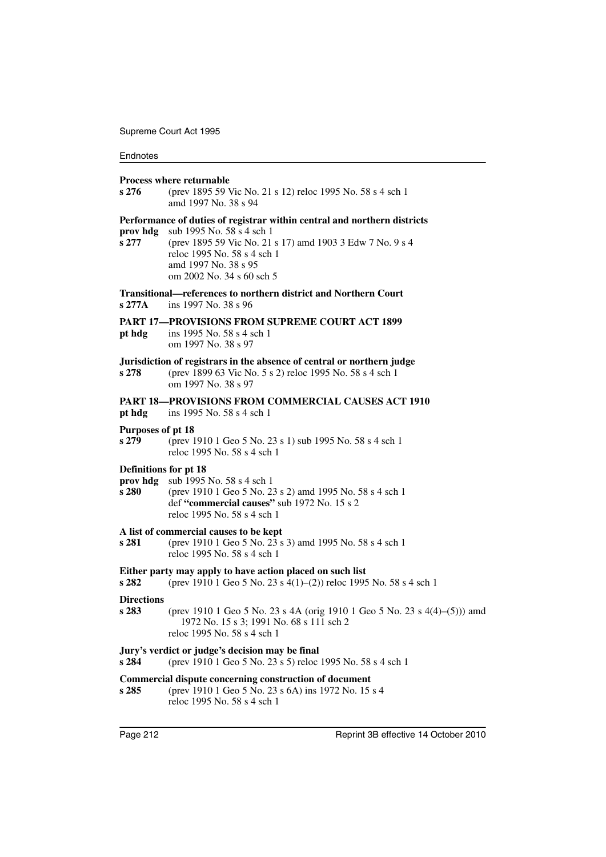#### **Endnotes**

#### **Process where returnable**

**s 276** (prev 1895 59 Vic No. 21 s 12) reloc 1995 No. 58 s 4 sch 1 amd 1997 No. 38 s 94

#### **Performance of duties of registrar within central and northern districts**

**prov hdg** sub 1995 No. 58 s 4 sch 1

**s 277** (prev 1895 59 Vic No. 21 s 17) amd 1903 3 Edw 7 No. 9 s 4 reloc 1995 No. 58 s 4 sch 1 amd 1997 No. 38 s 95 om 2002 No. 34 s 60 sch 5

**Transitional—references to northern district and Northern Court s 277A** ins 1997 No. 38 s 96

#### **PART 17—PROVISIONS FROM SUPREME COURT ACT 1899**

**pt hdg** ins 1995 No. 58 s 4 sch 1 om 1997 No. 38 s 97

## **Jurisdiction of registrars in the absence of central or northern judge**

**s 278** (prev 1899 63 Vic No. 5 s 2) reloc 1995 No. 58 s 4 sch 1 om 1997 No. 38 s 97

### **PART 18—PROVISIONS FROM COMMERCIAL CAUSES ACT 1910**

**pt hdg** ins 1995 No. 58 s 4 sch 1

#### **Purposes of pt 18**

**s 279** (prev 1910 1 Geo 5 No. 23 s 1) sub 1995 No. 58 s 4 sch 1 reloc 1995 No. 58 s 4 sch 1

#### **Definitions for pt 18**

- **prov hdg** sub 1995 No. 58 s 4 sch 1
- **s 280** (prev 1910 1 Geo 5 No. 23 s 2) amd 1995 No. 58 s 4 sch 1 def **"commercial causes"** sub 1972 No. 15 s 2 reloc 1995 No. 58 s 4 sch 1

# **A list of commercial causes to be kept**<br>**s 281** (prev 1910 1 Geo 5 No. 23 s

**s 281** (prev 1910 1 Geo 5 No. 23 s 3) amd 1995 No. 58 s 4 sch 1 reloc 1995 No. 58 s 4 sch 1

#### **Either party may apply to have action placed on such list**

**s 282** (prev 1910 1 Geo 5 No. 23 s 4(1)–(2)) reloc 1995 No. 58 s 4 sch 1

#### **Directions**

**s 283** (prev 1910 1 Geo 5 No. 23 s 4A (orig 1910 1 Geo 5 No. 23 s 4(4)–(5))) amd 1972 No. 15 s 3; 1991 No. 68 s 111 sch 2 reloc 1995 No. 58 s 4 sch 1

#### **Jury's verdict or judge's decision may be final**

**s 284** (prev 1910 1 Geo 5 No. 23 s 5) reloc 1995 No. 58 s 4 sch 1

#### **Commercial dispute concerning construction of document**

**s 285** (prev 1910 1 Geo 5 No. 23 s 6A) ins 1972 No. 15 s 4 reloc 1995 No. 58 s 4 sch 1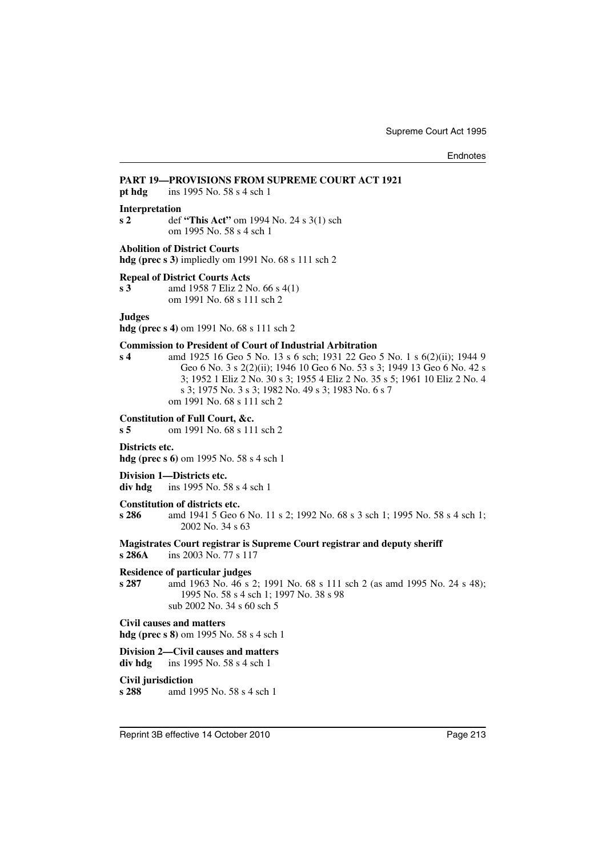## **PART 19—PROVISIONS FROM SUPREME COURT ACT 1921**

**pt hdg** ins 1995 No. 58 s 4 sch 1

#### **Interpretation**

**s 2** def **"This Act"** om 1994 No. 24 s 3(1) sch om 1995 No. 58 s 4 sch 1

#### **Abolition of District Courts**

**hdg (prec s 3)** impliedly om 1991 No. 68 s 111 sch 2

### **Repeal of District Courts Acts**

**s 3** amd 1958 7 Eliz 2 No. 66 s 4(1) om 1991 No. 68 s 111 sch 2

**Judges**

**hdg (prec s 4)** om 1991 No. 68 s 111 sch 2

#### **Commission to President of Court of Industrial Arbitration**

**s 4** amd 1925 16 Geo 5 No. 13 s 6 sch; 1931 22 Geo 5 No. 1 s 6(2)(ii); 1944 9 Geo 6 No. 3 s 2(2)(ii); 1946 10 Geo 6 No. 53 s 3; 1949 13 Geo 6 No. 42 s 3; 1952 1 Eliz 2 No. 30 s 3; 1955 4 Eliz 2 No. 35 s 5; 1961 10 Eliz 2 No. 4 s 3; 1975 No. 3 s 3; 1982 No. 49 s 3; 1983 No. 6 s 7 om 1991 No. 68 s 111 sch 2

#### **Constitution of Full Court, &c.**

**s 5** om 1991 No. 68 s 111 sch 2

#### **Districts etc.**

**hdg (prec s 6)** om 1995 No. 58 s 4 sch 1

**Division 1—Districts etc. div hdg** ins 1995 No. 58 s 4 sch 1

#### **Constitution of districts etc.**

**s 286** amd 1941 5 Geo 6 No. 11 s 2; 1992 No. 68 s 3 sch 1; 1995 No. 58 s 4 sch 1; 2002 No. 34 s 63

**Magistrates Court registrar is Supreme Court registrar and deputy sheriff s 286A** ins 2003 No. 77 s 117

#### **Residence of particular judges**

**s 287** amd 1963 No. 46 s 2; 1991 No. 68 s 111 sch 2 (as amd 1995 No. 24 s 48); 1995 No. 58 s 4 sch 1; 1997 No. 38 s 98 sub 2002 No. 34 s 60 sch 5

**Civil causes and matters**

**hdg (prec s 8)** om 1995 No. 58 s 4 sch 1

#### **Division 2—Civil causes and matters div hdg** ins 1995 No. 58 s 4 sch 1

#### **Civil jurisdiction**

**s 288** amd 1995 No. 58 s 4 sch 1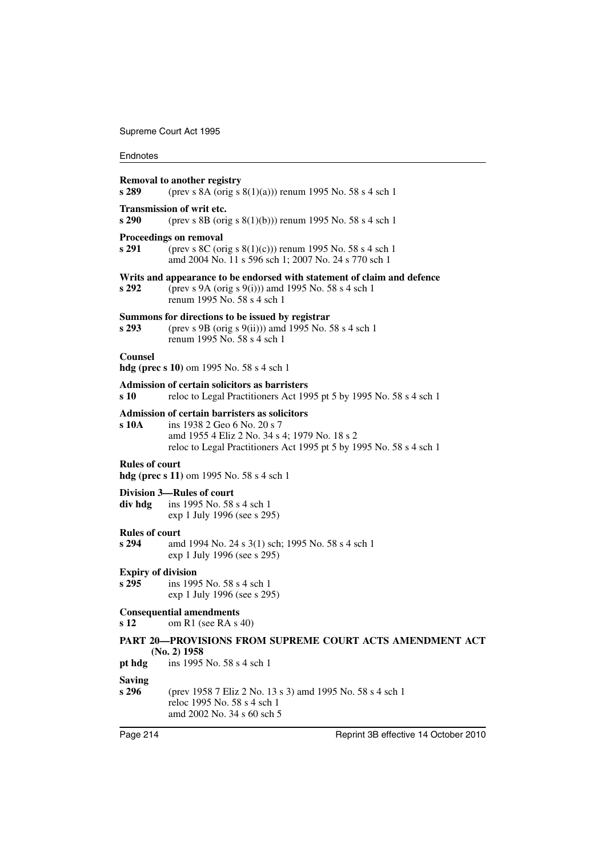#### **Endnotes**

# **Removal to another registry s 289** (prev s 8A (orig s 8(1)(a))) renum 1995 No. 58 s 4 sch 1 **Transmission of writ etc. s 290** (prev s 8B (orig s 8(1)(b))) renum 1995 No. 58 s 4 sch 1 **Proceedings on removal s 291** (prev s 8C (orig s 8(1)(c))) renum 1995 No. 58 s 4 sch 1 amd 2004 No. 11 s 596 sch 1; 2007 No. 24 s 770 sch 1 **Writs and appearance to be endorsed with statement of claim and defence s 292** (prev s 9A (orig s 9(i))) amd 1995 No. 58 s 4 sch 1 renum 1995 No. 58 s 4 sch 1 **Summons for directions to be issued by registrar**<br>**s** 293 (prev s 9B (prig s 9(ii))) and 1995 No. 5 **s 293** (prev s 9B (orig s 9(ii))) amd 1995 No. 58 s 4 sch 1 renum 1995 No. 58 s 4 sch 1 **Counsel hdg (prec s 10)** om 1995 No. 58 s 4 sch 1 **Admission of certain solicitors as barristers s 10** reloc to Legal Practitioners Act 1995 pt 5 by 1995 No. 58 s 4 sch 1 **Admission of certain barristers as solicitors s 10A** ins 1938 2 Geo 6 No. 20 s 7 amd 1955 4 Eliz 2 No. 34 s 4; 1979 No. 18 s 2 reloc to Legal Practitioners Act 1995 pt 5 by 1995 No. 58 s 4 sch 1 **Rules of court hdg (prec s 11)** om 1995 No. 58 s 4 sch 1 **Division 3—Rules of court div hdg** ins 1995 No. 58 s 4 sch 1 exp 1 July 1996 (see s 295) **Rules of court s 294** amd 1994 No. 24 s 3(1) sch; 1995 No. 58 s 4 sch 1 exp 1 July 1996 (see s 295) **Expiry of division**<br>**s** 295 ins 199 **s 295** ins 1995 No. 58 s 4 sch 1 exp 1 July 1996 (see s 295) **Consequential amendments**<br>s 12 om R1 (see RA s) **s 12** om R1 (see RA s 40) **PART 20—PROVISIONS FROM SUPREME COURT ACTS AMENDMENT ACT (No. 2) 1958 pt hdg** ins 1995 No. 58 s 4 sch 1 **Saving s 296** (prev 1958 7 Eliz 2 No. 13 s 3) amd 1995 No. 58 s 4 sch 1 reloc 1995 No. 58 s 4 sch 1 amd 2002 No. 34 s 60 sch 5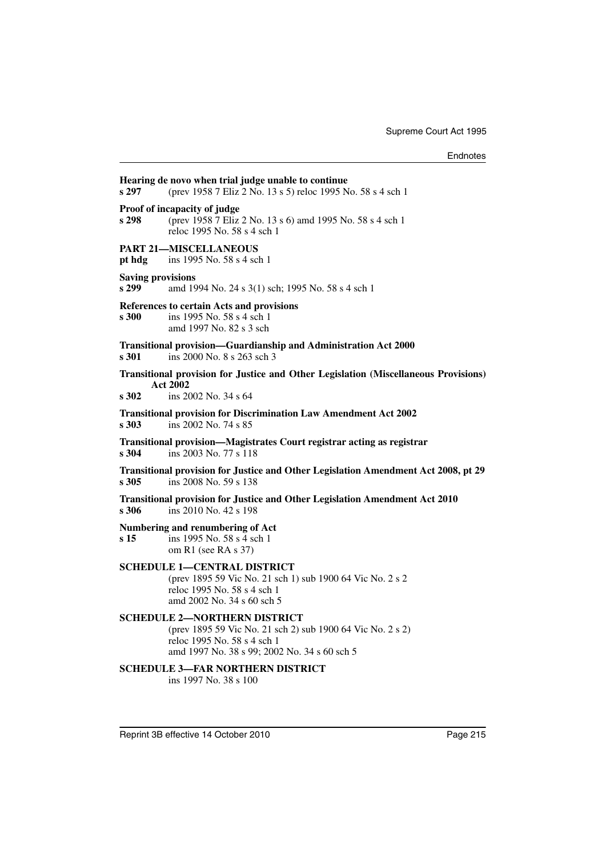| s 297                             | Hearing de novo when trial judge unable to continue<br>(prev 1958 7 Eliz 2 No. 13 s 5) reloc 1995 No. 58 s 4 sch 1                                                               |
|-----------------------------------|----------------------------------------------------------------------------------------------------------------------------------------------------------------------------------|
| s 298                             | Proof of incapacity of judge<br>(prev 1958 7 Eliz 2 No. 13 s 6) amd 1995 No. 58 s 4 sch 1<br>reloc 1995 No. 58 s 4 sch 1                                                         |
| pt hdg                            | <b>PART 21-MISCELLANEOUS</b><br>ins 1995 No. 58 s 4 sch 1                                                                                                                        |
| <b>Saving provisions</b><br>s 299 | amd 1994 No. 24 s 3(1) sch; 1995 No. 58 s 4 sch 1                                                                                                                                |
| s 300                             | References to certain Acts and provisions<br>ins 1995 No. 58 s 4 sch 1<br>amd 1997 No. 82 s 3 sch                                                                                |
| s 301                             | Transitional provision-Guardianship and Administration Act 2000<br>ins 2000 No. 8 s 263 sch 3                                                                                    |
| s 302                             | <b>Transitional provision for Justice and Other Legislation (Miscellaneous Provisions)</b><br><b>Act 2002</b><br>ins 2002 No. 34 s 64                                            |
| s 303                             | <b>Transitional provision for Discrimination Law Amendment Act 2002</b><br>ins 2002 No. 74 s 85                                                                                  |
| s 304                             | Transitional provision—Magistrates Court registrar acting as registrar<br>ins 2003 No. 77 s 118                                                                                  |
| s 305                             | Transitional provision for Justice and Other Legislation Amendment Act 2008, pt 29<br>ins 2008 No. 59 s 138                                                                      |
| s 306                             | Transitional provision for Justice and Other Legislation Amendment Act 2010<br>ins 2010 No. 42 s 198                                                                             |
| s 15                              | Numbering and renumbering of Act<br>ins 1995 No. 58 s 4 sch 1<br>om R1 (see RA s 37)                                                                                             |
|                                   | <b>SCHEDULE 1-CENTRAL DISTRICT</b><br>(prev 1895 59 Vic No. 21 sch 1) sub 1900 64 Vic No. 2 s 2<br>reloc 1995 No. 58 s 4 sch 1<br>amd 2002 No. 34 s 60 sch 5                     |
|                                   | <b>SCHEDULE 2-NORTHERN DISTRICT</b><br>(prev 1895 59 Vic No. 21 sch 2) sub 1900 64 Vic No. 2 s 2)<br>reloc 1995 No. 58 s 4 sch 1<br>amd 1997 No. 38 s 99; 2002 No. 34 s 60 sch 5 |
|                                   | <b>SCHEDULE 3-FAR NORTHERN DISTRICT</b><br>ins 1997 No. 38 s 100                                                                                                                 |
|                                   |                                                                                                                                                                                  |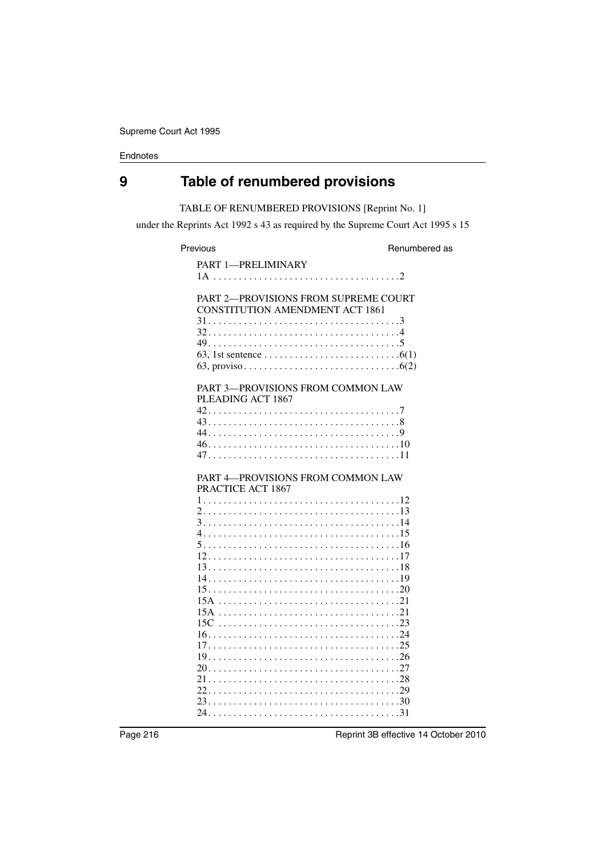# **9 Table of renumbered provisions**

# TABLE OF RENUMBERED PROVISIONS [Reprint No. 1]

under the Reprints Act 1992 s 43 as required by the Supreme Court Act 1995 s 15

Previous **Renumbered** as

| PART 1-PRELIMINARY                                                             |
|--------------------------------------------------------------------------------|
|                                                                                |
| PART 2-PROVISIONS FROM SUPREME COURT<br><b>CONSTITUTION AMENDMENT ACT 1861</b> |
|                                                                                |
|                                                                                |
|                                                                                |
| PART 3-PROVISIONS FROM COMMON LAW<br>PLEADING ACT 1867                         |
|                                                                                |
|                                                                                |
|                                                                                |
|                                                                                |
|                                                                                |
| PART 4-PROVISIONS FROM COMMON LAW<br>PRACTICE ACT 1867                         |
|                                                                                |
|                                                                                |
|                                                                                |
|                                                                                |
|                                                                                |
|                                                                                |
|                                                                                |
|                                                                                |
|                                                                                |
|                                                                                |
|                                                                                |
|                                                                                |
|                                                                                |
|                                                                                |
|                                                                                |
|                                                                                |
|                                                                                |
|                                                                                |
|                                                                                |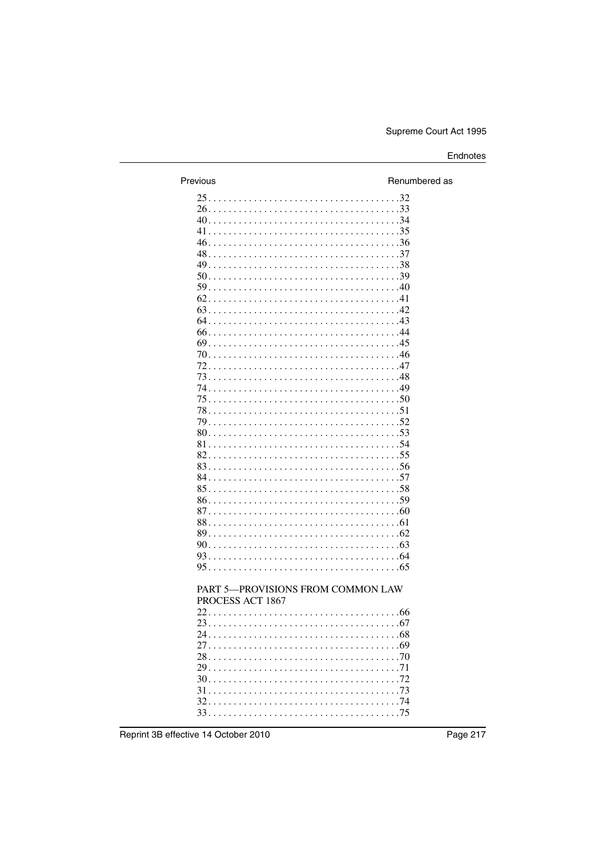| Previous                          | Renumbered as |
|-----------------------------------|---------------|
|                                   |               |
|                                   |               |
|                                   |               |
|                                   |               |
|                                   |               |
|                                   |               |
|                                   |               |
|                                   |               |
|                                   |               |
|                                   |               |
|                                   |               |
|                                   |               |
|                                   |               |
|                                   |               |
|                                   |               |
|                                   |               |
|                                   |               |
|                                   |               |
|                                   |               |
|                                   |               |
|                                   |               |
|                                   |               |
|                                   |               |
|                                   |               |
|                                   |               |
|                                   |               |
|                                   |               |
|                                   |               |
|                                   |               |
|                                   |               |
|                                   |               |
|                                   |               |
|                                   |               |
| PART 5-PROVISIONS FROM COMMON LAW |               |
| PROCESS ACT 1867                  |               |
|                                   |               |
|                                   |               |
|                                   |               |
|                                   |               |
|                                   |               |
|                                   |               |
|                                   |               |
|                                   |               |
|                                   |               |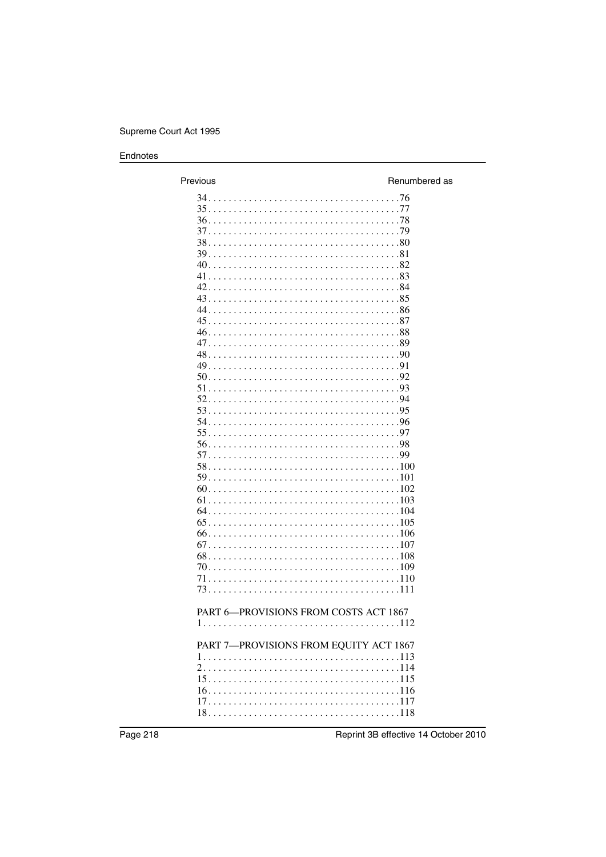| Previous                               | Renumbered as |
|----------------------------------------|---------------|
|                                        |               |
|                                        |               |
|                                        |               |
|                                        |               |
|                                        |               |
|                                        |               |
|                                        |               |
|                                        |               |
|                                        |               |
|                                        |               |
|                                        |               |
|                                        |               |
|                                        |               |
|                                        |               |
|                                        |               |
|                                        |               |
|                                        |               |
|                                        |               |
|                                        |               |
|                                        |               |
|                                        |               |
|                                        |               |
|                                        |               |
|                                        |               |
|                                        |               |
|                                        |               |
|                                        |               |
|                                        |               |
|                                        |               |
|                                        |               |
|                                        |               |
|                                        |               |
|                                        |               |
|                                        |               |
| PART 6-PROVISIONS FROM COSTS ACT 1867  |               |
|                                        |               |
|                                        |               |
| PART 7-PROVISIONS FROM EQUITY ACT 1867 |               |
|                                        |               |
|                                        |               |
|                                        |               |
|                                        |               |
| $18 \t\t 118$                          |               |
|                                        |               |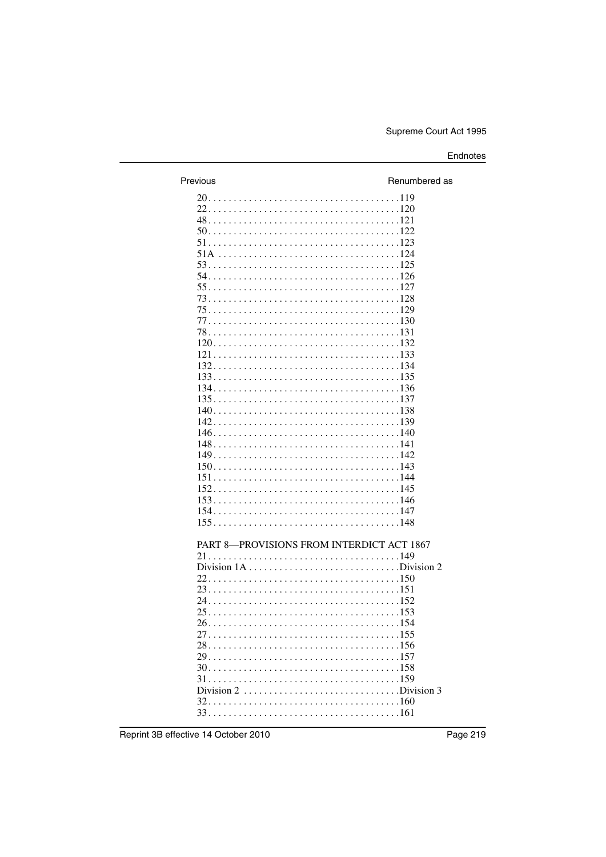| Previous                                  | Renumbered as |
|-------------------------------------------|---------------|
|                                           |               |
|                                           |               |
|                                           |               |
|                                           |               |
|                                           |               |
|                                           |               |
|                                           |               |
|                                           |               |
|                                           |               |
|                                           |               |
|                                           |               |
|                                           |               |
|                                           |               |
|                                           |               |
|                                           |               |
|                                           |               |
|                                           |               |
|                                           |               |
|                                           |               |
|                                           |               |
|                                           |               |
|                                           |               |
|                                           |               |
|                                           |               |
|                                           |               |
|                                           |               |
|                                           |               |
|                                           |               |
|                                           |               |
|                                           |               |
| PART 8-PROVISIONS FROM INTERDICT ACT 1867 |               |
|                                           |               |
|                                           |               |
|                                           |               |
|                                           |               |
|                                           |               |
|                                           |               |
|                                           |               |
|                                           |               |
|                                           |               |
|                                           |               |
|                                           |               |
| $31. 159$                                 |               |
| Division 2 Division 3                     |               |
|                                           |               |
|                                           |               |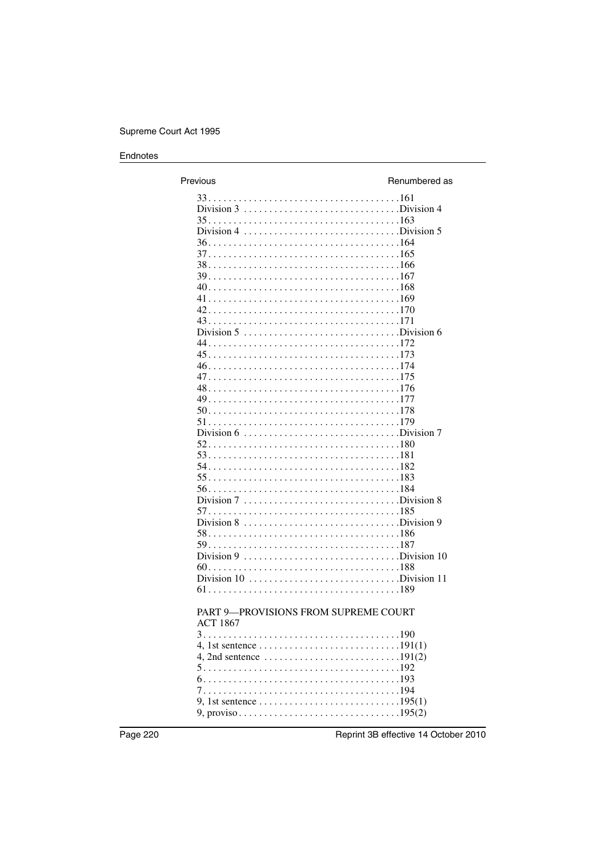| Previous                                                                                       | Renumbered as |
|------------------------------------------------------------------------------------------------|---------------|
| Division 3 Division 4                                                                          |               |
|                                                                                                |               |
|                                                                                                |               |
|                                                                                                |               |
|                                                                                                |               |
|                                                                                                |               |
|                                                                                                |               |
|                                                                                                |               |
|                                                                                                |               |
|                                                                                                |               |
|                                                                                                |               |
|                                                                                                |               |
|                                                                                                |               |
|                                                                                                |               |
|                                                                                                |               |
| Division $7 \ldots \ldots \ldots \ldots \ldots \ldots \ldots \ldots$ . Division 8              |               |
| Division 8 Division 9                                                                          |               |
|                                                                                                |               |
|                                                                                                |               |
| Division $10$ , Division $11$                                                                  |               |
| <b>PART 9-PROVISIONS FROM SUPREME COURT</b>                                                    |               |
| <b>ACT 1867</b>                                                                                |               |
|                                                                                                |               |
| 4, 2nd sentence $\ldots \ldots \ldots \ldots \ldots \ldots \ldots \ldots \ldots 191(2)$        |               |
|                                                                                                |               |
| 9, 1st sentence $\ldots \ldots \ldots \ldots \ldots \ldots \ldots \ldots \ldots \ldots$ 195(1) |               |
|                                                                                                |               |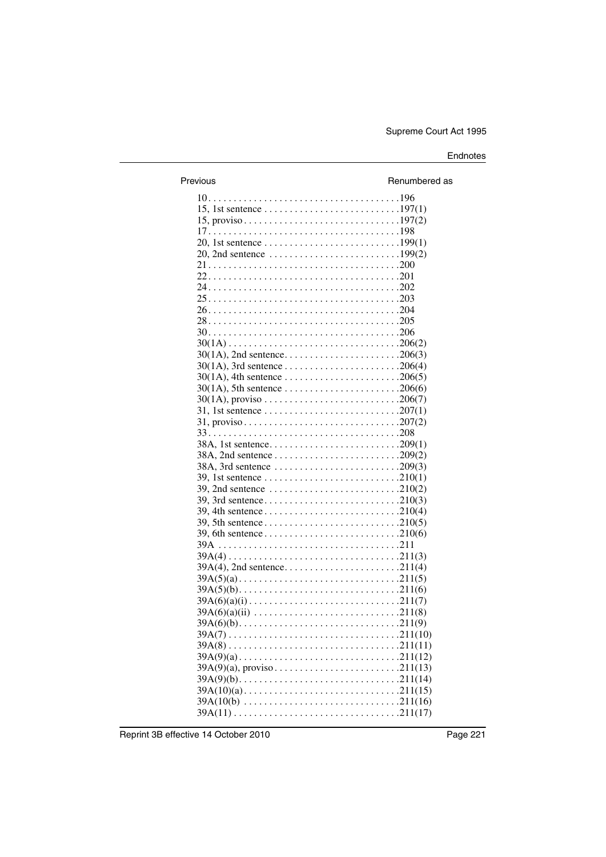| Previous                                                                                        | Renumbered as |
|-------------------------------------------------------------------------------------------------|---------------|
|                                                                                                 |               |
|                                                                                                 |               |
|                                                                                                 |               |
|                                                                                                 |               |
| 20, 1st sentence $\ldots \ldots \ldots \ldots \ldots \ldots \ldots \ldots \ldots 199(1)$        |               |
|                                                                                                 |               |
|                                                                                                 |               |
|                                                                                                 |               |
|                                                                                                 |               |
|                                                                                                 |               |
|                                                                                                 |               |
|                                                                                                 |               |
|                                                                                                 |               |
|                                                                                                 |               |
|                                                                                                 |               |
|                                                                                                 |               |
|                                                                                                 |               |
| $30(1A)$ , 5th sentence 206(6)                                                                  |               |
|                                                                                                 |               |
| 31, 1st sentence $\ldots \ldots \ldots \ldots \ldots \ldots \ldots \ldots \ldots \ldots 207(1)$ |               |
|                                                                                                 |               |
|                                                                                                 |               |
|                                                                                                 |               |
|                                                                                                 |               |
| 38A, 3rd sentence 209(3)                                                                        |               |
|                                                                                                 |               |
|                                                                                                 |               |
|                                                                                                 |               |
|                                                                                                 |               |
|                                                                                                 |               |
|                                                                                                 |               |
|                                                                                                 |               |
|                                                                                                 |               |
|                                                                                                 |               |
|                                                                                                 |               |
|                                                                                                 |               |
|                                                                                                 |               |
|                                                                                                 |               |
|                                                                                                 |               |
|                                                                                                 |               |
|                                                                                                 |               |
|                                                                                                 |               |
|                                                                                                 |               |
|                                                                                                 |               |
|                                                                                                 |               |
| $39A(10(b) \ldots \ldots \ldots \ldots \ldots \ldots \ldots \ldots \ldots \ldots 211(16)$       |               |
|                                                                                                 |               |
|                                                                                                 |               |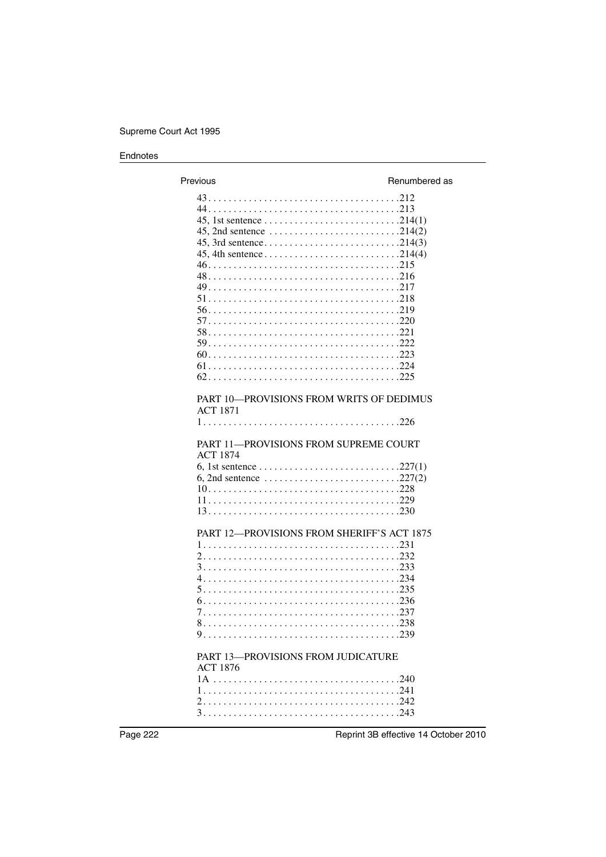| Previous                                                                                                                | Renumbered as |
|-------------------------------------------------------------------------------------------------------------------------|---------------|
|                                                                                                                         |               |
| PART 10-PROVISIONS FROM WRITS OF DEDIMUS<br><b>ACT 1871</b><br>PART 11-PROVISIONS FROM SUPREME COURT<br><b>ACT 1874</b> |               |
| 6, 2nd sentence $\ldots \ldots \ldots \ldots \ldots \ldots \ldots \ldots \ldots \ldots 227(2)$                          |               |
| PART 12-PROVISIONS FROM SHERIFF'S ACT 1875                                                                              |               |
| PART 13-PROVISIONS FROM JUDICATURE<br><b>ACT 1876</b>                                                                   |               |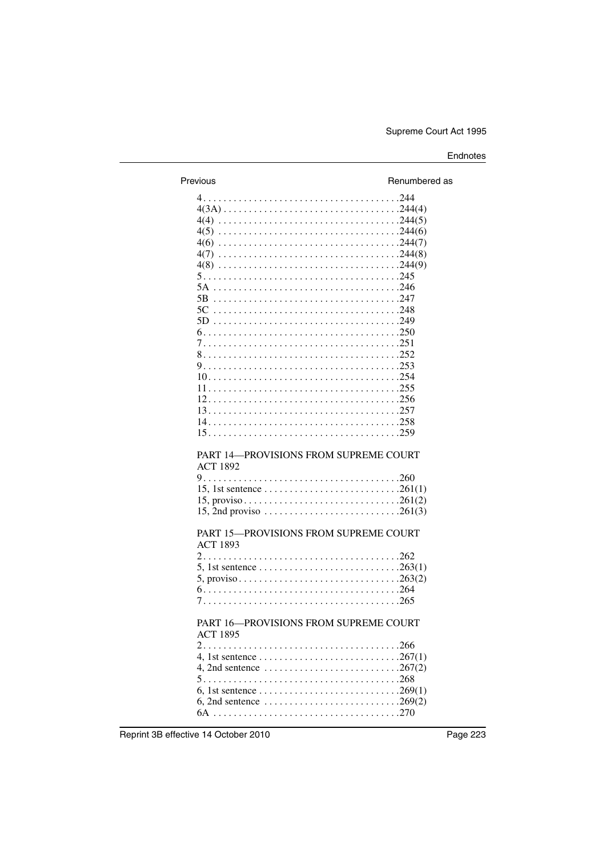| Previous                                                 | Renumbered as |
|----------------------------------------------------------|---------------|
|                                                          |               |
|                                                          |               |
|                                                          |               |
|                                                          |               |
|                                                          |               |
|                                                          |               |
|                                                          |               |
|                                                          |               |
|                                                          |               |
|                                                          |               |
|                                                          |               |
|                                                          |               |
|                                                          |               |
|                                                          |               |
|                                                          |               |
|                                                          |               |
|                                                          |               |
|                                                          |               |
|                                                          |               |
|                                                          |               |
|                                                          |               |
| PART 14-PROVISIONS FROM SUPREME COURT<br><b>ACT 1892</b> |               |
|                                                          |               |
|                                                          |               |
| PART 15-PROVISIONS FROM SUPREME COURT<br><b>ACT 1893</b> |               |
|                                                          |               |
| PART 16-PROVISIONS FROM SUPREME COURT<br><b>ACT 1895</b> |               |
|                                                          |               |
|                                                          |               |
|                                                          |               |
|                                                          |               |
|                                                          |               |
|                                                          |               |
|                                                          |               |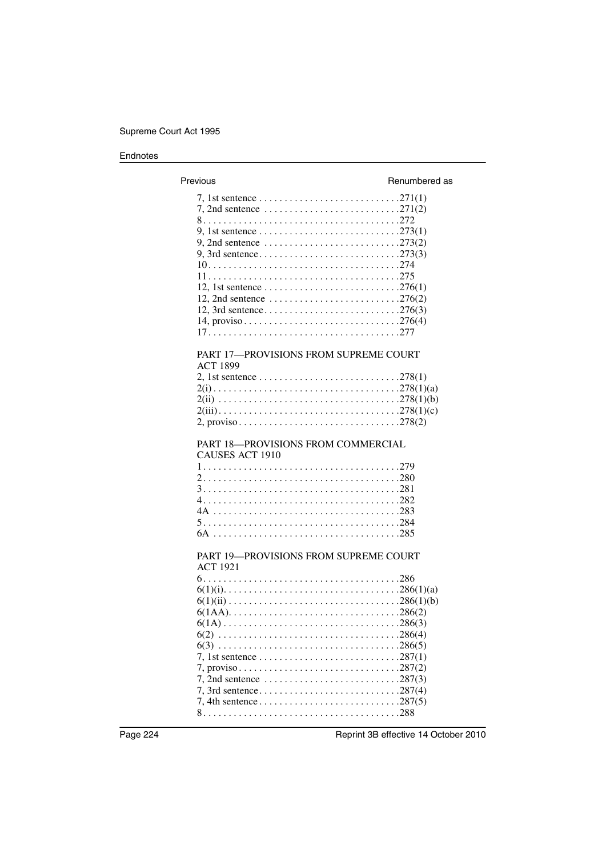| Previous                                                                                       | Renumbered as |
|------------------------------------------------------------------------------------------------|---------------|
|                                                                                                |               |
|                                                                                                |               |
|                                                                                                |               |
|                                                                                                |               |
|                                                                                                |               |
|                                                                                                |               |
|                                                                                                |               |
|                                                                                                |               |
|                                                                                                |               |
| 12, 2nd sentence $\ldots \ldots \ldots \ldots \ldots \ldots \ldots \ldots \ldots 276(2)$       |               |
|                                                                                                |               |
|                                                                                                |               |
|                                                                                                |               |
| PART 17-PROVISIONS FROM SUPREME COURT                                                          |               |
| <b>ACT 1899</b>                                                                                |               |
|                                                                                                |               |
|                                                                                                |               |
|                                                                                                |               |
|                                                                                                |               |
|                                                                                                |               |
| PART 18-PROVISIONS FROM COMMERCIAL<br><b>CAUSES ACT 1910</b>                                   |               |
|                                                                                                |               |
|                                                                                                |               |
|                                                                                                |               |
|                                                                                                |               |
|                                                                                                |               |
|                                                                                                |               |
|                                                                                                |               |
| PART 19-PROVISIONS FROM SUPREME COURT<br><b>ACT 1921</b>                                       |               |
|                                                                                                |               |
|                                                                                                |               |
|                                                                                                |               |
|                                                                                                |               |
|                                                                                                |               |
|                                                                                                |               |
|                                                                                                |               |
| 7, 1st sentence $\ldots \ldots \ldots \ldots \ldots \ldots \ldots \ldots \ldots \ldots 287(1)$ |               |
|                                                                                                |               |
|                                                                                                |               |
|                                                                                                |               |
|                                                                                                |               |
|                                                                                                |               |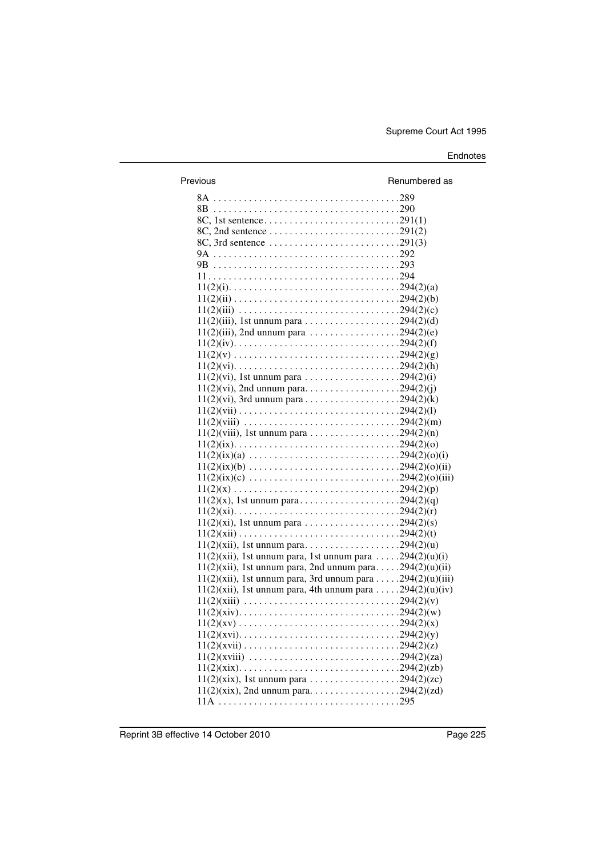| Previous                                                                                                         | Renumbered as |
|------------------------------------------------------------------------------------------------------------------|---------------|
|                                                                                                                  |               |
|                                                                                                                  |               |
|                                                                                                                  |               |
|                                                                                                                  |               |
|                                                                                                                  |               |
|                                                                                                                  |               |
|                                                                                                                  |               |
|                                                                                                                  |               |
|                                                                                                                  |               |
|                                                                                                                  |               |
|                                                                                                                  |               |
| $11(2)(iii)$ , 1st unnum para 294(2)(d)                                                                          |               |
| $11(2)(iii)$ , 2nd unnum para 294(2)(e)                                                                          |               |
|                                                                                                                  |               |
|                                                                                                                  |               |
|                                                                                                                  |               |
|                                                                                                                  |               |
|                                                                                                                  |               |
|                                                                                                                  |               |
|                                                                                                                  |               |
|                                                                                                                  |               |
|                                                                                                                  |               |
|                                                                                                                  |               |
| $11(2)(ix)(a) \ldots \ldots \ldots \ldots \ldots \ldots \ldots \ldots \ldots \ldots \ldots \ldots 294(2)(0)(i)$  |               |
| $11(2)(ix)(b) \ldots \ldots \ldots \ldots \ldots \ldots \ldots \ldots \ldots \ldots \ldots \ldots 294(2)(0)(ii)$ |               |
|                                                                                                                  |               |
|                                                                                                                  |               |
|                                                                                                                  |               |
|                                                                                                                  |               |
|                                                                                                                  |               |
|                                                                                                                  |               |
| $11(2)(xii)$ , 1st unnum para, 1st unnum para 294(2)(u)(i)                                                       |               |
| $11(2)(xii)$ , 1st unnum para, 2nd unnum para294(2)(u)(ii)                                                       |               |
| $11(2)(xii)$ , 1st unnum para, 3rd unnum para 294(2)(u)(iii)                                                     |               |
| $11(2)(xii)$ , 1st unnum para, 4th unnum para 294(2)(u)(iv)                                                      |               |
|                                                                                                                  |               |
|                                                                                                                  |               |
|                                                                                                                  |               |
|                                                                                                                  |               |
|                                                                                                                  |               |
|                                                                                                                  |               |
|                                                                                                                  |               |
| $11(2)(xix)$ , 1st unnum para 294(2)(zc)                                                                         |               |
| $11(2)(xix)$ , 2nd unnum para294(2)(zd)                                                                          |               |
|                                                                                                                  |               |
|                                                                                                                  |               |